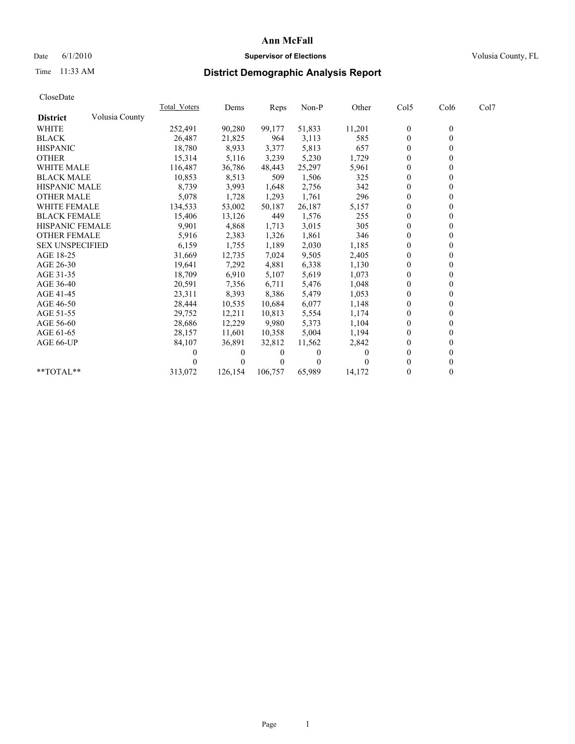## Date 6/1/2010 **Supervisor of Elections Supervisor of Elections** Volusia County, FL

## Time 11:33 AM **District Demographic Analysis Report**

| CloseDate              |                |              |          |         |          |          |                  |                  |      |  |
|------------------------|----------------|--------------|----------|---------|----------|----------|------------------|------------------|------|--|
|                        |                | Total Voters | Dems     | Reps    | $Non-P$  | Other    | Col5             | Col6             | Col7 |  |
| <b>District</b>        | Volusia County |              |          |         |          |          |                  |                  |      |  |
| <b>WHITE</b>           |                | 252,491      | 90,280   | 99,177  | 51,833   | 11,201   | $\boldsymbol{0}$ | $\boldsymbol{0}$ |      |  |
| <b>BLACK</b>           |                | 26,487       | 21,825   | 964     | 3,113    | 585      | $\boldsymbol{0}$ | $\mathbf{0}$     |      |  |
| <b>HISPANIC</b>        |                | 18,780       | 8,933    | 3,377   | 5,813    | 657      | 0                | $\theta$         |      |  |
| <b>OTHER</b>           |                | 15,314       | 5,116    | 3,239   | 5,230    | 1,729    | $\overline{0}$   | $\mathbf{0}$     |      |  |
| <b>WHITE MALE</b>      |                | 116.487      | 36,786   | 48.443  | 25,297   | 5,961    | 0                | $\theta$         |      |  |
| <b>BLACK MALE</b>      |                | 10,853       | 8,513    | 509     | 1,506    | 325      | $\overline{0}$   | $\theta$         |      |  |
| <b>HISPANIC MALE</b>   |                | 8,739        | 3,993    | 1,648   | 2,756    | 342      | $\boldsymbol{0}$ | $\theta$         |      |  |
| <b>OTHER MALE</b>      |                | 5,078        | 1,728    | 1,293   | 1,761    | 296      | $\overline{0}$   | $\mathbf{0}$     |      |  |
| <b>WHITE FEMALE</b>    |                | 134,533      | 53,002   | 50,187  | 26,187   | 5,157    | $\boldsymbol{0}$ | $\mathbf{0}$     |      |  |
| <b>BLACK FEMALE</b>    |                | 15,406       | 13,126   | 449     | 1,576    | 255      | $\theta$         | $\theta$         |      |  |
| <b>HISPANIC FEMALE</b> |                | 9,901        | 4,868    | 1,713   | 3,015    | 305      | 0                | $\theta$         |      |  |
| <b>OTHER FEMALE</b>    |                | 5,916        | 2,383    | 1,326   | 1,861    | 346      | 0                | $\theta$         |      |  |
| <b>SEX UNSPECIFIED</b> |                | 6,159        | 1,755    | 1,189   | 2,030    | 1,185    | 0                | $\theta$         |      |  |
| AGE 18-25              |                | 31,669       | 12,735   | 7,024   | 9,505    | 2,405    | 0                | $\theta$         |      |  |
| AGE 26-30              |                | 19,641       | 7,292    | 4,881   | 6,338    | 1,130    | $\boldsymbol{0}$ | $\mathbf{0}$     |      |  |
| AGE 31-35              |                | 18,709       | 6,910    | 5,107   | 5,619    | 1,073    | $\mathbf{0}$     | $\mathbf{0}$     |      |  |
| AGE 36-40              |                | 20,591       | 7,356    | 6,711   | 5,476    | 1,048    | 0                | $\theta$         |      |  |
| AGE 41-45              |                | 23,311       | 8,393    | 8,386   | 5,479    | 1,053    | $\overline{0}$   | $\theta$         |      |  |
| AGE 46-50              |                | 28,444       | 10,535   | 10,684  | 6,077    | 1,148    | 0                | $\theta$         |      |  |
| AGE 51-55              |                | 29,752       | 12,211   | 10,813  | 5,554    | 1,174    | 0                | $\theta$         |      |  |
| AGE 56-60              |                | 28,686       | 12,229   | 9,980   | 5,373    | 1,104    | 0                | $\theta$         |      |  |
| AGE 61-65              |                | 28,157       | 11,601   | 10,358  | 5,004    | 1,194    | $\mathbf{0}$     | $\mathbf{0}$     |      |  |
| AGE 66-UP              |                | 84,107       | 36,891   | 32,812  | 11,562   | 2,842    | 0                | $\boldsymbol{0}$ |      |  |
|                        |                | 0            | 0        | 0       | $\theta$ | $\Omega$ | $\theta$         | $\theta$         |      |  |
|                        |                |              | $\theta$ |         | 0        |          | $\theta$         | $\theta$         |      |  |
| **TOTAL**              |                | 313,072      | 126,154  | 106,757 | 65,989   | 14,172   | 0                | $\theta$         |      |  |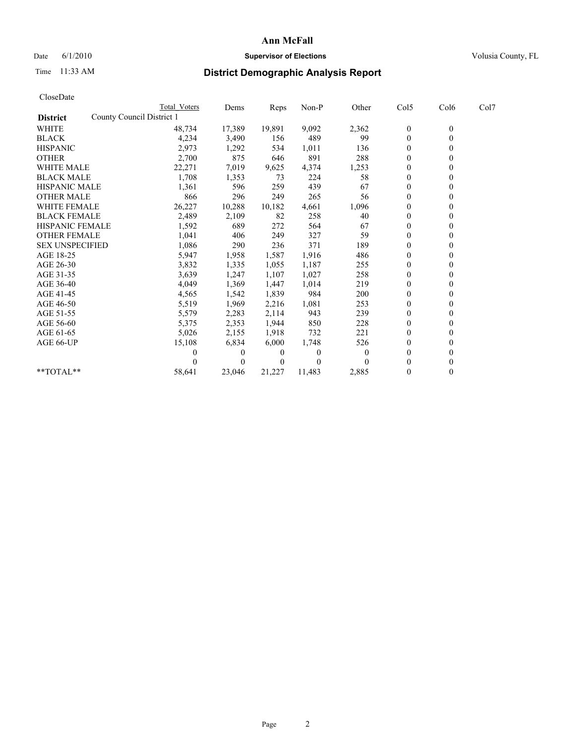## Date 6/1/2010 **Supervisor of Elections Supervisor of Elections** Volusia County, FL

# Time 11:33 AM **District Demographic Analysis Report**

| CloseDate              |                           |                     |          |          |         |          |                  |                  |      |
|------------------------|---------------------------|---------------------|----------|----------|---------|----------|------------------|------------------|------|
|                        |                           | <b>Total Voters</b> | Dems     | Reps     | $Non-P$ | Other    | Col5             | Col6             | Col7 |
| <b>District</b>        | County Council District 1 |                     |          |          |         |          |                  |                  |      |
| <b>WHITE</b>           |                           | 48,734              | 17,389   | 19,891   | 9,092   | 2,362    | $\boldsymbol{0}$ | $\boldsymbol{0}$ |      |
| <b>BLACK</b>           |                           | 4,234               | 3,490    | 156      | 489     | 99       | $\boldsymbol{0}$ | $\mathbf{0}$     |      |
| <b>HISPANIC</b>        |                           | 2,973               | 1,292    | 534      | 1,011   | 136      | $\mathbf{0}$     | $\Omega$         |      |
| <b>OTHER</b>           |                           | 2,700               | 875      | 646      | 891     | 288      | $\mathbf{0}$     | $\theta$         |      |
| <b>WHITE MALE</b>      |                           | 22,271              | 7,019    | 9,625    | 4,374   | 1,253    | $\boldsymbol{0}$ | $\mathbf{0}$     |      |
| <b>BLACK MALE</b>      |                           | 1,708               | 1,353    | 73       | 224     | 58       | $\mathbf{0}$     | $\mathbf{0}$     |      |
| <b>HISPANIC MALE</b>   |                           | 1,361               | 596      | 259      | 439     | 67       | $\boldsymbol{0}$ | $\Omega$         |      |
| <b>OTHER MALE</b>      |                           | 866                 | 296      | 249      | 265     | 56       | $\boldsymbol{0}$ | $\mathbf{0}$     |      |
| <b>WHITE FEMALE</b>    |                           | 26,227              | 10,288   | 10,182   | 4,661   | 1,096    | $\boldsymbol{0}$ | $\theta$         |      |
| <b>BLACK FEMALE</b>    |                           | 2,489               | 2,109    | 82       | 258     | 40       | $\mathbf{0}$     | $\Omega$         |      |
| <b>HISPANIC FEMALE</b> |                           | 1,592               | 689      | 272      | 564     | 67       | $\boldsymbol{0}$ | $\theta$         |      |
| <b>OTHER FEMALE</b>    |                           | 1,041               | 406      | 249      | 327     | 59       | $\boldsymbol{0}$ | $\mathbf{0}$     |      |
| <b>SEX UNSPECIFIED</b> |                           | 1,086               | 290      | 236      | 371     | 189      | $\mathbf{0}$     | $\mathbf{0}$     |      |
| AGE 18-25              |                           | 5,947               | 1,958    | 1,587    | 1,916   | 486      | $\boldsymbol{0}$ | $\mathbf{0}$     |      |
| AGE 26-30              |                           | 3,832               | 1,335    | 1,055    | 1,187   | 255      | $\boldsymbol{0}$ | $\mathbf{0}$     |      |
| AGE 31-35              |                           | 3,639               | 1,247    | 1,107    | 1,027   | 258      | $\boldsymbol{0}$ | $\theta$         |      |
| AGE 36-40              |                           | 4,049               | 1,369    | 1,447    | 1,014   | 219      | $\boldsymbol{0}$ | $\Omega$         |      |
| AGE 41-45              |                           | 4,565               | 1,542    | 1,839    | 984     | 200      | $\boldsymbol{0}$ | $\theta$         |      |
| AGE 46-50              |                           | 5,519               | 1,969    | 2,216    | 1,081   | 253      | $\boldsymbol{0}$ | $\mathbf{0}$     |      |
| AGE 51-55              |                           | 5,579               | 2,283    | 2,114    | 943     | 239      | $\boldsymbol{0}$ | $\theta$         |      |
| AGE 56-60              |                           | 5,375               | 2,353    | 1,944    | 850     | 228      | $\boldsymbol{0}$ | $\Omega$         |      |
| AGE 61-65              |                           | 5,026               | 2,155    | 1,918    | 732     | 221      | $\mathbf{0}$     | $\mathbf{0}$     |      |
| AGE 66-UP              |                           | 15,108              | 6,834    | 6,000    | 1,748   | 526      | $\boldsymbol{0}$ | $\theta$         |      |
|                        |                           |                     | 0        | 0        | 0       | $\Omega$ | $\mathbf{0}$     | $\mathbf{0}$     |      |
|                        |                           |                     | $\theta$ | $\theta$ | 0       |          | $\mathbf{0}$     | $\theta$         |      |
| **TOTAL**              |                           | 58,641              | 23,046   | 21,227   | 11,483  | 2,885    | $\mathbf{0}$     | $\theta$         |      |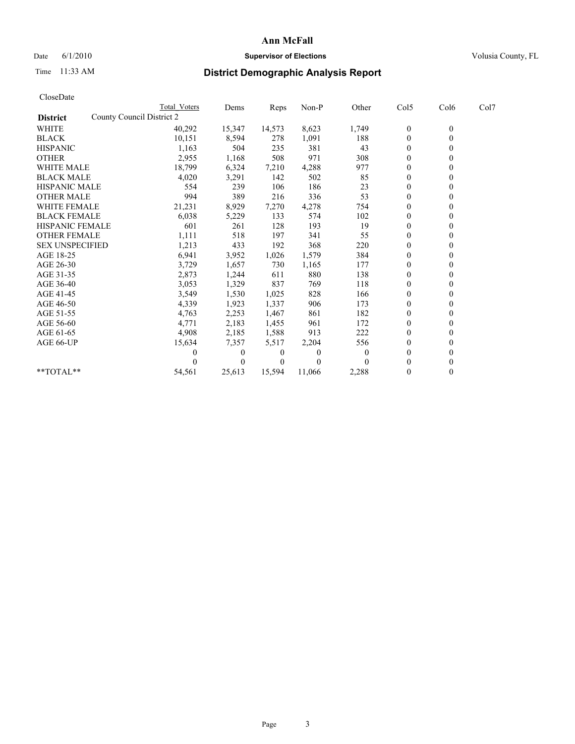## Date 6/1/2010 **Supervisor of Elections Supervisor of Elections** Volusia County, FL

# Time 11:33 AM **District Demographic Analysis Report**

| CloseDate              |                           |                     |                |          |        |          |                  |                |      |
|------------------------|---------------------------|---------------------|----------------|----------|--------|----------|------------------|----------------|------|
|                        |                           | <b>Total Voters</b> | Dems           | Reps     | Non-P  | Other    | Col5             | Col6           | Col7 |
| <b>District</b>        | County Council District 2 |                     |                |          |        |          |                  |                |      |
| WHITE                  |                           | 40,292              | 15,347         | 14,573   | 8,623  | 1,749    | $\boldsymbol{0}$ | $\mathbf{0}$   |      |
| <b>BLACK</b>           |                           | 10,151              | 8,594          | 278      | 1,091  | 188      | $\boldsymbol{0}$ | $\mathbf{0}$   |      |
| <b>HISPANIC</b>        |                           | 1,163               | 504            | 235      | 381    | 43       | $\theta$         | $\mathbf{0}$   |      |
| <b>OTHER</b>           |                           | 2,955               | 1,168          | 508      | 971    | 308      | $\mathbf{0}$     | $\theta$       |      |
| <b>WHITE MALE</b>      |                           | 18,799              | 6,324          | 7,210    | 4,288  | 977      | $\boldsymbol{0}$ | $\mathbf{0}$   |      |
| <b>BLACK MALE</b>      |                           | 4,020               | 3,291          | 142      | 502    | 85       | $\mathbf{0}$     | $\theta$       |      |
| <b>HISPANIC MALE</b>   |                           | 554                 | 239            | 106      | 186    | 23       | $\boldsymbol{0}$ | $\Omega$       |      |
| <b>OTHER MALE</b>      |                           | 994                 | 389            | 216      | 336    | 53       | $\boldsymbol{0}$ | $\overline{0}$ |      |
| <b>WHITE FEMALE</b>    |                           | 21,231              | 8,929          | 7,270    | 4,278  | 754      | $\boldsymbol{0}$ | $\theta$       |      |
| <b>BLACK FEMALE</b>    |                           | 6,038               | 5,229          | 133      | 574    | 102      | $\boldsymbol{0}$ | $\mathbf{0}$   |      |
| <b>HISPANIC FEMALE</b> |                           | 601                 | 261            | 128      | 193    | 19       | $\mathbf{0}$     | $\mathbf{0}$   |      |
| <b>OTHER FEMALE</b>    |                           | 1,111               | 518            | 197      | 341    | 55       | $\boldsymbol{0}$ | $\mathbf{0}$   |      |
| <b>SEX UNSPECIFIED</b> |                           | 1,213               | 433            | 192      | 368    | 220      | $\boldsymbol{0}$ | $\theta$       |      |
| AGE 18-25              |                           | 6,941               | 3,952          | 1,026    | 1,579  | 384      | $\boldsymbol{0}$ | $\mathbf{0}$   |      |
| AGE 26-30              |                           | 3,729               | 1,657          | 730      | 1,165  | 177      | $\boldsymbol{0}$ | $\overline{0}$ |      |
| AGE 31-35              |                           | 2,873               | 1,244          | 611      | 880    | 138      | $\boldsymbol{0}$ | $\theta$       |      |
| AGE 36-40              |                           | 3,053               | 1,329          | 837      | 769    | 118      | $\boldsymbol{0}$ | $\Omega$       |      |
| AGE 41-45              |                           | 3,549               | 1,530          | 1,025    | 828    | 166      | $\boldsymbol{0}$ | $\theta$       |      |
| AGE 46-50              |                           | 4,339               | 1,923          | 1,337    | 906    | 173      | $\boldsymbol{0}$ | $\mathbf{0}$   |      |
| AGE 51-55              |                           | 4,763               | 2,253          | 1,467    | 861    | 182      | $\boldsymbol{0}$ | $\Omega$       |      |
| AGE 56-60              |                           | 4,771               | 2,183          | 1,455    | 961    | 172      | $\boldsymbol{0}$ | $\mathbf{0}$   |      |
| AGE 61-65              |                           | 4,908               | 2,185          | 1,588    | 913    | 222      | $\boldsymbol{0}$ | $\mathbf{0}$   |      |
| AGE 66-UP              |                           | 15,634              | 7,357          | 5,517    | 2,204  | 556      | $\boldsymbol{0}$ | $\theta$       |      |
|                        |                           |                     | $\overline{0}$ | $\theta$ | 0      | $\theta$ | $\mathbf{0}$     | $\mathbf{0}$   |      |
|                        |                           |                     | $\theta$       | $\theta$ | 0      |          | $\mathbf{0}$     | $\theta$       |      |
| **TOTAL**              |                           | 54,561              | 25,613         | 15,594   | 11,066 | 2,288    | $\mathbf{0}$     | $\theta$       |      |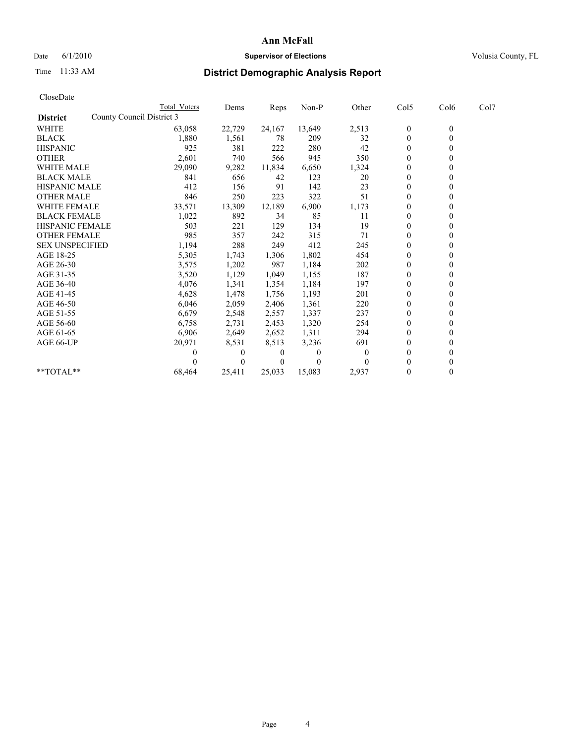## Date 6/1/2010 **Supervisor of Elections Supervisor of Elections** Volusia County, FL

## Time 11:33 AM **District Demographic Analysis Report**

| CloseDate              |                           |              |          |              |        |          |                  |                  |      |  |
|------------------------|---------------------------|--------------|----------|--------------|--------|----------|------------------|------------------|------|--|
|                        |                           | Total Voters | Dems     | Reps         | Non-P  | Other    | Col5             | Col6             | Col7 |  |
| <b>District</b>        | County Council District 3 |              |          |              |        |          |                  |                  |      |  |
| <b>WHITE</b>           |                           | 63,058       | 22,729   | 24,167       | 13,649 | 2,513    | $\boldsymbol{0}$ | $\boldsymbol{0}$ |      |  |
| <b>BLACK</b>           |                           | 1,880        | 1,561    | 78           | 209    | 32       | $\boldsymbol{0}$ | $\mathbf{0}$     |      |  |
| <b>HISPANIC</b>        |                           | 925          | 381      | 222          | 280    | 42       | $\boldsymbol{0}$ | $\theta$         |      |  |
| <b>OTHER</b>           |                           | 2,601        | 740      | 566          | 945    | 350      | $\boldsymbol{0}$ | $\Omega$         |      |  |
| <b>WHITE MALE</b>      |                           | 29,090       | 9,282    | 11,834       | 6,650  | 1,324    | 0                | $\theta$         |      |  |
| <b>BLACK MALE</b>      |                           | 841          | 656      | 42           | 123    | 20       | $\boldsymbol{0}$ | $\theta$         |      |  |
| <b>HISPANIC MALE</b>   |                           | 412          | 156      | 91           | 142    | 23       | 0                | $\mathbf{0}$     |      |  |
| <b>OTHER MALE</b>      |                           | 846          | 250      | 223          | 322    | 51       | $\boldsymbol{0}$ | $\mathbf{0}$     |      |  |
| <b>WHITE FEMALE</b>    |                           | 33,571       | 13,309   | 12,189       | 6,900  | 1,173    | $\mathbf{0}$     | $\mathbf{0}$     |      |  |
| <b>BLACK FEMALE</b>    |                           | 1,022        | 892      | 34           | 85     | 11       | $\boldsymbol{0}$ | $\theta$         |      |  |
| <b>HISPANIC FEMALE</b> |                           | 503          | 221      | 129          | 134    | 19       | $\overline{0}$   | $\theta$         |      |  |
| <b>OTHER FEMALE</b>    |                           | 985          | 357      | 242          | 315    | 71       | 0                | $\mathbf{0}$     |      |  |
| <b>SEX UNSPECIFIED</b> |                           | 1,194        | 288      | 249          | 412    | 245      | $\overline{0}$   | $\Omega$         |      |  |
| AGE 18-25              |                           | 5,305        | 1,743    | 1,306        | 1,802  | 454      | $\overline{0}$   | $\Omega$         |      |  |
| AGE 26-30              |                           | 3,575        | 1,202    | 987          | 1,184  | 202      | $\boldsymbol{0}$ | $\mathbf{0}$     |      |  |
| AGE 31-35              |                           | 3,520        | 1,129    | 1,049        | 1,155  | 187      | $\mathbf{0}$     | $\mathbf{0}$     |      |  |
| AGE 36-40              |                           | 4,076        | 1,341    | 1,354        | 1,184  | 197      | $\overline{0}$   | $\theta$         |      |  |
| AGE 41-45              |                           | 4,628        | 1,478    | 1,756        | 1,193  | 201      | $\boldsymbol{0}$ | $\Omega$         |      |  |
| AGE 46-50              |                           | 6,046        | 2,059    | 2,406        | 1,361  | 220      | 0                | 0                |      |  |
| AGE 51-55              |                           | 6,679        | 2,548    | 2,557        | 1,337  | 237      | $\boldsymbol{0}$ | $\Omega$         |      |  |
| AGE 56-60              |                           | 6,758        | 2,731    | 2,453        | 1,320  | 254      | 0                | $\Omega$         |      |  |
| AGE 61-65              |                           | 6,906        | 2,649    | 2,652        | 1,311  | 294      | $\boldsymbol{0}$ | $\theta$         |      |  |
| AGE 66-UP              |                           | 20,971       | 8,531    | 8,513        | 3,236  | 691      | $\mathbf{0}$     | $\theta$         |      |  |
|                        |                           | 0            | $\theta$ | 0            | 0      | $\theta$ | $\boldsymbol{0}$ | $\theta$         |      |  |
|                        |                           |              | $\theta$ | $\mathbf{0}$ | 0      |          | 0                | $\theta$         |      |  |
| $*$ TOTAL $*$          |                           | 68,464       | 25,411   | 25,033       | 15,083 | 2,937    | $\mathbf{0}$     | $\mathbf{0}$     |      |  |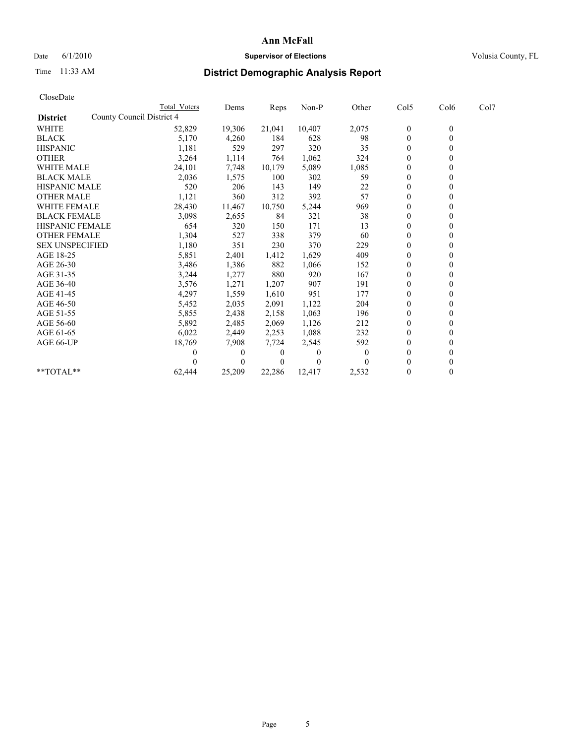## Date 6/1/2010 **Supervisor of Elections Supervisor of Elections** Volusia County, FL

# Time 11:33 AM **District Demographic Analysis Report**

| CloseDate              |                           |                     |                |          |         |          |                  |                  |      |  |
|------------------------|---------------------------|---------------------|----------------|----------|---------|----------|------------------|------------------|------|--|
|                        |                           | <b>Total Voters</b> | Dems           | Reps     | $Non-P$ | Other    | Col5             | Col6             | Col7 |  |
| <b>District</b>        | County Council District 4 |                     |                |          |         |          |                  |                  |      |  |
| <b>WHITE</b>           |                           | 52,829              | 19,306         | 21,041   | 10,407  | 2,075    | $\boldsymbol{0}$ | $\boldsymbol{0}$ |      |  |
| <b>BLACK</b>           |                           | 5,170               | 4,260          | 184      | 628     | 98       | $\boldsymbol{0}$ | $\mathbf{0}$     |      |  |
| <b>HISPANIC</b>        |                           | 1,181               | 529            | 297      | 320     | 35       | $\mathbf{0}$     | $\Omega$         |      |  |
| <b>OTHER</b>           |                           | 3,264               | 1,114          | 764      | 1,062   | 324      | $\mathbf{0}$     | $\theta$         |      |  |
| <b>WHITE MALE</b>      |                           | 24,101              | 7,748          | 10,179   | 5,089   | 1,085    | $\boldsymbol{0}$ | $\mathbf{0}$     |      |  |
| <b>BLACK MALE</b>      |                           | 2,036               | 1,575          | 100      | 302     | 59       | $\mathbf{0}$     | $\mathbf{0}$     |      |  |
| <b>HISPANIC MALE</b>   |                           | 520                 | 206            | 143      | 149     | 22       | $\boldsymbol{0}$ | $\Omega$         |      |  |
| <b>OTHER MALE</b>      |                           | 1,121               | 360            | 312      | 392     | 57       | $\boldsymbol{0}$ | $\mathbf{0}$     |      |  |
| <b>WHITE FEMALE</b>    |                           | 28,430              | 11,467         | 10,750   | 5,244   | 969      | $\boldsymbol{0}$ | $\theta$         |      |  |
| <b>BLACK FEMALE</b>    |                           | 3,098               | 2,655          | 84       | 321     | 38       | $\theta$         | $\Omega$         |      |  |
| <b>HISPANIC FEMALE</b> |                           | 654                 | 320            | 150      | 171     | 13       | $\mathbf{0}$     | $\theta$         |      |  |
| <b>OTHER FEMALE</b>    |                           | 1,304               | 527            | 338      | 379     | 60       | $\boldsymbol{0}$ | $\mathbf{0}$     |      |  |
| <b>SEX UNSPECIFIED</b> |                           | 1,180               | 351            | 230      | 370     | 229      | $\mathbf{0}$     | $\mathbf{0}$     |      |  |
| AGE 18-25              |                           | 5,851               | 2,401          | 1,412    | 1,629   | 409      | $\boldsymbol{0}$ | $\mathbf{0}$     |      |  |
| AGE 26-30              |                           | 3,486               | 1,386          | 882      | 1,066   | 152      | $\boldsymbol{0}$ | $\mathbf{0}$     |      |  |
| AGE 31-35              |                           | 3,244               | 1,277          | 880      | 920     | 167      | $\boldsymbol{0}$ | $\theta$         |      |  |
| AGE 36-40              |                           | 3,576               | 1,271          | 1,207    | 907     | 191      | $\boldsymbol{0}$ | $\Omega$         |      |  |
| AGE 41-45              |                           | 4,297               | 1,559          | 1,610    | 951     | 177      | $\mathbf{0}$     | $\theta$         |      |  |
| AGE 46-50              |                           | 5,452               | 2,035          | 2,091    | 1,122   | 204      | $\boldsymbol{0}$ | $\mathbf{0}$     |      |  |
| AGE 51-55              |                           | 5,855               | 2,438          | 2,158    | 1,063   | 196      | $\boldsymbol{0}$ | $\theta$         |      |  |
| AGE 56-60              |                           | 5,892               | 2,485          | 2,069    | 1,126   | 212      | $\boldsymbol{0}$ | $\Omega$         |      |  |
| AGE 61-65              |                           | 6,022               | 2,449          | 2,253    | 1,088   | 232      | $\mathbf{0}$     | $\mathbf{0}$     |      |  |
| AGE 66-UP              |                           | 18,769              | 7,908          | 7,724    | 2,545   | 592      | $\boldsymbol{0}$ | $\theta$         |      |  |
|                        |                           |                     | $\overline{0}$ | 0        | 0       | $\theta$ | $\mathbf{0}$     | $\mathbf{0}$     |      |  |
|                        |                           |                     | $\theta$       | $\theta$ | 0       |          | $\mathbf{0}$     | $\theta$         |      |  |
| **TOTAL**              |                           | 62,444              | 25,209         | 22,286   | 12,417  | 2,532    | $\mathbf{0}$     | $\theta$         |      |  |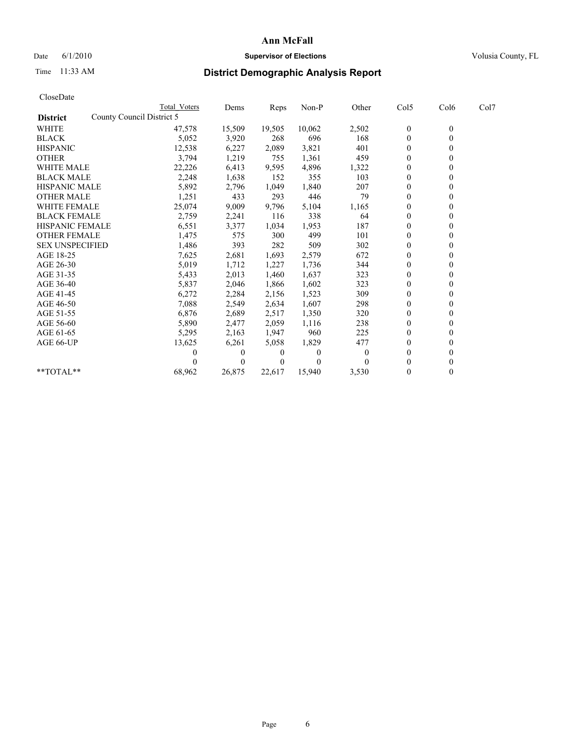## Date 6/1/2010 **Supervisor of Elections Supervisor of Elections** Volusia County, FL

# Time 11:33 AM **District Demographic Analysis Report**

| CloseDate              |                           |                |        |          |          |                  |                  |      |
|------------------------|---------------------------|----------------|--------|----------|----------|------------------|------------------|------|
|                        | Total Voters              | Dems           | Reps   | $Non-P$  | Other    | Col5             | Col6             | Col7 |
| <b>District</b>        | County Council District 5 |                |        |          |          |                  |                  |      |
| <b>WHITE</b>           | 47,578                    | 15,509         | 19,505 | 10,062   | 2,502    | $\boldsymbol{0}$ | $\boldsymbol{0}$ |      |
| <b>BLACK</b>           | 5,052                     | 3,920          | 268    | 696      | 168      | $\boldsymbol{0}$ | $\mathbf{0}$     |      |
| <b>HISPANIC</b>        | 12,538                    | 6,227          | 2,089  | 3,821    | 401      | $\overline{0}$   | $\Omega$         |      |
| <b>OTHER</b>           | 3,794                     | 1,219          | 755    | 1,361    | 459      | $\overline{0}$   | $\theta$         |      |
| <b>WHITE MALE</b>      | 22,226                    | 6,413          | 9,595  | 4,896    | 1,322    | $\overline{0}$   | $\mathbf{0}$     |      |
| <b>BLACK MALE</b>      | 2,248                     | 1,638          | 152    | 355      | 103      | $\overline{0}$   | $\mathbf{0}$     |      |
| <b>HISPANIC MALE</b>   | 5,892                     | 2,796          | 1,049  | 1,840    | 207      | $\boldsymbol{0}$ | $\Omega$         |      |
| <b>OTHER MALE</b>      | 1,251                     | 433            | 293    | 446      | 79       | $\boldsymbol{0}$ | $\mathbf{0}$     |      |
| <b>WHITE FEMALE</b>    | 25,074                    | 9,009          | 9,796  | 5,104    | 1,165    | $\boldsymbol{0}$ | $\theta$         |      |
| <b>BLACK FEMALE</b>    | 2,759                     | 2,241          | 116    | 338      | 64       | $\boldsymbol{0}$ | $\Omega$         |      |
| <b>HISPANIC FEMALE</b> | 6,551                     | 3,377          | 1,034  | 1,953    | 187      | $\overline{0}$   | $\theta$         |      |
| <b>OTHER FEMALE</b>    | 1,475                     | 575            | 300    | 499      | 101      | 0                | $\mathbf{0}$     |      |
| <b>SEX UNSPECIFIED</b> | 1,486                     | 393            | 282    | 509      | 302      | $\overline{0}$   | $\mathbf{0}$     |      |
| AGE 18-25              | 7,625                     | 2,681          | 1,693  | 2,579    | 672      | $\boldsymbol{0}$ | $\mathbf{0}$     |      |
| AGE 26-30              | 5,019                     | 1,712          | 1,227  | 1,736    | 344      | $\boldsymbol{0}$ | $\mathbf{0}$     |      |
| AGE 31-35              | 5,433                     | 2,013          | 1,460  | 1,637    | 323      | $\boldsymbol{0}$ | $\theta$         |      |
| AGE 36-40              | 5,837                     | 2,046          | 1,866  | 1,602    | 323      | $\boldsymbol{0}$ | $\Omega$         |      |
| AGE 41-45              | 6,272                     | 2,284          | 2,156  | 1,523    | 309      | $\overline{0}$   | $\theta$         |      |
| AGE 46-50              | 7,088                     | 2,549          | 2,634  | 1,607    | 298      | 0                | $\mathbf{0}$     |      |
| AGE 51-55              | 6,876                     | 2,689          | 2,517  | 1,350    | 320      | 0                | $\theta$         |      |
| AGE 56-60              | 5,890                     | 2,477          | 2,059  | 1,116    | 238      | 0                | $\Omega$         |      |
| AGE 61-65              | 5,295                     | 2,163          | 1,947  | 960      | 225      | $\mathbf{0}$     | $\mathbf{0}$     |      |
| AGE 66-UP              | 13,625                    | 6,261          | 5,058  | 1,829    | 477      | $\boldsymbol{0}$ | $\boldsymbol{0}$ |      |
|                        | 0                         | $\overline{0}$ | 0      | $\theta$ | $\theta$ | $\overline{0}$   | $\mathbf{0}$     |      |
|                        |                           | $\Omega$       | 0      | 0        |          | $\mathbf{0}$     | $\mathbf{0}$     |      |
| **TOTAL**              | 68,962                    | 26,875         | 22,617 | 15,940   | 3,530    | $\boldsymbol{0}$ | $\theta$         |      |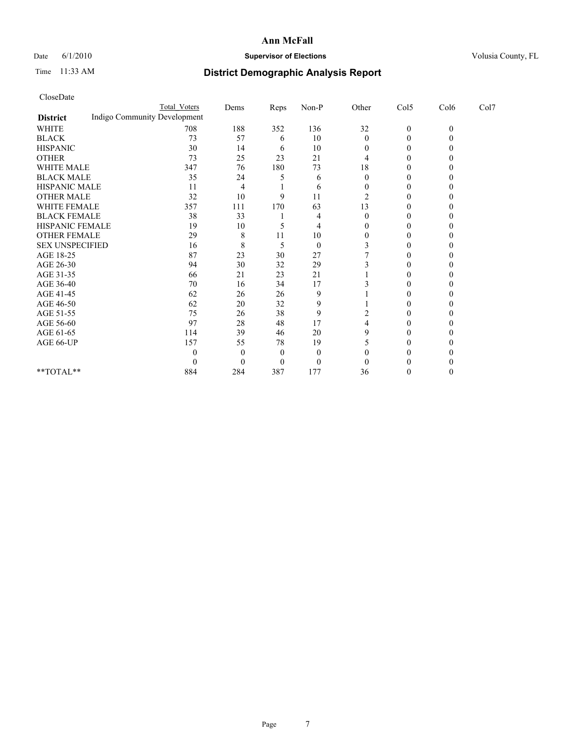## Date 6/1/2010 **Supervisor of Elections Supervisor of Elections** Volusia County, FL

# Time 11:33 AM **District Demographic Analysis Report**

| CloseDate |  |
|-----------|--|
|-----------|--|

|                                                 | <b>Total Voters</b> | Dems | Reps | Non-P            | Other    | Col5             | Col6         | Col7 |  |
|-------------------------------------------------|---------------------|------|------|------------------|----------|------------------|--------------|------|--|
| Indigo Community Development<br><b>District</b> |                     |      |      |                  |          |                  |              |      |  |
| <b>WHITE</b>                                    | 708                 | 188  | 352  | 136              | 32       | $\boldsymbol{0}$ | $\mathbf{0}$ |      |  |
| <b>BLACK</b>                                    | 73                  | 57   | 6    | 10               | $\Omega$ | 0                |              |      |  |
| <b>HISPANIC</b>                                 | 30                  | 14   | 6    | 10               |          | 0                |              |      |  |
| <b>OTHER</b>                                    | 73                  | 25   | 23   | 21               |          |                  |              |      |  |
| <b>WHITE MALE</b>                               | 347                 | 76   | 180  | 73               | 18       |                  |              |      |  |
| <b>BLACK MALE</b>                               | 35                  | 24   |      | 6                |          |                  |              |      |  |
| HISPANIC MALE                                   | 11                  |      |      | 6                |          |                  |              |      |  |
| <b>OTHER MALE</b>                               | 32                  | 10   | q    | 11               | 2        |                  |              |      |  |
| WHITE FEMALE                                    | 357                 | 111  | 170  | 63               | 13       |                  |              |      |  |
| <b>BLACK FEMALE</b>                             | 38                  | 33   |      | 4                |          |                  |              |      |  |
| HISPANIC FEMALE                                 | 19                  | 10   |      | 4                |          |                  |              |      |  |
| <b>OTHER FEMALE</b>                             | 29                  | 8    | 11   | 10               |          |                  |              |      |  |
| <b>SEX UNSPECIFIED</b>                          | 16                  | 8    | 5    | $\overline{0}$   |          |                  |              |      |  |
| AGE 18-25                                       | 87                  | 23   | 30   | 27               |          |                  |              |      |  |
| AGE 26-30                                       | 94                  | 30   | 32   | 29               |          |                  |              |      |  |
| AGE 31-35                                       | 66                  | 21   | 23   | 21               |          |                  |              |      |  |
| AGE 36-40                                       | 70                  | 16   | 34   | 17               |          |                  |              |      |  |
| AGE 41-45                                       | 62                  | 26   | 26   | 9                |          |                  |              |      |  |
| AGE 46-50                                       | 62                  | 20   | 32   | 9                |          |                  |              |      |  |
| AGE 51-55                                       | 75                  | 26   | 38   | 9                |          |                  |              |      |  |
| AGE 56-60                                       | 97                  | 28   | 48   | 17               |          |                  |              |      |  |
| AGE 61-65                                       | 114                 | 39   | 46   | 20               |          |                  |              |      |  |
| AGE 66-UP                                       | 157                 | 55   | 78   | 19               |          |                  |              |      |  |
|                                                 |                     |      | 0    | $\theta$         |          |                  |              |      |  |
|                                                 |                     |      |      | $\boldsymbol{0}$ |          |                  |              |      |  |
| **TOTAL**                                       | 884                 | 284  | 387  | 177              | 36       |                  |              |      |  |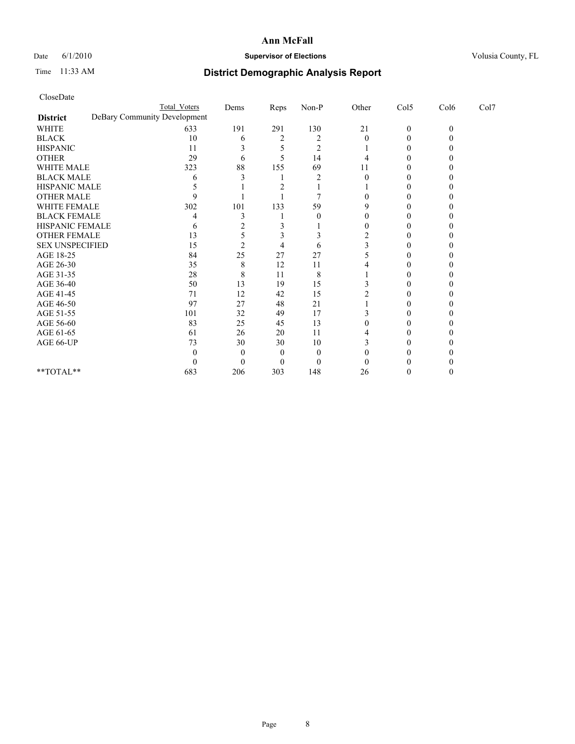## Date 6/1/2010 **Supervisor of Elections Supervisor of Elections** Volusia County, FL

# Time 11:33 AM **District Demographic Analysis Report**

|                        | <b>Total Voters</b>          | Dems       | Reps      | $Non-P$        | Other | Col5         | Col6     | Col7 |  |
|------------------------|------------------------------|------------|-----------|----------------|-------|--------------|----------|------|--|
| <b>District</b>        | DeBary Community Development |            |           |                |       |              |          |      |  |
| <b>WHITE</b>           |                              | 191<br>633 | 291       | 130            | 21    | $\mathbf{0}$ | $\theta$ |      |  |
| <b>BLACK</b>           |                              | 10         | 6         | $\overline{c}$ |       | 0            |          |      |  |
| <b>HISPANIC</b>        |                              | 11         |           | $\overline{2}$ |       |              |          |      |  |
| <b>OTHER</b>           |                              | 29         | 6         | 14             |       |              |          |      |  |
| <b>WHITE MALE</b>      |                              | 323        | 88<br>155 | 69             | 11    |              |          |      |  |
| <b>BLACK MALE</b>      |                              | h          |           |                |       |              |          |      |  |
| HISPANIC MALE          |                              |            |           |                |       |              |          |      |  |
| <b>OTHER MALE</b>      |                              |            |           |                |       |              |          |      |  |
| WHITE FEMALE           |                              | 302<br>101 | 133       | 59             |       |              |          |      |  |
| <b>BLACK FEMALE</b>    |                              |            |           | $\theta$       |       |              |          |      |  |
| HISPANIC FEMALE        |                              |            |           |                |       |              |          |      |  |
| <b>OTHER FEMALE</b>    |                              | 13         |           |                |       |              |          |      |  |
| <b>SEX UNSPECIFIED</b> |                              | 15         |           | 6              |       |              |          |      |  |
| AGE 18-25              |                              | 84         | 25<br>27  | 27             |       |              |          |      |  |
| AGE 26-30              |                              | 35         | 12<br>8   | 11             |       |              |          |      |  |
| AGE 31-35              |                              | 28         | 11<br>8   | 8              |       |              |          |      |  |
| AGE 36-40              |                              | 50         | 19<br>13  | 15             |       |              |          |      |  |
| AGE 41-45              |                              | 71         | 12<br>42  | 15             |       |              |          |      |  |
| AGE 46-50              |                              | 97         | 27<br>48  | 21             |       |              |          |      |  |
| AGE 51-55              |                              | 101        | 32<br>49  | 17             |       |              |          |      |  |
| AGE 56-60              |                              | 83         | 25<br>45  | 13             |       |              |          |      |  |
| AGE 61-65              |                              | 61         | 26<br>20  | 11             |       |              |          |      |  |
| AGE 66-UP              |                              | 73         | 30<br>30  | 10             |       |              |          |      |  |
|                        |                              |            |           | 0              |       |              |          |      |  |
|                        |                              |            |           | 0              |       |              |          |      |  |
| **TOTAL**              |                              | 683<br>206 | 303       | 148            | 26    |              |          |      |  |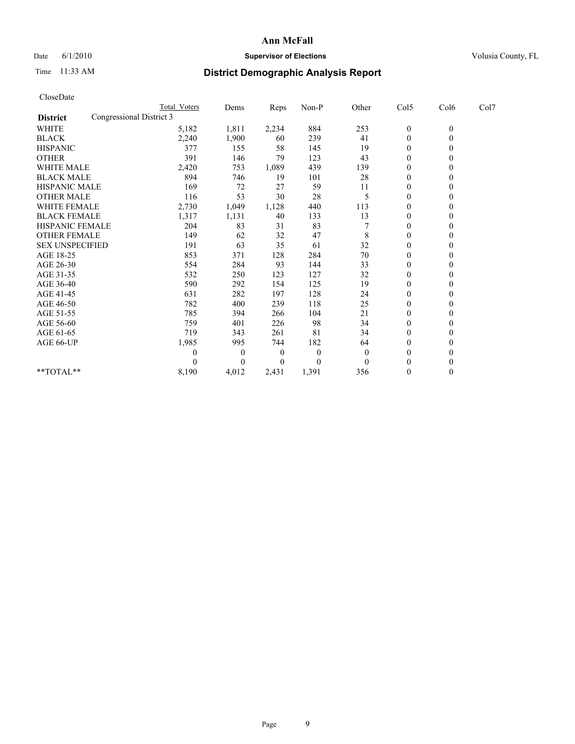## Date 6/1/2010 **Supervisor of Elections Supervisor of Elections** Volusia County, FL

# Time 11:33 AM **District Demographic Analysis Report**

| CloseDate              |                          |                  |          |          |          |                |                  |              |      |
|------------------------|--------------------------|------------------|----------|----------|----------|----------------|------------------|--------------|------|
|                        |                          | Total Voters     | Dems     | Reps     | Non-P    | Other          | Col5             | Col6         | Col7 |
| <b>District</b>        | Congressional District 3 |                  |          |          |          |                |                  |              |      |
| <b>WHITE</b>           |                          | 5,182            | 1,811    | 2,234    | 884      | 253            | $\boldsymbol{0}$ | $\mathbf{0}$ |      |
| <b>BLACK</b>           |                          | 2,240            | 1,900    | 60       | 239      | 41             | $\boldsymbol{0}$ | $\mathbf{0}$ |      |
| <b>HISPANIC</b>        |                          | 377              | 155      | 58       | 145      | 19             | $\overline{0}$   | $\mathbf{0}$ |      |
| <b>OTHER</b>           |                          | 391              | 146      | 79       | 123      | 43             | $\mathbf{0}$     | $\theta$     |      |
| WHITE MALE             |                          | 2,420            | 753      | 1,089    | 439      | 139            | $\overline{0}$   | $\theta$     |      |
| <b>BLACK MALE</b>      |                          | 894              | 746      | 19       | 101      | 28             | $\overline{0}$   | $\theta$     |      |
| HISPANIC MALE          |                          | 169              | 72       | 27       | 59       | 11             | 0                | $\theta$     |      |
| <b>OTHER MALE</b>      |                          | 116              | 53       | 30       | 28       | 5              | $\mathbf{0}$     | $\mathbf{0}$ |      |
| WHITE FEMALE           |                          | 2,730            | 1,049    | 1,128    | 440      | 113            | $\boldsymbol{0}$ | $\theta$     |      |
| <b>BLACK FEMALE</b>    |                          | 1,317            | 1,131    | 40       | 133      | 13             | $\mathbf{0}$     | $\theta$     |      |
| HISPANIC FEMALE        |                          | 204              | 83       | 31       | 83       |                | 0                | $\theta$     |      |
| <b>OTHER FEMALE</b>    |                          | 149              | 62       | 32       | 47       | 8              | $\boldsymbol{0}$ | $\theta$     |      |
| <b>SEX UNSPECIFIED</b> |                          | 191              | 63       | 35       | 61       | 32             | $\boldsymbol{0}$ | $\Omega$     |      |
| AGE 18-25              |                          | 853              | 371      | 128      | 284      | 70             | 0                | $\theta$     |      |
| AGE 26-30              |                          | 554              | 284      | 93       | 144      | 33             | $\boldsymbol{0}$ | $\Omega$     |      |
| AGE 31-35              |                          | 532              | 250      | 123      | 127      | 32             | $\boldsymbol{0}$ | $\theta$     |      |
| AGE 36-40              |                          | 590              | 292      | 154      | 125      | 19             | $\boldsymbol{0}$ | $\theta$     |      |
| AGE 41-45              |                          | 631              | 282      | 197      | 128      | 24             | 0                | $\Omega$     |      |
| AGE 46-50              |                          | 782              | 400      | 239      | 118      | 25             | $\boldsymbol{0}$ | $\mathbf{0}$ |      |
| AGE 51-55              |                          | 785              | 394      | 266      | 104      | 21             | $\boldsymbol{0}$ | $\Omega$     |      |
| AGE 56-60              |                          | 759              | 401      | 226      | 98       | 34             | $\boldsymbol{0}$ | $\theta$     |      |
| AGE 61-65              |                          | 719              | 343      | 261      | 81       | 34             | $\mathbf{0}$     | $\mathbf{0}$ |      |
| AGE 66-UP              |                          | 1,985            | 995      | 744      | 182      | 64             | $\boldsymbol{0}$ | $\mathbf{0}$ |      |
|                        |                          | $\boldsymbol{0}$ | $\theta$ | $\theta$ | $\theta$ | $\overline{0}$ | $\boldsymbol{0}$ | $\theta$     |      |
|                        |                          | $\Omega$         | $\theta$ | 0        | $\theta$ | $\Omega$       | $\theta$         | $\theta$     |      |
| $*$ TOTAL $*$          |                          | 8,190            | 4,012    | 2,431    | 1,391    | 356            | $\boldsymbol{0}$ | $\mathbf{0}$ |      |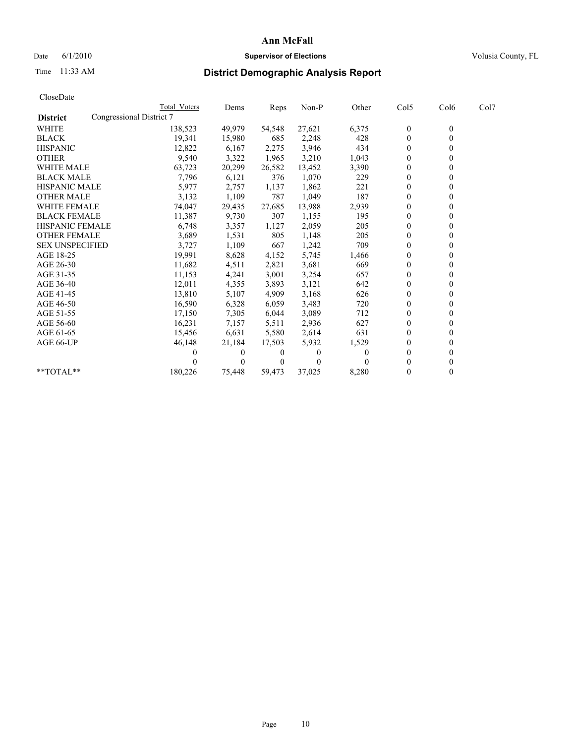## Date 6/1/2010 **Supervisor of Elections Supervisor of Elections** Volusia County, FL

# Time 11:33 AM **District Demographic Analysis Report**

|                        | <b>Total Voters</b>      | Dems     | Reps         | Non-P    | Other    | Col5           | Col6         | Col7 |  |
|------------------------|--------------------------|----------|--------------|----------|----------|----------------|--------------|------|--|
| <b>District</b>        | Congressional District 7 |          |              |          |          |                |              |      |  |
| <b>WHITE</b>           | 138,523                  | 49,979   | 54,548       | 27,621   | 6,375    | $\mathbf{0}$   | $\mathbf{0}$ |      |  |
| <b>BLACK</b>           | 19,341                   | 15,980   | 685          | 2,248    | 428      | $\mathbf{0}$   |              |      |  |
| <b>HISPANIC</b>        | 12,822                   | 6,167    | 2,275        | 3,946    | 434      | $\theta$       |              |      |  |
| <b>OTHER</b>           | 9,540                    | 3,322    | 1,965        | 3,210    | 1,043    | $\mathbf{0}$   |              |      |  |
| WHITE MALE             | 63,723                   | 20,299   | 26,582       | 13,452   | 3,390    | $\theta$       |              |      |  |
| <b>BLACK MALE</b>      | 7,796                    | 6,121    | 376          | 1,070    | 229      | $\theta$       |              |      |  |
| <b>HISPANIC MALE</b>   | 5,977                    | 2,757    | 1,137        | 1,862    | 221      | $\theta$       |              |      |  |
| <b>OTHER MALE</b>      | 3,132                    | 1,109    | 787          | 1,049    | 187      | $\Omega$       |              |      |  |
| WHITE FEMALE           | 74,047                   | 29,435   | 27,685       | 13,988   | 2,939    | $\theta$       |              |      |  |
| <b>BLACK FEMALE</b>    | 11,387                   | 9,730    | 307          | 1,155    | 195      | $\mathbf{0}$   |              |      |  |
| HISPANIC FEMALE        | 6,748                    | 3,357    | 1,127        | 2,059    | 205      | $\overline{0}$ |              |      |  |
| <b>OTHER FEMALE</b>    | 3,689                    | 1,531    | 805          | 1,148    | 205      | $\Omega$       |              |      |  |
| <b>SEX UNSPECIFIED</b> | 3,727                    | 1,109    | 667          | 1,242    | 709      | $\mathbf{0}$   |              |      |  |
| AGE 18-25              | 19,991                   | 8,628    | 4,152        | 5,745    | 1,466    | $\theta$       |              |      |  |
| AGE 26-30              | 11,682                   | 4,511    | 2,821        | 3,681    | 669      | $\Omega$       |              |      |  |
| AGE 31-35              | 11,153                   | 4,241    | 3,001        | 3,254    | 657      | $\mathbf{0}$   |              |      |  |
| AGE 36-40              | 12,011                   | 4,355    | 3,893        | 3,121    | 642      | $\Omega$       |              |      |  |
| AGE 41-45              | 13,810                   | 5,107    | 4,909        | 3,168    | 626      | $\theta$       |              |      |  |
| AGE 46-50              | 16,590                   | 6,328    | 6,059        | 3,483    | 720      | $\mathbf{0}$   |              |      |  |
| AGE 51-55              | 17,150                   | 7,305    | 6,044        | 3,089    | 712      | $\theta$       |              |      |  |
| AGE 56-60              | 16,231                   | 7,157    | 5,511        | 2,936    | 627      | $\theta$       |              |      |  |
| AGE 61-65              | 15,456                   | 6,631    | 5,580        | 2,614    | 631      | $\theta$       |              |      |  |
| AGE 66-UP              | 46,148                   | 21,184   | 17,503       | 5,932    | 1,529    | $\mathbf{0}$   |              |      |  |
|                        | 0                        | $\theta$ | $\theta$     | $\theta$ | $\theta$ | $\Omega$       |              |      |  |
|                        |                          | $\Omega$ | $\mathbf{0}$ |          |          | $\Omega$       |              |      |  |
| **TOTAL**              | 180,226                  | 75,448   | 59,473       | 37,025   | 8,280    | $\overline{0}$ | 0            |      |  |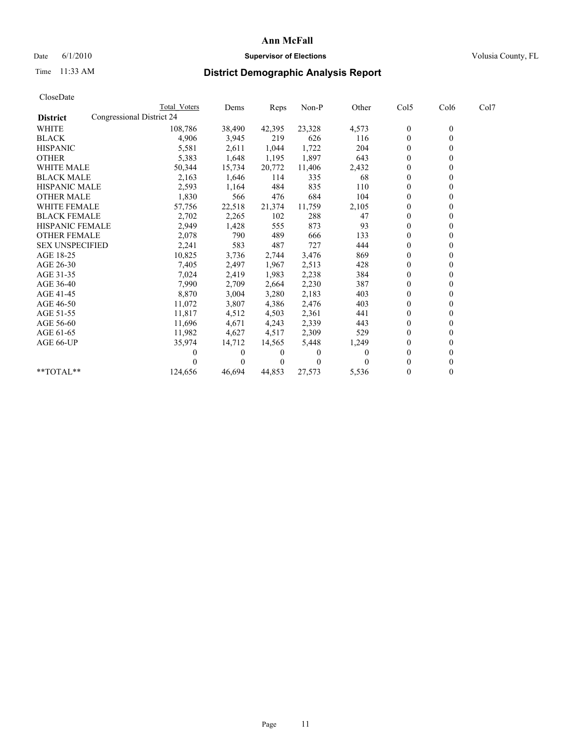## Date 6/1/2010 **Supervisor of Elections Supervisor of Elections** Volusia County, FL

# Time 11:33 AM **District Demographic Analysis Report**

|                        | Total Voters              | Dems     | <b>Reps</b> | Non-P    | Other | Col5           | Col6         | Col7 |  |
|------------------------|---------------------------|----------|-------------|----------|-------|----------------|--------------|------|--|
| <b>District</b>        | Congressional District 24 |          |             |          |       |                |              |      |  |
| <b>WHITE</b>           | 108,786                   | 38,490   | 42,395      | 23,328   | 4,573 | $\mathbf{0}$   | $\mathbf{0}$ |      |  |
| <b>BLACK</b>           | 4,906                     | 3,945    | 219         | 626      | 116   | $\theta$       |              |      |  |
| <b>HISPANIC</b>        | 5,581                     | 2,611    | 1,044       | 1,722    | 204   | $\theta$       |              |      |  |
| <b>OTHER</b>           | 5,383                     | 1,648    | 1,195       | 1,897    | 643   | $\overline{0}$ |              |      |  |
| <b>WHITE MALE</b>      | 50,344                    | 15,734   | 20,772      | 11,406   | 2,432 | 0              |              |      |  |
| <b>BLACK MALE</b>      | 2,163                     | 1,646    | 114         | 335      | 68    | $\theta$       |              |      |  |
| <b>HISPANIC MALE</b>   | 2,593                     | 1,164    | 484         | 835      | 110   | $\theta$       |              |      |  |
| <b>OTHER MALE</b>      | 1,830                     | 566      | 476         | 684      | 104   | 0              |              |      |  |
| <b>WHITE FEMALE</b>    | 57,756                    | 22,518   | 21,374      | 11,759   | 2,105 | $\theta$       |              |      |  |
| <b>BLACK FEMALE</b>    | 2,702                     | 2,265    | 102         | 288      | 47    | $\overline{0}$ |              |      |  |
| HISPANIC FEMALE        | 2,949                     | 1,428    | 555         | 873      | 93    | $\Omega$       |              |      |  |
| <b>OTHER FEMALE</b>    | 2,078                     | 790      | 489         | 666      | 133   | $\theta$       |              |      |  |
| <b>SEX UNSPECIFIED</b> | 2,241                     | 583      | 487         | 727      | 444   | $\theta$       |              |      |  |
| AGE 18-25              | 10,825                    | 3,736    | 2,744       | 3,476    | 869   | $\mathbf{0}$   |              |      |  |
| AGE 26-30              | 7,405                     | 2,497    | 1,967       | 2,513    | 428   | $\mathbf{0}$   |              |      |  |
| AGE 31-35              | 7,024                     | 2,419    | 1,983       | 2,238    | 384   | $\theta$       |              |      |  |
| AGE 36-40              | 7,990                     | 2,709    | 2,664       | 2,230    | 387   | $\mathbf{0}$   |              |      |  |
| AGE 41-45              | 8,870                     | 3,004    | 3,280       | 2,183    | 403   | $\theta$       |              |      |  |
| AGE 46-50              | 11,072                    | 3,807    | 4,386       | 2,476    | 403   | $\theta$       |              |      |  |
| AGE 51-55              | 11,817                    | 4,512    | 4,503       | 2,361    | 441   | $\overline{0}$ |              |      |  |
| AGE 56-60              | 11,696                    | 4,671    | 4,243       | 2,339    | 443   | $\theta$       |              |      |  |
| AGE 61-65              | 11,982                    | 4,627    | 4,517       | 2,309    | 529   | $\theta$       |              |      |  |
| AGE 66-UP              | 35,974                    | 14,712   | 14,565      | 5,448    | 1,249 | $\Omega$       |              |      |  |
|                        |                           | $\theta$ | 0           | $\theta$ | 0     | $\theta$       |              |      |  |
|                        |                           | $\Omega$ | $\theta$    | 0        |       | 0              |              |      |  |
| $*$ $TOTAI.**$         | 124,656                   | 46,694   | 44,853      | 27,573   | 5,536 | $\theta$       |              |      |  |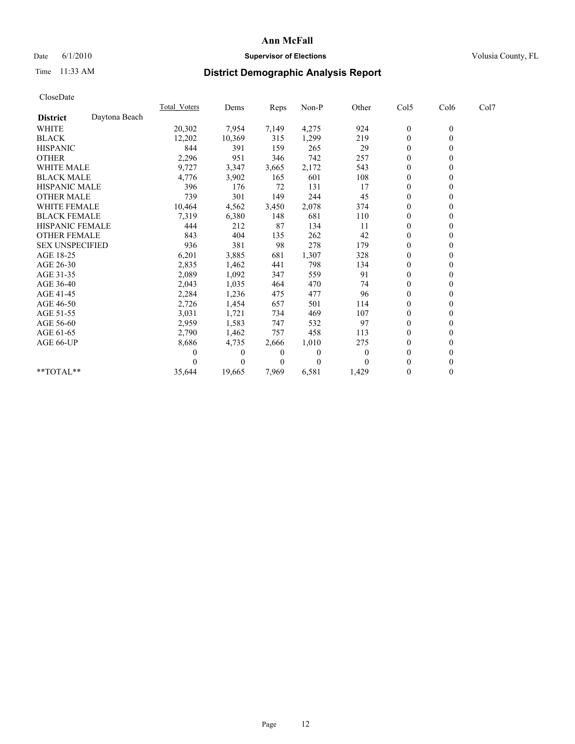## Date 6/1/2010 **Supervisor of Elections Supervisor of Elections** Volusia County, FL

# Time 11:33 AM **District Demographic Analysis Report**

|                        |               | Total Voters | Dems     | Reps     | Non-P    | Other | Col5         | Col6         | Col7 |  |
|------------------------|---------------|--------------|----------|----------|----------|-------|--------------|--------------|------|--|
| <b>District</b>        | Daytona Beach |              |          |          |          |       |              |              |      |  |
| <b>WHITE</b>           |               | 20,302       | 7,954    | 7,149    | 4,275    | 924   | $\mathbf{0}$ | $\mathbf{0}$ |      |  |
| <b>BLACK</b>           |               | 12,202       | 10,369   | 315      | 1,299    | 219   | $\mathbf{0}$ |              |      |  |
| <b>HISPANIC</b>        |               | 844          | 391      | 159      | 265      | 29    | $\theta$     |              |      |  |
| <b>OTHER</b>           |               | 2,296        | 951      | 346      | 742      | 257   | $\theta$     |              |      |  |
| <b>WHITE MALE</b>      |               | 9,727        | 3,347    | 3,665    | 2,172    | 543   | $\theta$     |              |      |  |
| <b>BLACK MALE</b>      |               | 4,776        | 3,902    | 165      | 601      | 108   | $\theta$     |              |      |  |
| <b>HISPANIC MALE</b>   |               | 396          | 176      | 72       | 131      | 17    | $\mathbf{0}$ |              |      |  |
| <b>OTHER MALE</b>      |               | 739          | 301      | 149      | 244      | 45    | $\theta$     |              |      |  |
| WHITE FEMALE           |               | 10,464       | 4,562    | 3,450    | 2,078    | 374   | $\theta$     |              |      |  |
| <b>BLACK FEMALE</b>    |               | 7,319        | 6,380    | 148      | 681      | 110   | $\theta$     |              |      |  |
| HISPANIC FEMALE        |               | 444          | 212      | 87       | 134      | 11    | $\theta$     |              |      |  |
| <b>OTHER FEMALE</b>    |               | 843          | 404      | 135      | 262      | 42    | $\theta$     |              |      |  |
| <b>SEX UNSPECIFIED</b> |               | 936          | 381      | 98       | 278      | 179   | $\theta$     |              |      |  |
| AGE 18-25              |               | 6,201        | 3,885    | 681      | 1,307    | 328   | $\theta$     |              |      |  |
| AGE 26-30              |               | 2,835        | 1,462    | 441      | 798      | 134   | $\theta$     |              |      |  |
| AGE 31-35              |               | 2,089        | 1,092    | 347      | 559      | 91    | $\theta$     |              |      |  |
| AGE 36-40              |               | 2,043        | 1,035    | 464      | 470      | 74    | $\theta$     |              |      |  |
| AGE 41-45              |               | 2,284        | 1,236    | 475      | 477      | 96    | $\theta$     |              |      |  |
| AGE 46-50              |               | 2,726        | 1,454    | 657      | 501      | 114   | $\theta$     |              |      |  |
| AGE 51-55              |               | 3,031        | 1,721    | 734      | 469      | 107   | $\theta$     |              |      |  |
| AGE 56-60              |               | 2,959        | 1,583    | 747      | 532      | 97    | $\theta$     |              |      |  |
| AGE 61-65              |               | 2,790        | 1,462    | 757      | 458      | 113   | $\theta$     |              |      |  |
| AGE 66-UP              |               | 8,686        | 4,735    | 2,666    | 1,010    | 275   | $\theta$     |              |      |  |
|                        |               |              | $\bf{0}$ | 0        | $\Omega$ | 0     | $\theta$     |              |      |  |
|                        |               |              | $\Omega$ | $\theta$ | $\Omega$ |       | $\theta$     |              |      |  |
| **TOTAL**              |               | 35,644       | 19,665   | 7,969    | 6,581    | 1,429 | $\Omega$     | 0            |      |  |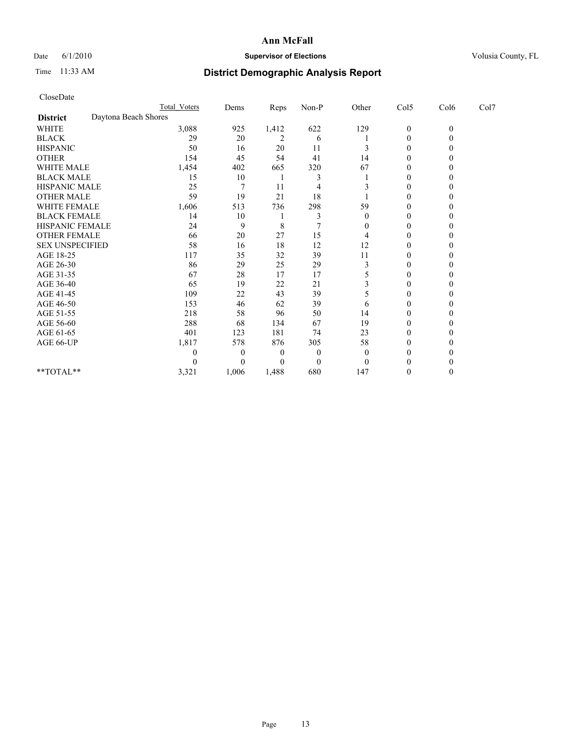## Date 6/1/2010 **Supervisor of Elections Supervisor of Elections** Volusia County, FL

# Time 11:33 AM **District Demographic Analysis Report**

| CloseDate              |                      |                     |                  |                |                |          |                  |              |      |
|------------------------|----------------------|---------------------|------------------|----------------|----------------|----------|------------------|--------------|------|
|                        |                      | <b>Total Voters</b> | Dems             | Reps           | Non-P          | Other    | Col5             | Col6         | Col7 |
| <b>District</b>        | Daytona Beach Shores |                     |                  |                |                |          |                  |              |      |
| <b>WHITE</b>           |                      | 3,088               | 925              | 1,412          | 622            | 129      | $\boldsymbol{0}$ | $\mathbf{0}$ |      |
| <b>BLACK</b>           |                      | 29                  | 20               | $\overline{c}$ | 6              |          | $\boldsymbol{0}$ | $\theta$     |      |
| <b>HISPANIC</b>        |                      | 50                  | 16               | 20             | 11             | 3        | 0                | 0            |      |
| <b>OTHER</b>           |                      | 154                 | 45               | 54             | 41             | 14       | $\boldsymbol{0}$ | 0            |      |
| WHITE MALE             |                      | 1,454               | 402              | 665            | 320            | 67       | $\boldsymbol{0}$ | 0            |      |
| <b>BLACK MALE</b>      |                      | 15                  | 10               |                | 3              |          | 0                | 0            |      |
| HISPANIC MALE          |                      | 25                  | 7                | 11             | 4              |          | 0                | 0            |      |
| <b>OTHER MALE</b>      |                      | 59                  | 19               | 21             | 18             |          | $\boldsymbol{0}$ | $\theta$     |      |
| WHITE FEMALE           |                      | 1,606               | 513              | 736            | 298            | 59       | 0                | 0            |      |
| <b>BLACK FEMALE</b>    |                      | 14                  | 10               |                | 3              | $\Omega$ | 0                |              |      |
| HISPANIC FEMALE        |                      | 24                  | 9                | 8              | $\overline{7}$ | $\theta$ | $\theta$         | 0            |      |
| <b>OTHER FEMALE</b>    |                      | 66                  | 20               | 27             | 15             | 4        | $\boldsymbol{0}$ | 0            |      |
| <b>SEX UNSPECIFIED</b> |                      | 58                  | 16               | 18             | 12             | 12       | 0                | 0            |      |
| AGE 18-25              |                      | 117                 | 35               | 32             | 39             | 11       | $\boldsymbol{0}$ | 0            |      |
| AGE 26-30              |                      | 86                  | 29               | 25             | 29             | 3        | $\theta$         | $\theta$     |      |
| AGE 31-35              |                      | 67                  | 28               | 17             | 17             | 5        | $\boldsymbol{0}$ | 0            |      |
| AGE 36-40              |                      | 65                  | 19               | 22             | 21             | 3        | 0                |              |      |
| AGE 41-45              |                      | 109                 | 22               | 43             | 39             | 5        | 0                | 0            |      |
| AGE 46-50              |                      | 153                 | 46               | 62             | 39             | 6        | 0                | 0            |      |
| AGE 51-55              |                      | 218                 | 58               | 96             | 50             | 14       | 0                | 0            |      |
| AGE 56-60              |                      | 288                 | 68               | 134            | 67             | 19       | $\mathbf{0}$     | 0            |      |
| AGE 61-65              |                      | 401                 | 123              | 181            | 74             | 23       | 0                | 0            |      |
| AGE 66-UP              |                      | 1,817               | 578              | 876            | 305            | 58       | 0                |              |      |
|                        |                      | 0                   | $\boldsymbol{0}$ | 0              | $\theta$       | $\Omega$ | $\theta$         |              |      |
|                        |                      | 0                   | $\theta$         | 0              | $\theta$       | $\Omega$ | 0                | 0            |      |
| **TOTAL**              |                      | 3,321               | 1,006            | 1,488          | 680            | 147      | 0                | $\theta$     |      |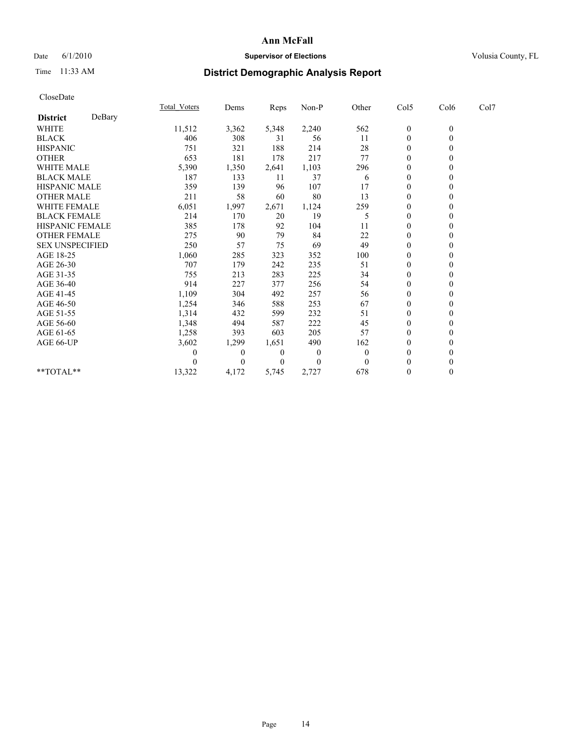## Date 6/1/2010 **Supervisor of Elections Supervisor of Elections** Volusia County, FL

# Time 11:33 AM **District Demographic Analysis Report**

|                        |        | <b>Total Voters</b> | Dems         | <b>Reps</b> | $Non-P$      | Other    | Col5             | Col6         | Col7 |  |
|------------------------|--------|---------------------|--------------|-------------|--------------|----------|------------------|--------------|------|--|
| <b>District</b>        | DeBary |                     |              |             |              |          |                  |              |      |  |
| <b>WHITE</b>           |        | 11,512              | 3,362        | 5,348       | 2,240        | 562      | $\boldsymbol{0}$ | $\mathbf{0}$ |      |  |
| <b>BLACK</b>           |        | 406                 | 308          | 31          | 56           | 11       | $\mathbf{0}$     |              |      |  |
| <b>HISPANIC</b>        |        | 751                 | 321          | 188         | 214          | 28       | $\theta$         |              |      |  |
| <b>OTHER</b>           |        | 653                 | 181          | 178         | 217          | 77       | $\Omega$         |              |      |  |
| <b>WHITE MALE</b>      |        | 5,390               | 1,350        | 2,641       | 1,103        | 296      | 0                |              |      |  |
| <b>BLACK MALE</b>      |        | 187                 | 133          | 11          | 37           | 6        | $\theta$         |              |      |  |
| HISPANIC MALE          |        | 359                 | 139          | 96          | 107          | 17       | $\theta$         |              |      |  |
| <b>OTHER MALE</b>      |        | 211                 | 58           | 60          | 80           | 13       | $\Omega$         |              |      |  |
| <b>WHITE FEMALE</b>    |        | 6,051               | 1,997        | 2,671       | 1,124        | 259      | $\theta$         |              |      |  |
| <b>BLACK FEMALE</b>    |        | 214                 | 170          | 20          | 19           | 5        | $\theta$         |              |      |  |
| HISPANIC FEMALE        |        | 385                 | 178          | 92          | 104          | 11       | $\mathbf{0}$     |              |      |  |
| <b>OTHER FEMALE</b>    |        | 275                 | 90           | 79          | 84           | 22       | $\theta$         |              |      |  |
| <b>SEX UNSPECIFIED</b> |        | 250                 | 57           | 75          | 69           | 49       | $\overline{0}$   |              |      |  |
| AGE 18-25              |        | 1,060               | 285          | 323         | 352          | 100      | $\Omega$         |              |      |  |
| AGE 26-30              |        | 707                 | 179          | 242         | 235          | 51       | $\theta$         |              |      |  |
| AGE 31-35              |        | 755                 | 213          | 283         | 225          | 34       | $\Omega$         |              |      |  |
| AGE 36-40              |        | 914                 | 227          | 377         | 256          | 54       | 0                |              |      |  |
| AGE 41-45              |        | 1,109               | 304          | 492         | 257          | 56       | $\theta$         |              |      |  |
| AGE 46-50              |        | 1,254               | 346          | 588         | 253          | 67       | $\overline{0}$   |              |      |  |
| AGE 51-55              |        | 1,314               | 432          | 599         | 232          | 51       | $\Omega$         |              |      |  |
| AGE 56-60              |        | 1,348               | 494          | 587         | 222          | 45       | $\theta$         |              |      |  |
| AGE 61-65              |        | 1,258               | 393          | 603         | 205          | 57       | $\Omega$         |              |      |  |
| AGE 66-UP              |        | 3,602               | 1,299        | 1,651       | 490          | 162      | $\overline{0}$   |              |      |  |
|                        |        | 0                   | $\mathbf{0}$ | 0           | $\mathbf{0}$ | $\theta$ | $\theta$         |              |      |  |
|                        |        |                     | $\Omega$     | $\Omega$    | $\theta$     | $\Omega$ | $\overline{0}$   |              |      |  |
| **TOTAL**              |        | 13,322              | 4,172        | 5,745       | 2,727        | 678      | $\mathbf{0}$     | 0            |      |  |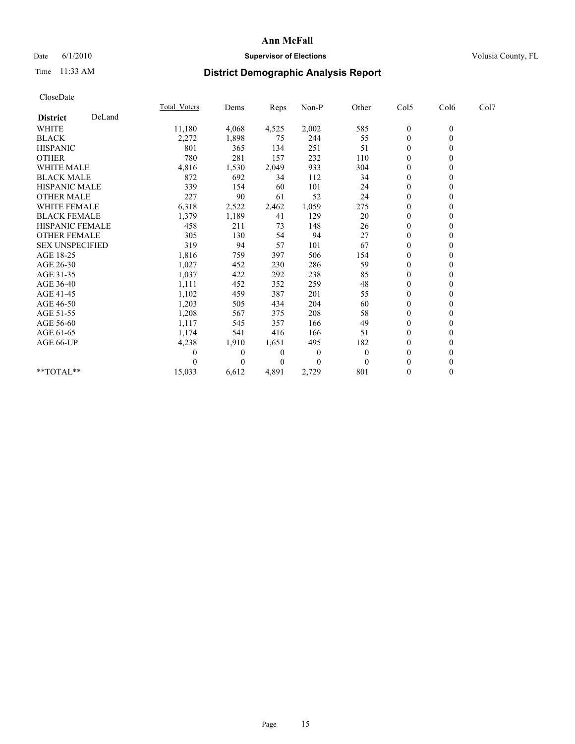## Date 6/1/2010 **Supervisor of Elections Supervisor of Elections** Volusia County, FL

# Time 11:33 AM **District Demographic Analysis Report**

|                        |        | <b>Total Voters</b> | Dems         | <b>Reps</b>    | Non-P        | Other        | Col5             | Col6             | Col7 |  |
|------------------------|--------|---------------------|--------------|----------------|--------------|--------------|------------------|------------------|------|--|
| <b>District</b>        | DeLand |                     |              |                |              |              |                  |                  |      |  |
| <b>WHITE</b>           |        | 11,180              | 4,068        | 4,525          | 2,002        | 585          | $\boldsymbol{0}$ | $\boldsymbol{0}$ |      |  |
| <b>BLACK</b>           |        | 2,272               | 1,898        | 75             | 244          | 55           | $\mathbf{0}$     |                  |      |  |
| <b>HISPANIC</b>        |        | 801                 | 365          | 134            | 251          | 51           | $\theta$         |                  |      |  |
| <b>OTHER</b>           |        | 780                 | 281          | 157            | 232          | 110          | $\theta$         |                  |      |  |
| <b>WHITE MALE</b>      |        | 4,816               | 1,530        | 2,049          | 933          | 304          | 0                |                  |      |  |
| <b>BLACK MALE</b>      |        | 872                 | 692          | 34             | 112          | 34           | $\theta$         |                  |      |  |
| <b>HISPANIC MALE</b>   |        | 339                 | 154          | 60             | 101          | 24           | $\overline{0}$   |                  |      |  |
| <b>OTHER MALE</b>      |        | 227                 | 90           | 61             | 52           | 24           | $\mathbf{0}$     |                  |      |  |
| <b>WHITE FEMALE</b>    |        | 6,318               | 2,522        | 2,462          | 1,059        | 275          | $\theta$         |                  |      |  |
| <b>BLACK FEMALE</b>    |        | 1,379               | 1,189        | 41             | 129          | 20           | $\theta$         |                  |      |  |
| HISPANIC FEMALE        |        | 458                 | 211          | 73             | 148          | 26           | $\mathbf{0}$     |                  |      |  |
| <b>OTHER FEMALE</b>    |        | 305                 | 130          | 54             | 94           | 27           | $\theta$         |                  |      |  |
| <b>SEX UNSPECIFIED</b> |        | 319                 | 94           | 57             | 101          | 67           | $\overline{0}$   |                  |      |  |
| AGE 18-25              |        | 1,816               | 759          | 397            | 506          | 154          | 0                |                  |      |  |
| AGE 26-30              |        | 1,027               | 452          | 230            | 286          | 59           | $\theta$         |                  |      |  |
| AGE 31-35              |        | 1,037               | 422          | 292            | 238          | 85           | $\overline{0}$   |                  |      |  |
| AGE 36-40              |        | 1,111               | 452          | 352            | 259          | 48           | $\overline{0}$   |                  |      |  |
| AGE 41-45              |        | 1,102               | 459          | 387            | 201          | 55           | $\theta$         |                  |      |  |
| AGE 46-50              |        | 1,203               | 505          | 434            | 204          | 60           | $\theta$         |                  |      |  |
| AGE 51-55              |        | 1,208               | 567          | 375            | 208          | 58           | $\mathbf{0}$     |                  |      |  |
| AGE 56-60              |        | 1,117               | 545          | 357            | 166          | 49           | $\theta$         |                  |      |  |
| AGE 61-65              |        | 1,174               | 541          | 416            | 166          | 51           | $\Omega$         |                  |      |  |
| AGE 66-UP              |        | 4,238               | 1,910        | 1,651          | 495          | 182          | $\mathbf{0}$     |                  |      |  |
|                        |        | 0                   | $\mathbf{0}$ | $\overline{0}$ | $\mathbf{0}$ | $\mathbf{0}$ | $\theta$         |                  |      |  |
|                        |        |                     | $\Omega$     | $\Omega$       | $\theta$     | $\theta$     | $\theta$         |                  |      |  |
| **TOTAL**              |        | 15,033              | 6,612        | 4,891          | 2,729        | 801          | $\mathbf{0}$     | 0                |      |  |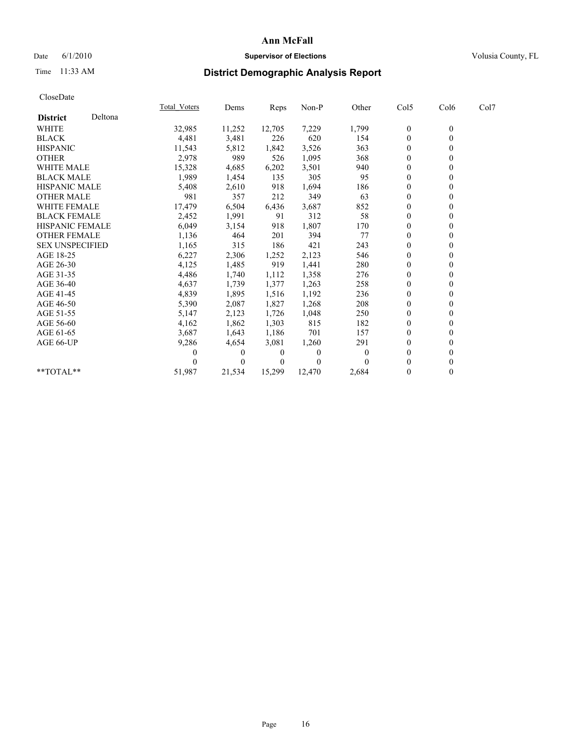## Date 6/1/2010 **Supervisor of Elections Supervisor of Elections** Volusia County, FL

# Time 11:33 AM **District Demographic Analysis Report**

|                        |         | Total Voters | Dems           | Reps         | Non-P    | Other | Col5             | Col6             | Col7 |  |
|------------------------|---------|--------------|----------------|--------------|----------|-------|------------------|------------------|------|--|
| <b>District</b>        | Deltona |              |                |              |          |       |                  |                  |      |  |
| <b>WHITE</b>           |         | 32,985       | 11,252         | 12,705       | 7,229    | 1,799 | $\boldsymbol{0}$ | $\boldsymbol{0}$ |      |  |
| <b>BLACK</b>           |         | 4,481        | 3,481          | 226          | 620      | 154   | $\Omega$         |                  |      |  |
| <b>HISPANIC</b>        |         | 11,543       | 5,812          | 1,842        | 3,526    | 363   | $\Omega$         |                  |      |  |
| <b>OTHER</b>           |         | 2,978        | 989            | 526          | 1,095    | 368   | $\theta$         |                  |      |  |
| <b>WHITE MALE</b>      |         | 15,328       | 4,685          | 6,202        | 3,501    | 940   | $\theta$         |                  |      |  |
| <b>BLACK MALE</b>      |         | 1,989        | 1,454          | 135          | 305      | 95    | $\Omega$         |                  |      |  |
| <b>HISPANIC MALE</b>   |         | 5,408        | 2,610          | 918          | 1,694    | 186   | $\theta$         |                  |      |  |
| <b>OTHER MALE</b>      |         | 981          | 357            | 212          | 349      | 63    | $\Omega$         |                  |      |  |
| WHITE FEMALE           |         | 17,479       | 6,504          | 6,436        | 3,687    | 852   | $\theta$         |                  |      |  |
| <b>BLACK FEMALE</b>    |         | 2,452        | 1,991          | 91           | 312      | 58    | $\theta$         |                  |      |  |
| <b>HISPANIC FEMALE</b> |         | 6,049        | 3,154          | 918          | 1,807    | 170   | $\Omega$         |                  |      |  |
| <b>OTHER FEMALE</b>    |         | 1,136        | 464            | 201          | 394      | 77    | $\theta$         |                  |      |  |
| <b>SEX UNSPECIFIED</b> |         | 1,165        | 315            | 186          | 421      | 243   | $\theta$         |                  |      |  |
| AGE 18-25              |         | 6,227        | 2,306          | 1,252        | 2,123    | 546   | $\theta$         |                  |      |  |
| AGE 26-30              |         | 4,125        | 1,485          | 919          | 1,441    | 280   | $\theta$         |                  |      |  |
| AGE 31-35              |         | 4,486        | 1,740          | 1,112        | 1,358    | 276   | $\theta$         |                  |      |  |
| AGE 36-40              |         | 4,637        | 1,739          | 1,377        | 1,263    | 258   | $\Omega$         |                  |      |  |
| AGE 41-45              |         | 4,839        | 1,895          | 1,516        | 1,192    | 236   | $\Omega$         |                  |      |  |
| AGE 46-50              |         | 5,390        | 2,087          | 1,827        | 1,268    | 208   | $\theta$         |                  |      |  |
| AGE 51-55              |         | 5,147        | 2,123          | 1,726        | 1,048    | 250   | $\Omega$         |                  |      |  |
| AGE 56-60              |         | 4,162        | 1,862          | 1,303        | 815      | 182   | $\theta$         |                  |      |  |
| AGE 61-65              |         | 3,687        | 1,643          | 1,186        | 701      | 157   | $\theta$         |                  |      |  |
| AGE 66-UP              |         | 9,286        | 4,654          | 3,081        | 1,260    | 291   | $\theta$         |                  |      |  |
|                        |         | 0            | $\overline{0}$ | $\mathbf{0}$ | $\bf{0}$ | 0     | $\theta$         |                  |      |  |
|                        |         |              | $\overline{0}$ | 0            | $\theta$ |       | $\theta$         |                  |      |  |
| $**TOTAL**$            |         | 51,987       | 21,534         | 15,299       | 12,470   | 2,684 | $\mathbf{0}$     | $\mathbf{0}$     |      |  |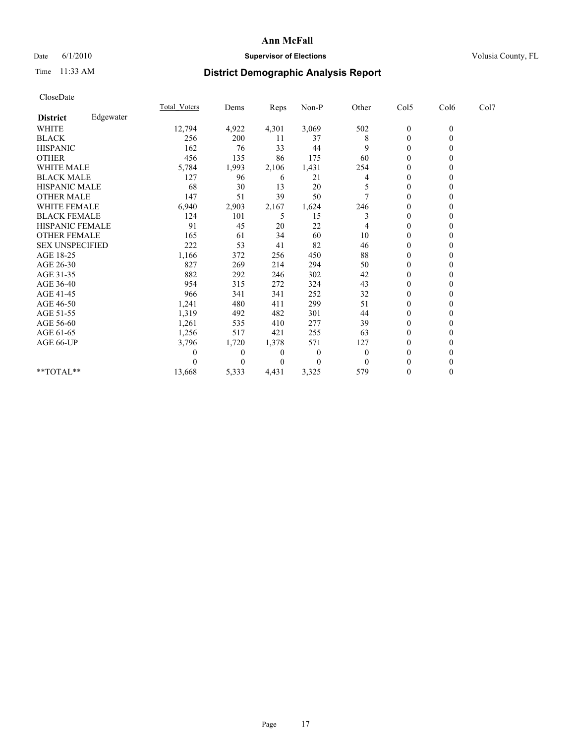## Date 6/1/2010 **Supervisor of Elections Supervisor of Elections** Volusia County, FL

# Time 11:33 AM **District Demographic Analysis Report**

| CloseDate              |           |                     |       |          |                |                |                  |                  |      |  |
|------------------------|-----------|---------------------|-------|----------|----------------|----------------|------------------|------------------|------|--|
|                        |           | <b>Total Voters</b> | Dems  | Reps     | $Non-P$        | Other          | Col5             | Col6             | Col7 |  |
| <b>District</b>        | Edgewater |                     |       |          |                |                |                  |                  |      |  |
| <b>WHITE</b>           |           | 12,794              | 4,922 | 4,301    | 3,069          | 502            | $\boldsymbol{0}$ | $\theta$         |      |  |
| <b>BLACK</b>           |           | 256                 | 200   | 11       | 37             | 8              | 0                | $\theta$         |      |  |
| <b>HISPANIC</b>        |           | 162                 | 76    | 33       | 44             | 9              | $\theta$         | 0                |      |  |
| <b>OTHER</b>           |           | 456                 | 135   | 86       | 175            | 60             | $\boldsymbol{0}$ | $\boldsymbol{0}$ |      |  |
| WHITE MALE             |           | 5,784               | 1,993 | 2,106    | 1,431          | 254            | 0                | 0                |      |  |
| <b>BLACK MALE</b>      |           | 127                 | 96    | 6        | 21             | 4              | $\theta$         | $\theta$         |      |  |
| HISPANIC MALE          |           | 68                  | 30    | 13       | 20             |                | 0                | 0                |      |  |
| <b>OTHER MALE</b>      |           | 147                 | 51    | 39       | 50             |                | $\boldsymbol{0}$ | 0                |      |  |
| WHITE FEMALE           |           | 6,940               | 2,903 | 2,167    | 1,624          | 246            | $\boldsymbol{0}$ | 0                |      |  |
| <b>BLACK FEMALE</b>    |           | 124                 | 101   | 5        | 15             | 3              | $\theta$         | 0                |      |  |
| <b>HISPANIC FEMALE</b> |           | 91                  | 45    | 20       | 22             |                | $\theta$         | 0                |      |  |
| OTHER FEMALE           |           | 165                 | 61    | 34       | 60             | 10             | 0                | 0                |      |  |
| <b>SEX UNSPECIFIED</b> |           | 222                 | 53    | 41       | 82             | 46             | $\theta$         | 0                |      |  |
| AGE 18-25              |           | 1,166               | 372   | 256      | 450            | 88             | $\mathbf{0}$     | 0                |      |  |
| AGE 26-30              |           | 827                 | 269   | 214      | 294            | 50             | $\boldsymbol{0}$ | 0                |      |  |
| AGE 31-35              |           | 882                 | 292   | 246      | 302            | 42             | $\mathbf{0}$     | 0                |      |  |
| AGE 36-40              |           | 954                 | 315   | 272      | 324            | 43             | 0                | 0                |      |  |
| AGE 41-45              |           | 966                 | 341   | 341      | 252            | 32             | $\theta$         | 0                |      |  |
| AGE 46-50              |           | 1,241               | 480   | 411      | 299            | 51             | 0                | 0                |      |  |
| AGE 51-55              |           | 1,319               | 492   | 482      | 301            | 44             | 0                | 0                |      |  |
| AGE 56-60              |           | 1,261               | 535   | 410      | 277            | 39             | 0                | 0                |      |  |
| AGE 61-65              |           | 1,256               | 517   | 421      | 255            | 63             | $\boldsymbol{0}$ | 0                |      |  |
| AGE 66-UP              |           | 3,796               | 1,720 | 1,378    | 571            | 127            | 0                | 0                |      |  |
|                        |           |                     | 0     | $\theta$ | $\overline{0}$ | $\overline{0}$ | 0                | 0                |      |  |
|                        |           |                     | 0     | $\theta$ | $\theta$       | $\Omega$       |                  |                  |      |  |
| $*$ TOTAL $*$          |           | 13,668              | 5,333 | 4,431    | 3,325          | 579            | 0                | 0                |      |  |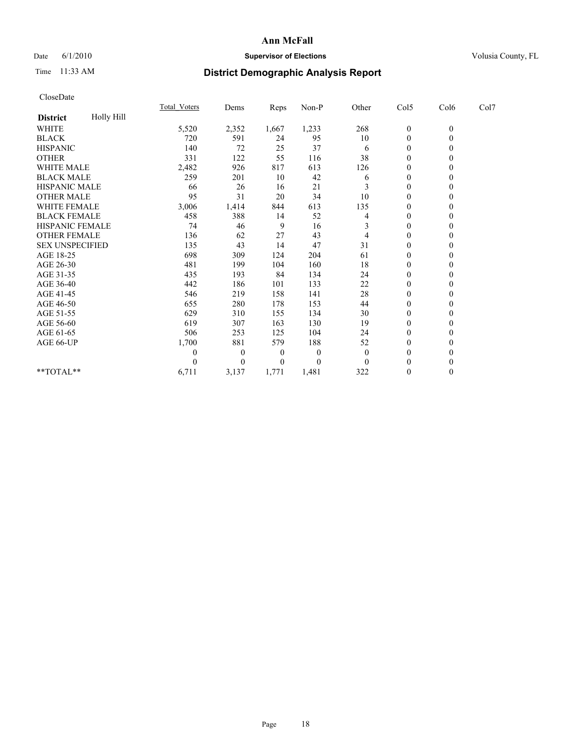## Date 6/1/2010 **Supervisor of Elections Supervisor of Elections** Volusia County, FL

# Time 11:33 AM **District Demographic Analysis Report**

|                        |            | <b>Total Voters</b> | Dems         | <b>Reps</b>      | $Non-P$  | Other        | Col5             | Col6             | Col7 |  |
|------------------------|------------|---------------------|--------------|------------------|----------|--------------|------------------|------------------|------|--|
| <b>District</b>        | Holly Hill |                     |              |                  |          |              |                  |                  |      |  |
| <b>WHITE</b>           |            | 5,520               | 2,352        | 1,667            | 1,233    | 268          | $\boldsymbol{0}$ | $\boldsymbol{0}$ |      |  |
| <b>BLACK</b>           |            | 720                 | 591          | 24               | 95       | 10           | $\mathbf{0}$     |                  |      |  |
| <b>HISPANIC</b>        |            | 140                 | 72           | 25               | 37       | 6            | $\theta$         |                  |      |  |
| <b>OTHER</b>           |            | 331                 | 122          | 55               | 116      | 38           | $\overline{0}$   |                  |      |  |
| <b>WHITE MALE</b>      |            | 2,482               | 926          | 817              | 613      | 126          | $\theta$         |                  |      |  |
| <b>BLACK MALE</b>      |            | 259                 | 201          | 10               | 42       | 6            | $\theta$         |                  |      |  |
| HISPANIC MALE          |            | 66                  | 26           | 16               | 21       |              | $\theta$         |                  |      |  |
| <b>OTHER MALE</b>      |            | 95                  | 31           | 20               | 34       | 10           | $\theta$         |                  |      |  |
| WHITE FEMALE           |            | 3,006               | 1,414        | 844              | 613      | 135          | $\theta$         |                  |      |  |
| <b>BLACK FEMALE</b>    |            | 458                 | 388          | 14               | 52       | 4            | $\theta$         |                  |      |  |
| HISPANIC FEMALE        |            | 74                  | 46           | 9                | 16       | 3            | $\mathbf{0}$     |                  |      |  |
| <b>OTHER FEMALE</b>    |            | 136                 | 62           | 27               | 43       | 4            | $\theta$         |                  |      |  |
| <b>SEX UNSPECIFIED</b> |            | 135                 | 43           | 14               | 47       | 31           | $\overline{0}$   |                  |      |  |
| AGE 18-25              |            | 698                 | 309          | 124              | 204      | 61           | $\theta$         |                  |      |  |
| AGE 26-30              |            | 481                 | 199          | 104              | 160      | 18           | $\theta$         |                  |      |  |
| AGE 31-35              |            | 435                 | 193          | 84               | 134      | 24           | $\overline{0}$   |                  |      |  |
| AGE 36-40              |            | 442                 | 186          | 101              | 133      | 22           | $\Omega$         |                  |      |  |
| AGE 41-45              |            | 546                 | 219          | 158              | 141      | 28           | $\theta$         |                  |      |  |
| AGE 46-50              |            | 655                 | 280          | 178              | 153      | 44           | $\overline{0}$   |                  |      |  |
| AGE 51-55              |            | 629                 | 310          | 155              | 134      | 30           | $\theta$         |                  |      |  |
| AGE 56-60              |            | 619                 | 307          | 163              | 130      | 19           | $\theta$         |                  |      |  |
| AGE 61-65              |            | 506                 | 253          | 125              | 104      | 24           | $\theta$         |                  |      |  |
| AGE 66-UP              |            | 1,700               | 881          | 579              | 188      | 52           | $\mathbf{0}$     |                  |      |  |
|                        |            | 0                   | $\mathbf{0}$ | $\boldsymbol{0}$ | $\theta$ | $\mathbf{0}$ | $\theta$         |                  |      |  |
|                        |            |                     | $\Omega$     | $\overline{0}$   | $\theta$ | $\theta$     | $\theta$         |                  |      |  |
| **TOTAL**              |            | 6,711               | 3,137        | 1,771            | 1,481    | 322          | $\mathbf{0}$     | $\Omega$         |      |  |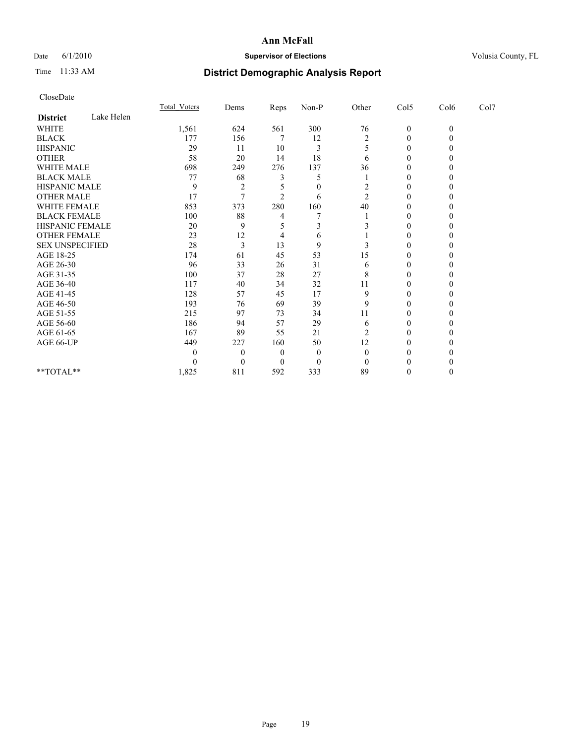## Date 6/1/2010 **Supervisor of Elections Supervisor of Elections** Volusia County, FL

# Time 11:33 AM **District Demographic Analysis Report**

|                        |            | Total Voters | Dems     | Reps     | $Non-P$  | Other          | Col5         | Col6         | Col7 |  |
|------------------------|------------|--------------|----------|----------|----------|----------------|--------------|--------------|------|--|
| <b>District</b>        | Lake Helen |              |          |          |          |                |              |              |      |  |
| <b>WHITE</b>           |            | 1,561        | 624      | 561      | 300      | 76             | $\mathbf{0}$ | $\mathbf{0}$ |      |  |
| <b>BLACK</b>           |            | 177          | 156      |          | 12       | 2              | $\theta$     |              |      |  |
| <b>HISPANIC</b>        |            | 29           | 11       | 10       | 3        |                | $\Omega$     |              |      |  |
| <b>OTHER</b>           |            | 58           | 20       | 14       | 18       | 6              | $\theta$     |              |      |  |
| <b>WHITE MALE</b>      |            | 698          | 249      | 276      | 137      | 36             | 0            |              |      |  |
| <b>BLACK MALE</b>      |            | 77           | 68       |          | 5        |                | 0            |              |      |  |
| <b>HISPANIC MALE</b>   |            | 9            | 2        |          | $\theta$ | 2              | $\theta$     |              |      |  |
| <b>OTHER MALE</b>      |            | 17           |          |          | 6        | $\overline{c}$ | 0            |              |      |  |
| WHITE FEMALE           |            | 853          | 373      | 280      | 160      | 40             | 0            |              |      |  |
| <b>BLACK FEMALE</b>    |            | 100          | 88       |          |          |                | $\theta$     |              |      |  |
| HISPANIC FEMALE        |            | 20           | 9        |          |          |                | 0            |              |      |  |
| <b>OTHER FEMALE</b>    |            | 23           | 12       |          | 6        |                | $\Omega$     |              |      |  |
| <b>SEX UNSPECIFIED</b> |            | 28           | 3        | 13       | 9        |                | $\theta$     |              |      |  |
| AGE 18-25              |            | 174          | 61       | 45       | 53       | 15             | 0            |              |      |  |
| AGE 26-30              |            | 96           | 33       | 26       | 31       | 6              | $\Omega$     |              |      |  |
| AGE 31-35              |            | 100          | 37       | 28       | 27       | 8              | $\theta$     |              |      |  |
| AGE 36-40              |            | 117          | 40       | 34       | 32       | 11             | 0            |              |      |  |
| AGE 41-45              |            | 128          | 57       | 45       | 17       | 9              | 0            |              |      |  |
| AGE 46-50              |            | 193          | 76       | 69       | 39       | 9              | $\theta$     |              |      |  |
| AGE 51-55              |            | 215          | 97       | 73       | 34       | 11             |              |              |      |  |
| AGE 56-60              |            | 186          | 94       | 57       | 29       | 6              | $\Omega$     |              |      |  |
| AGE 61-65              |            | 167          | 89       | 55       | 21       | 2              | $\Omega$     |              |      |  |
| AGE 66-UP              |            | 449          | 227      | 160      | 50       | 12             |              |              |      |  |
|                        |            |              | $\theta$ | 0        | $\theta$ |                | 0            |              |      |  |
|                        |            |              | $\theta$ | $\theta$ | $\Omega$ |                |              |              |      |  |
| $**TOTAL**$            |            | 1,825        | 811      | 592      | 333      | 89             | $\theta$     |              |      |  |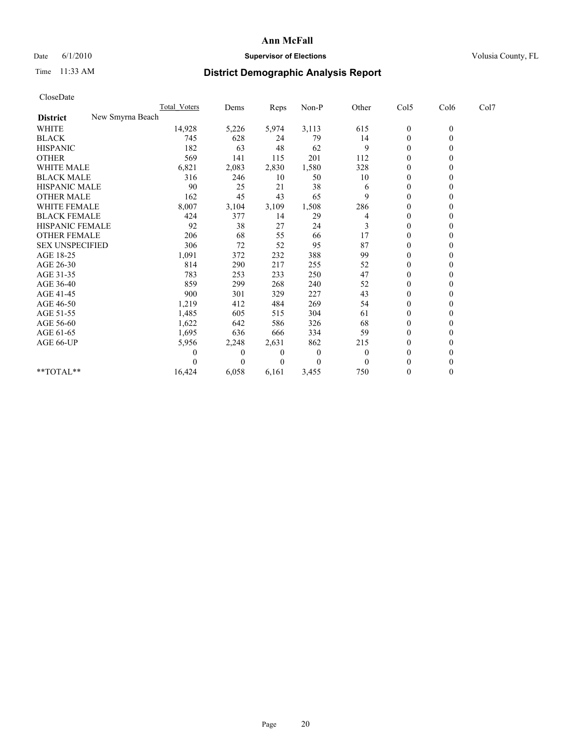## Date 6/1/2010 **Supervisor of Elections Supervisor of Elections** Volusia County, FL

# Time 11:33 AM **District Demographic Analysis Report**

| CloseDate              |                  |          |       |          |                |                  |                |      |
|------------------------|------------------|----------|-------|----------|----------------|------------------|----------------|------|
|                        | Total Voters     | Dems     | Reps  | Non-P    | Other          | Col5             | Col6           | Col7 |
| <b>District</b>        | New Smyrna Beach |          |       |          |                |                  |                |      |
| <b>WHITE</b>           | 14,928           | 5,226    | 5,974 | 3,113    | 615            | $\boldsymbol{0}$ | $\mathbf{0}$   |      |
| <b>BLACK</b>           | 745              | 628      | 24    | 79       | 14             | $\boldsymbol{0}$ | $\overline{0}$ |      |
| <b>HISPANIC</b>        | 182              | 63       | 48    | 62       | 9              | $\theta$         | $\Omega$       |      |
| <b>OTHER</b>           | 569              | 141      | 115   | 201      | 112            | $\mathbf{0}$     | $\mathbf{0}$   |      |
| WHITE MALE             | 6,821            | 2,083    | 2,830 | 1,580    | 328            | 0                | $\theta$       |      |
| <b>BLACK MALE</b>      | 316              | 246      | 10    | 50       | 10             | $\overline{0}$   | $\theta$       |      |
| <b>HISPANIC MALE</b>   | 90               | 25       | 21    | 38       | 6              | 0                | $\Omega$       |      |
| <b>OTHER MALE</b>      | 162              | 45       | 43    | 65       | 9              | $\boldsymbol{0}$ | $\Omega$       |      |
| <b>WHITE FEMALE</b>    | 8,007            | 3,104    | 3,109 | 1,508    | 286            | $\boldsymbol{0}$ | $\mathbf{0}$   |      |
| <b>BLACK FEMALE</b>    | 424              | 377      | 14    | 29       | 4              | $\boldsymbol{0}$ | $\Omega$       |      |
| <b>HISPANIC FEMALE</b> | 92               | 38       | 27    | 24       | 3              | $\mathbf{0}$     | $\mathbf{0}$   |      |
| <b>OTHER FEMALE</b>    | 206              | 68       | 55    | 66       | 17             | $\boldsymbol{0}$ | $\Omega$       |      |
| <b>SEX UNSPECIFIED</b> | 306              | 72       | 52    | 95       | 87             | $\boldsymbol{0}$ | $\Omega$       |      |
| AGE 18-25              | 1,091            | 372      | 232   | 388      | 99             | $\overline{0}$   | $\Omega$       |      |
| AGE 26-30              | 814              | 290      | 217   | 255      | 52             | $\boldsymbol{0}$ | $\Omega$       |      |
| AGE 31-35              | 783              | 253      | 233   | 250      | 47             | $\boldsymbol{0}$ | $\mathbf{0}$   |      |
| AGE 36-40              | 859              | 299      | 268   | 240      | 52             | $\boldsymbol{0}$ | $\Omega$       |      |
| AGE 41-45              | 900              | 301      | 329   | 227      | 43             | $\boldsymbol{0}$ | $\theta$       |      |
| AGE 46-50              | 1,219            | 412      | 484   | 269      | 54             | $\boldsymbol{0}$ | $\Omega$       |      |
| AGE 51-55              | 1,485            | 605      | 515   | 304      | 61             | 0                | $\Omega$       |      |
| AGE 56-60              | 1,622            | 642      | 586   | 326      | 68             | $\boldsymbol{0}$ | $\Omega$       |      |
| AGE 61-65              | 1,695            | 636      | 666   | 334      | 59             | $\theta$         | $\Omega$       |      |
| AGE 66-UP              | 5,956            | 2,248    | 2,631 | 862      | 215            | 0                | $\theta$       |      |
|                        | 0                | $\theta$ | 0     | $\theta$ | $\overline{0}$ | $\overline{0}$   | $\Omega$       |      |
|                        | 0                | $\theta$ | 0     | $\Omega$ | $\Omega$       | $\theta$         | $\theta$       |      |
| **TOTAL**              | 16,424           | 6,058    | 6,161 | 3,455    | 750            | $\boldsymbol{0}$ | $\theta$       |      |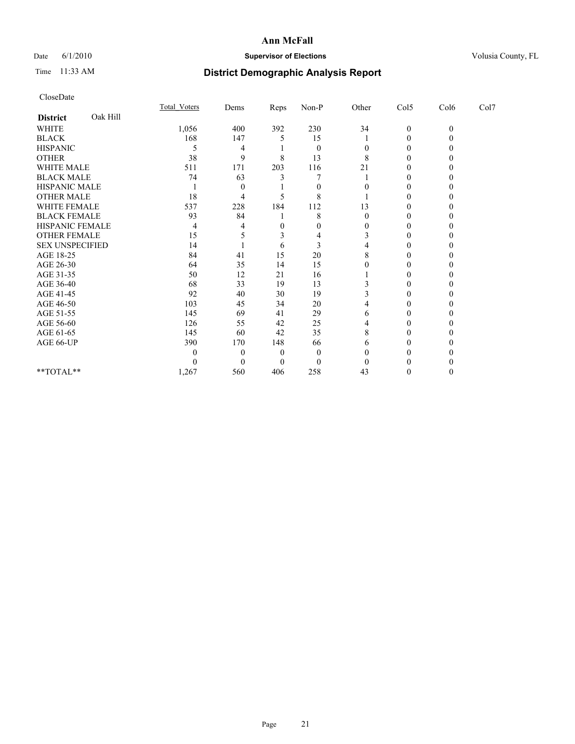## Date 6/1/2010 **Supervisor of Elections Supervisor of Elections** Volusia County, FL

# Time 11:33 AM **District Demographic Analysis Report**

|                        |          | Total Voters | Dems         | Reps     | Non-P    | Other | Col5           | Col6     | Col7 |  |
|------------------------|----------|--------------|--------------|----------|----------|-------|----------------|----------|------|--|
| <b>District</b>        | Oak Hill |              |              |          |          |       |                |          |      |  |
| <b>WHITE</b>           |          | 1,056        | 400          | 392      | 230      | 34    | $\overline{0}$ | $\theta$ |      |  |
| <b>BLACK</b>           |          | 168          | 147          |          | 15       |       | $\theta$       |          |      |  |
| <b>HISPANIC</b>        |          | 5            | 4            |          | $\Omega$ | 0     | 0              |          |      |  |
| <b>OTHER</b>           |          | 38           | 9            | 8        | 13       | 8     | 0              |          |      |  |
| <b>WHITE MALE</b>      |          | 511          | 171          | 203      | 116      | 21    |                |          |      |  |
| <b>BLACK MALE</b>      |          | 74           | 63           |          |          |       | 0              |          |      |  |
| HISPANIC MALE          |          |              | $\mathbf{0}$ |          |          |       | 0              |          |      |  |
| <b>OTHER MALE</b>      |          | 18           | 4            |          | 8        |       |                |          |      |  |
| WHITE FEMALE           |          | 537          | 228          | 184      | 112      | 13    | $\Omega$       |          |      |  |
| <b>BLACK FEMALE</b>    |          | 93           | 84           |          | 8        | 0     | $\theta$       |          |      |  |
| HISPANIC FEMALE        |          | 4            |              | 0        |          | 0     |                |          |      |  |
| <b>OTHER FEMALE</b>    |          | 15           |              | 3        |          |       | 0              |          |      |  |
| <b>SEX UNSPECIFIED</b> |          | 14           |              | 6        | 3        |       |                |          |      |  |
| AGE 18-25              |          | 84           | 41           | 15       | 20       | 8     |                |          |      |  |
| AGE 26-30              |          | 64           | 35           | 14       | 15       |       | 0              |          |      |  |
| AGE 31-35              |          | 50           | 12           | 21       | 16       |       |                |          |      |  |
| AGE 36-40              |          | 68           | 33           | 19       | 13       |       |                |          |      |  |
| AGE 41-45              |          | 92           | 40           | 30       | 19       |       | 0              |          |      |  |
| AGE 46-50              |          | 103          | 45           | 34       | 20       |       | 0              |          |      |  |
| AGE 51-55              |          | 145          | 69           | 41       | 29       | 6     | 0              |          |      |  |
| AGE 56-60              |          | 126          | 55           | 42       | 25       |       | $\Omega$       |          |      |  |
| AGE 61-65              |          | 145          | 60           | 42       | 35       | 8     | 0              |          |      |  |
| AGE 66-UP              |          | 390          | 170          | 148      | 66       | 6     |                |          |      |  |
|                        |          | 0            | $\Omega$     | $\theta$ | $\Omega$ |       |                |          |      |  |
|                        |          |              |              | $\Omega$ | $\theta$ |       |                |          |      |  |
| **TOTAL**              |          | 1,267        | 560          | 406      | 258      | 43    | 0              |          |      |  |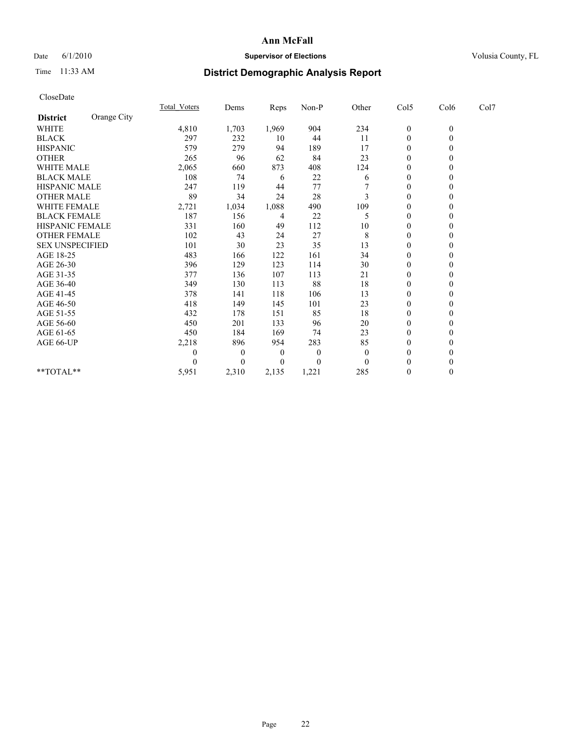## Date 6/1/2010 **Supervisor of Elections Supervisor of Elections** Volusia County, FL

# Time 11:33 AM **District Demographic Analysis Report**

| CloseDate              |             |              |          |       |          |              |                  |                  |      |  |
|------------------------|-------------|--------------|----------|-------|----------|--------------|------------------|------------------|------|--|
|                        |             | Total Voters | Dems     | Reps  | $Non-P$  | Other        | Col5             | Col6             | Col7 |  |
| <b>District</b>        | Orange City |              |          |       |          |              |                  |                  |      |  |
| <b>WHITE</b>           |             | 4,810        | 1,703    | 1,969 | 904      | 234          | $\boldsymbol{0}$ | $\boldsymbol{0}$ |      |  |
| <b>BLACK</b>           |             | 297          | 232      | 10    | 44       | 11           | $\boldsymbol{0}$ | $\boldsymbol{0}$ |      |  |
| <b>HISPANIC</b>        |             | 579          | 279      | 94    | 189      | 17           | $\theta$         | 0                |      |  |
| <b>OTHER</b>           |             | 265          | 96       | 62    | 84       | 23           | $\theta$         | $\boldsymbol{0}$ |      |  |
| <b>WHITE MALE</b>      |             | 2,065        | 660      | 873   | 408      | 124          | $\mathbf{0}$     | 0                |      |  |
| <b>BLACK MALE</b>      |             | 108          | 74       | 6     | 22       | 6            | $\mathbf{0}$     | 0                |      |  |
| <b>HISPANIC MALE</b>   |             | 247          | 119      | 44    | 77       |              | $\boldsymbol{0}$ | 0                |      |  |
| <b>OTHER MALE</b>      |             | 89           | 34       | 24    | 28       | 3            | $\theta$         | 0                |      |  |
| <b>WHITE FEMALE</b>    |             | 2,721        | 1,034    | 1,088 | 490      | 109          | $\mathbf{0}$     | $\boldsymbol{0}$ |      |  |
| <b>BLACK FEMALE</b>    |             | 187          | 156      | 4     | 22       | 5            | $\theta$         | 0                |      |  |
| <b>HISPANIC FEMALE</b> |             | 331          | 160      | 49    | 112      | 10           | $\mathbf{0}$     | $\theta$         |      |  |
| <b>OTHER FEMALE</b>    |             | 102          | 43       | 24    | 27       | 8            | $\theta$         | 0                |      |  |
| <b>SEX UNSPECIFIED</b> |             | 101          | 30       | 23    | 35       | 13           | $\theta$         | 0                |      |  |
| AGE 18-25              |             | 483          | 166      | 122   | 161      | 34           | $\theta$         | 0                |      |  |
| AGE 26-30              |             | 396          | 129      | 123   | 114      | 30           | $\theta$         | 0                |      |  |
| AGE 31-35              |             | 377          | 136      | 107   | 113      | 21           | $\theta$         | 0                |      |  |
| AGE 36-40              |             | 349          | 130      | 113   | 88       | 18           | $\Omega$         | 0                |      |  |
| AGE 41-45              |             | 378          | 141      | 118   | 106      | 13           | $\theta$         | 0                |      |  |
| AGE 46-50              |             | 418          | 149      | 145   | 101      | 23           | $\theta$         | 0                |      |  |
| AGE 51-55              |             | 432          | 178      | 151   | 85       | 18           | $\theta$         | 0                |      |  |
| AGE 56-60              |             | 450          | 201      | 133   | 96       | 20           | $\theta$         | 0                |      |  |
| AGE 61-65              |             | 450          | 184      | 169   | 74       | 23           | $\theta$         | $\theta$         |      |  |
| AGE 66-UP              |             | 2,218        | 896      | 954   | 283      | 85           | $\boldsymbol{0}$ | 0                |      |  |
|                        |             | 0            | $\theta$ | 0     | $\theta$ | $\mathbf{0}$ | $\theta$         | 0                |      |  |
|                        |             |              | 0        | 0     | $\theta$ | $\theta$     | 0                | 0                |      |  |
| **TOTAL**              |             | 5,951        | 2,310    | 2,135 | 1,221    | 285          | $\Omega$         | $\theta$         |      |  |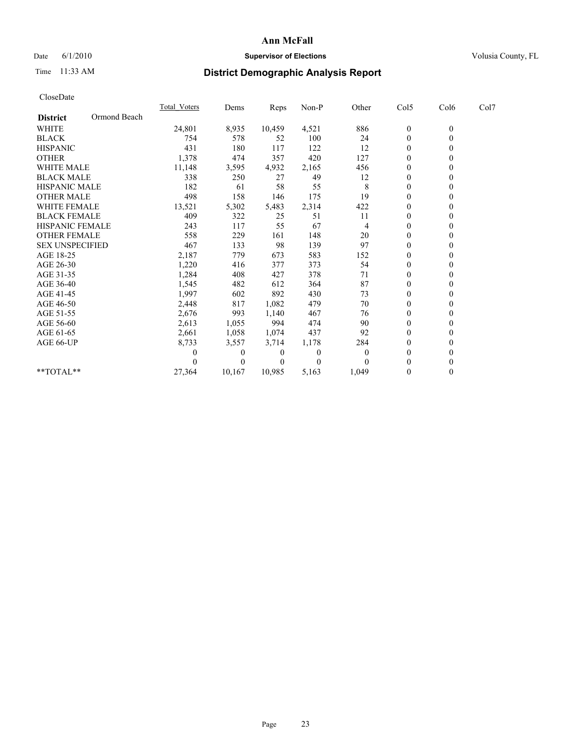## Date 6/1/2010 **Supervisor of Elections Supervisor of Elections** Volusia County, FL

## Time 11:33 AM **District Demographic Analysis Report**

| CloseDate              |              |              |        |        |                  |                |                  |                |      |  |
|------------------------|--------------|--------------|--------|--------|------------------|----------------|------------------|----------------|------|--|
|                        |              | Total Voters | Dems   | Reps   | Non-P            | Other          | Col5             | Col6           | Col7 |  |
| <b>District</b>        | Ormond Beach |              |        |        |                  |                |                  |                |      |  |
| WHITE                  |              | 24,801       | 8,935  | 10,459 | 4,521            | 886            | $\boldsymbol{0}$ | $\overline{0}$ |      |  |
| <b>BLACK</b>           |              | 754          | 578    | 52     | 100              | 24             | $\boldsymbol{0}$ | $\overline{0}$ |      |  |
| <b>HISPANIC</b>        |              | 431          | 180    | 117    | 122              | 12             | $\Omega$         | 0              |      |  |
| <b>OTHER</b>           |              | 1,378        | 474    | 357    | 420              | 127            | $\boldsymbol{0}$ | $\mathbf{0}$   |      |  |
| <b>WHITE MALE</b>      |              | 11,148       | 3,595  | 4,932  | 2,165            | 456            | 0                | 0              |      |  |
| <b>BLACK MALE</b>      |              | 338          | 250    | 27     | 49               | 12             | $\boldsymbol{0}$ | $\theta$       |      |  |
| <b>HISPANIC MALE</b>   |              | 182          | 61     | 58     | 55               | 8              | $\boldsymbol{0}$ | 0              |      |  |
| <b>OTHER MALE</b>      |              | 498          | 158    | 146    | 175              | 19             | $\theta$         | 0              |      |  |
| WHITE FEMALE           |              | 13,521       | 5,302  | 5,483  | 2,314            | 422            | $\boldsymbol{0}$ | 0              |      |  |
| <b>BLACK FEMALE</b>    |              | 409          | 322    | 25     | 51               | 11             | 0                | 0              |      |  |
| <b>HISPANIC FEMALE</b> |              | 243          | 117    | 55     | 67               | 4              | $\boldsymbol{0}$ | 0              |      |  |
| <b>OTHER FEMALE</b>    |              | 558          | 229    | 161    | 148              | 20             | $\boldsymbol{0}$ | 0              |      |  |
| <b>SEX UNSPECIFIED</b> |              | 467          | 133    | 98     | 139              | 97             | $\theta$         | 0              |      |  |
| AGE 18-25              |              | 2,187        | 779    | 673    | 583              | 152            | $\boldsymbol{0}$ | 0              |      |  |
| AGE 26-30              |              | 1,220        | 416    | 377    | 373              | 54             | $\theta$         | 0              |      |  |
| AGE 31-35              |              | 1,284        | 408    | 427    | 378              | 71             | $\boldsymbol{0}$ | 0              |      |  |
| AGE 36-40              |              | 1,545        | 482    | 612    | 364              | 87             | 0                | 0              |      |  |
| AGE 41-45              |              | 1,997        | 602    | 892    | 430              | 73             | $\theta$         | 0              |      |  |
| AGE 46-50              |              | 2,448        | 817    | 1,082  | 479              | 70             | $\boldsymbol{0}$ | 0              |      |  |
| AGE 51-55              |              | 2,676        | 993    | 1,140  | 467              | 76             | 0                | 0              |      |  |
| AGE 56-60              |              | 2,613        | 1,055  | 994    | 474              | 90             | $\boldsymbol{0}$ | 0              |      |  |
| AGE 61-65              |              | 2,661        | 1,058  | 1,074  | 437              | 92             | $\theta$         | 0              |      |  |
| AGE 66-UP              |              | 8,733        | 3,557  | 3,714  | 1,178            | 284            | 0                | 0              |      |  |
|                        |              | 0            | 0      | 0      | $\boldsymbol{0}$ | $\overline{0}$ | 0                | 0              |      |  |
|                        |              |              | 0      | 0      | $\theta$         | $\Omega$       | 0                | 0              |      |  |
| $*$ $TOTAI.**$         |              | 27,364       | 10,167 | 10,985 | 5,163            | 1,049          | 0                | $\mathbf{0}$   |      |  |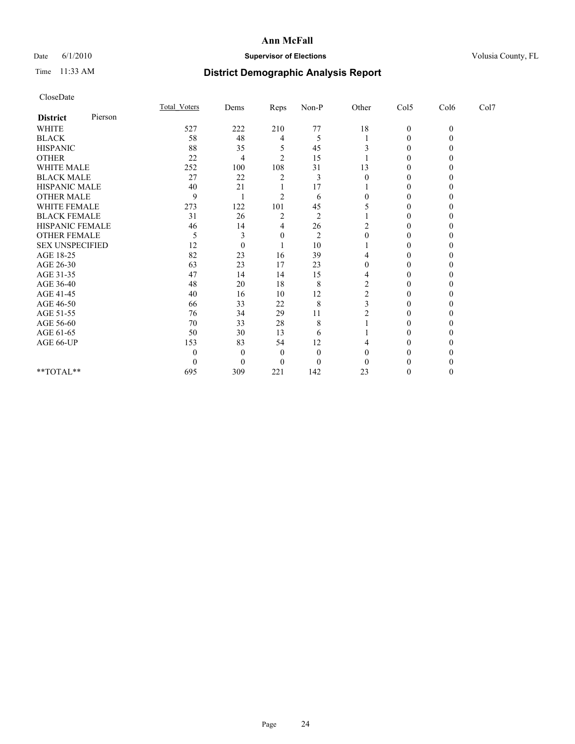## Date 6/1/2010 **Supervisor of Elections Supervisor of Elections** Volusia County, FL

# Time 11:33 AM **District Demographic Analysis Report**

| CloseDate              |         |                     |          |                |                |                |                  |              |      |  |
|------------------------|---------|---------------------|----------|----------------|----------------|----------------|------------------|--------------|------|--|
|                        |         | <b>Total Voters</b> | Dems     | Reps           | Non-P          | Other          | Col5             | Col6         | Col7 |  |
| <b>District</b>        | Pierson |                     |          |                |                |                |                  |              |      |  |
| <b>WHITE</b>           |         | 527                 | 222      | 210            | 77             | 18             | $\boldsymbol{0}$ | $\mathbf{0}$ |      |  |
| <b>BLACK</b>           |         | 58                  | 48       | 4              | 5              |                | $\boldsymbol{0}$ | $\theta$     |      |  |
| <b>HISPANIC</b>        |         | 88                  | 35       | 5              | 45             | 3              | 0                | $_{0}$       |      |  |
| <b>OTHER</b>           |         | 22                  | 4        | $\overline{2}$ | 15             |                | $\theta$         | 0            |      |  |
| WHITE MALE             |         | 252                 | 100      | 108            | 31             | 13             | 0                | 0            |      |  |
| <b>BLACK MALE</b>      |         | 27                  | 22       | 2              | 3              | $\theta$       | 0                | 0            |      |  |
| HISPANIC MALE          |         | 40                  | 21       |                | 17             |                | 0                | 0            |      |  |
| <b>OTHER MALE</b>      |         | 9                   |          | $\overline{c}$ | 6              | $\theta$       | $\boldsymbol{0}$ | 0            |      |  |
| WHITE FEMALE           |         | 273                 | 122      | 101            | 45             |                | 0                | 0            |      |  |
| <b>BLACK FEMALE</b>    |         | 31                  | 26       | 2              | $\overline{2}$ |                | 0                |              |      |  |
| HISPANIC FEMALE        |         | 46                  | 14       | 4              | 26             | $\overline{c}$ | $\theta$         | 0            |      |  |
| <b>OTHER FEMALE</b>    |         | 5                   | 3        | 0              | 2              | $\theta$       | $\boldsymbol{0}$ | 0            |      |  |
| <b>SEX UNSPECIFIED</b> |         | 12                  | $\theta$ |                | 10             |                | 0                | 0            |      |  |
| AGE 18-25              |         | 82                  | 23       | 16             | 39             | 4              | 0                | 0            |      |  |
| AGE 26-30              |         | 63                  | 23       | 17             | 23             | $\theta$       | $\theta$         | 0            |      |  |
| AGE 31-35              |         | 47                  | 14       | 14             | 15             | 4              | 0                | 0            |      |  |
| AGE 36-40              |         | 48                  | 20       | 18             | 8              | 2              | 0                |              |      |  |
| AGE 41-45              |         | 40                  | 16       | 10             | 12             | $\overline{c}$ | 0                | 0            |      |  |
| AGE 46-50              |         | 66                  | 33       | 22             | 8              | 3              | 0                | 0            |      |  |
| AGE 51-55              |         | 76                  | 34       | 29             | 11             | $\overline{c}$ | 0                | 0            |      |  |
| AGE 56-60              |         | 70                  | 33       | 28             | 8              |                | $\theta$         | 0            |      |  |
| AGE 61-65              |         | 50                  | 30       | 13             | 6              |                | 0                | 0            |      |  |
| AGE 66-UP              |         | 153                 | 83       | 54             | 12             | 4              | 0                |              |      |  |
|                        |         | $\theta$            | $\theta$ | $\theta$       | $\theta$       | $\Omega$       | 0                |              |      |  |
|                        |         | $\theta$            | $\theta$ | $\theta$       | $\theta$       | 0              | 0                |              |      |  |
| **TOTAL**              |         | 695                 | 309      | 221            | 142            | 23             | 0                | 0            |      |  |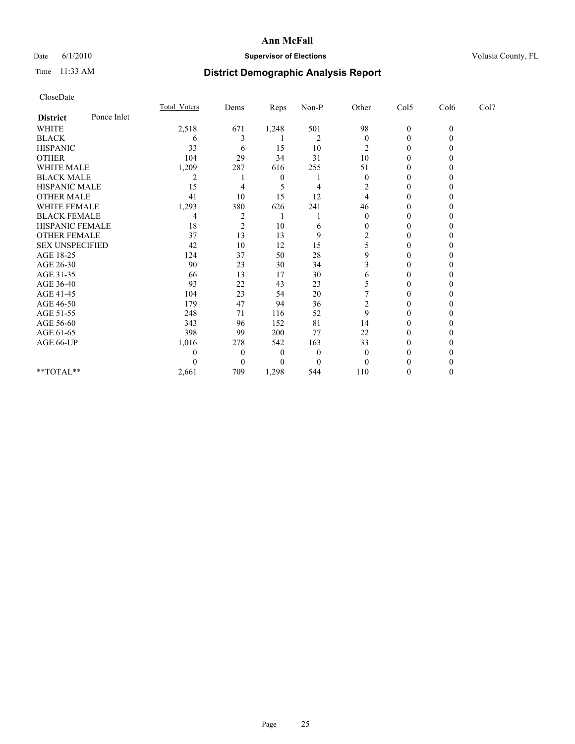## Date 6/1/2010 **Supervisor of Elections Supervisor of Elections** Volusia County, FL

# Time 11:33 AM **District Demographic Analysis Report**

|                        |             | Total Voters | Dems           | Reps     | $Non-P$        | Other    | Col5         | Col6         | Col7 |  |
|------------------------|-------------|--------------|----------------|----------|----------------|----------|--------------|--------------|------|--|
| <b>District</b>        | Ponce Inlet |              |                |          |                |          |              |              |      |  |
| <b>WHITE</b>           |             | 2,518        | 671            | 1,248    | 501            | 98       | $\mathbf{0}$ | $\mathbf{0}$ |      |  |
| <b>BLACK</b>           |             | 6            |                |          | $\overline{2}$ | $\theta$ | $\theta$     |              |      |  |
| <b>HISPANIC</b>        |             | 33           | 6              | 15       | 10             | 2        | $\Omega$     |              |      |  |
| <b>OTHER</b>           |             | 104          | 29             | 34       | 31             | 10       | $\theta$     |              |      |  |
| <b>WHITE MALE</b>      |             | 1,209        | 287            | 616      | 255            | 51       | 0            |              |      |  |
| <b>BLACK MALE</b>      |             | 2            |                | $\theta$ |                | $\Omega$ | $\Omega$     |              |      |  |
| HISPANIC MALE          |             | 15           |                |          | 4              | 2        | $\theta$     |              |      |  |
| <b>OTHER MALE</b>      |             | 41           | 10             | 15       | 12             |          | 0            |              |      |  |
| WHITE FEMALE           |             | 1,293        | 380            | 626      | 241            | 46       | $\Omega$     |              |      |  |
| <b>BLACK FEMALE</b>    |             | 4            | $\overline{c}$ |          |                | $\theta$ | $\theta$     |              |      |  |
| HISPANIC FEMALE        |             | 18           | $\overline{c}$ | 10       | 6              |          | 0            |              |      |  |
| <b>OTHER FEMALE</b>    |             | 37           | 13             | 13       | 9              |          | $\Omega$     |              |      |  |
| <b>SEX UNSPECIFIED</b> |             | 42           | 10             | 12       | 15             |          | $\theta$     |              |      |  |
| AGE 18-25              |             | 124          | 37             | 50       | 28             | 9        | 0            |              |      |  |
| AGE 26-30              |             | 90           | 23             | 30       | 34             |          | $\Omega$     |              |      |  |
| AGE 31-35              |             | 66           | 13             | 17       | 30             | 6        | $\theta$     |              |      |  |
| AGE 36-40              |             | 93           | 22             | 43       | 23             |          | 0            |              |      |  |
| AGE 41-45              |             | 104          | 23             | 54       | 20             |          | $\Omega$     |              |      |  |
| AGE 46-50              |             | 179          | 47             | 94       | 36             | 2        | $\theta$     |              |      |  |
| AGE 51-55              |             | 248          | 71             | 116      | 52             | 9        | 0            |              |      |  |
| AGE 56-60              |             | 343          | 96             | 152      | 81             | 14       | $\Omega$     |              |      |  |
| AGE 61-65              |             | 398          | 99             | 200      | 77             | 22       | $\Omega$     |              |      |  |
| AGE 66-UP              |             | 1,016        | 278            | 542      | 163            | 33       | 0            |              |      |  |
|                        |             |              | $\theta$       | $\bf{0}$ | $\theta$       | 0        | 0            |              |      |  |
|                        |             |              | $\theta$       | $\theta$ | $\Omega$       |          |              |              |      |  |
| **TOTAL**              |             | 2,661        | 709            | 1,298    | 544            | 110      | $\theta$     |              |      |  |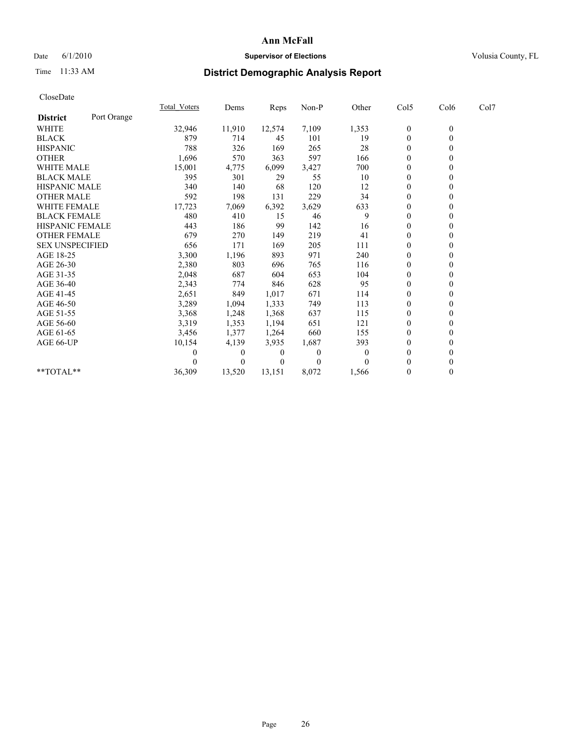## Date 6/1/2010 **Supervisor of Elections Supervisor of Elections** Volusia County, FL

# Time 11:33 AM **District Demographic Analysis Report**

| CloseDate              |             |                     |        |        |          |              |                  |                  |      |  |
|------------------------|-------------|---------------------|--------|--------|----------|--------------|------------------|------------------|------|--|
|                        |             | <b>Total Voters</b> | Dems   | Reps   | $Non-P$  | Other        | Col5             | Col6             | Col7 |  |
| <b>District</b>        | Port Orange |                     |        |        |          |              |                  |                  |      |  |
| WHITE                  |             | 32,946              | 11,910 | 12,574 | 7,109    | 1,353        | $\boldsymbol{0}$ | $\boldsymbol{0}$ |      |  |
| <b>BLACK</b>           |             | 879                 | 714    | 45     | 101      | 19           | $\boldsymbol{0}$ | $\theta$         |      |  |
| <b>HISPANIC</b>        |             | 788                 | 326    | 169    | 265      | 28           | $\boldsymbol{0}$ | 0                |      |  |
| <b>OTHER</b>           |             | 1,696               | 570    | 363    | 597      | 166          | $\boldsymbol{0}$ | $\boldsymbol{0}$ |      |  |
| <b>WHITE MALE</b>      |             | 15,001              | 4,775  | 6,099  | 3,427    | 700          | 0                | 0                |      |  |
| <b>BLACK MALE</b>      |             | 395                 | 301    | 29     | 55       | 10           | $\boldsymbol{0}$ | 0                |      |  |
| <b>HISPANIC MALE</b>   |             | 340                 | 140    | 68     | 120      | 12           | 0                | 0                |      |  |
| <b>OTHER MALE</b>      |             | 592                 | 198    | 131    | 229      | 34           | $\theta$         | $\overline{0}$   |      |  |
| <b>WHITE FEMALE</b>    |             | 17,723              | 7,069  | 6,392  | 3,629    | 633          | 0                | $\boldsymbol{0}$ |      |  |
| <b>BLACK FEMALE</b>    |             | 480                 | 410    | 15     | 46       | 9            | $\theta$         | 0                |      |  |
| <b>HISPANIC FEMALE</b> |             | 443                 | 186    | 99     | 142      | 16           | $\boldsymbol{0}$ | $\theta$         |      |  |
| <b>OTHER FEMALE</b>    |             | 679                 | 270    | 149    | 219      | 41           | $\boldsymbol{0}$ | 0                |      |  |
| <b>SEX UNSPECIFIED</b> |             | 656                 | 171    | 169    | 205      | 111          | $\boldsymbol{0}$ | 0                |      |  |
| AGE 18-25              |             | 3,300               | 1,196  | 893    | 971      | 240          | $\boldsymbol{0}$ | 0                |      |  |
| AGE 26-30              |             | 2,380               | 803    | 696    | 765      | 116          | $\theta$         | 0                |      |  |
| AGE 31-35              |             | 2,048               | 687    | 604    | 653      | 104          | $\boldsymbol{0}$ | 0                |      |  |
| AGE 36-40              |             | 2,343               | 774    | 846    | 628      | 95           | $\theta$         | 0                |      |  |
| AGE 41-45              |             | 2,651               | 849    | 1,017  | 671      | 114          | $\theta$         | 0                |      |  |
| AGE 46-50              |             | 3,289               | 1,094  | 1,333  | 749      | 113          | $\boldsymbol{0}$ | 0                |      |  |
| AGE 51-55              |             | 3,368               | 1,248  | 1,368  | 637      | 115          | $\boldsymbol{0}$ | 0                |      |  |
| AGE 56-60              |             | 3,319               | 1,353  | 1,194  | 651      | 121          | $\boldsymbol{0}$ | 0                |      |  |
| AGE 61-65              |             | 3,456               | 1,377  | 1,264  | 660      | 155          | $\overline{0}$   | $\mathbf{0}$     |      |  |
| AGE 66-UP              |             | 10,154              | 4,139  | 3,935  | 1,687    | 393          | 0                | $\theta$         |      |  |
|                        |             | 0                   | 0      | 0      | $\theta$ | $\mathbf{0}$ | 0                | 0                |      |  |
|                        |             |                     | 0      |        | $\theta$ | $\Omega$     | $\theta$         | $\mathbf{0}$     |      |  |
| **TOTAL**              |             | 36,309              | 13,520 | 13,151 | 8,072    | 1,566        | 0                | $\theta$         |      |  |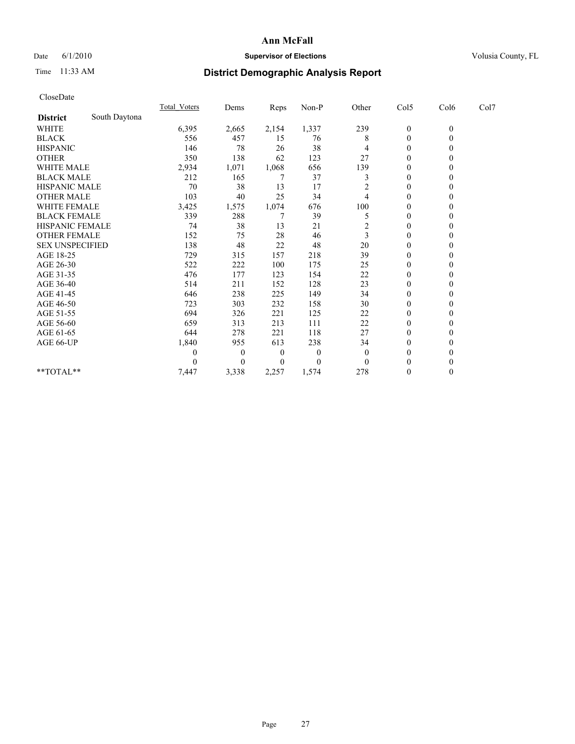## Date 6/1/2010 **Supervisor of Elections Supervisor of Elections** Volusia County, FL

# Time 11:33 AM **District Demographic Analysis Report**

| CloseDate              |               |                     |          |          |          |                |                  |                |      |  |
|------------------------|---------------|---------------------|----------|----------|----------|----------------|------------------|----------------|------|--|
|                        |               | <b>Total Voters</b> | Dems     | Reps     | Non-P    | Other          | Col5             | Col6           | Col7 |  |
| <b>District</b>        | South Daytona |                     |          |          |          |                |                  |                |      |  |
| WHITE                  |               | 6,395               | 2,665    | 2,154    | 1,337    | 239            | $\overline{0}$   | $\theta$       |      |  |
| <b>BLACK</b>           |               | 556                 | 457      | 15       | 76       | 8              | $\boldsymbol{0}$ | $\overline{0}$ |      |  |
| <b>HISPANIC</b>        |               | 146                 | 78       | 26       | 38       | 4              | $\theta$         | 0              |      |  |
| <b>OTHER</b>           |               | 350                 | 138      | 62       | 123      | 27             | $\boldsymbol{0}$ | 0              |      |  |
| <b>WHITE MALE</b>      |               | 2,934               | 1,071    | 1,068    | 656      | 139            | $\boldsymbol{0}$ | 0              |      |  |
| <b>BLACK MALE</b>      |               | 212                 | 165      | 7        | 37       | 3              | $\overline{0}$   | 0              |      |  |
| <b>HISPANIC MALE</b>   |               | 70                  | 38       | 13       | 17       | $\overline{c}$ | 0                | 0              |      |  |
| <b>OTHER MALE</b>      |               | 103                 | 40       | 25       | 34       | 4              | $\overline{0}$   | 0              |      |  |
| WHITE FEMALE           |               | 3,425               | 1,575    | 1,074    | 676      | 100            | $\boldsymbol{0}$ | 0              |      |  |
| <b>BLACK FEMALE</b>    |               | 339                 | 288      | 7        | 39       | 5              | $\theta$         | 0              |      |  |
| <b>HISPANIC FEMALE</b> |               | 74                  | 38       | 13       | 21       | $\overline{2}$ | $\theta$         | 0              |      |  |
| <b>OTHER FEMALE</b>    |               | 152                 | 75       | 28       | 46       | 3              | $\mathbf{0}$     | 0              |      |  |
| <b>SEX UNSPECIFIED</b> |               | 138                 | 48       | 22       | 48       | 20             | $\theta$         | 0              |      |  |
| AGE 18-25              |               | 729                 | 315      | 157      | 218      | 39             | $\boldsymbol{0}$ | 0              |      |  |
| AGE 26-30              |               | 522                 | 222      | 100      | 175      | 25             | $\overline{0}$   | 0              |      |  |
| AGE 31-35              |               | 476                 | 177      | 123      | 154      | 22             | $\boldsymbol{0}$ | 0              |      |  |
| AGE 36-40              |               | 514                 | 211      | 152      | 128      | 23             | $\theta$         | 0              |      |  |
| AGE 41-45              |               | 646                 | 238      | 225      | 149      | 34             | $\boldsymbol{0}$ | 0              |      |  |
| AGE 46-50              |               | 723                 | 303      | 232      | 158      | 30             | $\boldsymbol{0}$ | 0              |      |  |
| AGE 51-55              |               | 694                 | 326      | 221      | 125      | 22             | $\boldsymbol{0}$ | 0              |      |  |
| AGE 56-60              |               | 659                 | 313      | 213      | 111      | 22             | $\boldsymbol{0}$ | 0              |      |  |
| AGE 61-65              |               | 644                 | 278      | 221      | 118      | 27             | $\overline{0}$   | $\theta$       |      |  |
| AGE 66-UP              |               | 1,840               | 955      | 613      | 238      | 34             | $\boldsymbol{0}$ | $\theta$       |      |  |
|                        |               | 0                   | $\theta$ | $\theta$ | $\theta$ | $\mathbf{0}$   | $\theta$         | 0              |      |  |
|                        |               | 0                   | 0        | 0        | $\theta$ | $\theta$       | $\theta$         | 0              |      |  |
| **TOTAL**              |               | 7,447               | 3,338    | 2,257    | 1,574    | 278            | $\theta$         | $\overline{0}$ |      |  |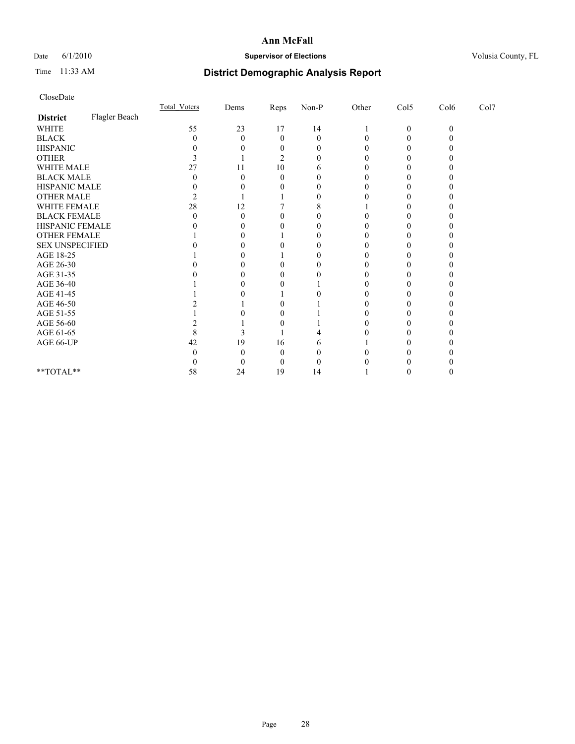## Date 6/1/2010 **Supervisor of Elections Supervisor of Elections** Volusia County, FL

# Time 11:33 AM **District Demographic Analysis Report**

| CloseDate                                                   |               |                     |              |              |          |       |                  |          |      |  |
|-------------------------------------------------------------|---------------|---------------------|--------------|--------------|----------|-------|------------------|----------|------|--|
|                                                             |               | <b>Total Voters</b> | Dems         | Reps         | $Non-P$  | Other | Col5             | Col6     | Col7 |  |
| <b>District</b>                                             | Flagler Beach |                     |              |              |          |       |                  |          |      |  |
| <b>WHITE</b>                                                |               | 55                  | 23           | 17           | 14       |       | $\boldsymbol{0}$ | $\theta$ |      |  |
| <b>BLACK</b>                                                |               | $\overline{0}$      | $\theta$     | $\mathbf{0}$ | $\theta$ |       | 0                | 0        |      |  |
| <b>HISPANIC</b>                                             |               | 0                   |              | $\theta$     |          |       |                  |          |      |  |
| <b>OTHER</b>                                                |               |                     |              | 2            |          |       |                  |          |      |  |
| WHITE MALE                                                  |               | 27                  | 11           | 10           |          |       |                  |          |      |  |
| <b>BLACK MALE</b>                                           |               | 0                   | 0            | 0            |          |       |                  |          |      |  |
| HISPANIC MALE                                               |               | 0                   |              |              |          |       |                  |          |      |  |
| <b>OTHER MALE</b>                                           |               | 2                   |              |              |          |       |                  |          |      |  |
| WHITE FEMALE                                                |               | 28                  | 12           |              |          |       |                  |          |      |  |
| <b>BLACK FEMALE</b>                                         |               | 0                   | 0            |              |          |       |                  |          |      |  |
| HISPANIC FEMALE                                             |               |                     |              |              |          |       |                  |          |      |  |
| OTHER FEMALE                                                |               |                     |              |              |          |       |                  |          |      |  |
| <b>SEX UNSPECIFIED</b>                                      |               |                     | $\mathbf{0}$ |              |          |       |                  |          |      |  |
| AGE 18-25                                                   |               |                     |              |              |          |       |                  |          |      |  |
| AGE 26-30                                                   |               |                     | $\mathbf{0}$ |              |          |       |                  |          |      |  |
| AGE 31-35                                                   |               |                     |              |              |          |       |                  |          |      |  |
| AGE 36-40                                                   |               |                     |              |              |          |       |                  |          |      |  |
| AGE 41-45                                                   |               |                     |              |              |          |       |                  |          |      |  |
| AGE 46-50                                                   |               |                     |              |              |          |       |                  |          |      |  |
| AGE 51-55                                                   |               |                     |              | $\mathbf{0}$ |          |       |                  |          |      |  |
| AGE 56-60                                                   |               |                     |              |              |          |       |                  |          |      |  |
| AGE 61-65                                                   |               | 8                   | 3            |              |          |       |                  |          |      |  |
| AGE 66-UP                                                   |               | 42                  | 19           | 16           |          |       |                  |          |      |  |
|                                                             |               |                     | 0            | 0            |          |       |                  |          |      |  |
|                                                             |               |                     | $\theta$     | 0            |          |       |                  |          |      |  |
| $\mathrm{*}\mathrm{*} \mathrm{TOTAL} \mathrm{*} \mathrm{*}$ |               | 58                  | 24           | 19           | 14       |       |                  |          |      |  |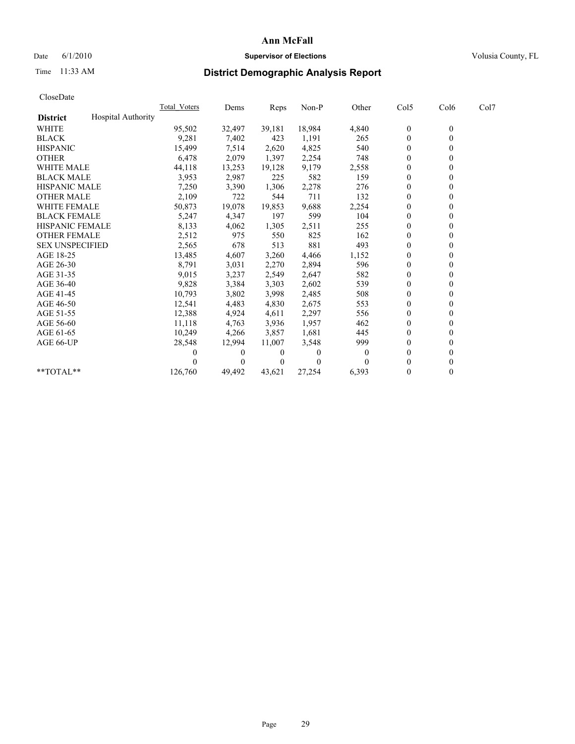## Date 6/1/2010 **Supervisor of Elections Supervisor of Elections** Volusia County, FL

# Time 11:33 AM **District Demographic Analysis Report**

| CloseDate              |                    |                     |          |        |        |          |                  |                  |      |
|------------------------|--------------------|---------------------|----------|--------|--------|----------|------------------|------------------|------|
|                        |                    | <b>Total Voters</b> | Dems     | Reps   | Non-P  | Other    | Col5             | Col6             | Col7 |
| <b>District</b>        | Hospital Authority |                     |          |        |        |          |                  |                  |      |
| <b>WHITE</b>           |                    | 95,502              | 32,497   | 39,181 | 18,984 | 4,840    | $\boldsymbol{0}$ | $\boldsymbol{0}$ |      |
| <b>BLACK</b>           |                    | 9,281               | 7,402    | 423    | 1,191  | 265      | $\boldsymbol{0}$ | $\mathbf{0}$     |      |
| <b>HISPANIC</b>        |                    | 15,499              | 7,514    | 2,620  | 4,825  | 540      | 0                | $\theta$         |      |
| <b>OTHER</b>           |                    | 6,478               | 2,079    | 1,397  | 2,254  | 748      | $\mathbf{0}$     | $\theta$         |      |
| <b>WHITE MALE</b>      |                    | 44,118              | 13,253   | 19,128 | 9,179  | 2,558    | 0                | $\theta$         |      |
| <b>BLACK MALE</b>      |                    | 3,953               | 2,987    | 225    | 582    | 159      | 0                | $\theta$         |      |
| <b>HISPANIC MALE</b>   |                    | 7,250               | 3,390    | 1,306  | 2,278  | 276      | $\boldsymbol{0}$ | $\mathbf{0}$     |      |
| <b>OTHER MALE</b>      |                    | 2,109               | 722      | 544    | 711    | 132      | $\overline{0}$   | $\overline{0}$   |      |
| <b>WHITE FEMALE</b>    |                    | 50,873              | 19,078   | 19,853 | 9,688  | 2,254    | $\mathbf{0}$     | $\mathbf{0}$     |      |
| <b>BLACK FEMALE</b>    |                    | 5,247               | 4,347    | 197    | 599    | 104      | 0                | $\theta$         |      |
| <b>HISPANIC FEMALE</b> |                    | 8,133               | 4,062    | 1,305  | 2,511  | 255      | $\mathbf{0}$     | $\mathbf{0}$     |      |
| <b>OTHER FEMALE</b>    |                    | 2,512               | 975      | 550    | 825    | 162      | 0                | $\theta$         |      |
| <b>SEX UNSPECIFIED</b> |                    | 2,565               | 678      | 513    | 881    | 493      | $\boldsymbol{0}$ | $\theta$         |      |
| AGE 18-25              |                    | 13,485              | 4,607    | 3,260  | 4,466  | 1,152    | $\overline{0}$   | $\theta$         |      |
| AGE 26-30              |                    | 8,791               | 3,031    | 2,270  | 2,894  | 596      | $\mathbf{0}$     | $\mathbf{0}$     |      |
| AGE 31-35              |                    | 9,015               | 3,237    | 2,549  | 2,647  | 582      | $\boldsymbol{0}$ | $\mathbf{0}$     |      |
| AGE 36-40              |                    | 9,828               | 3,384    | 3,303  | 2,602  | 539      | 0                | $\theta$         |      |
| AGE 41-45              |                    | 10,793              | 3,802    | 3,998  | 2,485  | 508      | $\overline{0}$   | $\theta$         |      |
| AGE 46-50              |                    | 12,541              | 4,483    | 4,830  | 2,675  | 553      | $\boldsymbol{0}$ | $\theta$         |      |
| AGE 51-55              |                    | 12,388              | 4,924    | 4,611  | 2,297  | 556      | 0                | $\theta$         |      |
| AGE 56-60              |                    | 11,118              | 4,763    | 3,936  | 1,957  | 462      | 0                | $\theta$         |      |
| AGE 61-65              |                    | 10,249              | 4,266    | 3,857  | 1,681  | 445      | $\overline{0}$   | $\mathbf{0}$     |      |
| AGE 66-UP              |                    | 28,548              | 12,994   | 11,007 | 3,548  | 999      | $\boldsymbol{0}$ | $\theta$         |      |
|                        |                    |                     | $\theta$ | 0      | 0      | $\theta$ | 0                | $\theta$         |      |
|                        |                    |                     | $\theta$ | 0      | 0      |          | $\boldsymbol{0}$ | $\theta$         |      |
| $*$ TOTAL $*$          |                    | 126,760             | 49,492   | 43,621 | 27,254 | 6,393    | $\boldsymbol{0}$ | $\mathbf{0}$     |      |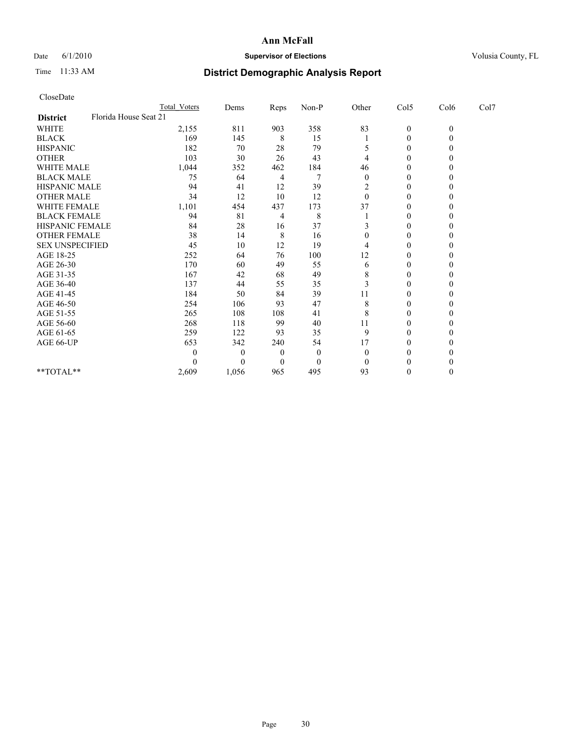## Date 6/1/2010 **Supervisor of Elections Supervisor of Elections** Volusia County, FL

# Time 11:33 AM **District Demographic Analysis Report**

| CloseDate                                |                     |                |      |              |                |                  |              |      |  |
|------------------------------------------|---------------------|----------------|------|--------------|----------------|------------------|--------------|------|--|
|                                          | <b>Total Voters</b> | Dems           | Reps | Non-P        | Other          | Col5             | Col6         | Col7 |  |
| Florida House Seat 21<br><b>District</b> |                     |                |      |              |                |                  |              |      |  |
| <b>WHITE</b>                             | 2,155               | 811            | 903  | 358          | 83             | $\boldsymbol{0}$ | $\mathbf{0}$ |      |  |
| <b>BLACK</b>                             | 169                 | 145            | 8    | 15           |                | 0                | $\mathbf{0}$ |      |  |
| <b>HISPANIC</b>                          | 182                 | 70             | 28   | 79           | 5              | $\boldsymbol{0}$ | $\theta$     |      |  |
| <b>OTHER</b>                             | 103                 | 30             | 26   | 43           | 4              | $\boldsymbol{0}$ | $\theta$     |      |  |
| <b>WHITE MALE</b>                        | 1,044               | 352            | 462  | 184          | 46             | $\boldsymbol{0}$ | $\theta$     |      |  |
| <b>BLACK MALE</b>                        | 75                  | 64             | 4    | 7            | $\overline{0}$ | $\mathbf{0}$     | 0            |      |  |
| <b>HISPANIC MALE</b>                     | 94                  | 41             | 12   | 39           | $\overline{c}$ | 0                | $\theta$     |      |  |
| <b>OTHER MALE</b>                        | 34                  | 12             | 10   | 12           | $\theta$       | $\mathbf{0}$     | $\theta$     |      |  |
| <b>WHITE FEMALE</b>                      | 1,101               | 454            | 437  | 173          | 37             | $\boldsymbol{0}$ | $\Omega$     |      |  |
| <b>BLACK FEMALE</b>                      | 94                  | 81             | 4    | 8            |                | $\boldsymbol{0}$ | 0            |      |  |
| HISPANIC FEMALE                          | 84                  | 28             | 16   | 37           | 3              | $\boldsymbol{0}$ | $\theta$     |      |  |
| <b>OTHER FEMALE</b>                      | 38                  | 14             | 8    | 16           | $\mathbf{0}$   | $\boldsymbol{0}$ | $\theta$     |      |  |
| <b>SEX UNSPECIFIED</b>                   | 45                  | 10             | 12   | 19           | 4              | 0                | 0            |      |  |
| AGE 18-25                                | 252                 | 64             | 76   | 100          | 12             | $\boldsymbol{0}$ | $\theta$     |      |  |
| AGE 26-30                                | 170                 | 60             | 49   | 55           | 6              | $\boldsymbol{0}$ | $\theta$     |      |  |
| AGE 31-35                                | 167                 | 42             | 68   | 49           | 8              | $\boldsymbol{0}$ | $\Omega$     |      |  |
| AGE 36-40                                | 137                 | 44             | 55   | 35           | 3              | $\theta$         | 0            |      |  |
| AGE 41-45                                | 184                 | 50             | 84   | 39           | 11             | $\boldsymbol{0}$ | $\theta$     |      |  |
| AGE 46-50                                | 254                 | 106            | 93   | 47           | 8              | $\boldsymbol{0}$ | $\theta$     |      |  |
| AGE 51-55                                | 265                 | 108            | 108  | 41           | 8              | $\boldsymbol{0}$ | $\Omega$     |      |  |
| AGE 56-60                                | 268                 | 118            | 99   | 40           | 11             | $\boldsymbol{0}$ | $\Omega$     |      |  |
| AGE 61-65                                | 259                 | 122            | 93   | 35           | 9              | $\boldsymbol{0}$ | $\theta$     |      |  |
| AGE 66-UP                                | 653                 | 342            | 240  | 54           | 17             | $\boldsymbol{0}$ | 0            |      |  |
|                                          | 0                   | $\overline{0}$ | 0    | $\theta$     | $\theta$       | $\boldsymbol{0}$ | $\theta$     |      |  |
|                                          | 0                   | $\Omega$       | 0    | $\mathbf{0}$ | $\Omega$       | $\theta$         | 0            |      |  |
| **TOTAL**                                | 2,609               | 1,056          | 965  | 495          | 93             | $\boldsymbol{0}$ | $\theta$     |      |  |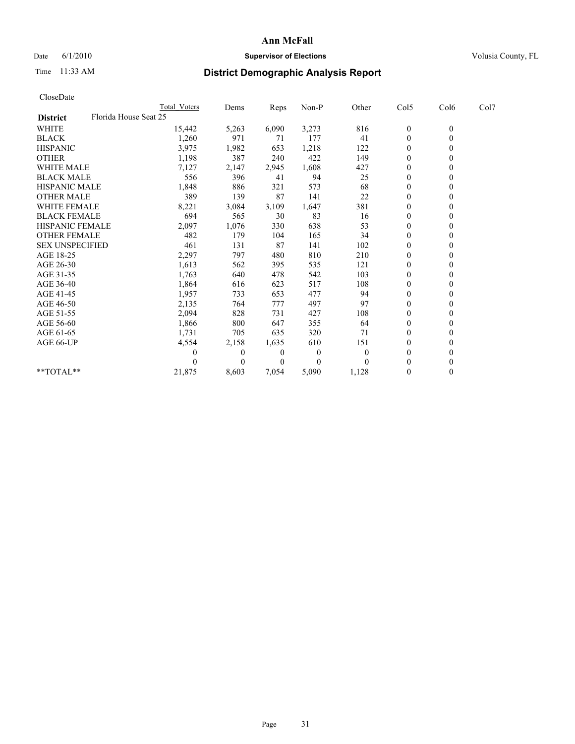## Date 6/1/2010 **Supervisor of Elections Supervisor of Elections** Volusia County, FL

# Time 11:33 AM **District Demographic Analysis Report**

|                                          | Total Voters | Dems           | <b>Reps</b> | Non-P        | Other    | Col5           | Col6         | Col7 |
|------------------------------------------|--------------|----------------|-------------|--------------|----------|----------------|--------------|------|
| Florida House Seat 25<br><b>District</b> |              |                |             |              |          |                |              |      |
| <b>WHITE</b>                             | 15,442       | 5,263          | 6,090       | 3,273        | 816      | $\mathbf{0}$   | $\mathbf{0}$ |      |
| <b>BLACK</b>                             | 1,260        | 971            | 71          | 177          | 41       | $\mathbf{0}$   |              |      |
| <b>HISPANIC</b>                          | 3,975        | 1,982          | 653         | 1,218        | 122      | $\theta$       |              |      |
| <b>OTHER</b>                             | 1,198        | 387            | 240         | 422          | 149      | $\Omega$       |              |      |
| WHITE MALE                               | 7,127        | 2,147          | 2,945       | 1,608        | 427      | $\overline{0}$ |              |      |
| <b>BLACK MALE</b>                        | 556          | 396            | 41          | 94           | 25       | $\theta$       |              |      |
| <b>HISPANIC MALE</b>                     | 1,848        | 886            | 321         | 573          | 68       | $\theta$       |              |      |
| <b>OTHER MALE</b>                        | 389          | 139            | 87          | 141          | 22       | $\Omega$       |              |      |
| WHITE FEMALE                             | 8,221        | 3,084          | 3,109       | 1,647        | 381      | $\theta$       |              |      |
| <b>BLACK FEMALE</b>                      | 694          | 565            | 30          | 83           | 16       | $\overline{0}$ |              |      |
| HISPANIC FEMALE                          | 2,097        | 1,076          | 330         | 638          | 53       | $\overline{0}$ |              |      |
| <b>OTHER FEMALE</b>                      | 482          | 179            | 104         | 165          | 34       | $\Omega$       |              |      |
| <b>SEX UNSPECIFIED</b>                   | 461          | 131            | 87          | 141          | 102      | $\theta$       |              |      |
| AGE 18-25                                | 2,297        | 797            | 480         | 810          | 210      | $\Omega$       |              |      |
| AGE 26-30                                | 1,613        | 562            | 395         | 535          | 121      | $\theta$       |              |      |
| AGE 31-35                                | 1,763        | 640            | 478         | 542          | 103      | $\overline{0}$ |              |      |
| AGE 36-40                                | 1,864        | 616            | 623         | 517          | 108      | $\overline{0}$ |              |      |
| AGE 41-45                                | 1,957        | 733            | 653         | 477          | 94       | $\theta$       |              |      |
| AGE 46-50                                | 2,135        | 764            | 777         | 497          | 97       | $\theta$       |              |      |
| AGE 51-55                                | 2,094        | 828            | 731         | 427          | 108      | 0              |              |      |
| AGE 56-60                                | 1,866        | 800            | 647         | 355          | 64       | $\theta$       |              |      |
| AGE 61-65                                | 1,731        | 705            | 635         | 320          | 71       | $\Omega$       |              |      |
| AGE 66-UP                                | 4,554        | 2,158          | 1,635       | 610          | 151      | $\Omega$       |              |      |
|                                          | $\left($     | $\overline{0}$ | 0           | $\mathbf{0}$ | $\theta$ | $\theta$       |              |      |
|                                          |              | $\Omega$       | $\theta$    | $\theta$     |          | 0              |              |      |
| $*$ $TOTAI.**$                           | 21,875       | 8,603          | 7,054       | 5,090        | 1,128    | $\theta$       |              |      |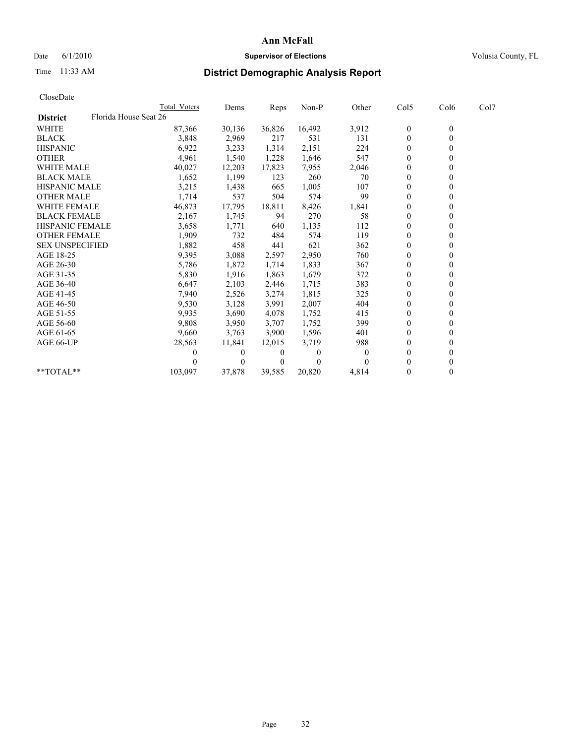## Date 6/1/2010 **Supervisor of Elections Supervisor of Elections** Volusia County, FL

# Time 11:33 AM **District Demographic Analysis Report**

|                                          | <b>Total Voters</b> | Dems     | <b>Reps</b>    | Non-P    | Other    | Col5             | Col6         | Col7 |
|------------------------------------------|---------------------|----------|----------------|----------|----------|------------------|--------------|------|
| Florida House Seat 26<br><b>District</b> |                     |          |                |          |          |                  |              |      |
| <b>WHITE</b>                             | 87,366              | 30,136   | 36,826         | 16,492   | 3,912    | $\boldsymbol{0}$ | $\mathbf{0}$ |      |
| <b>BLACK</b>                             | 3,848               | 2,969    | 217            | 531      | 131      | $\overline{0}$   |              |      |
| <b>HISPANIC</b>                          | 6,922               | 3,233    | 1,314          | 2,151    | 224      | $\theta$         |              |      |
| <b>OTHER</b>                             | 4,961               | 1,540    | 1,228          | 1,646    | 547      | $\theta$         |              |      |
| <b>WHITE MALE</b>                        | 40,027              | 12,203   | 17,823         | 7,955    | 2,046    | 0                |              |      |
| <b>BLACK MALE</b>                        | 1,652               | 1,199    | 123            | 260      | 70       | $\theta$         |              |      |
| <b>HISPANIC MALE</b>                     | 3,215               | 1,438    | 665            | 1,005    | 107      | $\overline{0}$   |              |      |
| <b>OTHER MALE</b>                        | 1,714               | 537      | 504            | 574      | 99       | $\Omega$         |              |      |
| <b>WHITE FEMALE</b>                      | 46,873              | 17,795   | 18,811         | 8,426    | 1,841    | $\theta$         |              |      |
| <b>BLACK FEMALE</b>                      | 2,167               | 1,745    | 94             | 270      | 58       | $\theta$         |              |      |
| HISPANIC FEMALE                          | 3,658               | 1,771    | 640            | 1,135    | 112      | $\Omega$         |              |      |
| <b>OTHER FEMALE</b>                      | 1,909               | 732      | 484            | 574      | 119      | $\theta$         |              |      |
| <b>SEX UNSPECIFIED</b>                   | 1,882               | 458      | 441            | 621      | 362      | $\overline{0}$   |              |      |
| AGE 18-25                                | 9,395               | 3,088    | 2,597          | 2,950    | 760      | 0                |              |      |
| AGE 26-30                                | 5,786               | 1,872    | 1,714          | 1,833    | 367      | $\Omega$         |              |      |
| AGE 31-35                                | 5,830               | 1,916    | 1,863          | 1,679    | 372      | $\overline{0}$   |              |      |
| AGE 36-40                                | 6,647               | 2,103    | 2,446          | 1,715    | 383      | $\overline{0}$   |              |      |
| AGE 41-45                                | 7,940               | 2,526    | 3,274          | 1,815    | 325      | $\theta$         |              |      |
| AGE 46-50                                | 9,530               | 3,128    | 3,991          | 2,007    | 404      | $\overline{0}$   |              |      |
| AGE 51-55                                | 9,935               | 3,690    | 4,078          | 1,752    | 415      | $\theta$         |              |      |
| AGE 56-60                                | 9,808               | 3,950    | 3,707          | 1,752    | 399      | $\theta$         |              |      |
| AGE 61-65                                | 9,660               | 3,763    | 3,900          | 1,596    | 401      | $\overline{0}$   |              |      |
| AGE 66-UP                                | 28,563              | 11,841   | 12,015         | 3,719    | 988      | 0                |              |      |
|                                          | $\mathcal{L}$       | $\theta$ | 0              | $\Omega$ | $\theta$ | $\theta$         |              |      |
|                                          |                     | $\Omega$ | $\overline{0}$ | $\theta$ |          | 0                |              |      |
| **TOTAL**                                | 103,097             | 37,878   | 39,585         | 20,820   | 4,814    | $\mathbf{0}$     | 0            |      |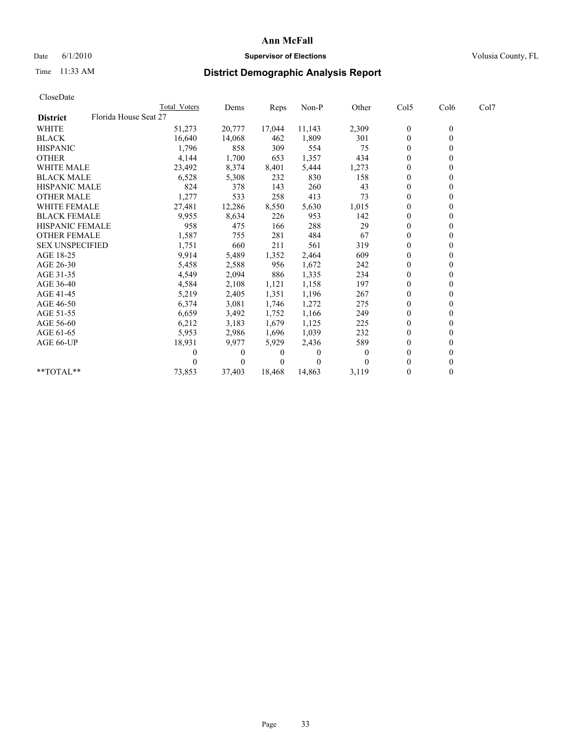## Date 6/1/2010 **Supervisor of Elections Supervisor of Elections** Volusia County, FL

# Time 11:33 AM **District Demographic Analysis Report**

| CloseDate              |                       |              |          |        |          |          |                  |                  |      |  |
|------------------------|-----------------------|--------------|----------|--------|----------|----------|------------------|------------------|------|--|
|                        |                       | Total Voters | Dems     | Reps   | Non-P    | Other    | Col5             | Col6             | Col7 |  |
| <b>District</b>        | Florida House Seat 27 |              |          |        |          |          |                  |                  |      |  |
| <b>WHITE</b>           |                       | 51,273       | 20,777   | 17,044 | 11,143   | 2,309    | $\boldsymbol{0}$ | $\boldsymbol{0}$ |      |  |
| <b>BLACK</b>           |                       | 16,640       | 14,068   | 462    | 1,809    | 301      | $\boldsymbol{0}$ | $\mathbf{0}$     |      |  |
| <b>HISPANIC</b>        |                       | 1,796        | 858      | 309    | 554      | 75       | $\overline{0}$   | $\theta$         |      |  |
| <b>OTHER</b>           |                       | 4,144        | 1,700    | 653    | 1,357    | 434      | $\overline{0}$   | $\theta$         |      |  |
| <b>WHITE MALE</b>      |                       | 23,492       | 8,374    | 8,401  | 5,444    | 1,273    | 0                | $\mathbf{0}$     |      |  |
| <b>BLACK MALE</b>      |                       | 6,528        | 5,308    | 232    | 830      | 158      | 0                | $\theta$         |      |  |
| <b>HISPANIC MALE</b>   |                       | 824          | 378      | 143    | 260      | 43       | $\boldsymbol{0}$ | $\theta$         |      |  |
| <b>OTHER MALE</b>      |                       | 1,277        | 533      | 258    | 413      | 73       | $\overline{0}$   | $\mathbf{0}$     |      |  |
| <b>WHITE FEMALE</b>    |                       | 27,481       | 12,286   | 8,550  | 5,630    | 1,015    | $\boldsymbol{0}$ | $\theta$         |      |  |
| <b>BLACK FEMALE</b>    |                       | 9,955        | 8,634    | 226    | 953      | 142      | $\boldsymbol{0}$ | $\Omega$         |      |  |
| <b>HISPANIC FEMALE</b> |                       | 958          | 475      | 166    | 288      | 29       | $\overline{0}$   | $\theta$         |      |  |
| <b>OTHER FEMALE</b>    |                       | 1,587        | 755      | 281    | 484      | 67       | 0                | $\mathbf{0}$     |      |  |
| <b>SEX UNSPECIFIED</b> |                       | 1,751        | 660      | 211    | 561      | 319      | $\boldsymbol{0}$ | $\Omega$         |      |  |
| AGE 18-25              |                       | 9,914        | 5,489    | 1,352  | 2,464    | 609      | $\overline{0}$   | $\Omega$         |      |  |
| AGE 26-30              |                       | 5,458        | 2,588    | 956    | 1,672    | 242      | $\boldsymbol{0}$ | $\mathbf{0}$     |      |  |
| AGE 31-35              |                       | 4,549        | 2,094    | 886    | 1,335    | 234      | $\mathbf{0}$     | $\theta$         |      |  |
| AGE 36-40              |                       | 4,584        | 2,108    | 1,121  | 1,158    | 197      | 0                | $\Omega$         |      |  |
| AGE 41-45              |                       | 5,219        | 2,405    | 1,351  | 1,196    | 267      | $\boldsymbol{0}$ | $\Omega$         |      |  |
| AGE 46-50              |                       | 6,374        | 3,081    | 1,746  | 1,272    | 275      | $\boldsymbol{0}$ | 0                |      |  |
| AGE 51-55              |                       | 6,659        | 3,492    | 1,752  | 1,166    | 249      | 0                | $\Omega$         |      |  |
| AGE 56-60              |                       | 6,212        | 3,183    | 1,679  | 1,125    | 225      | 0                | $\Omega$         |      |  |
| AGE 61-65              |                       | 5,953        | 2,986    | 1,696  | 1,039    | 232      | $\boldsymbol{0}$ | $\theta$         |      |  |
| AGE 66-UP              |                       | 18,931       | 9.977    | 5,929  | 2,436    | 589      | $\boldsymbol{0}$ | $\mathbf{0}$     |      |  |
|                        |                       | 0            | $\Omega$ | 0      | $\theta$ | $\theta$ | $\boldsymbol{0}$ | $\theta$         |      |  |
|                        |                       | 0            | $\theta$ | 0      | 0        |          | $\boldsymbol{0}$ | $\mathbf{0}$     |      |  |
| $*$ $TOTAI.**$         |                       | 73,853       | 37,403   | 18,468 | 14,863   | 3,119    | $\boldsymbol{0}$ | $\mathbf{0}$     |      |  |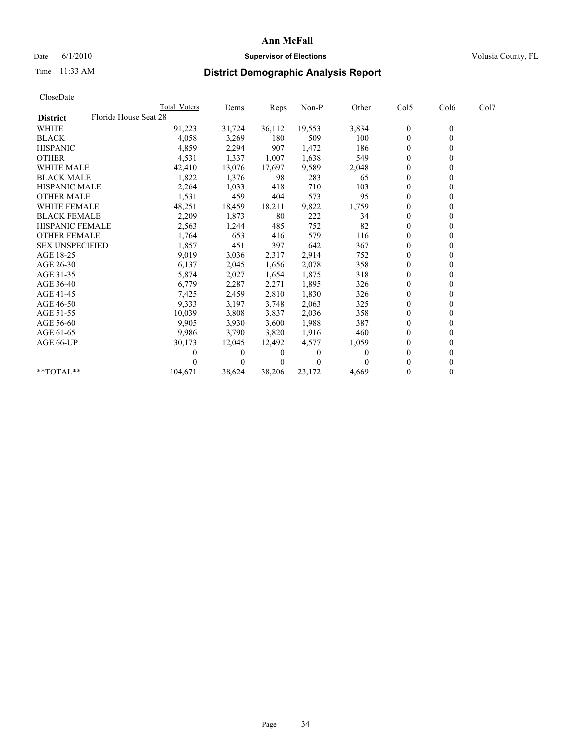## Date 6/1/2010 **Supervisor of Elections Supervisor of Elections** Volusia County, FL

# Time 11:33 AM **District Demographic Analysis Report**

|                        | <b>Total Voters</b>   | Dems     | <b>Reps</b>    | Non-P    | Other    | Col5             | Col6         | Col7 |  |
|------------------------|-----------------------|----------|----------------|----------|----------|------------------|--------------|------|--|
| <b>District</b>        | Florida House Seat 28 |          |                |          |          |                  |              |      |  |
| <b>WHITE</b>           | 91,223                | 31,724   | 36,112         | 19,553   | 3,834    | $\boldsymbol{0}$ | $\mathbf{0}$ |      |  |
| <b>BLACK</b>           | 4,058                 | 3,269    | 180            | 509      | 100      | $\overline{0}$   |              |      |  |
| <b>HISPANIC</b>        | 4,859                 | 2,294    | 907            | 1,472    | 186      | $\theta$         |              |      |  |
| <b>OTHER</b>           | 4,531                 | 1,337    | 1,007          | 1,638    | 549      | $\theta$         |              |      |  |
| <b>WHITE MALE</b>      | 42,410                | 13,076   | 17,697         | 9,589    | 2,048    | 0                |              |      |  |
| <b>BLACK MALE</b>      | 1,822                 | 1,376    | 98             | 283      | 65       | $\theta$         |              |      |  |
| <b>HISPANIC MALE</b>   | 2,264                 | 1,033    | 418            | 710      | 103      | $\overline{0}$   |              |      |  |
| <b>OTHER MALE</b>      | 1,531                 | 459      | 404            | 573      | 95       | $\overline{0}$   |              |      |  |
| <b>WHITE FEMALE</b>    | 48,251                | 18,459   | 18,211         | 9,822    | 1,759    | $\theta$         |              |      |  |
| <b>BLACK FEMALE</b>    | 2,209                 | 1,873    | 80             | 222      | 34       | $\theta$         |              |      |  |
| HISPANIC FEMALE        | 2,563                 | 1,244    | 485            | 752      | 82       | $\Omega$         |              |      |  |
| <b>OTHER FEMALE</b>    | 1,764                 | 653      | 416            | 579      | 116      | $\theta$         |              |      |  |
| <b>SEX UNSPECIFIED</b> | 1,857                 | 451      | 397            | 642      | 367      | $\overline{0}$   |              |      |  |
| AGE 18-25              | 9,019                 | 3,036    | 2,317          | 2,914    | 752      | 0                |              |      |  |
| AGE 26-30              | 6,137                 | 2,045    | 1,656          | 2,078    | 358      | $\Omega$         |              |      |  |
| AGE 31-35              | 5,874                 | 2,027    | 1,654          | 1,875    | 318      | $\overline{0}$   |              |      |  |
| AGE 36-40              | 6,779                 | 2,287    | 2,271          | 1,895    | 326      | 0                |              |      |  |
| AGE 41-45              | 7,425                 | 2,459    | 2,810          | 1,830    | 326      | $\theta$         |              |      |  |
| AGE 46-50              | 9,333                 | 3,197    | 3,748          | 2,063    | 325      | $\theta$         |              |      |  |
| AGE 51-55              | 10,039                | 3,808    | 3,837          | 2,036    | 358      | $\Omega$         |              |      |  |
| AGE 56-60              | 9,905                 | 3,930    | 3,600          | 1,988    | 387      | $\theta$         |              |      |  |
| AGE 61-65              | 9,986                 | 3,790    | 3,820          | 1,916    | 460      | $\overline{0}$   |              |      |  |
| AGE 66-UP              | 30,173                | 12,045   | 12,492         | 4,577    | 1,059    | $\overline{0}$   |              |      |  |
|                        | 0                     | $\Omega$ | $\overline{0}$ | $\Omega$ | $\theta$ | $\Omega$         |              |      |  |
|                        |                       | $\Omega$ | $\Omega$       | $\theta$ |          | $\Omega$         |              |      |  |
| **TOTAL**              | 104,671               | 38,624   | 38,206         | 23,172   | 4,669    | $\mathbf{0}$     | 0            |      |  |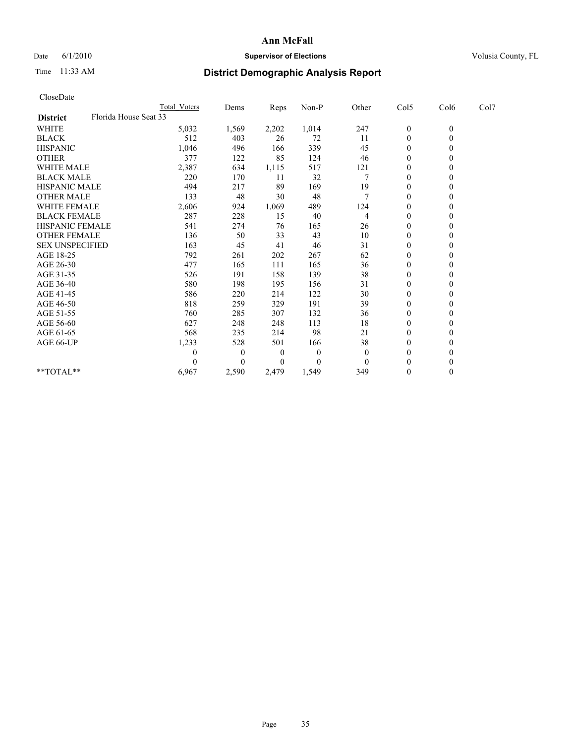## Date 6/1/2010 **Supervisor of Elections Supervisor of Elections** Volusia County, FL

# Time 11:33 AM **District Demographic Analysis Report**

| CloseDate              |                       |                     |                  |       |          |          |                  |              |      |
|------------------------|-----------------------|---------------------|------------------|-------|----------|----------|------------------|--------------|------|
|                        |                       | <b>Total Voters</b> | Dems             | Reps  | Non-P    | Other    | Col5             | Col6         | Col7 |
| <b>District</b>        | Florida House Seat 33 |                     |                  |       |          |          |                  |              |      |
| <b>WHITE</b>           |                       | 5,032               | 1,569            | 2,202 | 1,014    | 247      | $\boldsymbol{0}$ | $\mathbf{0}$ |      |
| <b>BLACK</b>           |                       | 512                 | 403              | 26    | 72       | 11       | $\boldsymbol{0}$ | $\mathbf{0}$ |      |
| <b>HISPANIC</b>        |                       | 1,046               | 496              | 166   | 339      | 45       | $\boldsymbol{0}$ | $\Omega$     |      |
| <b>OTHER</b>           |                       | 377                 | 122              | 85    | 124      | 46       | $\mathbf{0}$     | $\mathbf{0}$ |      |
| <b>WHITE MALE</b>      |                       | 2,387               | 634              | 1,115 | 517      | 121      | 0                | $\Omega$     |      |
| <b>BLACK MALE</b>      |                       | 220                 | 170              | 11    | 32       |          | $\overline{0}$   | $\theta$     |      |
| <b>HISPANIC MALE</b>   |                       | 494                 | 217              | 89    | 169      | 19       | 0                | $\Omega$     |      |
| <b>OTHER MALE</b>      |                       | 133                 | 48               | 30    | 48       |          | $\boldsymbol{0}$ | $\Omega$     |      |
| WHITE FEMALE           |                       | 2,606               | 924              | 1,069 | 489      | 124      | $\boldsymbol{0}$ | $\mathbf{0}$ |      |
| <b>BLACK FEMALE</b>    |                       | 287                 | 228              | 15    | 40       | 4        | 0                | $\Omega$     |      |
| <b>HISPANIC FEMALE</b> |                       | 541                 | 274              | 76    | 165      | 26       | $\mathbf{0}$     | $\mathbf{0}$ |      |
| <b>OTHER FEMALE</b>    |                       | 136                 | 50               | 33    | 43       | 10       | $\boldsymbol{0}$ | $\Omega$     |      |
| <b>SEX UNSPECIFIED</b> |                       | 163                 | 45               | 41    | 46       | 31       | 0                | $\Omega$     |      |
| AGE 18-25              |                       | 792                 | 261              | 202   | 267      | 62       | $\overline{0}$   | $\Omega$     |      |
| AGE 26-30              |                       | 477                 | 165              | 111   | 165      | 36       | $\boldsymbol{0}$ | $\Omega$     |      |
| AGE 31-35              |                       | 526                 | 191              | 158   | 139      | 38       | $\boldsymbol{0}$ | $\mathbf{0}$ |      |
| AGE 36-40              |                       | 580                 | 198              | 195   | 156      | 31       | $\boldsymbol{0}$ | $\Omega$     |      |
| AGE 41-45              |                       | 586                 | 220              | 214   | 122      | 30       | 0                | $\Omega$     |      |
| AGE 46-50              |                       | 818                 | 259              | 329   | 191      | 39       | $\boldsymbol{0}$ | $\Omega$     |      |
| AGE 51-55              |                       | 760                 | 285              | 307   | 132      | 36       | 0                | $\Omega$     |      |
| AGE 56-60              |                       | 627                 | 248              | 248   | 113      | 18       | $\overline{0}$   | $\Omega$     |      |
| AGE 61-65              |                       | 568                 | 235              | 214   | 98       | 21       | $\boldsymbol{0}$ | $\Omega$     |      |
| AGE 66-UP              |                       | 1,233               | 528              | 501   | 166      | 38       | 0                | $\theta$     |      |
|                        |                       | 0                   | $\boldsymbol{0}$ | 0     | $\theta$ | $\theta$ | $\mathbf{0}$     | $\Omega$     |      |
|                        |                       | 0                   | $\theta$         | 0     | $\theta$ | $\theta$ | $\boldsymbol{0}$ | $\theta$     |      |
| $**TOTAL**$            |                       | 6,967               | 2,590            | 2,479 | 1,549    | 349      | $\boldsymbol{0}$ | $\mathbf{0}$ |      |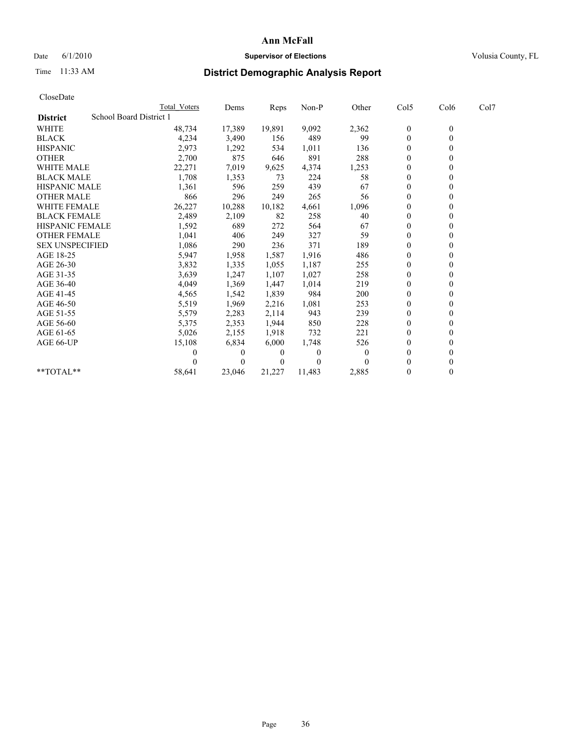## Date 6/1/2010 **Supervisor of Elections Supervisor of Elections** Volusia County, FL

# Time 11:33 AM **District Demographic Analysis Report**

| <b>Total Voters</b>     | Dems           | Reps   | Non-P    | Other    | Col <sub>5</sub> | Col <sub>6</sub> | Col7 |
|-------------------------|----------------|--------|----------|----------|------------------|------------------|------|
| School Board District 1 |                |        |          |          |                  |                  |      |
| 48,734                  | 17,389         | 19,891 | 9,092    | 2,362    | $\boldsymbol{0}$ | $\boldsymbol{0}$ |      |
| 4,234                   | 3,490          | 156    | 489      | 99       | 0                | $\mathbf{0}$     |      |
| 2,973                   | 1,292          | 534    | 1,011    | 136      | 0                | $\theta$         |      |
| 2,700                   | 875            | 646    | 891      | 288      | $\boldsymbol{0}$ | $\Omega$         |      |
| 22,271                  | 7,019          | 9,625  | 4,374    | 1,253    | $\boldsymbol{0}$ | $\mathbf{0}$     |      |
| 1,708                   | 1,353          | 73     | 224      | 58       | 0                | $\theta$         |      |
| 1,361                   | 596            | 259    | 439      | 67       | 0                | $\Omega$         |      |
| 866                     | 296            | 249    | 265      | 56       | 0                | $\mathbf{0}$     |      |
| 26,227                  | 10,288         | 10,182 | 4,661    | 1,096    | $\boldsymbol{0}$ | $\mathbf{0}$     |      |
| 2,489                   | 2,109          | 82     | 258      | 40       | 0                | $\mathbf{0}$     |      |
| 1,592                   | 689            | 272    | 564      | 67       | 0                | $\Omega$         |      |
| 1,041                   | 406            | 249    | 327      | 59       | $\boldsymbol{0}$ | $\mathbf{0}$     |      |
| 1,086                   | 290            | 236    | 371      | 189      | 0                | $\theta$         |      |
| 5,947                   | 1,958          | 1,587  | 1,916    | 486      | $\overline{0}$   | $\Omega$         |      |
| 3,832                   | 1,335          | 1,055  | 1,187    | 255      | $\overline{0}$   | $\mathbf{0}$     |      |
| 3,639                   | 1,247          | 1,107  | 1,027    | 258      | 0                | $\mathbf{0}$     |      |
| 4,049                   | 1,369          | 1,447  | 1,014    | 219      | 0                | $\Omega$         |      |
| 4,565                   | 1,542          | 1,839  | 984      | 200      | 0                | $\mathbf{0}$     |      |
| 5,519                   | 1,969          | 2,216  | 1,081    | 253      | $\boldsymbol{0}$ | $\mathbf{0}$     |      |
| 5,579                   | 2,283          | 2,114  | 943      | 239      | $\overline{0}$   | $\mathbf{0}$     |      |
| 5,375                   | 2,353          | 1,944  | 850      | 228      | 0                | $\theta$         |      |
| 5,026                   | 2,155          | 1,918  | 732      | 221      | $\boldsymbol{0}$ | $\mathbf{0}$     |      |
| 15,108                  | 6,834          | 6,000  | 1,748    | 526      | 0                | $\theta$         |      |
| 0                       | $\overline{0}$ | $_{0}$ | $\theta$ | $\theta$ | $\overline{0}$   | $\mathbf{0}$     |      |
|                         | $\Omega$       | 0      | 0        |          | $\boldsymbol{0}$ | $\theta$         |      |
| 58,641                  | 23,046         | 21,227 | 11,483   | 2,885    | $\boldsymbol{0}$ | $\theta$         |      |
|                         |                |        |          |          |                  |                  |      |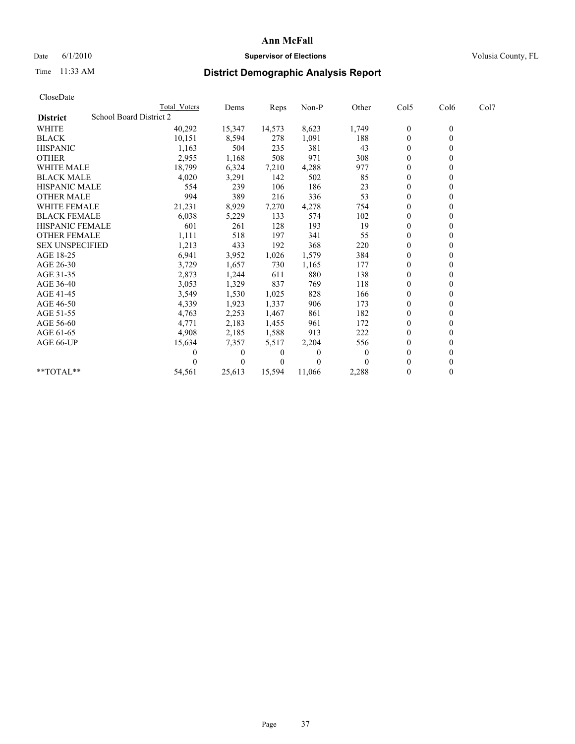# Date 6/1/2010 **Supervisor of Elections Supervisor of Elections** Volusia County, FL

# Time 11:33 AM **District Demographic Analysis Report**

| CloseDate              |                                |                     |          |          |         |          |                  |                  |      |  |
|------------------------|--------------------------------|---------------------|----------|----------|---------|----------|------------------|------------------|------|--|
|                        |                                | <b>Total Voters</b> | Dems     | Reps     | $Non-P$ | Other    | Col5             | Col6             | Col7 |  |
| <b>District</b>        | <b>School Board District 2</b> |                     |          |          |         |          |                  |                  |      |  |
| <b>WHITE</b>           |                                | 40,292              | 15,347   | 14,573   | 8,623   | 1,749    | $\boldsymbol{0}$ | $\boldsymbol{0}$ |      |  |
| <b>BLACK</b>           |                                | 10,151              | 8,594    | 278      | 1,091   | 188      | $\boldsymbol{0}$ | $\mathbf{0}$     |      |  |
| <b>HISPANIC</b>        |                                | 1,163               | 504      | 235      | 381     | 43       | $\mathbf{0}$     | $\Omega$         |      |  |
| <b>OTHER</b>           |                                | 2,955               | 1,168    | 508      | 971     | 308      | $\mathbf{0}$     | $\theta$         |      |  |
| <b>WHITE MALE</b>      |                                | 18,799              | 6,324    | 7,210    | 4,288   | 977      | $\mathbf{0}$     | $\mathbf{0}$     |      |  |
| <b>BLACK MALE</b>      |                                | 4,020               | 3,291    | 142      | 502     | 85       | $\mathbf{0}$     | $\mathbf{0}$     |      |  |
| <b>HISPANIC MALE</b>   |                                | 554                 | 239      | 106      | 186     | 23       | $\boldsymbol{0}$ | $\Omega$         |      |  |
| <b>OTHER MALE</b>      |                                | 994                 | 389      | 216      | 336     | 53       | $\boldsymbol{0}$ | $\theta$         |      |  |
| <b>WHITE FEMALE</b>    |                                | 21,231              | 8,929    | 7,270    | 4,278   | 754      | $\boldsymbol{0}$ | $\theta$         |      |  |
| <b>BLACK FEMALE</b>    |                                | 6,038               | 5,229    | 133      | 574     | 102      | $\theta$         | $\theta$         |      |  |
| <b>HISPANIC FEMALE</b> |                                | 601                 | 261      | 128      | 193     | 19       | $\mathbf{0}$     | $\theta$         |      |  |
| <b>OTHER FEMALE</b>    |                                | 1,111               | 518      | 197      | 341     | 55       | $\boldsymbol{0}$ | $\mathbf{0}$     |      |  |
| <b>SEX UNSPECIFIED</b> |                                | 1,213               | 433      | 192      | 368     | 220      | $\mathbf{0}$     | $\mathbf{0}$     |      |  |
| AGE 18-25              |                                | 6,941               | 3,952    | 1,026    | 1,579   | 384      | $\boldsymbol{0}$ | $\mathbf{0}$     |      |  |
| AGE 26-30              |                                | 3,729               | 1,657    | 730      | 1,165   | 177      | $\boldsymbol{0}$ | $\mathbf{0}$     |      |  |
| AGE 31-35              |                                | 2,873               | 1,244    | 611      | 880     | 138      | $\boldsymbol{0}$ | $\theta$         |      |  |
| AGE 36-40              |                                | 3,053               | 1,329    | 837      | 769     | 118      | $\boldsymbol{0}$ | $\Omega$         |      |  |
| AGE 41-45              |                                | 3,549               | 1,530    | 1,025    | 828     | 166      | $\mathbf{0}$     | $\theta$         |      |  |
| AGE 46-50              |                                | 4,339               | 1,923    | 1,337    | 906     | 173      | $\boldsymbol{0}$ | $\mathbf{0}$     |      |  |
| AGE 51-55              |                                | 4,763               | 2,253    | 1,467    | 861     | 182      | $\boldsymbol{0}$ | $\mathbf{0}$     |      |  |
| AGE 56-60              |                                | 4,771               | 2,183    | 1,455    | 961     | 172      | $\boldsymbol{0}$ | $\Omega$         |      |  |
| AGE 61-65              |                                | 4,908               | 2,185    | 1,588    | 913     | 222      | $\mathbf{0}$     | $\mathbf{0}$     |      |  |
| AGE 66-UP              |                                | 15,634              | 7,357    | 5,517    | 2,204   | 556      | $\boldsymbol{0}$ | $\theta$         |      |  |
|                        |                                |                     | 0        | 0        | 0       | $\theta$ | $\mathbf{0}$     | $\mathbf{0}$     |      |  |
|                        |                                |                     | $\theta$ | $\theta$ | 0       |          | $\mathbf{0}$     | $\mathbf{0}$     |      |  |
| **TOTAL**              |                                | 54,561              | 25,613   | 15,594   | 11,066  | 2,288    | $\theta$         | $\mathbf{0}$     |      |  |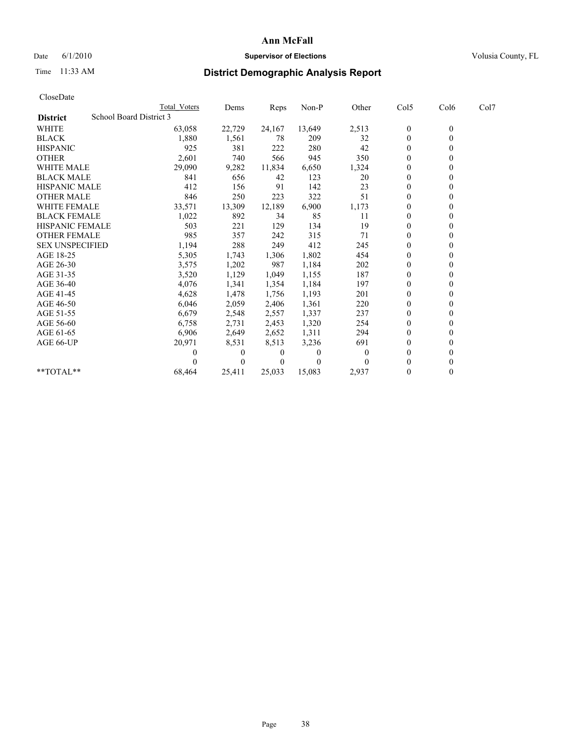# Date 6/1/2010 **Supervisor of Elections Supervisor of Elections** Volusia County, FL

# Time 11:33 AM **District Demographic Analysis Report**

|                        | <b>Total Voters</b>     | Dems     | Reps     | Non-P    | Other    | Col5         | Col6         | Col7 |  |
|------------------------|-------------------------|----------|----------|----------|----------|--------------|--------------|------|--|
| <b>District</b>        | School Board District 3 |          |          |          |          |              |              |      |  |
| <b>WHITE</b>           | 63,058                  | 22,729   | 24,167   | 13,649   | 2,513    | $\bf{0}$     | $\mathbf{0}$ |      |  |
| <b>BLACK</b>           | 1,880                   | 1,561    | 78       | 209      | 32       | $\theta$     |              |      |  |
| <b>HISPANIC</b>        | 925                     | 381      | 222      | 280      | 42       | $\Omega$     |              |      |  |
| <b>OTHER</b>           | 2,601                   | 740      | 566      | 945      | 350      | $\theta$     |              |      |  |
| <b>WHITE MALE</b>      | 29,090                  | 9,282    | 11,834   | 6,650    | 1,324    | 0            |              |      |  |
| <b>BLACK MALE</b>      | 841                     | 656      | 42       | 123      | 20       | $\theta$     |              |      |  |
| <b>HISPANIC MALE</b>   | 412                     | 156      | 91       | 142      | 23       | $\theta$     |              |      |  |
| <b>OTHER MALE</b>      | 846                     | 250      | 223      | 322      | 51       | $\theta$     |              |      |  |
| <b>WHITE FEMALE</b>    | 33,571                  | 13,309   | 12,189   | 6,900    | 1,173    | $\theta$     |              |      |  |
| <b>BLACK FEMALE</b>    | 1,022                   | 892      | 34       | 85       | 11       | $\theta$     |              |      |  |
| HISPANIC FEMALE        | 503                     | 221      | 129      | 134      | 19       | $\theta$     |              |      |  |
| <b>OTHER FEMALE</b>    | 985                     | 357      | 242      | 315      | 71       | $\theta$     |              |      |  |
| <b>SEX UNSPECIFIED</b> | 1,194                   | 288      | 249      | 412      | 245      | $\theta$     |              |      |  |
| AGE 18-25              | 5,305                   | 1,743    | 1,306    | 1,802    | 454      | $\theta$     |              |      |  |
| AGE 26-30              | 3,575                   | 1,202    | 987      | 1,184    | 202      | $\theta$     |              |      |  |
| AGE 31-35              | 3,520                   | 1,129    | 1,049    | 1,155    | 187      | $\theta$     |              |      |  |
| AGE 36-40              | 4,076                   | 1,341    | 1,354    | 1,184    | 197      | $\Omega$     |              |      |  |
| AGE 41-45              | 4,628                   | 1,478    | 1,756    | 1,193    | 201      | $\theta$     |              |      |  |
| AGE 46-50              | 6,046                   | 2,059    | 2,406    | 1,361    | 220      | $\theta$     |              |      |  |
| AGE 51-55              | 6,679                   | 2,548    | 2,557    | 1,337    | 237      | $\theta$     |              |      |  |
| AGE 56-60              | 6,758                   | 2,731    | 2,453    | 1,320    | 254      | $\theta$     |              |      |  |
| AGE 61-65              | 6,906                   | 2,649    | 2,652    | 1,311    | 294      | $\theta$     |              |      |  |
| AGE 66-UP              | 20,971                  | 8,531    | 8,513    | 3,236    | 691      | $\theta$     |              |      |  |
|                        |                         | $\theta$ | $\theta$ | $\theta$ | $\Omega$ | $\theta$     |              |      |  |
|                        |                         | $\theta$ | $\theta$ | $\Omega$ |          | $\theta$     |              |      |  |
| **TOTAL**              | 68,464                  | 25,411   | 25,033   | 15,083   | 2,937    | $\mathbf{0}$ | $\theta$     |      |  |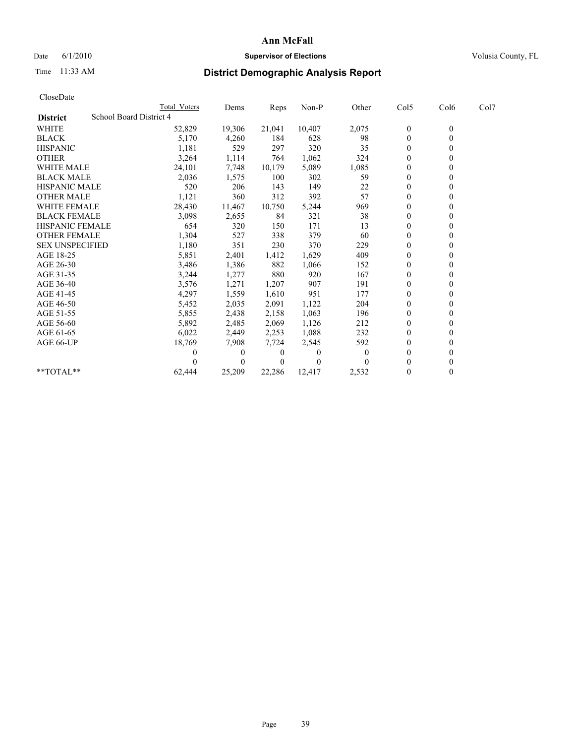# Date 6/1/2010 **Supervisor of Elections Supervisor of Elections** Volusia County, FL

# Time 11:33 AM **District Demographic Analysis Report**

| CloseDate              |                                |              |                |        |          |          |                  |                  |      |  |
|------------------------|--------------------------------|--------------|----------------|--------|----------|----------|------------------|------------------|------|--|
|                        |                                | Total Voters | Dems           | Reps   | $Non-P$  | Other    | Col5             | Col6             | Col7 |  |
| <b>District</b>        | <b>School Board District 4</b> |              |                |        |          |          |                  |                  |      |  |
| <b>WHITE</b>           |                                | 52,829       | 19,306         | 21,041 | 10,407   | 2,075    | $\boldsymbol{0}$ | $\boldsymbol{0}$ |      |  |
| <b>BLACK</b>           |                                | 5,170        | 4,260          | 184    | 628      | 98       | $\boldsymbol{0}$ | $\mathbf{0}$     |      |  |
| <b>HISPANIC</b>        |                                | 1,181        | 529            | 297    | 320      | 35       | $\overline{0}$   | $\theta$         |      |  |
| <b>OTHER</b>           |                                | 3,264        | 1,114          | 764    | 1,062    | 324      | $\overline{0}$   | $\theta$         |      |  |
| <b>WHITE MALE</b>      |                                | 24,101       | 7,748          | 10.179 | 5,089    | 1,085    | 0                | $\mathbf{0}$     |      |  |
| <b>BLACK MALE</b>      |                                | 2,036        | 1,575          | 100    | 302      | 59       | $\overline{0}$   | $\Omega$         |      |  |
| <b>HISPANIC MALE</b>   |                                | 520          | 206            | 143    | 149      | 22       | $\boldsymbol{0}$ | $\Omega$         |      |  |
| <b>OTHER MALE</b>      |                                | 1,121        | 360            | 312    | 392      | 57       | $\boldsymbol{0}$ | $\mathbf{0}$     |      |  |
| <b>WHITE FEMALE</b>    |                                | 28,430       | 11,467         | 10,750 | 5,244    | 969      | $\boldsymbol{0}$ | $\theta$         |      |  |
| <b>BLACK FEMALE</b>    |                                | 3,098        | 2,655          | 84     | 321      | 38       | $\boldsymbol{0}$ | $\theta$         |      |  |
| <b>HISPANIC FEMALE</b> |                                | 654          | 320            | 150    | 171      | 13       | $\boldsymbol{0}$ | $\Omega$         |      |  |
| <b>OTHER FEMALE</b>    |                                | 1,304        | 527            | 338    | 379      | 60       | 0                | 0                |      |  |
| <b>SEX UNSPECIFIED</b> |                                | 1,180        | 351            | 230    | 370      | 229      | $\overline{0}$   | $\Omega$         |      |  |
| AGE 18-25              |                                | 5,851        | 2,401          | 1,412  | 1,629    | 409      | $\boldsymbol{0}$ | $\Omega$         |      |  |
| AGE 26-30              |                                | 3,486        | 1,386          | 882    | 1,066    | 152      | $\boldsymbol{0}$ | $\mathbf{0}$     |      |  |
| AGE 31-35              |                                | 3,244        | 1,277          | 880    | 920      | 167      | $\boldsymbol{0}$ | $\theta$         |      |  |
| AGE 36-40              |                                | 3,576        | 1,271          | 1,207  | 907      | 191      | $\boldsymbol{0}$ | $\Omega$         |      |  |
| AGE 41-45              |                                | 4,297        | 1,559          | 1,610  | 951      | 177      | $\overline{0}$   | $\theta$         |      |  |
| AGE 46-50              |                                | 5,452        | 2,035          | 2,091  | 1,122    | 204      | 0                | $\theta$         |      |  |
| AGE 51-55              |                                | 5,855        | 2,438          | 2,158  | 1,063    | 196      | $\boldsymbol{0}$ | $\mathbf{0}$     |      |  |
| AGE 56-60              |                                | 5,892        | 2,485          | 2,069  | 1,126    | 212      | 0                | $\Omega$         |      |  |
| AGE 61-65              |                                | 6,022        | 2,449          | 2,253  | 1,088    | 232      | $\mathbf{0}$     | $\mathbf{0}$     |      |  |
| AGE 66-UP              |                                | 18,769       | 7,908          | 7,724  | 2,545    | 592      | $\boldsymbol{0}$ | $\theta$         |      |  |
|                        |                                | 0            | $\overline{0}$ | 0      | $\theta$ | $\Omega$ | $\boldsymbol{0}$ | $\Omega$         |      |  |
|                        |                                |              | $\theta$       | 0      | 0        |          | $\theta$         | $\Omega$         |      |  |
| **TOTAL**              |                                | 62,444       | 25,209         | 22,286 | 12,417   | 2,532    | $\boldsymbol{0}$ | $\mathbf{0}$     |      |  |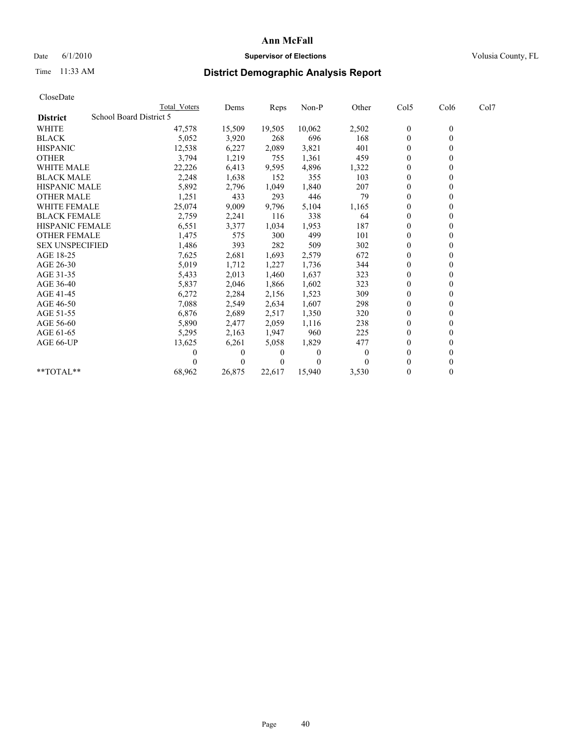# Date 6/1/2010 **Supervisor of Elections Supervisor of Elections** Volusia County, FL

# Time 11:33 AM **District Demographic Analysis Report**

| CloseDate              |                         |              |                |        |          |          |                  |                  |      |  |
|------------------------|-------------------------|--------------|----------------|--------|----------|----------|------------------|------------------|------|--|
|                        |                         | Total Voters | Dems           | Reps   | $Non-P$  | Other    | Col5             | Col6             | Col7 |  |
| <b>District</b>        | School Board District 5 |              |                |        |          |          |                  |                  |      |  |
| <b>WHITE</b>           |                         | 47,578       | 15,509         | 19,505 | 10,062   | 2,502    | $\boldsymbol{0}$ | $\boldsymbol{0}$ |      |  |
| <b>BLACK</b>           |                         | 5,052        | 3,920          | 268    | 696      | 168      | $\boldsymbol{0}$ | $\mathbf{0}$     |      |  |
| <b>HISPANIC</b>        |                         | 12,538       | 6,227          | 2,089  | 3,821    | 401      | $\overline{0}$   | $\Omega$         |      |  |
| <b>OTHER</b>           |                         | 3,794        | 1,219          | 755    | 1,361    | 459      | $\overline{0}$   | $\theta$         |      |  |
| <b>WHITE MALE</b>      |                         | 22,226       | 6,413          | 9.595  | 4.896    | 1,322    | $\boldsymbol{0}$ | $\mathbf{0}$     |      |  |
| <b>BLACK MALE</b>      |                         | 2,248        | 1,638          | 152    | 355      | 103      | $\overline{0}$   | $\mathbf{0}$     |      |  |
| <b>HISPANIC MALE</b>   |                         | 5,892        | 2,796          | 1,049  | 1,840    | 207      | $\boldsymbol{0}$ | $\Omega$         |      |  |
| <b>OTHER MALE</b>      |                         | 1,251        | 433            | 293    | 446      | 79       | $\boldsymbol{0}$ | $\mathbf{0}$     |      |  |
| <b>WHITE FEMALE</b>    |                         | 25,074       | 9,009          | 9,796  | 5,104    | 1,165    | $\boldsymbol{0}$ | $\theta$         |      |  |
| <b>BLACK FEMALE</b>    |                         | 2,759        | 2,241          | 116    | 338      | 64       | $\boldsymbol{0}$ | $\theta$         |      |  |
| <b>HISPANIC FEMALE</b> |                         | 6,551        | 3,377          | 1,034  | 1,953    | 187      | $\overline{0}$   | $\theta$         |      |  |
| <b>OTHER FEMALE</b>    |                         | 1,475        | 575            | 300    | 499      | 101      | 0                | $\mathbf{0}$     |      |  |
| <b>SEX UNSPECIFIED</b> |                         | 1,486        | 393            | 282    | 509      | 302      | $\overline{0}$   | $\Omega$         |      |  |
| AGE 18-25              |                         | 7,625        | 2,681          | 1,693  | 2,579    | 672      | $\boldsymbol{0}$ | $\mathbf{0}$     |      |  |
| AGE 26-30              |                         | 5,019        | 1,712          | 1,227  | 1,736    | 344      | $\boldsymbol{0}$ | $\mathbf{0}$     |      |  |
| AGE 31-35              |                         | 5,433        | 2,013          | 1,460  | 1,637    | 323      | $\boldsymbol{0}$ | $\theta$         |      |  |
| AGE 36-40              |                         | 5,837        | 2,046          | 1,866  | 1,602    | 323      | $\boldsymbol{0}$ | $\Omega$         |      |  |
| AGE 41-45              |                         | 6,272        | 2,284          | 2,156  | 1,523    | 309      | $\overline{0}$   | $\theta$         |      |  |
| AGE 46-50              |                         | 7,088        | 2,549          | 2,634  | 1,607    | 298      | 0                | 0                |      |  |
| AGE 51-55              |                         | 6,876        | 2,689          | 2,517  | 1,350    | 320      | $\boldsymbol{0}$ | $\mathbf{0}$     |      |  |
| AGE 56-60              |                         | 5,890        | 2,477          | 2,059  | 1,116    | 238      | 0                | $\Omega$         |      |  |
| AGE 61-65              |                         | 5,295        | 2,163          | 1,947  | 960      | 225      | $\mathbf{0}$     | $\mathbf{0}$     |      |  |
| AGE 66-UP              |                         | 13,625       | 6,261          | 5,058  | 1,829    | 477      | $\boldsymbol{0}$ | $\theta$         |      |  |
|                        |                         | 0            | $\overline{0}$ | 0      | $\theta$ | $\theta$ | $\boldsymbol{0}$ | $\mathbf{0}$     |      |  |
|                        |                         |              | $\Omega$       | 0      | 0        |          | $\mathbf{0}$     | $\mathbf{0}$     |      |  |
| **TOTAL**              |                         | 68,962       | 26,875         | 22,617 | 15,940   | 3,530    | $\boldsymbol{0}$ | $\mathbf{0}$     |      |  |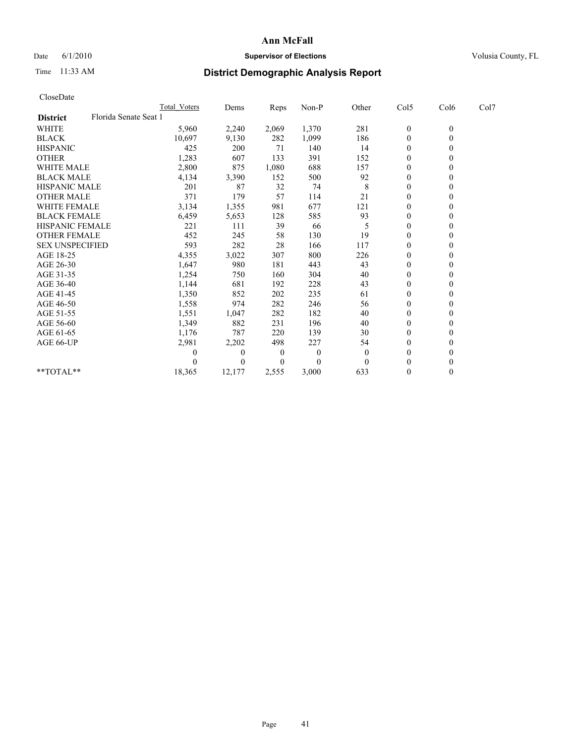## Date 6/1/2010 **Supervisor of Elections Supervisor of Elections** Volusia County, FL

# Time 11:33 AM **District Demographic Analysis Report**

| CloseDate              |                       |              |          |          |          |                |                  |                |      |
|------------------------|-----------------------|--------------|----------|----------|----------|----------------|------------------|----------------|------|
|                        |                       | Total Voters | Dems     | Reps     | Non-P    | Other          | Col5             | Col6           | Col7 |
| <b>District</b>        | Florida Senate Seat 1 |              |          |          |          |                |                  |                |      |
| WHITE                  |                       | 5,960        | 2,240    | 2,069    | 1,370    | 281            | $\boldsymbol{0}$ | $\mathbf{0}$   |      |
| <b>BLACK</b>           |                       | 10,697       | 9,130    | 282      | 1,099    | 186            | $\boldsymbol{0}$ | $\overline{0}$ |      |
| <b>HISPANIC</b>        |                       | 425          | 200      | 71       | 140      | 14             | $\overline{0}$   | $\mathbf{0}$   |      |
| <b>OTHER</b>           |                       | 1,283        | 607      | 133      | 391      | 152            | $\mathbf{0}$     | $\mathbf{0}$   |      |
| <b>WHITE MALE</b>      |                       | 2,800        | 875      | 1,080    | 688      | 157            | $\boldsymbol{0}$ | $\theta$       |      |
| <b>BLACK MALE</b>      |                       | 4,134        | 3,390    | 152      | 500      | 92             | $\overline{0}$   | $\theta$       |      |
| <b>HISPANIC MALE</b>   |                       | 201          | 87       | 32       | 74       | 8              | 0                | $\theta$       |      |
| <b>OTHER MALE</b>      |                       | 371          | 179      | 57       | 114      | 21             | $\mathbf{0}$     | $\mathbf{0}$   |      |
| <b>WHITE FEMALE</b>    |                       | 3,134        | 1,355    | 981      | 677      | 121            | $\boldsymbol{0}$ | $\theta$       |      |
| <b>BLACK FEMALE</b>    |                       | 6,459        | 5,653    | 128      | 585      | 93             | $\boldsymbol{0}$ | $\theta$       |      |
| <b>HISPANIC FEMALE</b> |                       | 221          | 111      | 39       | 66       | 5              | 0                | $\theta$       |      |
| <b>OTHER FEMALE</b>    |                       | 452          | 245      | 58       | 130      | 19             | 0                | 0              |      |
| <b>SEX UNSPECIFIED</b> |                       | 593          | 282      | 28       | 166      | 117            | $\boldsymbol{0}$ | $\Omega$       |      |
| AGE 18-25              |                       | 4,355        | 3,022    | 307      | 800      | 226            | 0                | $\theta$       |      |
| AGE 26-30              |                       | 1,647        | 980      | 181      | 443      | 43             | $\boldsymbol{0}$ | $\Omega$       |      |
| AGE 31-35              |                       | 1,254        | 750      | 160      | 304      | 40             | $\mathbf{0}$     | $\theta$       |      |
| AGE 36-40              |                       | 1,144        | 681      | 192      | 228      | 43             | $\boldsymbol{0}$ | $\theta$       |      |
| AGE 41-45              |                       | 1,350        | 852      | 202      | 235      | 61             | 0                | $\Omega$       |      |
| AGE 46-50              |                       | 1,558        | 974      | 282      | 246      | 56             | $\boldsymbol{0}$ | $\mathbf{0}$   |      |
| AGE 51-55              |                       | 1,551        | 1,047    | 282      | 182      | 40             | $\boldsymbol{0}$ | $\Omega$       |      |
| AGE 56-60              |                       | 1,349        | 882      | 231      | 196      | 40             | $\boldsymbol{0}$ | $\theta$       |      |
| AGE 61-65              |                       | 1,176        | 787      | 220      | 139      | 30             | $\mathbf{0}$     | $\mathbf{0}$   |      |
| AGE 66-UP              |                       | 2,981        | 2,202    | 498      | 227      | 54             | $\boldsymbol{0}$ | $\mathbf{0}$   |      |
|                        |                       | $\theta$     | $\theta$ | $\theta$ | $\theta$ | $\overline{0}$ | $\boldsymbol{0}$ | $\theta$       |      |
|                        |                       | 0            | $\theta$ | 0        | $\theta$ | $\Omega$       | $\boldsymbol{0}$ | $\theta$       |      |
| $*$ TOTAL $*$          |                       | 18,365       | 12,177   | 2,555    | 3,000    | 633            | $\boldsymbol{0}$ | $\mathbf{0}$   |      |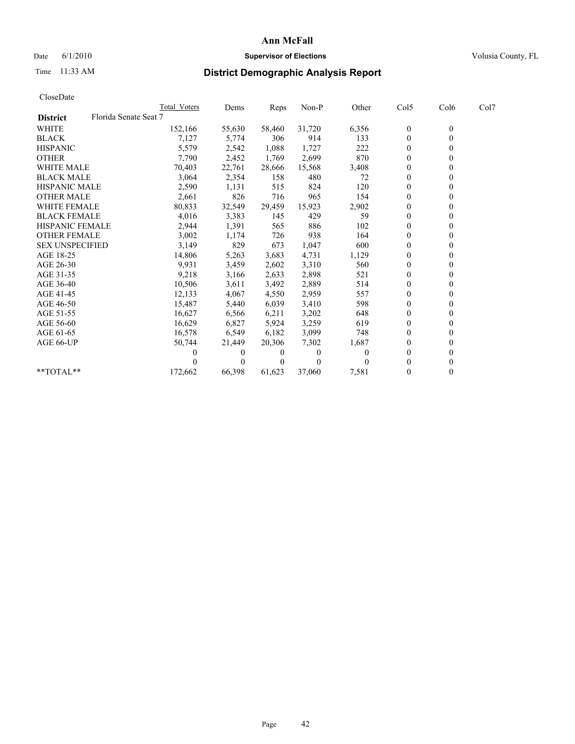## Date 6/1/2010 **Supervisor of Elections Supervisor of Elections** Volusia County, FL

# Time 11:33 AM **District Demographic Analysis Report**

| CloseDate              |                       |              |          |        |          |          |                  |                |      |
|------------------------|-----------------------|--------------|----------|--------|----------|----------|------------------|----------------|------|
|                        |                       | Total Voters | Dems     | Reps   | Non-P    | Other    | Col5             | Col6           | Col7 |
| <b>District</b>        | Florida Senate Seat 7 |              |          |        |          |          |                  |                |      |
| <b>WHITE</b>           |                       | 152,166      | 55,630   | 58,460 | 31,720   | 6,356    | 0                | $\overline{0}$ |      |
| <b>BLACK</b>           |                       | 7,127        | 5,774    | 306    | 914      | 133      | $\boldsymbol{0}$ | $\theta$       |      |
| <b>HISPANIC</b>        |                       | 5,579        | 2,542    | 1,088  | 1,727    | 222      | $\boldsymbol{0}$ | $\theta$       |      |
| <b>OTHER</b>           |                       | 7,790        | 2,452    | 1,769  | 2,699    | 870      | $\overline{0}$   | $\mathbf{0}$   |      |
| WHITE MALE             |                       | 70,403       | 22,761   | 28,666 | 15,568   | 3,408    | 0                | 0              |      |
| <b>BLACK MALE</b>      |                       | 3,064        | 2,354    | 158    | 480      | 72       | $\overline{0}$   | $\theta$       |      |
| <b>HISPANIC MALE</b>   |                       | 2,590        | 1,131    | 515    | 824      | 120      | $\boldsymbol{0}$ | $\theta$       |      |
| <b>OTHER MALE</b>      |                       | 2,661        | 826      | 716    | 965      | 154      | 0                | 0              |      |
| <b>WHITE FEMALE</b>    |                       | 80,833       | 32,549   | 29,459 | 15,923   | 2,902    | $\mathbf{0}$     | $\mathbf{0}$   |      |
| <b>BLACK FEMALE</b>    |                       | 4,016        | 3,383    | 145    | 429      | 59       | 0                | $\theta$       |      |
| <b>HISPANIC FEMALE</b> |                       | 2,944        | 1,391    | 565    | 886      | 102      | $\overline{0}$   | $\mathbf{0}$   |      |
| <b>OTHER FEMALE</b>    |                       | 3,002        | 1,174    | 726    | 938      | 164      | 0                | $\theta$       |      |
| <b>SEX UNSPECIFIED</b> |                       | 3,149        | 829      | 673    | 1,047    | 600      | $\boldsymbol{0}$ | $\Omega$       |      |
| AGE 18-25              |                       | 14,806       | 5,263    | 3,683  | 4,731    | 1,129    | $\boldsymbol{0}$ | $\theta$       |      |
| AGE 26-30              |                       | 9,931        | 3,459    | 2,602  | 3,310    | 560      | 0                | 0              |      |
| AGE 31-35              |                       | 9,218        | 3,166    | 2,633  | 2,898    | 521      | $\mathbf{0}$     | $\mathbf{0}$   |      |
| AGE 36-40              |                       | 10,506       | 3,611    | 3,492  | 2,889    | 514      | 0                | $\theta$       |      |
| AGE 41-45              |                       | 12,133       | 4,067    | 4,550  | 2,959    | 557      | $\boldsymbol{0}$ | $\Omega$       |      |
| AGE 46-50              |                       | 15,487       | 5,440    | 6,039  | 3,410    | 598      | 0                | $\theta$       |      |
| AGE 51-55              |                       | 16,627       | 6,566    | 6,211  | 3,202    | 648      | $\boldsymbol{0}$ | $\Omega$       |      |
| AGE 56-60              |                       | 16,629       | 6,827    | 5,924  | 3,259    | 619      | $\mathbf{0}$     | $\theta$       |      |
| AGE 61-65              |                       | 16,578       | 6,549    | 6,182  | 3,099    | 748      | 0                | $\theta$       |      |
| AGE 66-UP              |                       | 50,744       | 21,449   | 20,306 | 7,302    | 1,687    | $\boldsymbol{0}$ | $\theta$       |      |
|                        |                       | 0            | $\theta$ | 0      | $\theta$ | $\theta$ | 0                | $\theta$       |      |
|                        |                       |              | $\theta$ | 0      | 0        |          | $\boldsymbol{0}$ | $\theta$       |      |
| **TOTAL**              |                       | 172,662      | 66,398   | 61,623 | 37.060   | 7,581    | 0                | $\theta$       |      |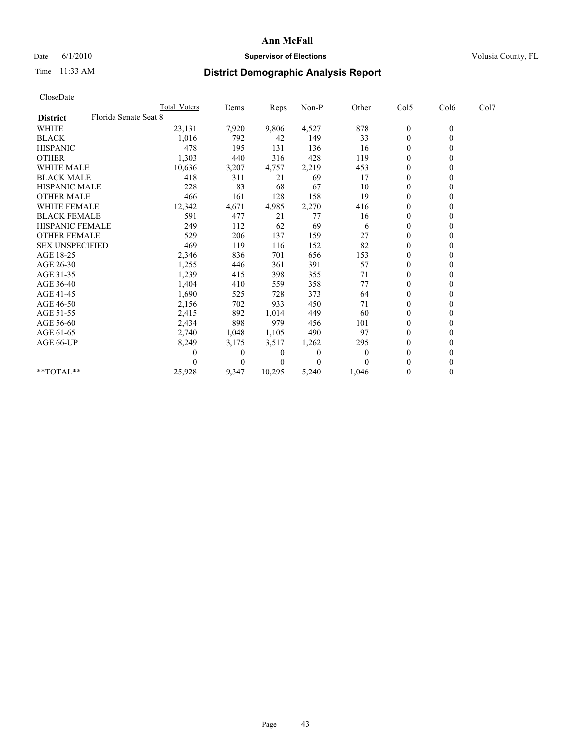# Date 6/1/2010 **Supervisor of Elections Supervisor of Elections** Volusia County, FL

# Time 11:33 AM **District Demographic Analysis Report**

|                                          | <b>Total Voters</b> | Dems     | <b>Reps</b> | Non-P    | Other    | Col5             | Col6         | Col7 |  |
|------------------------------------------|---------------------|----------|-------------|----------|----------|------------------|--------------|------|--|
| Florida Senate Seat 8<br><b>District</b> |                     |          |             |          |          |                  |              |      |  |
| <b>WHITE</b>                             | 23,131              | 7,920    | 9,806       | 4,527    | 878      | $\boldsymbol{0}$ | $\mathbf{0}$ |      |  |
| <b>BLACK</b>                             | 1,016               | 792      | 42          | 149      | 33       | $\Omega$         |              |      |  |
| <b>HISPANIC</b>                          | 478                 | 195      | 131         | 136      | 16       | $\theta$         |              |      |  |
| <b>OTHER</b>                             | 1,303               | 440      | 316         | 428      | 119      | $\Omega$         |              |      |  |
| <b>WHITE MALE</b>                        | 10,636              | 3,207    | 4,757       | 2,219    | 453      | 0                |              |      |  |
| <b>BLACK MALE</b>                        | 418                 | 311      | 21          | 69       | 17       | $\theta$         |              |      |  |
| <b>HISPANIC MALE</b>                     | 228                 | 83       | 68          | 67       | 10       | $\theta$         |              |      |  |
| <b>OTHER MALE</b>                        | 466                 | 161      | 128         | 158      | 19       | 0                |              |      |  |
| <b>WHITE FEMALE</b>                      | 12,342              | 4,671    | 4,985       | 2,270    | 416      | $\theta$         |              |      |  |
| <b>BLACK FEMALE</b>                      | 591                 | 477      | 21          | 77       | 16       | $\overline{0}$   |              |      |  |
| HISPANIC FEMALE                          | 249                 | 112      | 62          | 69       | 6        | $\mathbf{0}$     |              |      |  |
| <b>OTHER FEMALE</b>                      | 529                 | 206      | 137         | 159      | 27       | $\theta$         |              |      |  |
| <b>SEX UNSPECIFIED</b>                   | 469                 | 119      | 116         | 152      | 82       | $\overline{0}$   |              |      |  |
| AGE 18-25                                | 2,346               | 836      | 701         | 656      | 153      | $\theta$         |              |      |  |
| AGE 26-30                                | 1,255               | 446      | 361         | 391      | 57       | $\theta$         |              |      |  |
| AGE 31-35                                | 1,239               | 415      | 398         | 355      | 71       | $\overline{0}$   |              |      |  |
| AGE 36-40                                | 1,404               | 410      | 559         | 358      | 77       | 0                |              |      |  |
| AGE 41-45                                | 1,690               | 525      | 728         | 373      | 64       | $\theta$         |              |      |  |
| AGE 46-50                                | 2,156               | 702      | 933         | 450      | 71       | $\overline{0}$   |              |      |  |
| AGE 51-55                                | 2,415               | 892      | 1,014       | 449      | 60       | 0                |              |      |  |
| AGE 56-60                                | 2,434               | 898      | 979         | 456      | 101      | $\theta$         |              |      |  |
| AGE 61-65                                | 2,740               | 1,048    | 1,105       | 490      | 97       | $\theta$         |              |      |  |
| AGE 66-UP                                | 8,249               | 3,175    | 3,517       | 1,262    | 295      | 0                |              |      |  |
|                                          | 0                   | $\theta$ | 0           | $\Omega$ | $\theta$ | $\theta$         |              |      |  |
|                                          |                     | $\Omega$ | $\theta$    | $\Omega$ |          | $\Omega$         |              |      |  |
| **TOTAL**                                | 25,928              | 9,347    | 10,295      | 5,240    | 1,046    | $\mathbf{0}$     | 0            |      |  |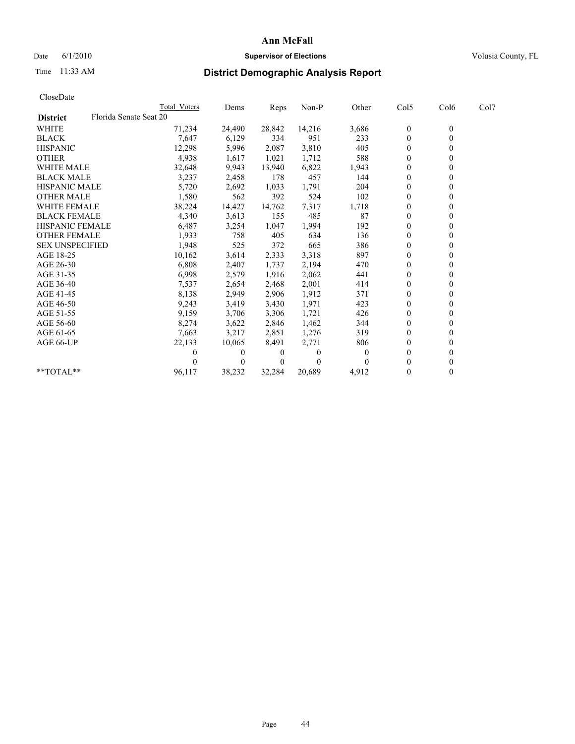# Date 6/1/2010 **Supervisor of Elections Supervisor of Elections** Volusia County, FL

# Time 11:33 AM **District Demographic Analysis Report**

|                        |                        | Total Voters | Dems     | Reps         | Non-P    | Other    | Col5           | Col <sub>6</sub> | Col7 |  |
|------------------------|------------------------|--------------|----------|--------------|----------|----------|----------------|------------------|------|--|
| <b>District</b>        | Florida Senate Seat 20 |              |          |              |          |          |                |                  |      |  |
| <b>WHITE</b>           |                        | 71,234       | 24,490   | 28,842       | 14,216   | 3,686    | $\mathbf{0}$   | $\mathbf{0}$     |      |  |
| <b>BLACK</b>           |                        | 7,647        | 6,129    | 334          | 951      | 233      | $\theta$       |                  |      |  |
| <b>HISPANIC</b>        |                        | 12,298       | 5,996    | 2,087        | 3,810    | 405      | $\theta$       |                  |      |  |
| <b>OTHER</b>           |                        | 4,938        | 1,617    | 1,021        | 1,712    | 588      | $\mathbf{0}$   |                  |      |  |
| <b>WHITE MALE</b>      |                        | 32,648       | 9,943    | 13,940       | 6,822    | 1,943    | $\theta$       |                  |      |  |
| <b>BLACK MALE</b>      |                        | 3,237        | 2,458    | 178          | 457      | 144      | $\Omega$       |                  |      |  |
| <b>HISPANIC MALE</b>   |                        | 5,720        | 2,692    | 1,033        | 1,791    | 204      | $\theta$       |                  |      |  |
| <b>OTHER MALE</b>      |                        | 1,580        | 562      | 392          | 524      | 102      | $\Omega$       |                  |      |  |
| <b>WHITE FEMALE</b>    |                        | 38,224       | 14,427   | 14,762       | 7,317    | 1,718    | $\theta$       |                  |      |  |
| <b>BLACK FEMALE</b>    |                        | 4,340        | 3,613    | 155          | 485      | 87       | $\theta$       |                  |      |  |
| HISPANIC FEMALE        |                        | 6,487        | 3,254    | 1,047        | 1,994    | 192      | $\theta$       |                  |      |  |
| <b>OTHER FEMALE</b>    |                        | 1,933        | 758      | 405          | 634      | 136      | $\Omega$       |                  |      |  |
| <b>SEX UNSPECIFIED</b> |                        | 1,948        | 525      | 372          | 665      | 386      | $\mathbf{0}$   |                  |      |  |
| AGE 18-25              |                        | 10,162       | 3,614    | 2,333        | 3,318    | 897      | $\theta$       |                  |      |  |
| AGE 26-30              |                        | 6,808        | 2,407    | 1,737        | 2,194    | 470      | $\Omega$       |                  |      |  |
| AGE 31-35              |                        | 6,998        | 2,579    | 1,916        | 2,062    | 441      | $\Omega$       |                  |      |  |
| AGE 36-40              |                        | 7,537        | 2,654    | 2,468        | 2,001    | 414      | $\Omega$       |                  |      |  |
| AGE 41-45              |                        | 8,138        | 2,949    | 2,906        | 1,912    | 371      | $\theta$       |                  |      |  |
| AGE 46-50              |                        | 9,243        | 3,419    | 3,430        | 1,971    | 423      | $\mathbf{0}$   |                  |      |  |
| AGE 51-55              |                        | 9,159        | 3,706    | 3,306        | 1,721    | 426      | $\theta$       |                  |      |  |
| AGE 56-60              |                        | 8,274        | 3,622    | 2,846        | 1,462    | 344      | $\theta$       |                  |      |  |
| AGE 61-65              |                        | 7,663        | 3,217    | 2,851        | 1,276    | 319      | $\theta$       |                  |      |  |
| AGE 66-UP              |                        | 22,133       | 10,065   | 8,491        | 2,771    | 806      | $\mathbf{0}$   |                  |      |  |
|                        |                        | 0            | $\Omega$ | $\bf{0}$     | $\theta$ | $\theta$ | $\Omega$       |                  |      |  |
|                        |                        |              | $\Omega$ | $\mathbf{0}$ | $\theta$ |          | $\Omega$       |                  |      |  |
| **TOTAL**              |                        | 96,117       | 38,232   | 32,284       | 20,689   | 4,912    | $\overline{0}$ | 0                |      |  |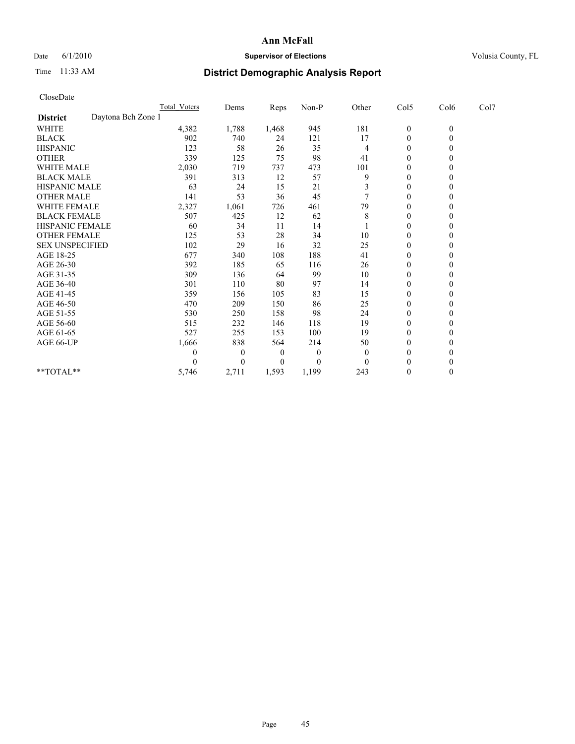## Date 6/1/2010 **Supervisor of Elections Supervisor of Elections** Volusia County, FL

# Time 11:33 AM **District Demographic Analysis Report**

| CloseDate              |                    |                     |                |       |          |          |                  |              |      |
|------------------------|--------------------|---------------------|----------------|-------|----------|----------|------------------|--------------|------|
|                        |                    | <b>Total Voters</b> | Dems           | Reps  | Non-P    | Other    | Col5             | Col6         | Col7 |
| <b>District</b>        | Daytona Bch Zone 1 |                     |                |       |          |          |                  |              |      |
| <b>WHITE</b>           |                    | 4,382               | 1,788          | 1,468 | 945      | 181      | $\boldsymbol{0}$ | $\mathbf{0}$ |      |
| <b>BLACK</b>           |                    | 902                 | 740            | 24    | 121      | 17       | $\boldsymbol{0}$ | $\mathbf{0}$ |      |
| <b>HISPANIC</b>        |                    | 123                 | 58             | 26    | 35       | 4        | $\boldsymbol{0}$ | $\Omega$     |      |
| <b>OTHER</b>           |                    | 339                 | 125            | 75    | 98       | 41       | $\mathbf{0}$     | $\mathbf{0}$ |      |
| <b>WHITE MALE</b>      |                    | 2,030               | 719            | 737   | 473      | 101      | 0                | $\theta$     |      |
| <b>BLACK MALE</b>      |                    | 391                 | 313            | 12    | 57       | 9        | $\overline{0}$   | $\mathbf{0}$ |      |
| <b>HISPANIC MALE</b>   |                    | 63                  | 24             | 15    | 21       | 3        | 0                | $\Omega$     |      |
| <b>OTHER MALE</b>      |                    | 141                 | 53             | 36    | 45       |          | $\mathbf{0}$     | $\Omega$     |      |
| WHITE FEMALE           |                    | 2,327               | 1,061          | 726   | 461      | 79       | $\boldsymbol{0}$ | $\mathbf{0}$ |      |
| <b>BLACK FEMALE</b>    |                    | 507                 | 425            | 12    | 62       | 8        | $\boldsymbol{0}$ | $\theta$     |      |
| <b>HISPANIC FEMALE</b> |                    | 60                  | 34             | 11    | 14       |          | $\mathbf{0}$     | $\mathbf{0}$ |      |
| <b>OTHER FEMALE</b>    |                    | 125                 | 53             | 28    | 34       | 10       | $\boldsymbol{0}$ | $\Omega$     |      |
| <b>SEX UNSPECIFIED</b> |                    | 102                 | 29             | 16    | 32       | 25       | $\boldsymbol{0}$ | $\Omega$     |      |
| AGE 18-25              |                    | 677                 | 340            | 108   | 188      | 41       | $\overline{0}$   | $\Omega$     |      |
| AGE 26-30              |                    | 392                 | 185            | 65    | 116      | 26       | $\boldsymbol{0}$ | $\Omega$     |      |
| AGE 31-35              |                    | 309                 | 136            | 64    | 99       | 10       | $\boldsymbol{0}$ | $\mathbf{0}$ |      |
| AGE 36-40              |                    | 301                 | 110            | 80    | 97       | 14       | $\boldsymbol{0}$ | $\Omega$     |      |
| AGE 41-45              |                    | 359                 | 156            | 105   | 83       | 15       | 0                | $\Omega$     |      |
| AGE 46-50              |                    | 470                 | 209            | 150   | 86       | 25       | $\boldsymbol{0}$ | $\Omega$     |      |
| AGE 51-55              |                    | 530                 | 250            | 158   | 98       | 24       | $\boldsymbol{0}$ | $\Omega$     |      |
| AGE 56-60              |                    | 515                 | 232            | 146   | 118      | 19       | $\overline{0}$   | $\Omega$     |      |
| AGE 61-65              |                    | 527                 | 255            | 153   | 100      | 19       | $\boldsymbol{0}$ | $\Omega$     |      |
| AGE 66-UP              |                    | 1,666               | 838            | 564   | 214      | 50       | 0                | $\theta$     |      |
|                        |                    | 0                   | $\overline{0}$ | 0     | $\theta$ | $\theta$ | $\overline{0}$   | $\Omega$     |      |
|                        |                    | 0                   | $\theta$       | 0     | $\theta$ | $\Omega$ | $\theta$         | $\theta$     |      |
| **TOTAL**              |                    | 5,746               | 2,711          | 1,593 | 1,199    | 243      | $\boldsymbol{0}$ | $\mathbf{0}$ |      |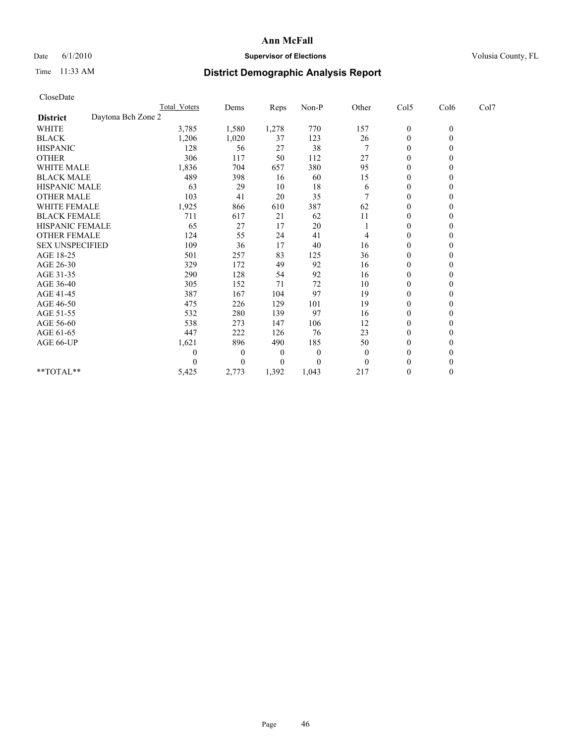## Date 6/1/2010 **Supervisor of Elections Supervisor of Elections** Volusia County, FL

# Time 11:33 AM **District Demographic Analysis Report**

| CloseDate              |                     |                |       |          |          |                  |              |      |  |
|------------------------|---------------------|----------------|-------|----------|----------|------------------|--------------|------|--|
|                        | <b>Total Voters</b> | Dems           | Reps  | Non-P    | Other    | Col5             | Col6         | Col7 |  |
| <b>District</b>        | Daytona Bch Zone 2  |                |       |          |          |                  |              |      |  |
| <b>WHITE</b>           | 3,785               | 1,580          | 1,278 | 770      | 157      | $\boldsymbol{0}$ | $\mathbf{0}$ |      |  |
| <b>BLACK</b>           | 1,206               | 1,020          | 37    | 123      | 26       | $\boldsymbol{0}$ | $\mathbf{0}$ |      |  |
| <b>HISPANIC</b>        | 128                 | 56             | 27    | 38       |          | $\boldsymbol{0}$ | $\Omega$     |      |  |
| <b>OTHER</b>           | 306                 | 117            | 50    | 112      | 27       | $\mathbf{0}$     | $\mathbf{0}$ |      |  |
| <b>WHITE MALE</b>      | 1,836               | 704            | 657   | 380      | 95       | 0                | $\theta$     |      |  |
| <b>BLACK MALE</b>      | 489                 | 398            | 16    | 60       | 15       | $\overline{0}$   | $\mathbf{0}$ |      |  |
| <b>HISPANIC MALE</b>   | 63                  | 29             | 10    | 18       | 6        | 0                | $\Omega$     |      |  |
| <b>OTHER MALE</b>      | 103                 | 41             | 20    | 35       |          | $\boldsymbol{0}$ | $\Omega$     |      |  |
| <b>WHITE FEMALE</b>    | 1,925               | 866            | 610   | 387      | 62       | $\boldsymbol{0}$ | $\mathbf{0}$ |      |  |
| <b>BLACK FEMALE</b>    | 711                 | 617            | 21    | 62       | 11       | 0                | $\theta$     |      |  |
| <b>HISPANIC FEMALE</b> | 65                  | 27             | 17    | 20       |          | $\mathbf{0}$     | $\mathbf{0}$ |      |  |
| <b>OTHER FEMALE</b>    | 124                 | 55             | 24    | 41       | 4        | $\boldsymbol{0}$ | $\Omega$     |      |  |
| <b>SEX UNSPECIFIED</b> | 109                 | 36             | 17    | 40       | 16       | $\boldsymbol{0}$ | $\Omega$     |      |  |
| AGE 18-25              | 501                 | 257            | 83    | 125      | 36       | $\overline{0}$   | $\Omega$     |      |  |
| AGE 26-30              | 329                 | 172            | 49    | 92       | 16       | $\boldsymbol{0}$ | $\Omega$     |      |  |
| AGE 31-35              | 290                 | 128            | 54    | 92       | 16       | $\boldsymbol{0}$ | $\mathbf{0}$ |      |  |
| AGE 36-40              | 305                 | 152            | 71    | 72       | 10       | $\overline{0}$   | $\Omega$     |      |  |
| AGE 41-45              | 387                 | 167            | 104   | 97       | 19       | $\boldsymbol{0}$ | $\Omega$     |      |  |
| AGE 46-50              | 475                 | 226            | 129   | 101      | 19       | $\boldsymbol{0}$ | $\Omega$     |      |  |
| AGE 51-55              | 532                 | 280            | 139   | 97       | 16       | $\boldsymbol{0}$ | $\Omega$     |      |  |
| AGE 56-60              | 538                 | 273            | 147   | 106      | 12       | $\boldsymbol{0}$ | $\Omega$     |      |  |
| AGE 61-65              | 447                 | 222            | 126   | 76       | 23       | $\boldsymbol{0}$ | $\Omega$     |      |  |
| AGE 66-UP              | 1,621               | 896            | 490   | 185      | 50       | 0                | $\theta$     |      |  |
|                        | 0                   | $\overline{0}$ | 0     | $\theta$ | $\theta$ | $\overline{0}$   | $\Omega$     |      |  |
|                        | 0                   | $\Omega$       | 0     | $\theta$ | $\Omega$ | $\theta$         | $\theta$     |      |  |
| **TOTAL**              | 5,425               | 2,773          | 1,392 | 1,043    | 217      | $\mathbf{0}$     | $\mathbf{0}$ |      |  |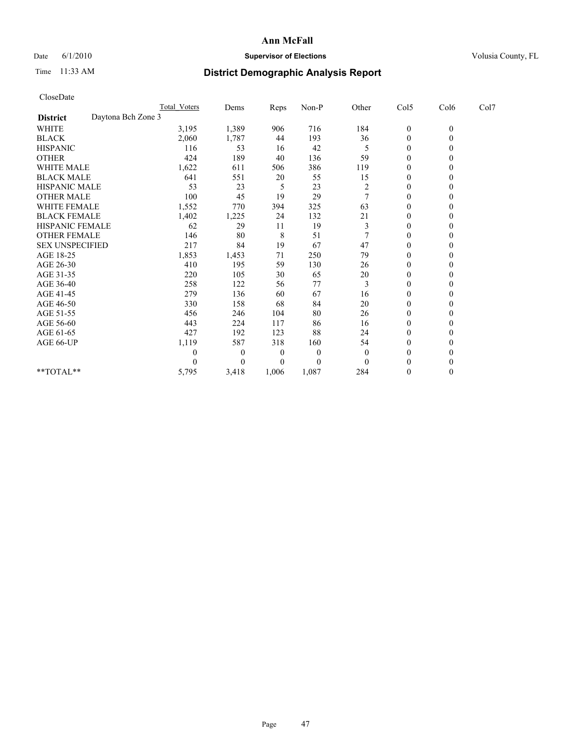## Date 6/1/2010 **Supervisor of Elections Supervisor of Elections** Volusia County, FL

# Time 11:33 AM **District Demographic Analysis Report**

| CloseDate                             |                     |          |       |          |                |                  |                  |      |
|---------------------------------------|---------------------|----------|-------|----------|----------------|------------------|------------------|------|
|                                       | <b>Total Voters</b> | Dems     | Reps  | Non-P    | Other          | Col5             | Col6             | Col7 |
| Daytona Bch Zone 3<br><b>District</b> |                     |          |       |          |                |                  |                  |      |
| <b>WHITE</b>                          | 3,195               | 1,389    | 906   | 716      | 184            | $\boldsymbol{0}$ | $\boldsymbol{0}$ |      |
| <b>BLACK</b>                          | 2,060               | 1,787    | 44    | 193      | 36             | $\boldsymbol{0}$ | $\theta$         |      |
| <b>HISPANIC</b>                       | 116                 | 53       | 16    | 42       | 5              | $\overline{0}$   | $\theta$         |      |
| <b>OTHER</b>                          | 424                 | 189      | 40    | 136      | 59             | $\mathbf{0}$     | $\theta$         |      |
| <b>WHITE MALE</b>                     | 1,622               | 611      | 506   | 386      | 119            | 0                | $\theta$         |      |
| <b>BLACK MALE</b>                     | 641                 | 551      | 20    | 55       | 15             | $\mathbf{0}$     | $\theta$         |      |
| <b>HISPANIC MALE</b>                  | 53                  | 23       | 5     | 23       | $\overline{c}$ | 0                | $\theta$         |      |
| <b>OTHER MALE</b>                     | 100                 | 45       | 19    | 29       |                | $\overline{0}$   | $\theta$         |      |
| <b>WHITE FEMALE</b>                   | 1,552               | 770      | 394   | 325      | 63             | $\mathbf{0}$     | $\theta$         |      |
| <b>BLACK FEMALE</b>                   | 1,402               | 1,225    | 24    | 132      | 21             | $\mathbf{0}$     | 0                |      |
| HISPANIC FEMALE                       | 62                  | 29       | 11    | 19       | 3              | $\mathbf{0}$     | $\theta$         |      |
| <b>OTHER FEMALE</b>                   | 146                 | 80       | 8     | 51       | 7              | 0                | $\theta$         |      |
| <b>SEX UNSPECIFIED</b>                | 217                 | 84       | 19    | 67       | 47             | $\overline{0}$   | $\theta$         |      |
| AGE 18-25                             | 1,853               | 1,453    | 71    | 250      | 79             | 0                | $\theta$         |      |
| AGE 26-30                             | 410                 | 195      | 59    | 130      | 26             | $\overline{0}$   | $\theta$         |      |
| AGE 31-35                             | 220                 | 105      | 30    | 65       | 20             | $\mathbf{0}$     | $\theta$         |      |
| AGE 36-40                             | 258                 | 122      | 56    | 77       | 3              | $\overline{0}$   | $\theta$         |      |
| AGE 41-45                             | 279                 | 136      | 60    | 67       | 16             | 0                | $\theta$         |      |
| AGE 46-50                             | 330                 | 158      | 68    | 84       | 20             | 0                | $\theta$         |      |
| AGE 51-55                             | 456                 | 246      | 104   | 80       | 26             | $\overline{0}$   | $\Omega$         |      |
| AGE 56-60                             | 443                 | 224      | 117   | 86       | 16             | $\mathbf{0}$     | $\theta$         |      |
| AGE 61-65                             | 427                 | 192      | 123   | 88       | 24             | $\overline{0}$   | $\theta$         |      |
| AGE 66-UP                             | 1,119               | 587      | 318   | 160      | 54             | $\mathbf{0}$     | $\theta$         |      |
|                                       | 0                   | $\theta$ | 0     | $\theta$ | $\overline{0}$ | $\mathbf{0}$     | 0                |      |
|                                       | 0                   | $\theta$ | 0     | $\theta$ | $\theta$       | $\theta$         | $\Omega$         |      |
| **TOTAL**                             | 5,795               | 3,418    | 1,006 | 1,087    | 284            | $\boldsymbol{0}$ | $\theta$         |      |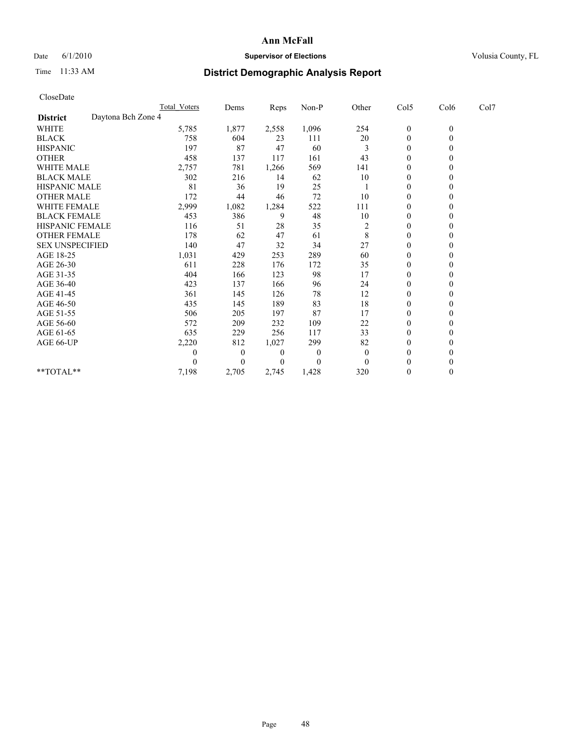## Date 6/1/2010 **Supervisor of Elections Supervisor of Elections** Volusia County, FL

# Time 11:33 AM **District Demographic Analysis Report**

| CloseDate              |                    |                     |                |       |          |                |                  |              |      |
|------------------------|--------------------|---------------------|----------------|-------|----------|----------------|------------------|--------------|------|
|                        |                    | <b>Total Voters</b> | Dems           | Reps  | Non-P    | Other          | Col5             | Col6         | Col7 |
| <b>District</b>        | Daytona Bch Zone 4 |                     |                |       |          |                |                  |              |      |
| WHITE                  |                    | 5,785               | 1,877          | 2,558 | 1,096    | 254            | $\boldsymbol{0}$ | $\mathbf{0}$ |      |
| <b>BLACK</b>           |                    | 758                 | 604            | 23    | 111      | 20             | $\boldsymbol{0}$ | $\mathbf{0}$ |      |
| <b>HISPANIC</b>        |                    | 197                 | 87             | 47    | 60       | 3              | $\overline{0}$   | $\Omega$     |      |
| <b>OTHER</b>           |                    | 458                 | 137            | 117   | 161      | 43             | $\mathbf{0}$     | $\theta$     |      |
| <b>WHITE MALE</b>      |                    | 2,757               | 781            | 1,266 | 569      | 141            | $\boldsymbol{0}$ | $\mathbf{0}$ |      |
| <b>BLACK MALE</b>      |                    | 302                 | 216            | 14    | 62       | 10             | $\overline{0}$   | $\theta$     |      |
| HISPANIC MALE          |                    | 81                  | 36             | 19    | 25       |                | 0                | $\Omega$     |      |
| <b>OTHER MALE</b>      |                    | 172                 | 44             | 46    | 72       | 10             | $\mathbf{0}$     | $\mathbf{0}$ |      |
| WHITE FEMALE           |                    | 2,999               | 1,082          | 1,284 | 522      | 111            | $\boldsymbol{0}$ | $\theta$     |      |
| <b>BLACK FEMALE</b>    |                    | 453                 | 386            | 9     | 48       | 10             | $\boldsymbol{0}$ | $\Omega$     |      |
| HISPANIC FEMALE        |                    | 116                 | 51             | 28    | 35       | $\overline{c}$ | 0                | $\Omega$     |      |
| <b>OTHER FEMALE</b>    |                    | 178                 | 62             | 47    | 61       | 8              | $\boldsymbol{0}$ | $\theta$     |      |
| <b>SEX UNSPECIFIED</b> |                    | 140                 | 47             | 32    | 34       | 27             | $\boldsymbol{0}$ | $\Omega$     |      |
| AGE 18-25              |                    | 1,031               | 429            | 253   | 289      | 60             | 0                | $\theta$     |      |
| AGE 26-30              |                    | 611                 | 228            | 176   | 172      | 35             | $\boldsymbol{0}$ | $\theta$     |      |
| AGE 31-35              |                    | 404                 | 166            | 123   | 98       | 17             | $\boldsymbol{0}$ | $\theta$     |      |
| AGE 36-40              |                    | 423                 | 137            | 166   | 96       | 24             | $\boldsymbol{0}$ | $\Omega$     |      |
| AGE 41-45              |                    | 361                 | 145            | 126   | 78       | 12             | $\overline{0}$   | $\Omega$     |      |
| AGE 46-50              |                    | 435                 | 145            | 189   | 83       | 18             | $\boldsymbol{0}$ | $\mathbf{0}$ |      |
| AGE 51-55              |                    | 506                 | 205            | 197   | 87       | 17             | $\boldsymbol{0}$ | $\Omega$     |      |
| AGE 56-60              |                    | 572                 | 209            | 232   | 109      | 22             | $\boldsymbol{0}$ | $\Omega$     |      |
| AGE 61-65              |                    | 635                 | 229            | 256   | 117      | 33             | $\mathbf{0}$     | $\mathbf{0}$ |      |
| AGE 66-UP              |                    | 2,220               | 812            | 1,027 | 299      | 82             | $\boldsymbol{0}$ | $\mathbf{0}$ |      |
|                        |                    | 0                   | $\overline{0}$ | 0     | $\theta$ | $\theta$       | $\boldsymbol{0}$ | $\theta$     |      |
|                        |                    | 0                   | $\Omega$       | 0     | $\Omega$ | $\Omega$       | $\boldsymbol{0}$ | $\Omega$     |      |
| $*$ $TOTAI.**$         |                    | 7,198               | 2,705          | 2,745 | 1,428    | 320            | $\boldsymbol{0}$ | $\theta$     |      |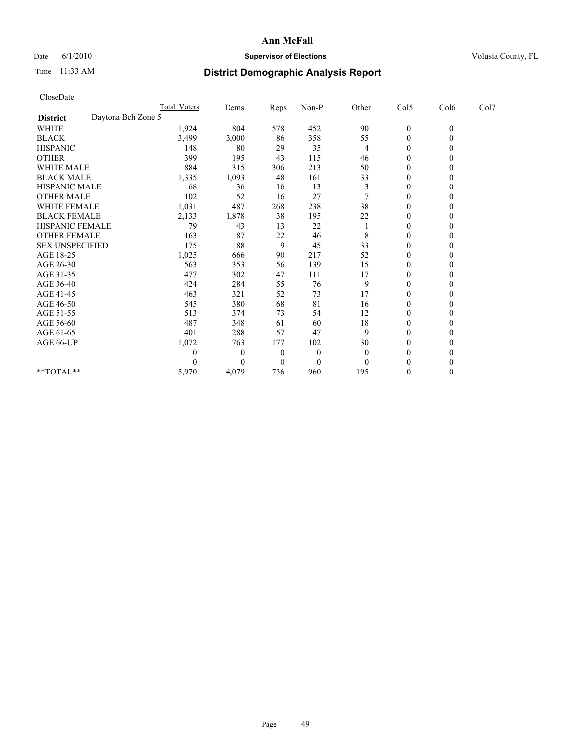## Date 6/1/2010 **Supervisor of Elections Supervisor of Elections** Volusia County, FL

# Time 11:33 AM **District Demographic Analysis Report**

| CloseDate              |                     |          |          |              |          |                  |                  |      |  |
|------------------------|---------------------|----------|----------|--------------|----------|------------------|------------------|------|--|
|                        | <b>Total Voters</b> | Dems     | Reps     | Non-P        | Other    | Col5             | Col6             | Col7 |  |
| <b>District</b>        | Daytona Bch Zone 5  |          |          |              |          |                  |                  |      |  |
| <b>WHITE</b>           | 1,924               | 804      | 578      | 452          | 90       | $\boldsymbol{0}$ | $\boldsymbol{0}$ |      |  |
| <b>BLACK</b>           | 3,499               | 3,000    | 86       | 358          | 55       | 0                | $\mathbf{0}$     |      |  |
| <b>HISPANIC</b>        | 148                 | 80       | 29       | 35           | 4        | $\boldsymbol{0}$ | $\Omega$         |      |  |
| <b>OTHER</b>           | 399                 | 195      | 43       | 115          | 46       | 0                | $\Omega$         |      |  |
| <b>WHITE MALE</b>      | 884                 | 315      | 306      | 213          | 50       | 0                | $\theta$         |      |  |
| <b>BLACK MALE</b>      | 1,335               | 1,093    | 48       | 161          | 33       | $\overline{0}$   | $\Omega$         |      |  |
| <b>HISPANIC MALE</b>   | 68                  | 36       | 16       | 13           | 3        | $\boldsymbol{0}$ | $\Omega$         |      |  |
| <b>OTHER MALE</b>      | 102                 | 52       | 16       | 27           |          | $\boldsymbol{0}$ | $\Omega$         |      |  |
| <b>WHITE FEMALE</b>    | 1,031               | 487      | 268      | 238          | 38       | $\mathbf{0}$     | $\mathbf{0}$     |      |  |
| <b>BLACK FEMALE</b>    | 2,133               | 1,878    | 38       | 195          | 22       | $\boldsymbol{0}$ | $\Omega$         |      |  |
| HISPANIC FEMALE        | 79                  | 43       | 13       | 22           |          | $\overline{0}$   | $\theta$         |      |  |
| <b>OTHER FEMALE</b>    | 163                 | 87       | 22       | 46           | 8        | 0                | $\mathbf{0}$     |      |  |
| <b>SEX UNSPECIFIED</b> | 175                 | 88       | 9        | 45           | 33       | $\boldsymbol{0}$ | $\Omega$         |      |  |
| AGE 18-25              | 1,025               | 666      | 90       | 217          | 52       | 0                | $\Omega$         |      |  |
| AGE 26-30              | 563                 | 353      | 56       | 139          | 15       | 0                | $\theta$         |      |  |
| AGE 31-35              | 477                 | 302      | 47       | 111          | 17       | $\mathbf{0}$     | $\mathbf{0}$     |      |  |
| AGE 36-40              | 424                 | 284      | 55       | 76           | 9        | $\overline{0}$   | $\Omega$         |      |  |
| AGE 41-45              | 463                 | 321      | 52       | 73           | 17       | $\boldsymbol{0}$ | $\theta$         |      |  |
| AGE 46-50              | 545                 | 380      | 68       | 81           | 16       | 0                | $\mathbf{0}$     |      |  |
| AGE 51-55              | 513                 | 374      | 73       | 54           | 12       | $\overline{0}$   | $\Omega$         |      |  |
| AGE 56-60              | 487                 | 348      | 61       | 60           | 18       | $\boldsymbol{0}$ | $\Omega$         |      |  |
| AGE 61-65              | 401                 | 288      | 57       | 47           | 9        | $\overline{0}$   | $\mathbf{0}$     |      |  |
| AGE 66-UP              | 1,072               | 763      | 177      | 102          | 30       | $\mathbf{0}$     | $\Omega$         |      |  |
|                        | 0                   | $\theta$ | $\theta$ | $\mathbf{0}$ | $\theta$ | $\boldsymbol{0}$ | $\theta$         |      |  |
|                        | 0                   | $\Omega$ | 0        | $\theta$     | $\Omega$ | $\boldsymbol{0}$ | $\Omega$         |      |  |
| **TOTAL**              | 5,970               | 4,079    | 736      | 960          | 195      | $\mathbf{0}$     | $\boldsymbol{0}$ |      |  |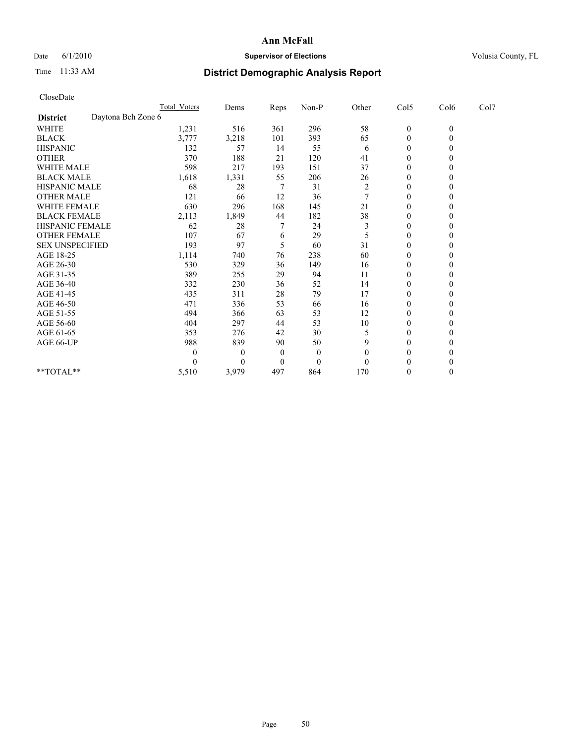## Date 6/1/2010 **Supervisor of Elections Supervisor of Elections** Volusia County, FL

# Time 11:33 AM **District Demographic Analysis Report**

| CloseDate              |                    |                     |          |              |          |                |                  |                |      |
|------------------------|--------------------|---------------------|----------|--------------|----------|----------------|------------------|----------------|------|
|                        |                    | <b>Total Voters</b> | Dems     | Reps         | Non-P    | Other          | Col5             | Col6           | Col7 |
| <b>District</b>        | Daytona Bch Zone 6 |                     |          |              |          |                |                  |                |      |
| <b>WHITE</b>           |                    | 1,231               | 516      | 361          | 296      | 58             | $\boldsymbol{0}$ | $\mathbf{0}$   |      |
| <b>BLACK</b>           |                    | 3,777               | 3,218    | 101          | 393      | 65             | 0                | $\overline{0}$ |      |
| <b>HISPANIC</b>        |                    | 132                 | 57       | 14           | 55       | 6              | $\boldsymbol{0}$ | $\Omega$       |      |
| <b>OTHER</b>           |                    | 370                 | 188      | 21           | 120      | 41             | $\mathbf{0}$     | $\mathbf{0}$   |      |
| <b>WHITE MALE</b>      |                    | 598                 | 217      | 193          | 151      | 37             | $\overline{0}$   | $\theta$       |      |
| <b>BLACK MALE</b>      |                    | 1,618               | 1,331    | 55           | 206      | 26             | $\mathbf{0}$     | $\theta$       |      |
| HISPANIC MALE          |                    | 68                  | 28       | 7            | 31       | $\overline{c}$ | 0                | $\theta$       |      |
| <b>OTHER MALE</b>      |                    | 121                 | 66       | 12           | 36       |                | $\mathbf{0}$     | $\mathbf{0}$   |      |
| WHITE FEMALE           |                    | 630                 | 296      | 168          | 145      | 21             | 0                | $\theta$       |      |
| <b>BLACK FEMALE</b>    |                    | 2,113               | 1,849    | 44           | 182      | 38             | $\mathbf{0}$     | $\theta$       |      |
| HISPANIC FEMALE        |                    | 62                  | 28       |              | 24       | 3              | 0                | $\theta$       |      |
| <b>OTHER FEMALE</b>    |                    | 107                 | 67       | 6            | 29       | 5              | 0                | $\theta$       |      |
| <b>SEX UNSPECIFIED</b> |                    | 193                 | 97       | 5            | 60       | 31             | $\boldsymbol{0}$ | $\Omega$       |      |
| AGE 18-25              |                    | 1,114               | 740      | 76           | 238      | 60             | 0                | $\theta$       |      |
| AGE 26-30              |                    | 530                 | 329      | 36           | 149      | 16             | $\boldsymbol{0}$ | $\Omega$       |      |
| AGE 31-35              |                    | 389                 | 255      | 29           | 94       | 11             | $\mathbf{0}$     | $\theta$       |      |
| AGE 36-40              |                    | 332                 | 230      | 36           | 52       | 14             | $\boldsymbol{0}$ | $\theta$       |      |
| AGE 41-45              |                    | 435                 | 311      | 28           | 79       | 17             | $\boldsymbol{0}$ | $\theta$       |      |
| AGE 46-50              |                    | 471                 | 336      | 53           | 66       | 16             | $\boldsymbol{0}$ | $\mathbf{0}$   |      |
| AGE 51-55              |                    | 494                 | 366      | 63           | 53       | 12             | $\boldsymbol{0}$ | $\Omega$       |      |
| AGE 56-60              |                    | 404                 | 297      | 44           | 53       | 10             | $\boldsymbol{0}$ | $\theta$       |      |
| AGE 61-65              |                    | 353                 | 276      | 42           | 30       | 5              | $\mathbf{0}$     | $\Omega$       |      |
| AGE 66-UP              |                    | 988                 | 839      | 90           | 50       | 9              | $\boldsymbol{0}$ | $\theta$       |      |
|                        |                    | $\boldsymbol{0}$    | $\theta$ | $\mathbf{0}$ | $\theta$ | $\theta$       | $\mathbf{0}$     | 0              |      |
|                        |                    | $\Omega$            | $\theta$ | $\theta$     | $\theta$ | $\theta$       | $\theta$         | $\theta$       |      |
| $*$ TOTAL $*$          |                    | 5,510               | 3,979    | 497          | 864      | 170            | $\boldsymbol{0}$ | $\theta$       |      |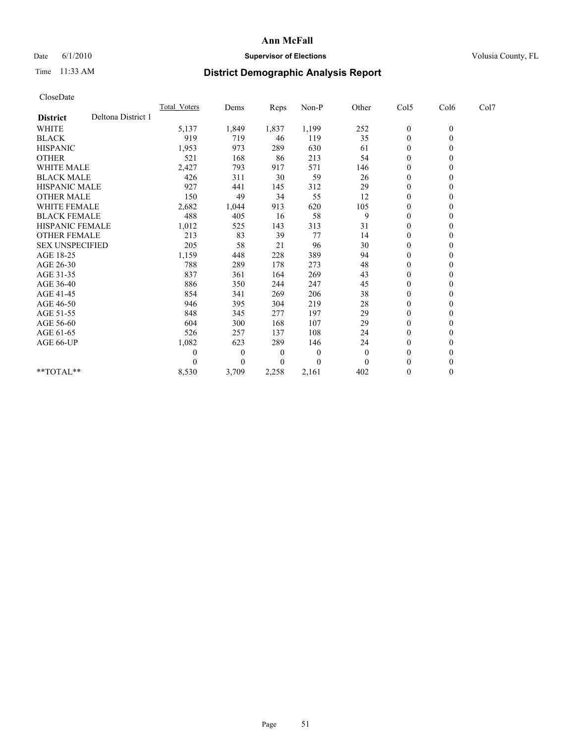## Date 6/1/2010 **Supervisor of Elections Supervisor of Elections** Volusia County, FL

# Time 11:33 AM **District Demographic Analysis Report**

| CloseDate              |                    |                     |          |       |          |                |                  |                |      |  |
|------------------------|--------------------|---------------------|----------|-------|----------|----------------|------------------|----------------|------|--|
|                        |                    | <b>Total Voters</b> | Dems     | Reps  | Non-P    | Other          | Col5             | Col6           | Col7 |  |
| <b>District</b>        | Deltona District 1 |                     |          |       |          |                |                  |                |      |  |
| WHITE                  |                    | 5,137               | 1,849    | 1,837 | 1,199    | 252            | $\boldsymbol{0}$ | $\theta$       |      |  |
| <b>BLACK</b>           |                    | 919                 | 719      | 46    | 119      | 35             | $\boldsymbol{0}$ | $\overline{0}$ |      |  |
| <b>HISPANIC</b>        |                    | 1,953               | 973      | 289   | 630      | 61             | $\mathbf{0}$     | $\theta$       |      |  |
| <b>OTHER</b>           |                    | 521                 | 168      | 86    | 213      | 54             | $\mathbf{0}$     | $\mathbf{0}$   |      |  |
| <b>WHITE MALE</b>      |                    | 2,427               | 793      | 917   | 571      | 146            | 0                | $\theta$       |      |  |
| <b>BLACK MALE</b>      |                    | 426                 | 311      | 30    | 59       | 26             | $\mathbf{0}$     | $\mathbf{0}$   |      |  |
| <b>HISPANIC MALE</b>   |                    | 927                 | 441      | 145   | 312      | 29             | 0                | $\theta$       |      |  |
| <b>OTHER MALE</b>      |                    | 150                 | 49       | 34    | 55       | 12             | $\boldsymbol{0}$ | $\theta$       |      |  |
| <b>WHITE FEMALE</b>    |                    | 2,682               | 1,044    | 913   | 620      | 105            | $\boldsymbol{0}$ | $\theta$       |      |  |
| <b>BLACK FEMALE</b>    |                    | 488                 | 405      | 16    | 58       | 9              | $\mathbf{0}$     | $\theta$       |      |  |
| <b>HISPANIC FEMALE</b> |                    | 1,012               | 525      | 143   | 313      | 31             | $\mathbf{0}$     | $\mathbf{0}$   |      |  |
| <b>OTHER FEMALE</b>    |                    | 213                 | 83       | 39    | 77       | 14             | $\boldsymbol{0}$ | $\theta$       |      |  |
| <b>SEX UNSPECIFIED</b> |                    | 205                 | 58       | 21    | 96       | 30             | $\boldsymbol{0}$ | $\theta$       |      |  |
| AGE 18-25              |                    | 1,159               | 448      | 228   | 389      | 94             | 0                | $\theta$       |      |  |
| AGE 26-30              |                    | 788                 | 289      | 178   | 273      | 48             | $\boldsymbol{0}$ | $\theta$       |      |  |
| AGE 31-35              |                    | 837                 | 361      | 164   | 269      | 43             | $\boldsymbol{0}$ | $\theta$       |      |  |
| AGE 36-40              |                    | 886                 | 350      | 244   | 247      | 45             | $\mathbf{0}$     | $\theta$       |      |  |
| AGE 41-45              |                    | 854                 | 341      | 269   | 206      | 38             | $\boldsymbol{0}$ | $\theta$       |      |  |
| AGE 46-50              |                    | 946                 | 395      | 304   | 219      | 28             | $\boldsymbol{0}$ | $\overline{0}$ |      |  |
| AGE 51-55              |                    | 848                 | 345      | 277   | 197      | 29             | 0                | $\theta$       |      |  |
| AGE 56-60              |                    | 604                 | 300      | 168   | 107      | 29             | 0                | $\theta$       |      |  |
| AGE 61-65              |                    | 526                 | 257      | 137   | 108      | 24             | $\overline{0}$   | $\theta$       |      |  |
| AGE 66-UP              |                    | 1,082               | 623      | 289   | 146      | 24             | 0                | $\mathbf{0}$   |      |  |
|                        |                    | 0                   | $\theta$ | 0     | $\theta$ | $\overline{0}$ | $\theta$         | $\theta$       |      |  |
|                        |                    | 0                   | $\theta$ | 0     | $\theta$ | $\Omega$       | $\theta$         | $\theta$       |      |  |
| $**TOTAL**$            |                    | 8,530               | 3,709    | 2,258 | 2,161    | 402            | 0                | $\mathbf{0}$   |      |  |
|                        |                    |                     |          |       |          |                |                  |                |      |  |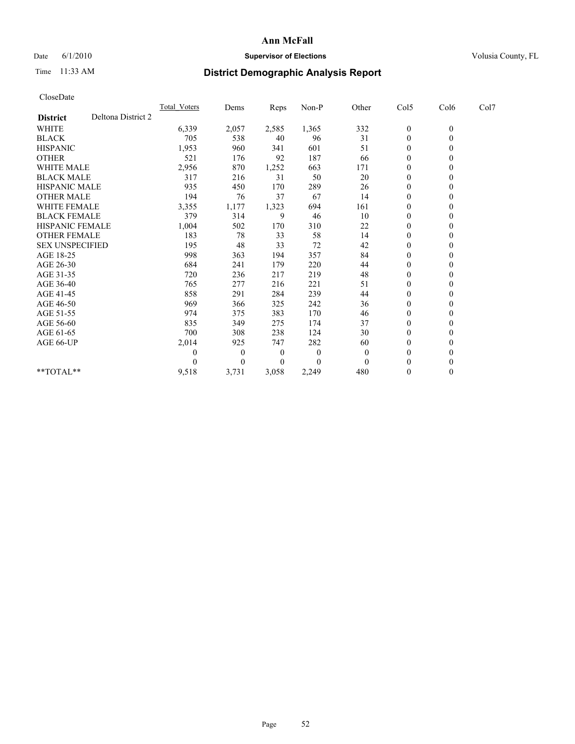## Date 6/1/2010 **Supervisor of Elections Supervisor of Elections** Volusia County, FL

# Time 11:33 AM **District Demographic Analysis Report**

| CloseDate              |                    |                     |          |          |          |              |                  |                  |      |
|------------------------|--------------------|---------------------|----------|----------|----------|--------------|------------------|------------------|------|
|                        |                    | <b>Total Voters</b> | Dems     | Reps     | Non-P    | Other        | Col5             | Col6             | Col7 |
| <b>District</b>        | Deltona District 2 |                     |          |          |          |              |                  |                  |      |
| <b>WHITE</b>           |                    | 6,339               | 2,057    | 2,585    | 1,365    | 332          | $\boldsymbol{0}$ | $\boldsymbol{0}$ |      |
| <b>BLACK</b>           |                    | 705                 | 538      | 40       | 96       | 31           | $\theta$         | 0                |      |
| <b>HISPANIC</b>        |                    | 1,953               | 960      | 341      | 601      | 51           | $\boldsymbol{0}$ | 0                |      |
| <b>OTHER</b>           |                    | 521                 | 176      | 92       | 187      | 66           | 0                | 0                |      |
| <b>WHITE MALE</b>      |                    | 2,956               | 870      | 1,252    | 663      | 171          | $\theta$         | 0                |      |
| <b>BLACK MALE</b>      |                    | 317                 | 216      | 31       | 50       | 20           | 0                | 0                |      |
| <b>HISPANIC MALE</b>   |                    | 935                 | 450      | 170      | 289      | 26           | $\theta$         | 0                |      |
| <b>OTHER MALE</b>      |                    | 194                 | 76       | 37       | 67       | 14           | $\boldsymbol{0}$ | 0                |      |
| <b>WHITE FEMALE</b>    |                    | 3,355               | 1,177    | 1,323    | 694      | 161          | $\boldsymbol{0}$ | 0                |      |
| <b>BLACK FEMALE</b>    |                    | 379                 | 314      | 9        | 46       | 10           | 0                | 0                |      |
| <b>HISPANIC FEMALE</b> |                    | 1,004               | 502      | 170      | 310      | 22           | 0                | 0                |      |
| <b>OTHER FEMALE</b>    |                    | 183                 | 78       | 33       | 58       | 14           | $\theta$         | $\Omega$         |      |
| <b>SEX UNSPECIFIED</b> |                    | 195                 | 48       | 33       | 72       | 42           | 0                | $\boldsymbol{0}$ |      |
| AGE 18-25              |                    | 998                 | 363      | 194      | 357      | 84           | $\boldsymbol{0}$ | 0                |      |
| AGE 26-30              |                    | 684                 | 241      | 179      | 220      | 44           | $\boldsymbol{0}$ | 0                |      |
| AGE 31-35              |                    | 720                 | 236      | 217      | 219      | 48           | 0                | 0                |      |
| AGE 36-40              |                    | 765                 | 277      | 216      | 221      | 51           | $\boldsymbol{0}$ | 0                |      |
| AGE 41-45              |                    | 858                 | 291      | 284      | 239      | 44           | $\theta$         | 0                |      |
| AGE 46-50              |                    | 969                 | 366      | 325      | 242      | 36           | $\theta$         | 0                |      |
| AGE 51-55              |                    | 974                 | 375      | 383      | 170      | 46           | $\boldsymbol{0}$ | 0                |      |
| AGE 56-60              |                    | 835                 | 349      | 275      | 174      | 37           | $\boldsymbol{0}$ | 0                |      |
| AGE 61-65              |                    | 700                 | 308      | 238      | 124      | 30           | $\theta$         | 0                |      |
| AGE 66-UP              |                    | 2,014               | 925      | 747      | 282      | 60           | 0                | 0                |      |
|                        |                    | 0                   | $\theta$ | $\theta$ | $\theta$ | $\mathbf{0}$ | 0                | 0                |      |
|                        |                    |                     | 0        | 0        | $\theta$ | $\mathbf{0}$ | 0                | 0                |      |
| **TOTAL**              |                    | 9,518               | 3,731    | 3,058    | 2,249    | 480          | $\theta$         | $\theta$         |      |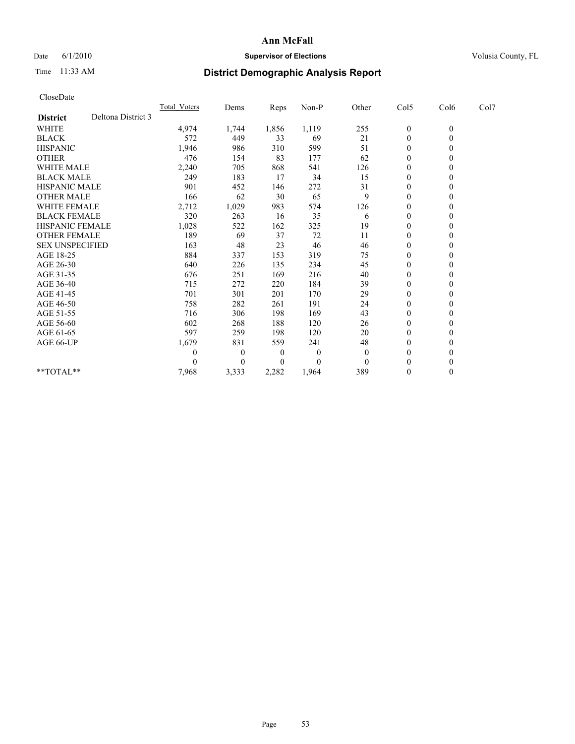## Date 6/1/2010 **Supervisor of Elections Supervisor of Elections** Volusia County, FL

# Time 11:33 AM **District Demographic Analysis Report**

| CloseDate              |                    |              |          |       |          |                |                  |                |      |
|------------------------|--------------------|--------------|----------|-------|----------|----------------|------------------|----------------|------|
|                        |                    | Total Voters | Dems     | Reps  | Non-P    | Other          | Col5             | Col6           | Col7 |
| <b>District</b>        | Deltona District 3 |              |          |       |          |                |                  |                |      |
| WHITE                  |                    | 4,974        | 1,744    | 1,856 | 1,119    | 255            | $\boldsymbol{0}$ | $\overline{0}$ |      |
| <b>BLACK</b>           |                    | 572          | 449      | 33    | 69       | 21             | $\boldsymbol{0}$ | $\overline{0}$ |      |
| <b>HISPANIC</b>        |                    | 1,946        | 986      | 310   | 599      | 51             | $\mathbf{0}$     | $\theta$       |      |
| <b>OTHER</b>           |                    | 476          | 154      | 83    | 177      | 62             | $\boldsymbol{0}$ | $\mathbf{0}$   |      |
| <b>WHITE MALE</b>      |                    | 2,240        | 705      | 868   | 541      | 126            | 0                | $\theta$       |      |
| <b>BLACK MALE</b>      |                    | 249          | 183      | 17    | 34       | 15             | $\overline{0}$   | $\theta$       |      |
| <b>HISPANIC MALE</b>   |                    | 901          | 452      | 146   | 272      | 31             | 0                | $\theta$       |      |
| <b>OTHER MALE</b>      |                    | 166          | 62       | 30    | 65       | 9              | $\mathbf{0}$     | $\mathbf{0}$   |      |
| WHITE FEMALE           |                    | 2,712        | 1,029    | 983   | 574      | 126            | 0                | $\mathbf{0}$   |      |
| <b>BLACK FEMALE</b>    |                    | 320          | 263      | 16    | 35       | 6              | $\boldsymbol{0}$ | $\theta$       |      |
| <b>HISPANIC FEMALE</b> |                    | 1,028        | 522      | 162   | 325      | 19             | 0                | $\theta$       |      |
| <b>OTHER FEMALE</b>    |                    | 189          | 69       | 37    | 72       | 11             | 0                | $\theta$       |      |
| <b>SEX UNSPECIFIED</b> |                    | 163          | 48       | 23    | 46       | 46             | $\overline{0}$   | $\theta$       |      |
| AGE 18-25              |                    | 884          | 337      | 153   | 319      | 75             | 0                | $\theta$       |      |
| AGE 26-30              |                    | 640          | 226      | 135   | 234      | 45             | $\overline{0}$   | $\Omega$       |      |
| AGE 31-35              |                    | 676          | 251      | 169   | 216      | 40             | $\mathbf{0}$     | $\theta$       |      |
| AGE 36-40              |                    | 715          | 272      | 220   | 184      | 39             | $\overline{0}$   | $\theta$       |      |
| AGE 41-45              |                    | 701          | 301      | 201   | 170      | 29             | $\boldsymbol{0}$ | $\theta$       |      |
| AGE 46-50              |                    | 758          | 282      | 261   | 191      | 24             | $\overline{0}$   | $\theta$       |      |
| AGE 51-55              |                    | 716          | 306      | 198   | 169      | 43             | 0                | $\theta$       |      |
| AGE 56-60              |                    | 602          | 268      | 188   | 120      | 26             | 0                | $\theta$       |      |
| AGE 61-65              |                    | 597          | 259      | 198   | 120      | 20             | $\mathbf{0}$     | $\mathbf{0}$   |      |
| AGE 66-UP              |                    | 1,679        | 831      | 559   | 241      | 48             | $\boldsymbol{0}$ | $\theta$       |      |
|                        |                    | 0            | $\theta$ | 0     | $\theta$ | $\overline{0}$ | $\boldsymbol{0}$ | $\theta$       |      |
|                        |                    | 0            | $\theta$ | 0     | 0        | $\mathbf{0}$   | $\theta$         | $\theta$       |      |
| $*$ TOTAL $*$ *        |                    | 7,968        | 3,333    | 2,282 | 1,964    | 389            | 0                | $\mathbf{0}$   |      |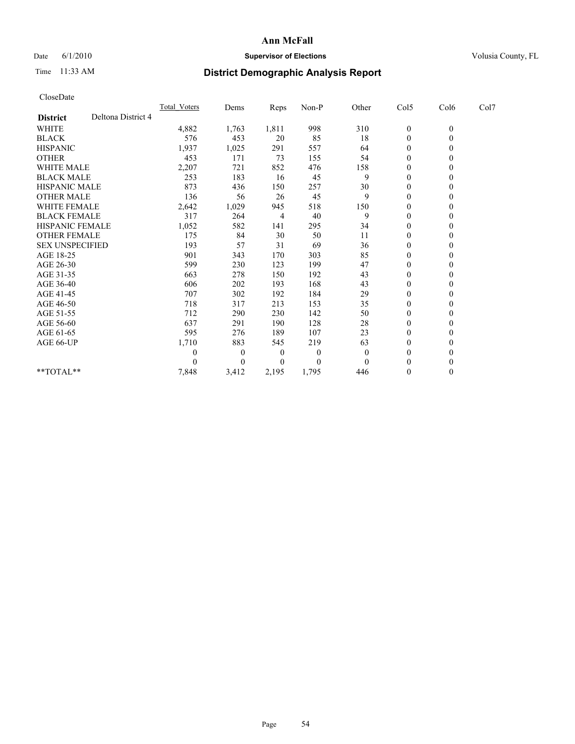## Date 6/1/2010 **Supervisor of Elections Supervisor of Elections** Volusia County, FL

# Time 11:33 AM **District Demographic Analysis Report**

|                    | <b>Total Voters</b>                                                                                                                                                                                   |          | Reps  | Non-P    |                |                  |                  |      |      |
|--------------------|-------------------------------------------------------------------------------------------------------------------------------------------------------------------------------------------------------|----------|-------|----------|----------------|------------------|------------------|------|------|
| Deltona District 4 |                                                                                                                                                                                                       |          |       |          |                |                  |                  |      |      |
|                    | 4,882                                                                                                                                                                                                 | 1,763    | 1,811 | 998      | 310            | $\boldsymbol{0}$ | $\boldsymbol{0}$ |      |      |
|                    | 576                                                                                                                                                                                                   | 453      | 20    | 85       | 18             | $\boldsymbol{0}$ | $\theta$         |      |      |
|                    | 1,937                                                                                                                                                                                                 | 1,025    | 291   | 557      | 64             | $\boldsymbol{0}$ | $\theta$         |      |      |
|                    | 453                                                                                                                                                                                                   | 171      | 73    | 155      | 54             | $\boldsymbol{0}$ | $\theta$         |      |      |
|                    | 2,207                                                                                                                                                                                                 | 721      | 852   | 476      | 158            | $\overline{0}$   | $\theta$         |      |      |
|                    | 253                                                                                                                                                                                                   | 183      | 16    | 45       | 9              | 0                | $\theta$         |      |      |
|                    | 873                                                                                                                                                                                                   | 436      | 150   | 257      | 30             | $\boldsymbol{0}$ | $\theta$         |      |      |
|                    | 136                                                                                                                                                                                                   | 56       | 26    | 45       | 9              | $\boldsymbol{0}$ | $\theta$         |      |      |
|                    | 2,642                                                                                                                                                                                                 | 1,029    | 945   | 518      | 150            | 0                | $\theta$         |      |      |
|                    | 317                                                                                                                                                                                                   | 264      | 4     | 40       | 9              | 0                | $\theta$         |      |      |
|                    | 1,052                                                                                                                                                                                                 | 582      | 141   | 295      | 34             | 0                | $\theta$         |      |      |
|                    | 175                                                                                                                                                                                                   | 84       | 30    | 50       | 11             | $\overline{0}$   | $\theta$         |      |      |
|                    | 193                                                                                                                                                                                                   | 57       | 31    | 69       | 36             | 0                | $\mathbf{0}$     |      |      |
|                    | 901                                                                                                                                                                                                   | 343      | 170   | 303      | 85             | 0                | $\Omega$         |      |      |
|                    | 599                                                                                                                                                                                                   | 230      | 123   | 199      | 47             | 0                | $\theta$         |      |      |
|                    | 663                                                                                                                                                                                                   | 278      | 150   | 192      | 43             | 0                | 0                |      |      |
|                    | 606                                                                                                                                                                                                   | 202      | 193   | 168      | 43             | 0                | $\theta$         |      |      |
|                    | 707                                                                                                                                                                                                   | 302      | 192   | 184      | 29             | 0                | $\theta$         |      |      |
|                    | 718                                                                                                                                                                                                   | 317      | 213   | 153      | 35             | $\overline{0}$   | $\theta$         |      |      |
|                    | 712                                                                                                                                                                                                   | 290      | 230   | 142      | 50             | $\boldsymbol{0}$ | $\theta$         |      |      |
|                    | 637                                                                                                                                                                                                   | 291      | 190   | 128      | 28             | 0                | $\theta$         |      |      |
|                    | 595                                                                                                                                                                                                   | 276      | 189   | 107      | 23             | $\overline{0}$   | $\theta$         |      |      |
|                    | 1,710                                                                                                                                                                                                 | 883      | 545   | 219      | 63             | 0                | $\theta$         |      |      |
|                    | 0                                                                                                                                                                                                     | $\theta$ | 0     | $\theta$ | $\overline{0}$ | $\boldsymbol{0}$ | $\theta$         |      |      |
|                    | 0                                                                                                                                                                                                     | $\theta$ | 0     | 0        | $\Omega$       | $\theta$         | $\theta$         |      |      |
|                    | 7,848                                                                                                                                                                                                 | 3,412    | 2,195 | 1,795    | 446            | 0                | $\theta$         |      |      |
|                    | WHITE MALE<br><b>BLACK MALE</b><br><b>HISPANIC MALE</b><br><b>OTHER MALE</b><br><b>WHITE FEMALE</b><br><b>BLACK FEMALE</b><br><b>HISPANIC FEMALE</b><br><b>OTHER FEMALE</b><br><b>SEX UNSPECIFIED</b> |          | Dems  |          |                | Other            | Col5             | Col6 | Col7 |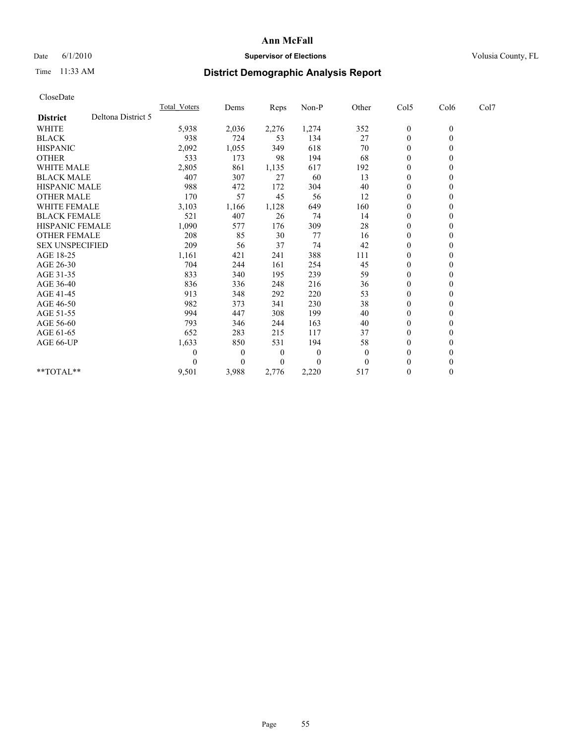## Date 6/1/2010 **Supervisor of Elections Supervisor of Elections** Volusia County, FL

# Time 11:33 AM **District Demographic Analysis Report**

| CloseDate              |                    |                  |              |       |          |                |                  |                  |      |  |
|------------------------|--------------------|------------------|--------------|-------|----------|----------------|------------------|------------------|------|--|
|                        |                    | Total Voters     | Dems         | Reps  | Non-P    | Other          | Col5             | Col6             | Col7 |  |
| <b>District</b>        | Deltona District 5 |                  |              |       |          |                |                  |                  |      |  |
| <b>WHITE</b>           |                    | 5,938            | 2,036        | 2,276 | 1,274    | 352            | $\boldsymbol{0}$ | $\boldsymbol{0}$ |      |  |
| <b>BLACK</b>           |                    | 938              | 724          | 53    | 134      | 27             | $\boldsymbol{0}$ | $\overline{0}$   |      |  |
| <b>HISPANIC</b>        |                    | 2,092            | 1,055        | 349   | 618      | 70             | 0                | $\theta$         |      |  |
| <b>OTHER</b>           |                    | 533              | 173          | 98    | 194      | 68             | 0                | $\theta$         |      |  |
| <b>WHITE MALE</b>      |                    | 2,805            | 861          | 1,135 | 617      | 192            | $\mathbf{0}$     | $\mathbf{0}$     |      |  |
| <b>BLACK MALE</b>      |                    | 407              | 307          | 27    | 60       | 13             | 0                | $\theta$         |      |  |
| <b>HISPANIC MALE</b>   |                    | 988              | 472          | 172   | 304      | 40             | 0                | $\Omega$         |      |  |
| <b>OTHER MALE</b>      |                    | 170              | 57           | 45    | 56       | 12             | 0                | $\theta$         |      |  |
| <b>WHITE FEMALE</b>    |                    | 3,103            | 1,166        | 1,128 | 649      | 160            | $\boldsymbol{0}$ | $\mathbf{0}$     |      |  |
| <b>BLACK FEMALE</b>    |                    | 521              | 407          | 26    | 74       | 14             | 0                | $\mathbf{0}$     |      |  |
| <b>HISPANIC FEMALE</b> |                    | 1,090            | 577          | 176   | 309      | 28             | 0                | $\theta$         |      |  |
| <b>OTHER FEMALE</b>    |                    | 208              | 85           | 30    | 77       | 16             | $\boldsymbol{0}$ | $\mathbf{0}$     |      |  |
| <b>SEX UNSPECIFIED</b> |                    | 209              | 56           | 37    | 74       | 42             | 0                | $\mathbf{0}$     |      |  |
| AGE 18-25              |                    | 1,161            | 421          | 241   | 388      | 111            | $\overline{0}$   | $\theta$         |      |  |
| AGE 26-30              |                    | 704              | 244          | 161   | 254      | 45             | $\mathbf{0}$     | $\mathbf{0}$     |      |  |
| AGE 31-35              |                    | 833              | 340          | 195   | 239      | 59             | 0                | $\mathbf{0}$     |      |  |
| AGE 36-40              |                    | 836              | 336          | 248   | 216      | 36             | 0                | $\theta$         |      |  |
| AGE 41-45              |                    | 913              | 348          | 292   | 220      | 53             | 0                | $\theta$         |      |  |
| AGE 46-50              |                    | 982              | 373          | 341   | 230      | 38             | $\boldsymbol{0}$ | $\mathbf{0}$     |      |  |
| AGE 51-55              |                    | 994              | 447          | 308   | 199      | 40             | $\mathbf{0}$     | $\theta$         |      |  |
| AGE 56-60              |                    | 793              | 346          | 244   | 163      | 40             | 0                | $\theta$         |      |  |
| AGE 61-65              |                    | 652              | 283          | 215   | 117      | 37             | $\boldsymbol{0}$ | $\Omega$         |      |  |
| AGE 66-UP              |                    | 1,633            | 850          | 531   | 194      | 58             | 0                | $\theta$         |      |  |
|                        |                    | $\boldsymbol{0}$ | $\theta$     | 0     | $\theta$ | $\overline{0}$ | $\overline{0}$   | $\mathbf{0}$     |      |  |
|                        |                    | $\Omega$         | $\mathbf{0}$ | 0     | $\theta$ | $\overline{0}$ | $\boldsymbol{0}$ | $\theta$         |      |  |
| **TOTAL**              |                    | 9,501            | 3,988        | 2,776 | 2,220    | 517            | $\boldsymbol{0}$ | $\mathbf{0}$     |      |  |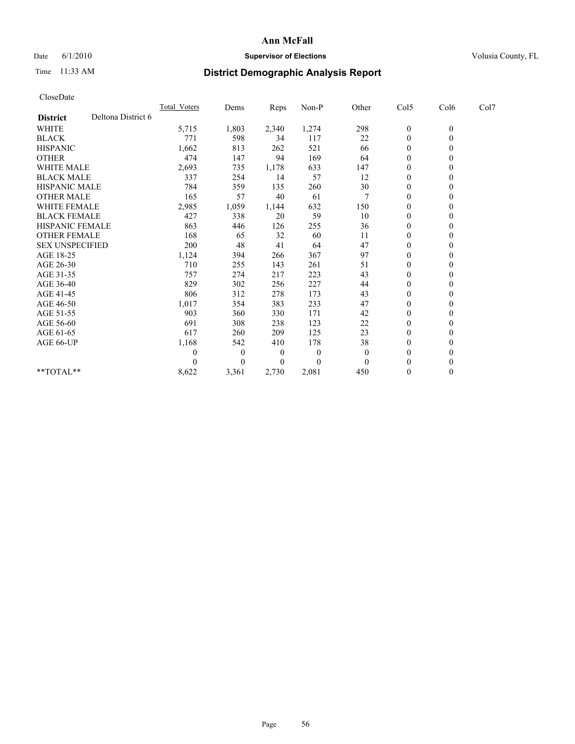## Date 6/1/2010 **Supervisor of Elections Supervisor of Elections** Volusia County, FL

# Time 11:33 AM **District Demographic Analysis Report**

| CloseDate              |                    |                     |          |       |          |              |                  |                  |      |  |
|------------------------|--------------------|---------------------|----------|-------|----------|--------------|------------------|------------------|------|--|
|                        |                    | <b>Total Voters</b> | Dems     | Reps  | Non-P    | Other        | Col5             | Col6             | Col7 |  |
| <b>District</b>        | Deltona District 6 |                     |          |       |          |              |                  |                  |      |  |
| <b>WHITE</b>           |                    | 5,715               | 1,803    | 2,340 | 1,274    | 298          | $\boldsymbol{0}$ | $\boldsymbol{0}$ |      |  |
| <b>BLACK</b>           |                    | 771                 | 598      | 34    | 117      | 22           | $\boldsymbol{0}$ | $\theta$         |      |  |
| <b>HISPANIC</b>        |                    | 1,662               | 813      | 262   | 521      | 66           | 0                | $\theta$         |      |  |
| <b>OTHER</b>           |                    | 474                 | 147      | 94    | 169      | 64           | 0                | $\theta$         |      |  |
| <b>WHITE MALE</b>      |                    | 2,693               | 735      | 1,178 | 633      | 147          | $\overline{0}$   | $\theta$         |      |  |
| <b>BLACK MALE</b>      |                    | 337                 | 254      | 14    | 57       | 12           | 0                | $\theta$         |      |  |
| <b>HISPANIC MALE</b>   |                    | 784                 | 359      | 135   | 260      | 30           | $\boldsymbol{0}$ | $\theta$         |      |  |
| <b>OTHER MALE</b>      |                    | 165                 | 57       | 40    | 61       | 7            | 0                | $\theta$         |      |  |
| <b>WHITE FEMALE</b>    |                    | 2,985               | 1,059    | 1,144 | 632      | 150          | 0                | $\theta$         |      |  |
| <b>BLACK FEMALE</b>    |                    | 427                 | 338      | 20    | 59       | 10           | 0                | $\theta$         |      |  |
| <b>HISPANIC FEMALE</b> |                    | 863                 | 446      | 126   | 255      | 36           | 0                | $\theta$         |      |  |
| <b>OTHER FEMALE</b>    |                    | 168                 | 65       | 32    | 60       | 11           | $\boldsymbol{0}$ | $\Omega$         |      |  |
| <b>SEX UNSPECIFIED</b> |                    | 200                 | 48       | 41    | 64       | 47           | 0                | $\mathbf{0}$     |      |  |
| AGE 18-25              |                    | 1,124               | 394      | 266   | 367      | 97           | $\overline{0}$   | $\theta$         |      |  |
| AGE 26-30              |                    | 710                 | 255      | 143   | 261      | 51           | 0                | $\theta$         |      |  |
| AGE 31-35              |                    | 757                 | 274      | 217   | 223      | 43           | 0                | $\theta$         |      |  |
| AGE 36-40              |                    | 829                 | 302      | 256   | 227      | 44           | 0                | $\theta$         |      |  |
| AGE 41-45              |                    | 806                 | 312      | 278   | 173      | 43           | $\boldsymbol{0}$ | $\theta$         |      |  |
| AGE 46-50              |                    | 1,017               | 354      | 383   | 233      | 47           | $\overline{0}$   | $\overline{0}$   |      |  |
| AGE 51-55              |                    | 903                 | 360      | 330   | 171      | 42           | $\mathbf{0}$     | $\theta$         |      |  |
| AGE 56-60              |                    | 691                 | 308      | 238   | 123      | 22           | 0                | $\theta$         |      |  |
| AGE 61-65              |                    | 617                 | 260      | 209   | 125      | 23           | $\boldsymbol{0}$ | $\theta$         |      |  |
| AGE 66-UP              |                    | 1,168               | 542      | 410   | 178      | 38           | 0                | $\theta$         |      |  |
|                        |                    | 0                   | $\theta$ | 0     | $\theta$ | $\mathbf{0}$ | $\boldsymbol{0}$ | $\theta$         |      |  |
|                        |                    | 0                   | $\theta$ | 0     | $\Omega$ | $\Omega$     | $\boldsymbol{0}$ | $\theta$         |      |  |
| $**TOTAL**$            |                    | 8,622               | 3,361    | 2,730 | 2,081    | 450          | 0                | $\mathbf{0}$     |      |  |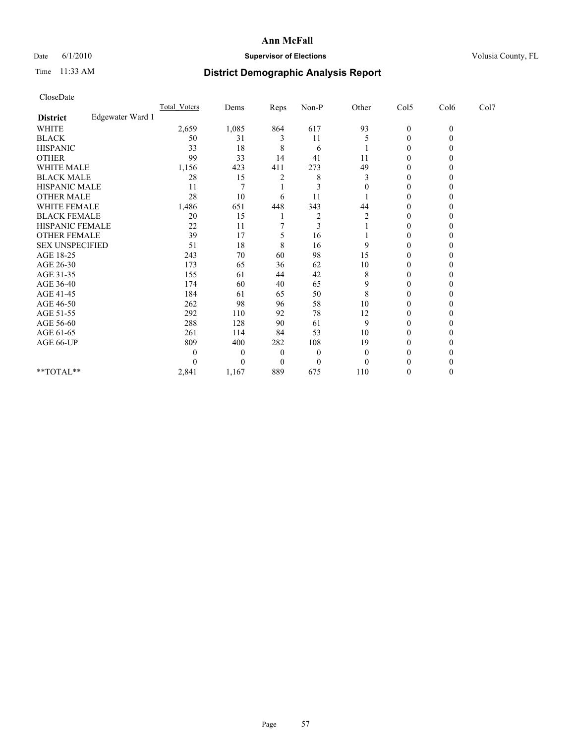## Date 6/1/2010 **Supervisor of Elections Supervisor of Elections** Volusia County, FL

# Time 11:33 AM **District Demographic Analysis Report**

| CloseDate              |                  |              |                  |          |          |                |                  |              |      |  |
|------------------------|------------------|--------------|------------------|----------|----------|----------------|------------------|--------------|------|--|
|                        |                  | Total Voters | Dems             | Reps     | Non-P    | Other          | Col5             | Col6         | Col7 |  |
| <b>District</b>        | Edgewater Ward 1 |              |                  |          |          |                |                  |              |      |  |
| <b>WHITE</b>           |                  | 2,659        | 1,085            | 864      | 617      | 93             | $\boldsymbol{0}$ | $\mathbf{0}$ |      |  |
| <b>BLACK</b>           |                  | 50           | 31               | 3        | 11       | 5              | 0                | $\theta$     |      |  |
| <b>HISPANIC</b>        |                  | 33           | 18               | 8        | 6        |                | $\theta$         | $\theta$     |      |  |
| <b>OTHER</b>           |                  | 99           | 33               | 14       | 41       | 11             | $\boldsymbol{0}$ | 0            |      |  |
| <b>WHITE MALE</b>      |                  | 1,156        | 423              | 411      | 273      | 49             | $\boldsymbol{0}$ | 0            |      |  |
| <b>BLACK MALE</b>      |                  | 28           | 15               | 2        | 8        | 3              | $\boldsymbol{0}$ | 0            |      |  |
| HISPANIC MALE          |                  | 11           | 7                |          | 3        | $\theta$       | $\boldsymbol{0}$ | 0            |      |  |
| <b>OTHER MALE</b>      |                  | 28           | 10               | 6        | 11       |                | $\boldsymbol{0}$ | $\theta$     |      |  |
| WHITE FEMALE           |                  | 1,486        | 651              | 448      | 343      | 44             | $\boldsymbol{0}$ | $\theta$     |      |  |
| <b>BLACK FEMALE</b>    |                  | 20           | 15               |          | 2        | $\overline{2}$ | $\theta$         | 0            |      |  |
| <b>HISPANIC FEMALE</b> |                  | 22           | 11               |          | 3        |                | $\boldsymbol{0}$ | 0            |      |  |
| <b>OTHER FEMALE</b>    |                  | 39           | 17               | 5        | 16       |                | $\boldsymbol{0}$ | $\theta$     |      |  |
| <b>SEX UNSPECIFIED</b> |                  | 51           | 18               | 8        | 16       | 9              | $\theta$         | 0            |      |  |
| AGE 18-25              |                  | 243          | 70               | 60       | 98       | 15             | $\mathbf{0}$     | 0            |      |  |
| AGE 26-30              |                  | 173          | 65               | 36       | 62       | 10             | $\boldsymbol{0}$ | $\Omega$     |      |  |
| AGE 31-35              |                  | 155          | 61               | 44       | 42       | 8              | $\mathbf{0}$     | $\theta$     |      |  |
| AGE 36-40              |                  | 174          | 60               | 40       | 65       | 9              | $\theta$         | 0            |      |  |
| AGE 41-45              |                  | 184          | 61               | 65       | 50       | 8              | $\mathbf{0}$     | 0            |      |  |
| AGE 46-50              |                  | 262          | 98               | 96       | 58       | 10             | $\boldsymbol{0}$ | $\theta$     |      |  |
| AGE 51-55              |                  | 292          | 110              | 92       | 78       | 12             | 0                | 0            |      |  |
| AGE 56-60              |                  | 288          | 128              | 90       | 61       | 9              | $\mathbf{0}$     | 0            |      |  |
| AGE 61-65              |                  | 261          | 114              | 84       | 53       | 10             | $\boldsymbol{0}$ | $\Omega$     |      |  |
| AGE 66-UP              |                  | 809          | 400              | 282      | 108      | 19             | $\mathbf{0}$     | $\theta$     |      |  |
|                        |                  | $\theta$     | $\boldsymbol{0}$ | $\theta$ | $\theta$ | $\theta$       | $\theta$         | 0            |      |  |
|                        |                  | 0            | $\theta$         | $\theta$ | $\theta$ | $\Omega$       |                  |              |      |  |
| **TOTAL**              |                  | 2,841        | 1,167            | 889      | 675      | 110            | 0                | $\theta$     |      |  |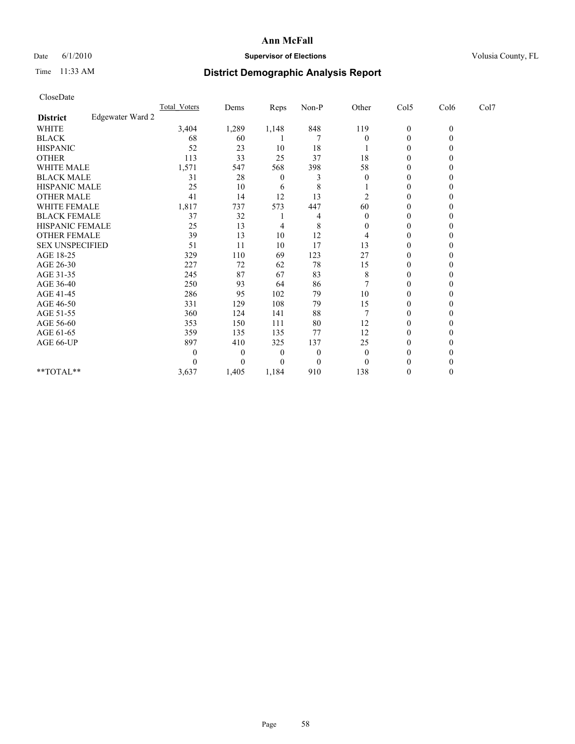## Date 6/1/2010 **Supervisor of Elections Supervisor of Elections** Volusia County, FL

# Time 11:33 AM **District Demographic Analysis Report**

| CloseDate              |                  |              |          |          |          |                  |                  |              |      |  |
|------------------------|------------------|--------------|----------|----------|----------|------------------|------------------|--------------|------|--|
|                        |                  | Total Voters | Dems     | Reps     | Non-P    | Other            | Col5             | Col6         | Col7 |  |
| <b>District</b>        | Edgewater Ward 2 |              |          |          |          |                  |                  |              |      |  |
| <b>WHITE</b>           |                  | 3,404        | 1,289    | 1,148    | 848      | 119              | $\boldsymbol{0}$ | $\mathbf{0}$ |      |  |
| <b>BLACK</b>           |                  | 68           | 60       |          | 7        | $\boldsymbol{0}$ | $\boldsymbol{0}$ | $\theta$     |      |  |
| <b>HISPANIC</b>        |                  | 52           | 23       | 10       | 18       |                  | $\theta$         | $\theta$     |      |  |
| <b>OTHER</b>           |                  | 113          | 33       | 25       | 37       | 18               | $\mathbf{0}$     | 0            |      |  |
| <b>WHITE MALE</b>      |                  | 1,571        | 547      | 568      | 398      | 58               | $\mathbf{0}$     | $\theta$     |      |  |
| <b>BLACK MALE</b>      |                  | 31           | 28       | $\theta$ | 3        | $\overline{0}$   | $\mathbf{0}$     | 0            |      |  |
| HISPANIC MALE          |                  | 25           | 10       | 6        | 8        |                  | $\mathbf{0}$     | 0            |      |  |
| <b>OTHER MALE</b>      |                  | 41           | 14       | 12       | 13       | 2                | $\theta$         | $\theta$     |      |  |
| WHITE FEMALE           |                  | 1,817        | 737      | 573      | 447      | 60               | $\mathbf{0}$     | $\theta$     |      |  |
| <b>BLACK FEMALE</b>    |                  | 37           | 32       |          | 4        | $\Omega$         | $\mathbf{0}$     | 0            |      |  |
| <b>HISPANIC FEMALE</b> |                  | 25           | 13       | 4        | 8        | $\theta$         | $\mathbf{0}$     | 0            |      |  |
| <b>OTHER FEMALE</b>    |                  | 39           | 13       | 10       | 12       | 4                | $\boldsymbol{0}$ | $\theta$     |      |  |
| <b>SEX UNSPECIFIED</b> |                  | 51           | 11       | 10       | 17       | 13               | $\mathbf{0}$     | 0            |      |  |
| AGE 18-25              |                  | 329          | 110      | 69       | 123      | 27               | $\mathbf{0}$     | 0            |      |  |
| AGE 26-30              |                  | 227          | 72       | 62       | 78       | 15               | $\theta$         | $\Omega$     |      |  |
| AGE 31-35              |                  | 245          | 87       | 67       | 83       | 8                | $\mathbf{0}$     | $\theta$     |      |  |
| AGE 36-40              |                  | 250          | 93       | 64       | 86       |                  | $\mathbf{0}$     | 0            |      |  |
| AGE 41-45              |                  | 286          | 95       | 102      | 79       | 10               | $\boldsymbol{0}$ | 0            |      |  |
| AGE 46-50              |                  | 331          | 129      | 108      | 79       | 15               | $\boldsymbol{0}$ | $\theta$     |      |  |
| AGE 51-55              |                  | 360          | 124      | 141      | 88       |                  | $\boldsymbol{0}$ | 0            |      |  |
| AGE 56-60              |                  | 353          | 150      | 111      | 80       | 12               | $\boldsymbol{0}$ | 0            |      |  |
| AGE 61-65              |                  | 359          | 135      | 135      | 77       | 12               | $\boldsymbol{0}$ | $\Omega$     |      |  |
| AGE 66-UP              |                  | 897          | 410      | 325      | 137      | 25               | $\boldsymbol{0}$ | $\theta$     |      |  |
|                        |                  | $\theta$     | $\theta$ | 0        | $\theta$ | $\theta$         | $\theta$         | 0            |      |  |
|                        |                  | $\theta$     | $\theta$ | 0        | $\theta$ | $\Omega$         | 0                | 0            |      |  |
| **TOTAL**              |                  | 3,637        | 1,405    | 1,184    | 910      | 138              | $\boldsymbol{0}$ | $\theta$     |      |  |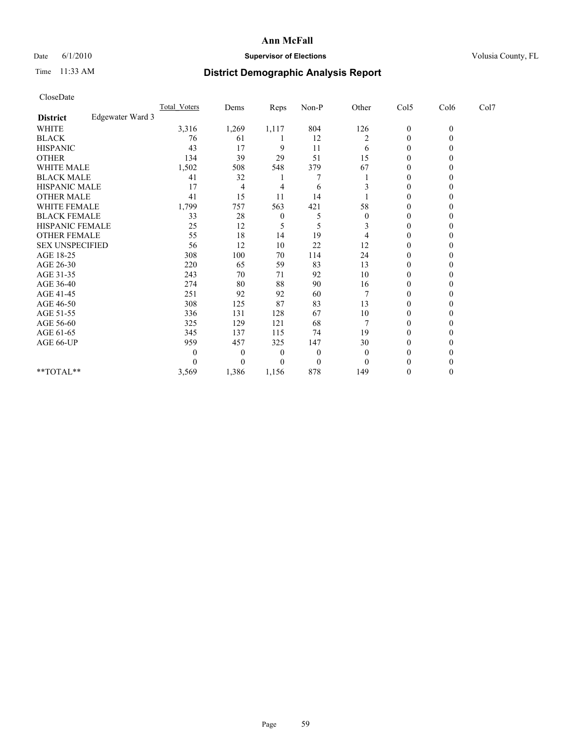## Date 6/1/2010 **Supervisor of Elections Supervisor of Elections** Volusia County, FL

# Time 11:33 AM **District Demographic Analysis Report**

| <b>Total Voters</b>                                                                                                                                                                            |                  | Reps  | Non-P    | Other          | Col5             | Col6     | Col7 |  |
|------------------------------------------------------------------------------------------------------------------------------------------------------------------------------------------------|------------------|-------|----------|----------------|------------------|----------|------|--|
|                                                                                                                                                                                                |                  |       |          |                |                  |          |      |  |
| 3,316                                                                                                                                                                                          | 1,269            | 1,117 | 804      | 126            | $\boldsymbol{0}$ | $\theta$ |      |  |
| 76                                                                                                                                                                                             | 61               |       | 12       | $\overline{2}$ | 0                | $\theta$ |      |  |
| 43                                                                                                                                                                                             | 17               | 9     | 11       | 6              | $\theta$         | $\theta$ |      |  |
| 134                                                                                                                                                                                            | 39               | 29    | 51       | 15             | $\boldsymbol{0}$ | 0        |      |  |
| 1,502                                                                                                                                                                                          | 508              | 548   | 379      | 67             | $\theta$         | 0        |      |  |
| 41                                                                                                                                                                                             | 32               |       |          |                | $\boldsymbol{0}$ | 0        |      |  |
| 17                                                                                                                                                                                             | $\overline{4}$   | 4     | 6        |                | 0                | 0        |      |  |
| 41                                                                                                                                                                                             | 15               | 11    | 14       |                | $\overline{0}$   | $\theta$ |      |  |
| 1,799                                                                                                                                                                                          | 757              | 563   | 421      | 58             | $\boldsymbol{0}$ | $\Omega$ |      |  |
| 33                                                                                                                                                                                             | 28               | 0     | 5        | $\theta$       | $\theta$         | 0        |      |  |
| 25                                                                                                                                                                                             | 12               | 5     | 5        | 3              | $\boldsymbol{0}$ | 0        |      |  |
| 55                                                                                                                                                                                             | 18               | 14    | 19       | 4              | 0                | $\theta$ |      |  |
| 56                                                                                                                                                                                             | 12               | 10    | 22       | 12             | 0                | 0        |      |  |
| 308                                                                                                                                                                                            | 100              | 70    | 114      | 24             | 0                | 0        |      |  |
| 220                                                                                                                                                                                            | 65               | 59    | 83       | 13             | $\overline{0}$   | $\theta$ |      |  |
| 243                                                                                                                                                                                            | 70               | 71    | 92       | 10             | $\boldsymbol{0}$ | $\Omega$ |      |  |
| 274                                                                                                                                                                                            | 80               | 88    | 90       | 16             | $\theta$         | 0        |      |  |
| 251                                                                                                                                                                                            | 92               | 92    | 60       | 7              | $\boldsymbol{0}$ | 0        |      |  |
| 308                                                                                                                                                                                            | 125              | 87    | 83       | 13             | 0                | $\theta$ |      |  |
| 336                                                                                                                                                                                            | 131              | 128   | 67       | 10             | $\boldsymbol{0}$ | 0        |      |  |
| 325                                                                                                                                                                                            | 129              | 121   | 68       | 7              | 0                | 0        |      |  |
| 345                                                                                                                                                                                            | 137              | 115   | 74       | 19             | 0                | $\theta$ |      |  |
| 959                                                                                                                                                                                            | 457              | 325   | 147      | 30             | $\boldsymbol{0}$ | $\theta$ |      |  |
| 0                                                                                                                                                                                              | $\theta$         | 0     | $\theta$ | $\overline{0}$ | 0                | 0        |      |  |
| 0                                                                                                                                                                                              | $\theta$         | 0     | $\theta$ | $\Omega$       |                  | 0        |      |  |
| 3,569                                                                                                                                                                                          | 1,386            | 1,156 | 878      | 149            | 0                | $\theta$ |      |  |
| <b>WHITE MALE</b><br><b>BLACK MALE</b><br>HISPANIC MALE<br><b>OTHER MALE</b><br>WHITE FEMALE<br><b>BLACK FEMALE</b><br><b>HISPANIC FEMALE</b><br><b>OTHER FEMALE</b><br><b>SEX UNSPECIFIED</b> | Edgewater Ward 3 | Dems  |          |                |                  |          |      |  |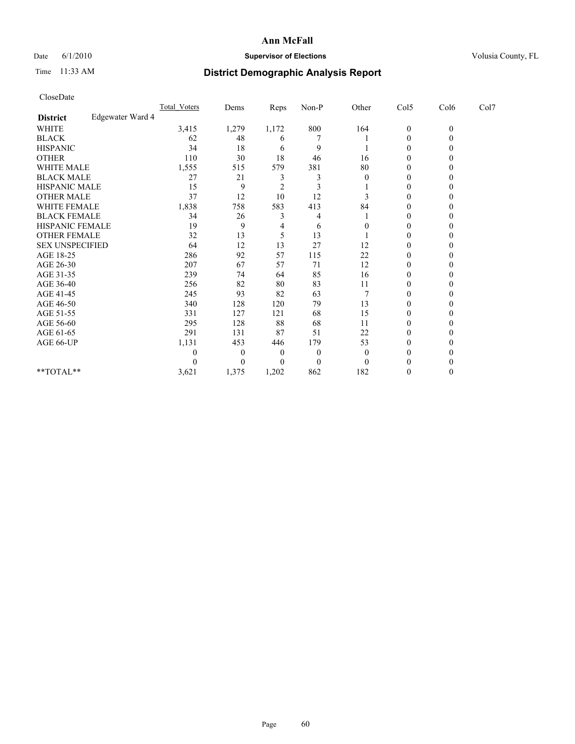## Date 6/1/2010 **Supervisor of Elections Supervisor of Elections** Volusia County, FL

# Time 11:33 AM **District Demographic Analysis Report**

| <b>Total Voters</b>                                                                                                                                                                            |                  | Reps           | Non-P    | Other    | Col5             | Col6           | Col7 |  |
|------------------------------------------------------------------------------------------------------------------------------------------------------------------------------------------------|------------------|----------------|----------|----------|------------------|----------------|------|--|
|                                                                                                                                                                                                |                  |                |          |          |                  |                |      |  |
| 3,415                                                                                                                                                                                          | 1,279            | 1,172          | 800      | 164      | $\boldsymbol{0}$ | $\overline{0}$ |      |  |
| 62                                                                                                                                                                                             | 48               | 6              |          |          | 0                | $\theta$       |      |  |
| 34                                                                                                                                                                                             | 18               | 6              | 9        |          | $\theta$         | 0              |      |  |
| 110                                                                                                                                                                                            | 30               | 18             | 46       | 16       | $\boldsymbol{0}$ | 0              |      |  |
| 1,555                                                                                                                                                                                          | 515              | 579            | 381      | 80       | $\theta$         | 0              |      |  |
| 27                                                                                                                                                                                             | 21               | 3              | 3        | $\Omega$ | $\theta$         | 0              |      |  |
| 15                                                                                                                                                                                             | 9                | $\overline{c}$ | 3        |          | 0                | 0              |      |  |
| 37                                                                                                                                                                                             | 12               | 10             | 12       | 3        | $\theta$         | $\theta$       |      |  |
| 1,838                                                                                                                                                                                          | 758              | 583            | 413      | 84       | $\boldsymbol{0}$ | $\Omega$       |      |  |
| 34                                                                                                                                                                                             | 26               | 3              | 4        |          | 0                | 0              |      |  |
| 19                                                                                                                                                                                             | 9                | 4              | 6        | 0        | $\boldsymbol{0}$ | 0              |      |  |
| 32                                                                                                                                                                                             | 13               | 5              | 13       |          | $\boldsymbol{0}$ | 0              |      |  |
| 64                                                                                                                                                                                             | 12               | 13             | 27       | 12       | 0                | 0              |      |  |
| 286                                                                                                                                                                                            | 92               | 57             | 115      | 22       | 0                | 0              |      |  |
| 207                                                                                                                                                                                            | 67               | 57             | 71       | 12       | $\overline{0}$   | $\theta$       |      |  |
| 239                                                                                                                                                                                            | 74               | 64             | 85       | 16       | $\boldsymbol{0}$ | $\Omega$       |      |  |
| 256                                                                                                                                                                                            | 82               | 80             | 83       | 11       | 0                | 0              |      |  |
| 245                                                                                                                                                                                            | 93               | 82             | 63       |          | $\theta$         | 0              |      |  |
| 340                                                                                                                                                                                            | 128              | 120            | 79       | 13       | 0                | 0              |      |  |
| 331                                                                                                                                                                                            | 127              | 121            | 68       | 15       | 0                | 0              |      |  |
| 295                                                                                                                                                                                            | 128              | 88             | 68       | 11       | 0                | 0              |      |  |
| 291                                                                                                                                                                                            | 131              | 87             | 51       | 22       | $\theta$         | $\theta$       |      |  |
| 1,131                                                                                                                                                                                          | 453              | 446            | 179      | 53       | $\boldsymbol{0}$ | 0              |      |  |
| 0                                                                                                                                                                                              | $\theta$         | 0              | $\theta$ | $\Omega$ | 0                | 0              |      |  |
| 0                                                                                                                                                                                              | $\theta$         | 0              | $\theta$ | $\Omega$ |                  |                |      |  |
| 3,621                                                                                                                                                                                          | 1,375            | 1,202          | 862      | 182      | 0                | $\theta$       |      |  |
| <b>WHITE MALE</b><br><b>BLACK MALE</b><br>HISPANIC MALE<br><b>OTHER MALE</b><br>WHITE FEMALE<br><b>BLACK FEMALE</b><br><b>HISPANIC FEMALE</b><br><b>OTHER FEMALE</b><br><b>SEX UNSPECIFIED</b> | Edgewater Ward 4 | Dems           |          |          |                  |                |      |  |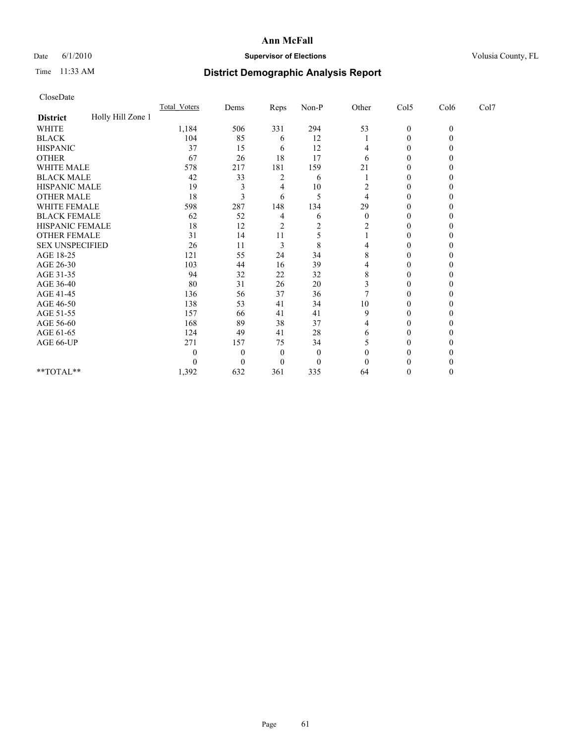## Date 6/1/2010 **Supervisor of Elections Supervisor of Elections** Volusia County, FL

# Time 11:33 AM **District Demographic Analysis Report**

| CloseDate              |                   |                     |                  |                |                |          |                  |              |      |  |
|------------------------|-------------------|---------------------|------------------|----------------|----------------|----------|------------------|--------------|------|--|
|                        |                   | <b>Total Voters</b> | Dems             | Reps           | Non-P          | Other    | Col5             | Col6         | Col7 |  |
| <b>District</b>        | Holly Hill Zone 1 |                     |                  |                |                |          |                  |              |      |  |
| <b>WHITE</b>           |                   | 1,184               | 506              | 331            | 294            | 53       | $\boldsymbol{0}$ | $\mathbf{0}$ |      |  |
| <b>BLACK</b>           |                   | 104                 | 85               | 6              | 12             |          | $\boldsymbol{0}$ | $\theta$     |      |  |
| <b>HISPANIC</b>        |                   | 37                  | 15               | 6              | 12             | 4        | 0                | 0            |      |  |
| <b>OTHER</b>           |                   | 67                  | 26               | 18             | 17             | 6        | $\boldsymbol{0}$ | 0            |      |  |
| <b>WHITE MALE</b>      |                   | 578                 | 217              | 181            | 159            | 21       | 0                | $_{0}$       |      |  |
| <b>BLACK MALE</b>      |                   | 42                  | 33               | 2              | 6              |          | $\theta$         | 0            |      |  |
| HISPANIC MALE          |                   | 19                  | 3                | 4              | 10             | 2        | $\mathbf{0}$     | 0            |      |  |
| <b>OTHER MALE</b>      |                   | 18                  | 3                | 6              | 5              | 4        | $\boldsymbol{0}$ | 0            |      |  |
| WHITE FEMALE           |                   | 598                 | 287              | 148            | 134            | 29       | $\mathbf{0}$     | $\theta$     |      |  |
| <b>BLACK FEMALE</b>    |                   | 62                  | 52               | 4              | 6              | $\theta$ | $\theta$         | 0            |      |  |
| HISPANIC FEMALE        |                   | 18                  | 12               | $\overline{c}$ | $\overline{2}$ | 2        | $\mathbf{0}$     | 0            |      |  |
| <b>OTHER FEMALE</b>    |                   | 31                  | 14               | 11             | 5              |          | $\mathbf{0}$     | 0            |      |  |
| <b>SEX UNSPECIFIED</b> |                   | 26                  | 11               | 3              | 8              | 4        | $\theta$         | 0            |      |  |
| AGE 18-25              |                   | 121                 | 55               | 24             | 34             | 8        | $\boldsymbol{0}$ | 0            |      |  |
| AGE 26-30              |                   | 103                 | 44               | 16             | 39             | 4        | $\boldsymbol{0}$ | $\theta$     |      |  |
| AGE 31-35              |                   | 94                  | 32               | 22             | 32             | 8        | $\boldsymbol{0}$ | $\Omega$     |      |  |
| AGE 36-40              |                   | 80                  | 31               | 26             | 20             | 3        | 0                | $\theta$     |      |  |
| AGE 41-45              |                   | 136                 | 56               | 37             | 36             |          | $\theta$         | 0            |      |  |
| AGE 46-50              |                   | 138                 | 53               | 41             | 34             | 10       | $\boldsymbol{0}$ | 0            |      |  |
| AGE 51-55              |                   | 157                 | 66               | 41             | 41             | 9        | $\boldsymbol{0}$ | 0            |      |  |
| AGE 56-60              |                   | 168                 | 89               | 38             | 37             | 4        | 0                | 0            |      |  |
| AGE 61-65              |                   | 124                 | 49               | 41             | 28             | 6        | $\boldsymbol{0}$ | 0            |      |  |
| AGE 66-UP              |                   | 271                 | 157              | 75             | 34             | 5        | $\boldsymbol{0}$ | 0            |      |  |
|                        |                   | $\theta$            | $\theta$         | $\theta$       | $\theta$       | 0        | 0                |              |      |  |
|                        |                   | $\Omega$            | $\boldsymbol{0}$ | 0              | $\theta$       | $\Omega$ |                  |              |      |  |
| **TOTAL**              |                   | 1,392               | 632              | 361            | 335            | 64       | 0                | $\theta$     |      |  |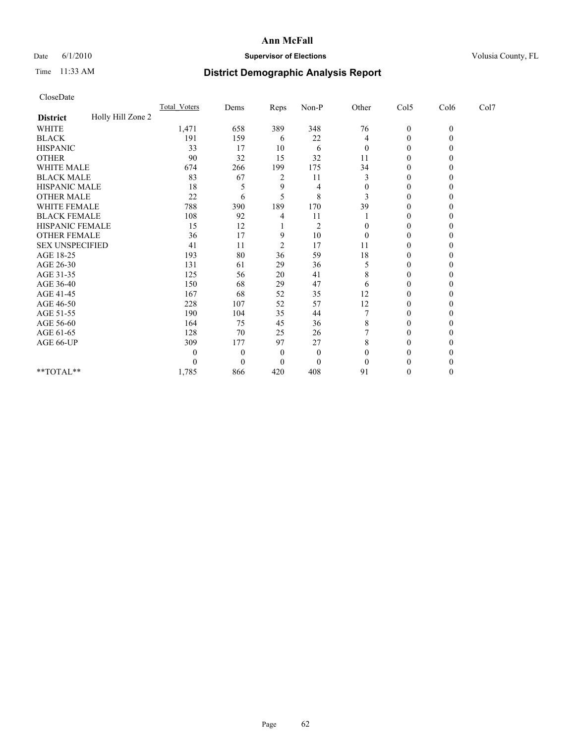## Date 6/1/2010 **Supervisor of Elections Supervisor of Elections** Volusia County, FL

# Time 11:33 AM **District Demographic Analysis Report**

| CloseDate              |                   |                     |                  |                |                |                |                  |              |      |  |
|------------------------|-------------------|---------------------|------------------|----------------|----------------|----------------|------------------|--------------|------|--|
|                        |                   | <b>Total Voters</b> | Dems             | Reps           | Non-P          | Other          | Col5             | Col6         | Col7 |  |
| <b>District</b>        | Holly Hill Zone 2 |                     |                  |                |                |                |                  |              |      |  |
| <b>WHITE</b>           |                   | 1,471               | 658              | 389            | 348            | 76             | $\boldsymbol{0}$ | $\mathbf{0}$ |      |  |
| <b>BLACK</b>           |                   | 191                 | 159              | 6              | 22             | 4              | 0                | $\theta$     |      |  |
| <b>HISPANIC</b>        |                   | 33                  | 17               | 10             | 6              | $\overline{0}$ | $\mathbf{0}$     | 0            |      |  |
| <b>OTHER</b>           |                   | 90                  | 32               | 15             | 32             | 11             | $\mathbf{0}$     | 0            |      |  |
| WHITE MALE             |                   | 674                 | 266              | 199            | 175            | 34             | $\mathbf{0}$     | 0            |      |  |
| <b>BLACK MALE</b>      |                   | 83                  | 67               | 2              | 11             | 3              | $\mathbf{0}$     | 0            |      |  |
| HISPANIC MALE          |                   | 18                  | 5                | 9              | 4              | $\theta$       | 0                | 0            |      |  |
| <b>OTHER MALE</b>      |                   | 22                  | 6                | 5              | 8              | 3              | $\theta$         | $\theta$     |      |  |
| WHITE FEMALE           |                   | 788                 | 390              | 189            | 170            | 39             | $\mathbf{0}$     | $\theta$     |      |  |
| <b>BLACK FEMALE</b>    |                   | 108                 | 92               | 4              | 11             |                | 0                | 0            |      |  |
| HISPANIC FEMALE        |                   | 15                  | 12               |                | $\overline{2}$ | $\theta$       | $\mathbf{0}$     | 0            |      |  |
| <b>OTHER FEMALE</b>    |                   | 36                  | 17               | 9              | 10             | $\mathbf{0}$   | $\boldsymbol{0}$ | 0            |      |  |
| <b>SEX UNSPECIFIED</b> |                   | 41                  | 11               | $\overline{c}$ | 17             | 11             | 0                | 0            |      |  |
| AGE 18-25              |                   | 193                 | 80               | 36             | 59             | 18             | $\mathbf{0}$     | 0            |      |  |
| AGE 26-30              |                   | 131                 | 61               | 29             | 36             | 5              | $\boldsymbol{0}$ | $\theta$     |      |  |
| AGE 31-35              |                   | 125                 | 56               | 20             | 41             | 8              | $\mathbf{0}$     | 0            |      |  |
| AGE 36-40              |                   | 150                 | 68               | 29             | 47             | 6              | 0                | 0            |      |  |
| AGE 41-45              |                   | 167                 | 68               | 52             | 35             | 12             | $\boldsymbol{0}$ | 0            |      |  |
| AGE 46-50              |                   | 228                 | 107              | 52             | 57             | 12             | 0                | 0            |      |  |
| AGE 51-55              |                   | 190                 | 104              | 35             | 44             |                | $\boldsymbol{0}$ | 0            |      |  |
| AGE 56-60              |                   | 164                 | 75               | 45             | 36             | 8              | $\boldsymbol{0}$ | $\theta$     |      |  |
| AGE 61-65              |                   | 128                 | 70               | 25             | 26             |                | $\boldsymbol{0}$ | $\theta$     |      |  |
| AGE 66-UP              |                   | 309                 | 177              | 97             | 27             | 8              | $\boldsymbol{0}$ | 0            |      |  |
|                        |                   | $\theta$            | $\boldsymbol{0}$ | $\Omega$       | $\theta$       | $\theta$       | $\theta$         |              |      |  |
|                        |                   | $\theta$            | $\theta$         | 0              | $\theta$       | $\Omega$       | 0                | 0            |      |  |
| **TOTAL**              |                   | 1,785               | 866              | 420            | 408            | 91             | 0                | $\theta$     |      |  |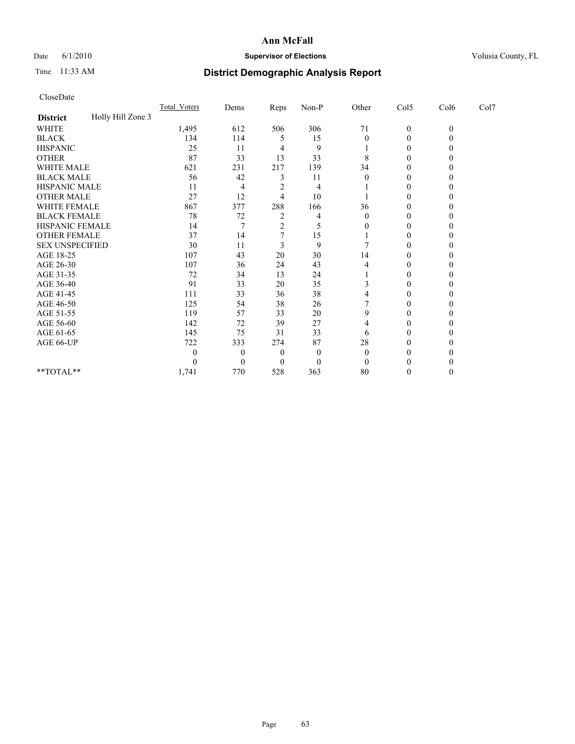## Date 6/1/2010 **Supervisor of Elections Supervisor of Elections** Volusia County, FL

# Time 11:33 AM **District Demographic Analysis Report**

| CloseDate              |                   |                     |                |                |          |          |                  |              |      |  |
|------------------------|-------------------|---------------------|----------------|----------------|----------|----------|------------------|--------------|------|--|
|                        |                   | <b>Total Voters</b> | Dems           | Reps           | Non-P    | Other    | Col5             | Col6         | Col7 |  |
| <b>District</b>        | Holly Hill Zone 3 |                     |                |                |          |          |                  |              |      |  |
| <b>WHITE</b>           |                   | 1,495               | 612            | 506            | 306      | 71       | $\boldsymbol{0}$ | $\mathbf{0}$ |      |  |
| <b>BLACK</b>           |                   | 134                 | 114            | 5              | 15       | $\theta$ | $\boldsymbol{0}$ | $\theta$     |      |  |
| <b>HISPANIC</b>        |                   | 25                  | 11             | 4              | 9        |          | 0                | 0            |      |  |
| <b>OTHER</b>           |                   | 87                  | 33             | 13             | 33       | 8        | $\boldsymbol{0}$ | 0            |      |  |
| WHITE MALE             |                   | 621                 | 231            | 217            | 139      | 34       | $\theta$         | 0            |      |  |
| <b>BLACK MALE</b>      |                   | 56                  | 42             | 3              | 11       | $\Omega$ | 0                | 0            |      |  |
| HISPANIC MALE          |                   | 11                  | 4              | $\overline{2}$ | 4        |          | 0                | 0            |      |  |
| <b>OTHER MALE</b>      |                   | 27                  | 12             | 4              | 10       |          | $\mathbf{0}$     | 0            |      |  |
| WHITE FEMALE           |                   | 867                 | 377            | 288            | 166      | 36       | 0                | 0            |      |  |
| <b>BLACK FEMALE</b>    |                   | 78                  | 72             | 2              | 4        | $\Omega$ | 0                |              |      |  |
| HISPANIC FEMALE        |                   | 14                  | 7              | $\overline{c}$ | 5        | $\theta$ | $\theta$         | 0            |      |  |
| <b>OTHER FEMALE</b>    |                   | 37                  | 14             | 7              | 15       |          | $\mathbf{0}$     | 0            |      |  |
| <b>SEX UNSPECIFIED</b> |                   | 30                  | 11             | 3              | 9        |          | 0                | $_{0}$       |      |  |
| AGE 18-25              |                   | 107                 | 43             | 20             | 30       | 14       | $\mathbf{0}$     | 0            |      |  |
| AGE 26-30              |                   | 107                 | 36             | 24             | 43       | 4        | $\theta$         | $\theta$     |      |  |
| AGE 31-35              |                   | 72                  | 34             | 13             | 24       |          | 0                | 0            |      |  |
| AGE 36-40              |                   | 91                  | 33             | 20             | 35       | 3        | 0                |              |      |  |
| AGE 41-45              |                   | 111                 | 33             | 36             | 38       | 4        | 0                | 0            |      |  |
| AGE 46-50              |                   | 125                 | 54             | 38             | 26       |          | 0                | 0            |      |  |
| AGE 51-55              |                   | 119                 | 57             | 33             | 20       | 9        | 0                | 0            |      |  |
| AGE 56-60              |                   | 142                 | 72             | 39             | 27       | 4        | $\theta$         | 0            |      |  |
| AGE 61-65              |                   | 145                 | 75             | 31             | 33       | 6        | 0                | 0            |      |  |
| AGE 66-UP              |                   | 722                 | 333            | 274            | 87       | 28       | 0                |              |      |  |
|                        |                   | $\theta$            | $\theta$       | $\theta$       | $\theta$ | $\theta$ | 0                |              |      |  |
|                        |                   | $\theta$            | $\overline{0}$ | 0              | $\theta$ | $\Omega$ | 0                |              |      |  |
| **TOTAL**              |                   | 1,741               | 770            | 528            | 363      | 80       | 0                | 0            |      |  |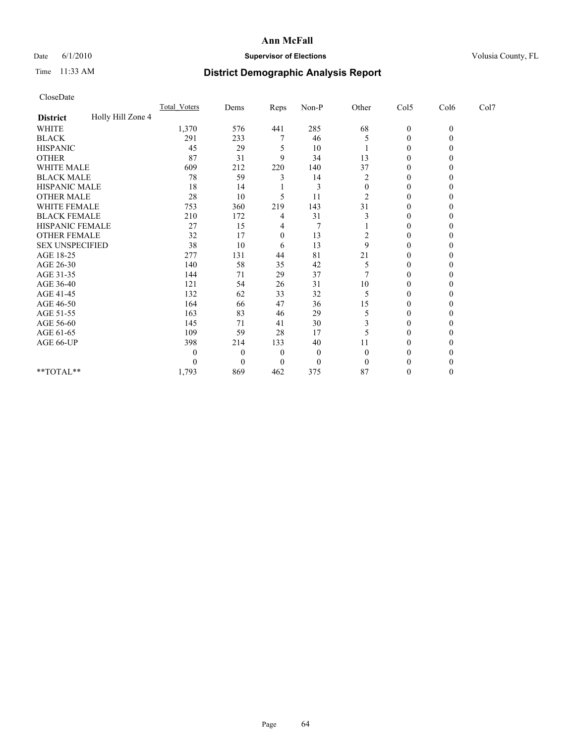## Date 6/1/2010 **Supervisor of Elections Supervisor of Elections** Volusia County, FL

# Time 11:33 AM **District Demographic Analysis Report**

| CloseDate              |                   |                     |          |          |          |                  |                  |              |      |  |
|------------------------|-------------------|---------------------|----------|----------|----------|------------------|------------------|--------------|------|--|
|                        |                   | <b>Total Voters</b> | Dems     | Reps     | Non-P    | Other            | Col5             | Col6         | Col7 |  |
| <b>District</b>        | Holly Hill Zone 4 |                     |          |          |          |                  |                  |              |      |  |
| <b>WHITE</b>           |                   | 1,370               | 576      | 441      | 285      | 68               | $\boldsymbol{0}$ | $\mathbf{0}$ |      |  |
| <b>BLACK</b>           |                   | 291                 | 233      | 7        | 46       | 5                | 0                | $\theta$     |      |  |
| <b>HISPANIC</b>        |                   | 45                  | 29       | 5        | 10       |                  | 0                | 0            |      |  |
| <b>OTHER</b>           |                   | 87                  | 31       | 9        | 34       | 13               | $\mathbf{0}$     | 0            |      |  |
| WHITE MALE             |                   | 609                 | 212      | 220      | 140      | 37               | $\mathbf{0}$     | 0            |      |  |
| <b>BLACK MALE</b>      |                   | 78                  | 59       | 3        | 14       | $\overline{c}$   | $\mathbf{0}$     | 0            |      |  |
| HISPANIC MALE          |                   | 18                  | 14       |          | 3        | $\boldsymbol{0}$ | 0                | 0            |      |  |
| <b>OTHER MALE</b>      |                   | 28                  | 10       | 5        | 11       | 2                | $\theta$         | $\theta$     |      |  |
| WHITE FEMALE           |                   | 753                 | 360      | 219      | 143      | 31               | $\mathbf{0}$     | $\theta$     |      |  |
| <b>BLACK FEMALE</b>    |                   | 210                 | 172      | 4        | 31       |                  | $\mathbf{0}$     | 0            |      |  |
| HISPANIC FEMALE        |                   | 27                  | 15       | 4        | 7        |                  | $\mathbf{0}$     | 0            |      |  |
| <b>OTHER FEMALE</b>    |                   | 32                  | 17       | $\theta$ | 13       | 2                | $\boldsymbol{0}$ | 0            |      |  |
| <b>SEX UNSPECIFIED</b> |                   | 38                  | 10       | 6        | 13       | 9                | 0                | 0            |      |  |
| AGE 18-25              |                   | 277                 | 131      | 44       | 81       | 21               | $\mathbf{0}$     | 0            |      |  |
| AGE 26-30              |                   | 140                 | 58       | 35       | 42       | 5                | $\boldsymbol{0}$ | $\theta$     |      |  |
| AGE 31-35              |                   | 144                 | 71       | 29       | 37       |                  | $\mathbf{0}$     | 0            |      |  |
| AGE 36-40              |                   | 121                 | 54       | 26       | 31       | 10               | $\mathbf{0}$     | $_{0}$       |      |  |
| AGE 41-45              |                   | 132                 | 62       | 33       | 32       | 5                | $\mathbf{0}$     | 0            |      |  |
| AGE 46-50              |                   | 164                 | 66       | 47       | 36       | 15               | $\mathbf{0}$     | 0            |      |  |
| AGE 51-55              |                   | 163                 | 83       | 46       | 29       | 5                | $\mathbf{0}$     | 0            |      |  |
| AGE 56-60              |                   | 145                 | 71       | 41       | 30       | 3                | $\boldsymbol{0}$ | $\theta$     |      |  |
| AGE 61-65              |                   | 109                 | 59       | 28       | 17       | 5                | $\boldsymbol{0}$ | $\theta$     |      |  |
| AGE 66-UP              |                   | 398                 | 214      | 133      | 40       | 11               | 0                | 0            |      |  |
|                        |                   | $\theta$            | $\theta$ | 0        | 0        | $\Omega$         | $\theta$         | 0            |      |  |
|                        |                   | $\theta$            | $\theta$ | 0        | $\theta$ | $\Omega$         | $\theta$         | 0            |      |  |
| **TOTAL**              |                   | 1,793               | 869      | 462      | 375      | 87               | $\boldsymbol{0}$ | $\theta$     |      |  |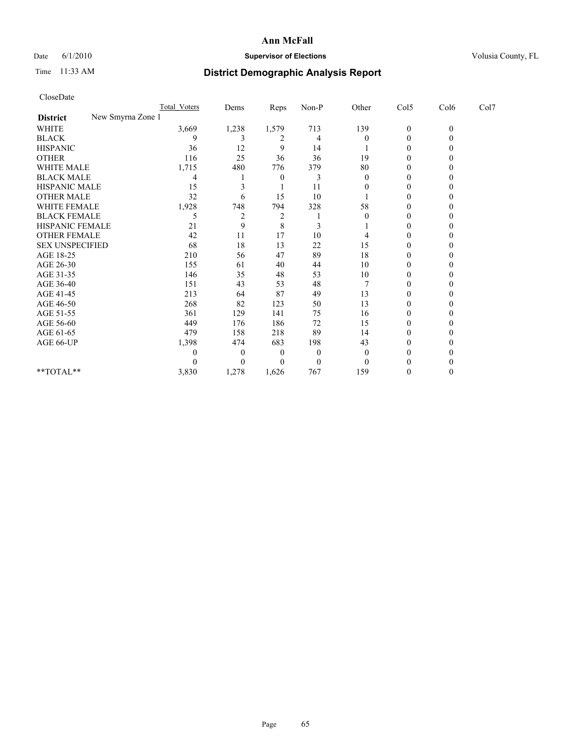# Date 6/1/2010 **Supervisor of Elections Supervisor of Elections** Volusia County, FL

# Time 11:33 AM **District Demographic Analysis Report**

|                                      | <b>Total Voters</b> | Dems           | <b>Reps</b>    | $Non-P$      | Other    | Col5             | Col6         | Col7 |
|--------------------------------------|---------------------|----------------|----------------|--------------|----------|------------------|--------------|------|
| New Smyrna Zone 1<br><b>District</b> |                     |                |                |              |          |                  |              |      |
| <b>WHITE</b>                         | 3,669               | 1,238          | 1,579          | 713          | 139      | $\boldsymbol{0}$ | $\mathbf{0}$ |      |
| <b>BLACK</b>                         | 9                   |                | 2              | 4            | 0        | 0                |              |      |
| <b>HISPANIC</b>                      | 36                  | 12             | 9              | 14           |          | 0                |              |      |
| <b>OTHER</b>                         | 116                 | 25             | 36             | 36           | 19       | 0                |              |      |
| <b>WHITE MALE</b>                    | 1,715               | 480            | 776            | 379          | 80       |                  |              |      |
| <b>BLACK MALE</b>                    | 4                   |                | $\Omega$       | 3            | $\Omega$ | 0                |              |      |
| HISPANIC MALE                        | 15                  |                |                | 11           |          | 0                |              |      |
| <b>OTHER MALE</b>                    | 32                  | 6              | 15             | 10           |          | 0                |              |      |
| WHITE FEMALE                         | 1,928               | 748            | 794            | 328          | 58       | 0                |              |      |
| <b>BLACK FEMALE</b>                  | 5                   | $\overline{2}$ | $\overline{c}$ |              |          | $\Omega$         |              |      |
| HISPANIC FEMALE                      | 21                  | 9              | 8              | 3            |          | 0                |              |      |
| <b>OTHER FEMALE</b>                  | 42                  | 11             | 17             | 10           |          | 0                |              |      |
| <b>SEX UNSPECIFIED</b>               | 68                  | 18             | 13             | $22\,$       | 15       | $\Omega$         |              |      |
| AGE 18-25                            | 210                 | 56             | 47             | 89           | 18       | 0                |              |      |
| AGE 26-30                            | 155                 | 61             | 40             | 44           | 10       | 0                |              |      |
| AGE 31-35                            | 146                 | 35             | 48             | 53           | 10       | 0                |              |      |
| AGE 36-40                            | 151                 | 43             | 53             | 48           |          | 0                |              |      |
| AGE 41-45                            | 213                 | 64             | 87             | 49           | 13       | $\Omega$         |              |      |
| AGE 46-50                            | 268                 | 82             | 123            | 50           | 13       | $\Omega$         |              |      |
| AGE 51-55                            | 361                 | 129            | 141            | 75           | 16       | 0                |              |      |
| AGE 56-60                            | 449                 | 176            | 186            | 72           | 15       | 0                |              |      |
| AGE 61-65                            | 479                 | 158            | 218            | 89           | 14       | $\Omega$         |              |      |
| AGE 66-UP                            | 1,398               | 474            | 683            | 198          | 43       | 0                |              |      |
|                                      | $\mathbf{0}$        | $\theta$       | $\theta$       | $\mathbf{0}$ | $\theta$ | 0                |              |      |
|                                      |                     | $\Omega$       | 0              | $\theta$     | $\Omega$ | 0                |              |      |
| **TOTAL**                            | 3,830               | 1,278          | 1,626          | 767          | 159      | $\theta$         |              |      |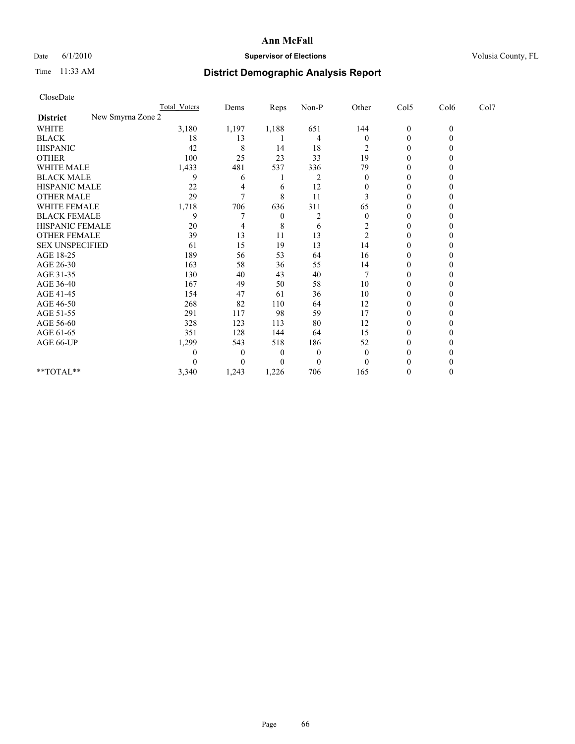## Date 6/1/2010 **Supervisor of Elections Supervisor of Elections** Volusia County, FL

# Time 11:33 AM **District Demographic Analysis Report**

| CloseDate                            |                  |                  |       |                  |                |                  |              |      |
|--------------------------------------|------------------|------------------|-------|------------------|----------------|------------------|--------------|------|
|                                      | Total Voters     | Dems             | Reps  | Non-P            | Other          | Col5             | Col6         | Col7 |
| New Smyrna Zone 2<br><b>District</b> |                  |                  |       |                  |                |                  |              |      |
| <b>WHITE</b>                         | 3,180            | 1,197            | 1,188 | 651              | 144            | $\boldsymbol{0}$ | $\mathbf{0}$ |      |
| <b>BLACK</b>                         | 18               | 13               |       | 4                | $\overline{0}$ | $\boldsymbol{0}$ | $\theta$     |      |
| <b>HISPANIC</b>                      | 42               | 8                | 14    | 18               | 2              | 0                | 0            |      |
| <b>OTHER</b>                         | 100              | 25               | 23    | 33               | 19             | $\boldsymbol{0}$ | 0            |      |
| <b>WHITE MALE</b>                    | 1,433            | 481              | 537   | 336              | 79             | 0                | $_{0}$       |      |
| <b>BLACK MALE</b>                    | 9                | 6                |       | $\overline{2}$   | $\Omega$       | $\theta$         | 0            |      |
| HISPANIC MALE                        | 22               | 4                | 6     | 12               | $\theta$       | $\boldsymbol{0}$ | 0            |      |
| <b>OTHER MALE</b>                    | 29               | 7                | 8     | 11               | 3              | $\theta$         | $\theta$     |      |
| WHITE FEMALE                         | 1,718            | 706              | 636   | 311              | 65             | $\boldsymbol{0}$ | $\theta$     |      |
| <b>BLACK FEMALE</b>                  | 9                | 7                | 0     | 2                | $\theta$       | $\theta$         | 0            |      |
| HISPANIC FEMALE                      | 20               | 4                | 8     | 6                | $\overline{2}$ | $\boldsymbol{0}$ | 0            |      |
| <b>OTHER FEMALE</b>                  | 39               | 13               | 11    | 13               | $\overline{c}$ | $\boldsymbol{0}$ | 0            |      |
| <b>SEX UNSPECIFIED</b>               | 61               | 15               | 19    | 13               | 14             | $\boldsymbol{0}$ | 0            |      |
| AGE 18-25                            | 189              | 56               | 53    | 64               | 16             | $\boldsymbol{0}$ | 0            |      |
| AGE 26-30                            | 163              | 58               | 36    | 55               | 14             | $\theta$         | $\theta$     |      |
| AGE 31-35                            | 130              | 40               | 43    | 40               | $\overline{7}$ | $\boldsymbol{0}$ | $\theta$     |      |
| AGE 36-40                            | 167              | 49               | 50    | 58               | 10             | $\boldsymbol{0}$ | 0            |      |
| AGE 41-45                            | 154              | 47               | 61    | 36               | 10             | $\boldsymbol{0}$ | 0            |      |
| AGE 46-50                            | 268              | 82               | 110   | 64               | 12             | $\boldsymbol{0}$ | 0            |      |
| AGE 51-55                            | 291              | 117              | 98    | 59               | 17             | $\boldsymbol{0}$ | 0            |      |
| AGE 56-60                            | 328              | 123              | 113   | 80               | 12             | $\boldsymbol{0}$ | 0            |      |
| AGE 61-65                            | 351              | 128              | 144   | 64               | 15             | $\boldsymbol{0}$ | $\theta$     |      |
| AGE 66-UP                            | 1,299            | 543              | 518   | 186              | 52             | 0                | 0            |      |
|                                      | $\boldsymbol{0}$ | $\theta$         | 0     | $\boldsymbol{0}$ | $\overline{0}$ | 0                |              |      |
|                                      | $\Omega$         | $\boldsymbol{0}$ | 0     | $\theta$         | $\Omega$       | 0                |              |      |
| $**TOTAI.**$                         | 3,340            | 1,243            | 1,226 | 706              | 165            | 0                | $\theta$     |      |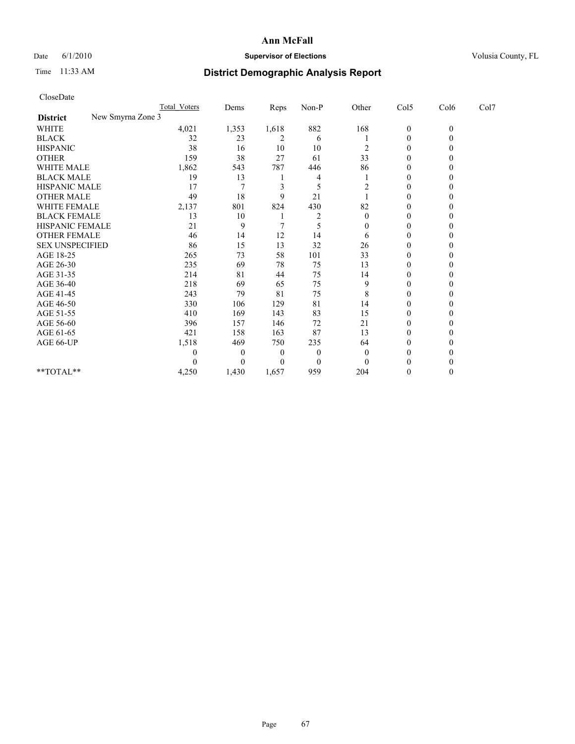# Date 6/1/2010 **Supervisor of Elections Supervisor of Elections** Volusia County, FL

# Time 11:33 AM **District Demographic Analysis Report**

|                                      | Total Voters | Dems  | Reps           | Non-P          | Other            | Col5         | Col6     | Col7 |  |
|--------------------------------------|--------------|-------|----------------|----------------|------------------|--------------|----------|------|--|
| New Smyrna Zone 3<br><b>District</b> |              |       |                |                |                  |              |          |      |  |
| WHITE                                | 4,021        | 1,353 | 1,618          | 882            | 168              | $\mathbf{0}$ | $\theta$ |      |  |
| <b>BLACK</b>                         | 32           | 23    | $\overline{2}$ | 6              |                  | $\theta$     |          |      |  |
| <b>HISPANIC</b>                      | 38           | 16    | 10             | 10             | 2                | $\Omega$     |          |      |  |
| <b>OTHER</b>                         | 159          | 38    | 27             | 61             | 33               | $\Omega$     |          |      |  |
| <b>WHITE MALE</b>                    | 1,862        | 543   | 787            | 446            | 86               | 0            |          |      |  |
| <b>BLACK MALE</b>                    | 19           | 13    |                | 4              |                  | $\Omega$     |          |      |  |
| HISPANIC MALE                        | 17           |       | 3              | 5              | $\overline{2}$   | $\theta$     |          |      |  |
| <b>OTHER MALE</b>                    | 49           | 18    | 9              | 21             |                  | $\Omega$     |          |      |  |
| WHITE FEMALE                         | 2,137        | 801   | 824            | 430            | 82               | $\theta$     |          |      |  |
| <b>BLACK FEMALE</b>                  | 13           | 10    |                | 2              | $\theta$         | $\mathbf{0}$ |          |      |  |
| HISPANIC FEMALE                      | 21           | 9     |                |                | $\boldsymbol{0}$ | $\theta$     |          |      |  |
| <b>OTHER FEMALE</b>                  | 46           | 14    | 12             | 14             | 6                | $\Omega$     |          |      |  |
| <b>SEX UNSPECIFIED</b>               | 86           | 15    | 13             | 32             | 26               | $\theta$     |          |      |  |
| AGE 18-25                            | 265          | 73    | 58             | 101            | 33               | 0            |          |      |  |
| AGE 26-30                            | 235          | 69    | 78             | 75             | 13               | $\Omega$     |          |      |  |
| AGE 31-35                            | 214          | 81    | 44             | 75             | 14               | $\Omega$     |          |      |  |
| AGE 36-40                            | 218          | 69    | 65             | 75             | 9                | 0            |          |      |  |
| AGE 41-45                            | 243          | 79    | 81             | 75             | 8                | $\theta$     |          |      |  |
| AGE 46-50                            | 330          | 106   | 129            | 81             | 14               | $\theta$     |          |      |  |
| AGE 51-55                            | 410          | 169   | 143            | 83             | 15               | $\mathbf{0}$ |          |      |  |
| AGE 56-60                            | 396          | 157   | 146            | 72             | 21               | $\theta$     |          |      |  |
| AGE 61-65                            | 421          | 158   | 163            | 87             | 13               | $\Omega$     |          |      |  |
| AGE 66-UP                            | 1,518        | 469   | 750            | 235            | 64               | $\Omega$     |          |      |  |
|                                      | 0            | 0     | $\mathbf{0}$   | $\overline{0}$ | $\theta$         | $\Omega$     |          |      |  |
|                                      |              | 0     | $\Omega$       | $\Omega$       | $\theta$         | 0            |          |      |  |
| **TOTAL**                            | 4,250        | 1,430 | 1,657          | 959            | 204              | $\Omega$     |          |      |  |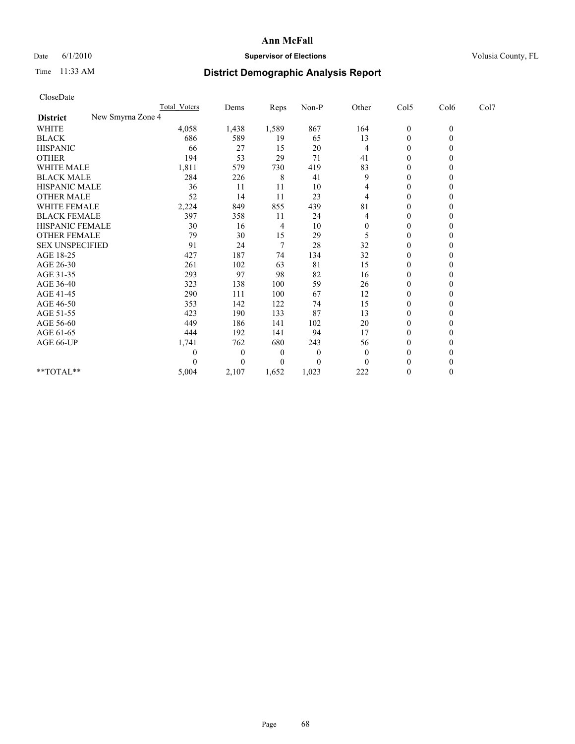## Date 6/1/2010 **Supervisor of Elections Supervisor of Elections** Volusia County, FL

# Time 11:33 AM **District Demographic Analysis Report**

| CloseDate              |                     |          |       |                  |                |                  |                |      |
|------------------------|---------------------|----------|-------|------------------|----------------|------------------|----------------|------|
|                        | <b>Total Voters</b> | Dems     | Reps  | Non-P            | Other          | Col5             | Col6           | Col7 |
| <b>District</b>        | New Smyrna Zone 4   |          |       |                  |                |                  |                |      |
| <b>WHITE</b>           | 4,058               | 1,438    | 1,589 | 867              | 164            | $\boldsymbol{0}$ | $\mathbf{0}$   |      |
| <b>BLACK</b>           | 686                 | 589      | 19    | 65               | 13             | $\boldsymbol{0}$ | $\overline{0}$ |      |
| <b>HISPANIC</b>        | 66                  | 27       | 15    | 20               | 4              | $\boldsymbol{0}$ | $\Omega$       |      |
| <b>OTHER</b>           | 194                 | 53       | 29    | 71               | 41             | $\boldsymbol{0}$ | $\mathbf{0}$   |      |
| <b>WHITE MALE</b>      | 1,811               | 579      | 730   | 419              | 83             | $\boldsymbol{0}$ | $\theta$       |      |
| <b>BLACK MALE</b>      | 284                 | 226      | 8     | 41               | 9              | $\overline{0}$   | $\theta$       |      |
| HISPANIC MALE          | 36                  | 11       | 11    | 10               | 4              | $\boldsymbol{0}$ | $\theta$       |      |
| <b>OTHER MALE</b>      | 52                  | 14       | 11    | 23               | 4              | $\mathbf{0}$     | $\mathbf{0}$   |      |
| WHITE FEMALE           | 2,224               | 849      | 855   | 439              | 81             | 0                | $\theta$       |      |
| <b>BLACK FEMALE</b>    | 397                 | 358      | 11    | 24               | 4              | $\boldsymbol{0}$ | $\theta$       |      |
| HISPANIC FEMALE        | 30                  | 16       | 4     | 10               | $\theta$       | 0                | $\theta$       |      |
| <b>OTHER FEMALE</b>    | 79                  | 30       | 15    | 29               | 5              | 0                | $\theta$       |      |
| <b>SEX UNSPECIFIED</b> | 91                  | 24       | 7     | 28               | 32             | $\boldsymbol{0}$ | $\theta$       |      |
| AGE 18-25              | 427                 | 187      | 74    | 134              | 32             | 0                | $\theta$       |      |
| AGE 26-30              | 261                 | 102      | 63    | 81               | 15             | $\boldsymbol{0}$ | $\Omega$       |      |
| AGE 31-35              | 293                 | 97       | 98    | 82               | 16             | $\mathbf{0}$     | $\theta$       |      |
| AGE 36-40              | 323                 | 138      | 100   | 59               | 26             | 0                | $\theta$       |      |
| AGE 41-45              | 290                 | 111      | 100   | 67               | 12             | $\boldsymbol{0}$ | $\theta$       |      |
| AGE 46-50              | 353                 | 142      | 122   | 74               | 15             | $\mathbf{0}$     | $\Omega$       |      |
| AGE 51-55              | 423                 | 190      | 133   | 87               | 13             | $\boldsymbol{0}$ | $\theta$       |      |
| AGE 56-60              | 449                 | 186      | 141   | 102              | 20             | 0                | $\theta$       |      |
| AGE 61-65              | 444                 | 192      | 141   | 94               | 17             | $\mathbf{0}$     | $\Omega$       |      |
| AGE 66-UP              | 1,741               | 762      | 680   | 243              | 56             | $\boldsymbol{0}$ | $\theta$       |      |
|                        | $\theta$            | $\theta$ | 0     | $\boldsymbol{0}$ | $\overline{0}$ | $\boldsymbol{0}$ | 0              |      |
|                        | $\Omega$            | $\theta$ | 0     | $\theta$         | $\Omega$       | $\theta$         | 0              |      |
| $*$ TOTAL $*$          | 5,004               | 2,107    | 1,652 | 1,023            | 222            | $\boldsymbol{0}$ | $\theta$       |      |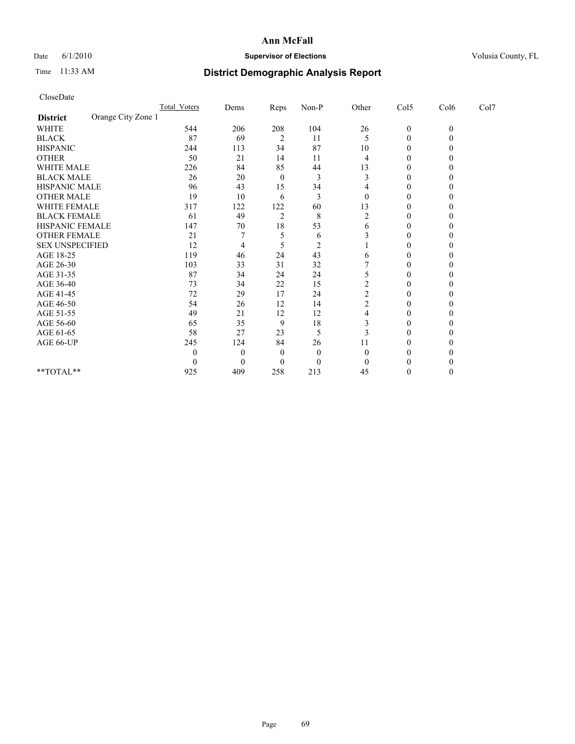## Date 6/1/2010 **Supervisor of Elections Supervisor of Elections** Volusia County, FL

# Time 11:33 AM **District Demographic Analysis Report**

| CloseDate              |                    |                     |                |                |                |                |                  |              |      |  |
|------------------------|--------------------|---------------------|----------------|----------------|----------------|----------------|------------------|--------------|------|--|
|                        |                    | <b>Total Voters</b> | Dems           | Reps           | Non-P          | Other          | Col5             | Col6         | Col7 |  |
| <b>District</b>        | Orange City Zone 1 |                     |                |                |                |                |                  |              |      |  |
| <b>WHITE</b>           |                    | 544                 | 206            | 208            | 104            | 26             | $\boldsymbol{0}$ | $\mathbf{0}$ |      |  |
| <b>BLACK</b>           |                    | 87                  | 69             | $\overline{2}$ | 11             | 5              | 0                | $\mathbf{0}$ |      |  |
| <b>HISPANIC</b>        |                    | 244                 | 113            | 34             | 87             | 10             | 0                | 0            |      |  |
| <b>OTHER</b>           |                    | 50                  | 21             | 14             | 11             | 4              | $\boldsymbol{0}$ | 0            |      |  |
| WHITE MALE             |                    | 226                 | 84             | 85             | 44             | 13             | $\boldsymbol{0}$ | 0            |      |  |
| <b>BLACK MALE</b>      |                    | 26                  | 20             | $\theta$       | 3              | 3              | $\theta$         | 0            |      |  |
| HISPANIC MALE          |                    | 96                  | 43             | 15             | 34             | 4              | 0                | 0            |      |  |
| <b>OTHER MALE</b>      |                    | 19                  | 10             | 6              | 3              | $\theta$       | $\mathbf{0}$     | $\theta$     |      |  |
| <b>WHITE FEMALE</b>    |                    | 317                 | 122            | 122            | 60             | 13             | $\boldsymbol{0}$ | 0            |      |  |
| <b>BLACK FEMALE</b>    |                    | 61                  | 49             | $\overline{2}$ | 8              | $\overline{c}$ | 0                |              |      |  |
| HISPANIC FEMALE        |                    | 147                 | 70             | 18             | 53             | 6              | $\boldsymbol{0}$ | 0            |      |  |
| <b>OTHER FEMALE</b>    |                    | 21                  | 7              | 5              | 6              | 3              | $\mathbf{0}$     | 0            |      |  |
| <b>SEX UNSPECIFIED</b> |                    | 12                  | 4              | 5              | $\overline{2}$ |                | 0                | $\theta$     |      |  |
| AGE 18-25              |                    | 119                 | 46             | 24             | 43             | 6              | $\mathbf{0}$     | 0            |      |  |
| AGE 26-30              |                    | 103                 | 33             | 31             | 32             |                | $\boldsymbol{0}$ | $\theta$     |      |  |
| AGE 31-35              |                    | 87                  | 34             | 24             | 24             | 5              | $\mathbf{0}$     | 0            |      |  |
| AGE 36-40              |                    | 73                  | 34             | 22             | 15             | $\overline{c}$ | 0                |              |      |  |
| AGE 41-45              |                    | 72                  | 29             | 17             | 24             | $\overline{c}$ | $\mathbf{0}$     | 0            |      |  |
| AGE 46-50              |                    | 54                  | 26             | 12             | 14             | $\overline{c}$ | 0                | 0            |      |  |
| AGE 51-55              |                    | 49                  | 21             | 12             | 12             | 4              | 0                | 0            |      |  |
| AGE 56-60              |                    | 65                  | 35             | 9              | 18             | 3              | $\mathbf{0}$     | 0            |      |  |
| AGE 61-65              |                    | 58                  | 27             | 23             | 5              | 3              | 0                | 0            |      |  |
| AGE 66-UP              |                    | 245                 | 124            | 84             | 26             | 11             | 0                | 0            |      |  |
|                        |                    | $\theta$            | $\overline{0}$ | 0              | $\theta$       | $\theta$       | $\theta$         |              |      |  |
|                        |                    | $\theta$            | $\Omega$       | 0              | $\theta$       | $\theta$       | 0                | 0            |      |  |
| $**TOTAL**$            |                    | 925                 | 409            | 258            | 213            | 45             | 0                | $\theta$     |      |  |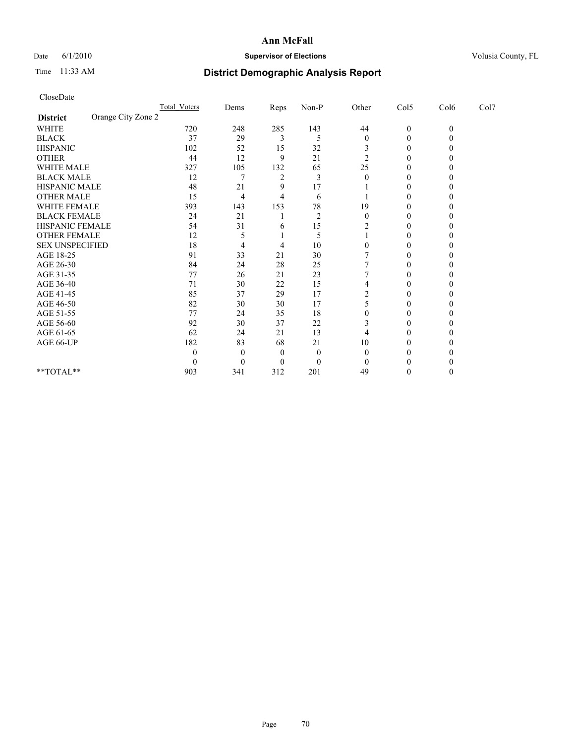## Date 6/1/2010 **Supervisor of Elections Supervisor of Elections** Volusia County, FL

# Time 11:33 AM **District Demographic Analysis Report**

| CloseDate              |                    |                     |                  |                |                |                |                  |              |      |
|------------------------|--------------------|---------------------|------------------|----------------|----------------|----------------|------------------|--------------|------|
|                        |                    | <b>Total Voters</b> | Dems             | Reps           | Non-P          | Other          | Col5             | Col6         | Col7 |
| <b>District</b>        | Orange City Zone 2 |                     |                  |                |                |                |                  |              |      |
| <b>WHITE</b>           |                    | 720                 | 248              | 285            | 143            | 44             | $\boldsymbol{0}$ | $\mathbf{0}$ |      |
| <b>BLACK</b>           |                    | 37                  | 29               | 3              | 5              | $\overline{0}$ | $\boldsymbol{0}$ | $\theta$     |      |
| <b>HISPANIC</b>        |                    | 102                 | 52               | 15             | 32             | 3              | 0                | 0            |      |
| <b>OTHER</b>           |                    | 44                  | 12               | 9              | 21             | $\overline{c}$ | $\boldsymbol{0}$ | 0            |      |
| <b>WHITE MALE</b>      |                    | 327                 | 105              | 132            | 65             | 25             | 0                | $_{0}$       |      |
| <b>BLACK MALE</b>      |                    | 12                  | 7                | $\overline{c}$ | 3              | $\Omega$       | $\theta$         | 0            |      |
| HISPANIC MALE          |                    | 48                  | 21               | 9              | 17             |                | 0                | 0            |      |
| <b>OTHER MALE</b>      |                    | 15                  | 4                | 4              | 6              |                | 0                | 0            |      |
| WHITE FEMALE           |                    | 393                 | 143              | 153            | 78             | 19             | $\theta$         | 0            |      |
| <b>BLACK FEMALE</b>    |                    | 24                  | 21               |                | $\overline{c}$ | $\theta$       | 0                | 0            |      |
| HISPANIC FEMALE        |                    | 54                  | 31               | 6              | 15             | 2              | $\mathbf{0}$     | 0            |      |
| <b>OTHER FEMALE</b>    |                    | 12                  | 5                |                | 5              |                | $\mathbf{0}$     | $_{0}$       |      |
| <b>SEX UNSPECIFIED</b> |                    | 18                  | 4                | 4              | 10             | $\theta$       | 0                | 0            |      |
| AGE 18-25              |                    | 91                  | 33               | 21             | 30             |                | 0                | $_{0}$       |      |
| AGE 26-30              |                    | 84                  | 24               | 28             | 25             |                | $\mathbf{0}$     | 0            |      |
| AGE 31-35              |                    | 77                  | 26               | 21             | 23             |                | $\mathbf{0}$     | 0            |      |
| AGE 36-40              |                    | 71                  | 30               | 22             | 15             | 4              | 0                |              |      |
| AGE 41-45              |                    | 85                  | 37               | 29             | 17             | $\overline{c}$ | $\theta$         | 0            |      |
| AGE 46-50              |                    | 82                  | 30               | 30             | 17             | 5              | 0                | $_{0}$       |      |
| AGE 51-55              |                    | 77                  | 24               | 35             | 18             | $\theta$       | 0                | 0            |      |
| AGE 56-60              |                    | 92                  | 30               | 37             | 22             | 3              | 0                | $_{0}$       |      |
| AGE 61-65              |                    | 62                  | 24               | 21             | 13             | 4              | 0                | 0            |      |
| AGE 66-UP              |                    | 182                 | 83               | 68             | 21             | 10             | 0                |              |      |
|                        |                    | $\theta$            | $\theta$         | 0              | $\theta$       | $\Omega$       | 0                |              |      |
|                        |                    | $\theta$            | $\boldsymbol{0}$ | 0              | $\theta$       | $\Omega$       |                  |              |      |
| **TOTAL**              |                    | 903                 | 341              | 312            | 201            | 49             | 0                | $\theta$     |      |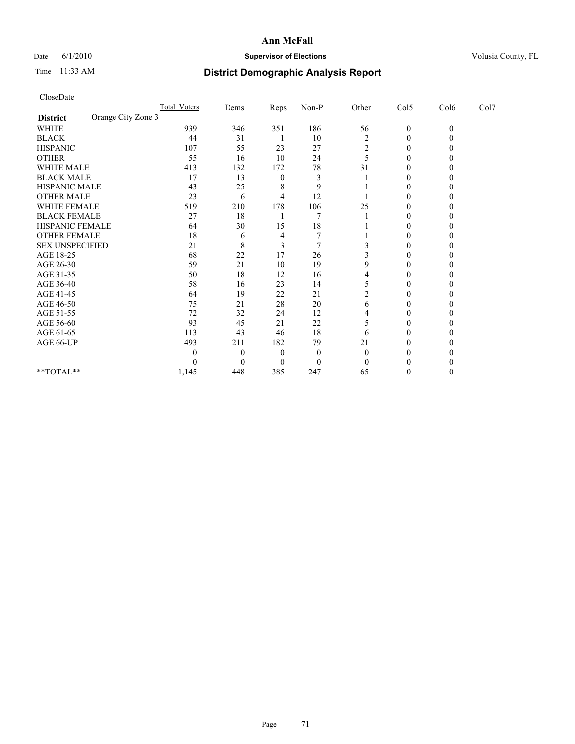## Date 6/1/2010 **Supervisor of Elections Supervisor of Elections** Volusia County, FL

# Time 11:33 AM **District Demographic Analysis Report**

| CloseDate              |                    |                     |                  |          |                |                |                  |              |      |
|------------------------|--------------------|---------------------|------------------|----------|----------------|----------------|------------------|--------------|------|
|                        |                    | <b>Total Voters</b> | Dems             | Reps     | Non-P          | Other          | Col5             | Col6         | Col7 |
| <b>District</b>        | Orange City Zone 3 |                     |                  |          |                |                |                  |              |      |
| <b>WHITE</b>           |                    | 939                 | 346              | 351      | 186            | 56             | $\boldsymbol{0}$ | $\mathbf{0}$ |      |
| <b>BLACK</b>           |                    | 44                  | 31               |          | 10             | $\overline{c}$ | $\boldsymbol{0}$ | $\theta$     |      |
| <b>HISPANIC</b>        |                    | 107                 | 55               | 23       | 27             | 2              | 0                | 0            |      |
| <b>OTHER</b>           |                    | 55                  | 16               | 10       | 24             | 5              | $\boldsymbol{0}$ | 0            |      |
| <b>WHITE MALE</b>      |                    | 413                 | 132              | 172      | 78             | 31             | 0                | $_{0}$       |      |
| <b>BLACK MALE</b>      |                    | 17                  | 13               | $\theta$ | 3              |                | $\theta$         | 0            |      |
| HISPANIC MALE          |                    | 43                  | 25               | 8        | 9              |                | $\boldsymbol{0}$ | 0            |      |
| <b>OTHER MALE</b>      |                    | 23                  | 6                | 4        | 12             |                | 0                | 0            |      |
| WHITE FEMALE           |                    | 519                 | 210              | 178      | 106            | 25             | $\boldsymbol{0}$ | 0            |      |
| <b>BLACK FEMALE</b>    |                    | 27                  | 18               |          | 7              |                | $\theta$         | 0            |      |
| HISPANIC FEMALE        |                    | 64                  | 30               | 15       | 18             |                | $\boldsymbol{0}$ | 0            |      |
| <b>OTHER FEMALE</b>    |                    | 18                  | 6                | 4        | 7              |                | $\boldsymbol{0}$ | 0            |      |
| <b>SEX UNSPECIFIED</b> |                    | 21                  | 8                | 3        | $\overline{7}$ |                | 0                | 0            |      |
| AGE 18-25              |                    | 68                  | 22               | 17       | 26             |                | 0                | 0            |      |
| AGE 26-30              |                    | 59                  | 21               | 10       | 19             | 9              | $\boldsymbol{0}$ | $\theta$     |      |
| AGE 31-35              |                    | 50                  | 18               | 12       | 16             | 4              | $\boldsymbol{0}$ | 0            |      |
| AGE 36-40              |                    | 58                  | 16               | 23       | 14             | 5              | 0                | 0            |      |
| AGE 41-45              |                    | 64                  | 19               | 22       | 21             | $\overline{c}$ | $\theta$         | 0            |      |
| AGE 46-50              |                    | 75                  | 21               | 28       | 20             | 6              | 0                | $_{0}$       |      |
| AGE 51-55              |                    | 72                  | 32               | 24       | 12             | 4              | 0                | 0            |      |
| AGE 56-60              |                    | 93                  | 45               | 21       | 22             |                | 0                | $_{0}$       |      |
| AGE 61-65              |                    | 113                 | 43               | 46       | 18             | 6              | 0                | 0            |      |
| AGE 66-UP              |                    | 493                 | 211              | 182      | 79             | 21             | 0                | 0            |      |
|                        |                    | $\theta$            | $\boldsymbol{0}$ | 0        | $\theta$       | $\overline{0}$ | 0                |              |      |
|                        |                    | $\theta$            | $\boldsymbol{0}$ | $\theta$ | $\theta$       | $\Omega$       |                  |              |      |
| **TOTAL**              |                    | 1,145               | 448              | 385      | 247            | 65             | 0                | $\theta$     |      |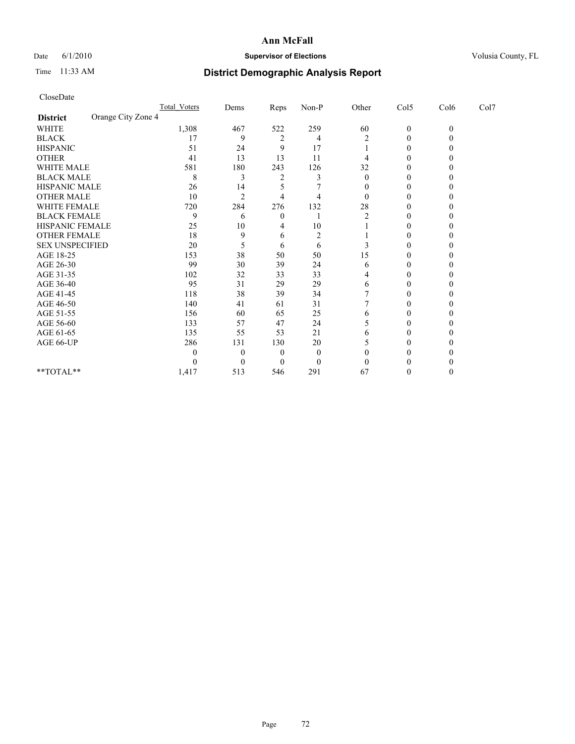## Date 6/1/2010 **Supervisor of Elections Supervisor of Elections** Volusia County, FL

# Time 11:33 AM **District Demographic Analysis Report**

| CloseDate              |                    |              |                |                |                |                |                  |              |      |
|------------------------|--------------------|--------------|----------------|----------------|----------------|----------------|------------------|--------------|------|
|                        |                    | Total Voters | Dems           | Reps           | Non-P          | Other          | Col5             | Col6         | Col7 |
| <b>District</b>        | Orange City Zone 4 |              |                |                |                |                |                  |              |      |
| <b>WHITE</b>           |                    | 1,308        | 467            | 522            | 259            | 60             | $\boldsymbol{0}$ | $\mathbf{0}$ |      |
| <b>BLACK</b>           |                    | 17           | 9              | $\overline{2}$ | 4              | $\overline{2}$ | $\boldsymbol{0}$ | $\theta$     |      |
| <b>HISPANIC</b>        |                    | 51           | 24             | 9              | 17             |                | 0                | 0            |      |
| <b>OTHER</b>           |                    | 41           | 13             | 13             | 11             | 4              | $\boldsymbol{0}$ | 0            |      |
| <b>WHITE MALE</b>      |                    | 581          | 180            | 243            | 126            | 32             | 0                | $_{0}$       |      |
| <b>BLACK MALE</b>      |                    | 8            | 3              | 2              | 3              | $\Omega$       | $\theta$         | 0            |      |
| HISPANIC MALE          |                    | 26           | 14             | 5              | 7              | $\theta$       | 0                | 0            |      |
| <b>OTHER MALE</b>      |                    | 10           | $\overline{2}$ | 4              | 4              | $\Omega$       | $\theta$         | 0            |      |
| WHITE FEMALE           |                    | 720          | 284            | 276            | 132            | 28             | 0                | 0            |      |
| <b>BLACK FEMALE</b>    |                    | 9            | 6              | 0              |                | 2              | 0                | 0            |      |
| <b>HISPANIC FEMALE</b> |                    | 25           | 10             | 4              | 10             |                | $\boldsymbol{0}$ | 0            |      |
| <b>OTHER FEMALE</b>    |                    | 18           | 9              | 6              | $\overline{c}$ |                | $\theta$         | 0            |      |
| <b>SEX UNSPECIFIED</b> |                    | 20           | 5              | 6              | 6              | 3              | 0                | 0            |      |
| AGE 18-25              |                    | 153          | 38             | 50             | 50             | 15             | 0                | 0            |      |
| AGE 26-30              |                    | 99           | 30             | 39             | 24             | 6              | $\boldsymbol{0}$ | 0            |      |
| AGE 31-35              |                    | 102          | 32             | 33             | 33             | 4              | $\boldsymbol{0}$ | 0            |      |
| AGE 36-40              |                    | 95           | 31             | 29             | 29             | 6              | 0                | $_{0}$       |      |
| AGE 41-45              |                    | 118          | 38             | 39             | 34             |                | $\theta$         | 0            |      |
| AGE 46-50              |                    | 140          | 41             | 61             | 31             | 7              | $\boldsymbol{0}$ | 0            |      |
| AGE 51-55              |                    | 156          | 60             | 65             | 25             | 6              | 0                | 0            |      |
| AGE 56-60              |                    | 133          | 57             | 47             | 24             | 5              | 0                | 0            |      |
| AGE 61-65              |                    | 135          | 55             | 53             | 21             | 6              | $\theta$         | 0            |      |
| AGE 66-UP              |                    | 286          | 131            | 130            | 20             | 5              | $\theta$         | 0            |      |
|                        |                    | $\theta$     | $\theta$       | 0              | $\theta$       | $\theta$       | 0                | 0            |      |
|                        |                    | $\theta$     | $\theta$       | 0              | $\theta$       | $\theta$       |                  |              |      |
| **TOTAL**              |                    | 1,417        | 513            | 546            | 291            | 67             | 0                | 0            |      |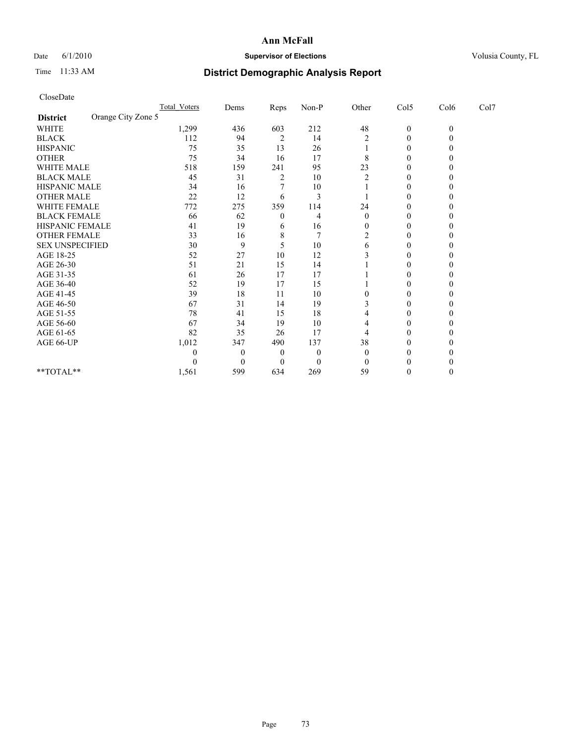## Date 6/1/2010 **Supervisor of Elections Supervisor of Elections** Volusia County, FL

# Time 11:33 AM **District Demographic Analysis Report**

| CloseDate                             |              |                  |      |                  |                |                  |                  |      |  |
|---------------------------------------|--------------|------------------|------|------------------|----------------|------------------|------------------|------|--|
|                                       | Total Voters | Dems             | Reps | $Non-P$          | Other          | Col5             | Col6             | Col7 |  |
| Orange City Zone 5<br><b>District</b> |              |                  |      |                  |                |                  |                  |      |  |
| <b>WHITE</b>                          | 1,299        | 436              | 603  | 212              | 48             | $\boldsymbol{0}$ | $\boldsymbol{0}$ |      |  |
| <b>BLACK</b>                          | 112          | 94               | 2    | 14               | 2              | 0                | $\theta$         |      |  |
| <b>HISPANIC</b>                       | 75           | 35               | 13   | 26               |                | 0                | 0                |      |  |
| <b>OTHER</b>                          | 75           | 34               | 16   | 17               | 8              | 0                | 0                |      |  |
| <b>WHITE MALE</b>                     | 518          | 159              | 241  | 95               | 23             | 0                | 0                |      |  |
| <b>BLACK MALE</b>                     | 45           | 31               | 2    | 10               | 2              | $\boldsymbol{0}$ | 0                |      |  |
| HISPANIC MALE                         | 34           | 16               | 7    | 10               |                | 0                |                  |      |  |
| <b>OTHER MALE</b>                     | 22           | 12               | 6    | 3                |                | $\mathbf{0}$     | 0                |      |  |
| WHITE FEMALE                          | 772          | 275              | 359  | 114              | 24             | 0                | 0                |      |  |
| <b>BLACK FEMALE</b>                   | 66           | 62               | 0    | 4                | $\overline{0}$ | 0                | $_{0}$           |      |  |
| <b>HISPANIC FEMALE</b>                | 41           | 19               | 6    | 16               | $\theta$       | $\mathbf{0}$     | 0                |      |  |
| <b>OTHER FEMALE</b>                   | 33           | 16               | 8    | $\overline{7}$   | 2              | $\theta$         | 0                |      |  |
| <b>SEX UNSPECIFIED</b>                | 30           | 9                | 5    | 10               | 6              | 0                | 0                |      |  |
| AGE 18-25                             | 52           | 27               | 10   | 12               |                | 0                | $_{0}$           |      |  |
| AGE 26-30                             | 51           | 21               | 15   | 14               |                | 0                | 0                |      |  |
| AGE 31-35                             | 61           | 26               | 17   | 17               |                | 0                | 0                |      |  |
| AGE 36-40                             | 52           | 19               | 17   | 15               |                | 0                |                  |      |  |
| AGE 41-45                             | 39           | 18               | 11   | 10               | 0              | $\mathbf{0}$     | 0                |      |  |
| AGE 46-50                             | 67           | 31               | 14   | 19               | 3              | 0                | $_{0}$           |      |  |
| AGE 51-55                             | 78           | 41               | 15   | 18               | 4              | 0                | $_{0}$           |      |  |
| AGE 56-60                             | 67           | 34               | 19   | 10               | 4              | 0                | 0                |      |  |
| AGE 61-65                             | 82           | 35               | 26   | 17               | 4              | 0                | $\theta$         |      |  |
| AGE 66-UP                             | 1,012        | 347              | 490  | 137              | 38             | 0                |                  |      |  |
|                                       | 0            | $\theta$         | 0    | $\boldsymbol{0}$ | $\overline{0}$ | 0                |                  |      |  |
|                                       | 0            | $\boldsymbol{0}$ | 0    | $\theta$         | $\Omega$       | 0                |                  |      |  |
| **TOTAL**                             | 1,561        | 599              | 634  | 269              | 59             | 0                | 0                |      |  |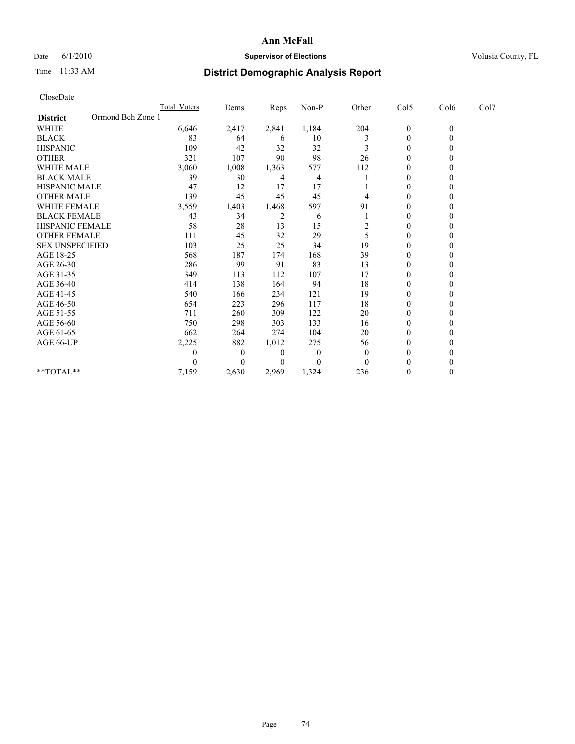## Date 6/1/2010 **Supervisor of Elections Supervisor of Elections** Volusia County, FL

## Time 11:33 AM **District Demographic Analysis Report**

| CloseDate                            |                     |          |       |          |                |                  |                |      |  |
|--------------------------------------|---------------------|----------|-------|----------|----------------|------------------|----------------|------|--|
|                                      | <b>Total Voters</b> | Dems     | Reps  | Non-P    | Other          | Col5             | Col6           | Col7 |  |
| Ormond Bch Zone 1<br><b>District</b> |                     |          |       |          |                |                  |                |      |  |
| WHITE                                | 6,646               | 2,417    | 2,841 | 1,184    | 204            | $\boldsymbol{0}$ | $\overline{0}$ |      |  |
| <b>BLACK</b>                         | 83                  | 64       | 6     | 10       | 3              | $\boldsymbol{0}$ | $\Omega$       |      |  |
| <b>HISPANIC</b>                      | 109                 | 42       | 32    | 32       | 3              | $\theta$         | $\theta$       |      |  |
| <b>OTHER</b>                         | 321                 | 107      | 90    | 98       | 26             | $\boldsymbol{0}$ | 0              |      |  |
| <b>WHITE MALE</b>                    | 3,060               | 1,008    | 1,363 | 577      | 112            | 0                | $\theta$       |      |  |
| <b>BLACK MALE</b>                    | 39                  | 30       | 4     | 4        |                | $\boldsymbol{0}$ | 0              |      |  |
| <b>HISPANIC MALE</b>                 | 47                  | 12       | 17    | 17       |                | 0                | 0              |      |  |
| <b>OTHER MALE</b>                    | 139                 | 45       | 45    | 45       | 4              | $\overline{0}$   | $\theta$       |      |  |
| WHITE FEMALE                         | 3,559               | 1,403    | 1,468 | 597      | 91             | $\boldsymbol{0}$ | $\theta$       |      |  |
| <b>BLACK FEMALE</b>                  | 43                  | 34       | 2     | 6        |                | 0                | $\theta$       |      |  |
| <b>HISPANIC FEMALE</b>               | 58                  | 28       | 13    | 15       | $\overline{c}$ | $\boldsymbol{0}$ | $\theta$       |      |  |
| <b>OTHER FEMALE</b>                  | 111                 | 45       | 32    | 29       | 5              | 0                | $\theta$       |      |  |
| <b>SEX UNSPECIFIED</b>               | 103                 | 25       | 25    | 34       | 19             | 0                | 0              |      |  |
| AGE 18-25                            | 568                 | 187      | 174   | 168      | 39             | 0                | 0              |      |  |
| AGE 26-30                            | 286                 | 99       | 91    | 83       | 13             | $\overline{0}$   | $\theta$       |      |  |
| AGE 31-35                            | 349                 | 113      | 112   | 107      | 17             | $\boldsymbol{0}$ | $\theta$       |      |  |
| AGE 36-40                            | 414                 | 138      | 164   | 94       | 18             | $\theta$         | $\theta$       |      |  |
| AGE 41-45                            | 540                 | 166      | 234   | 121      | 19             | $\boldsymbol{0}$ | 0              |      |  |
| AGE 46-50                            | 654                 | 223      | 296   | 117      | 18             | 0                | $\theta$       |      |  |
| AGE 51-55                            | 711                 | 260      | 309   | 122      | 20             | 0                | 0              |      |  |
| AGE 56-60                            | 750                 | 298      | 303   | 133      | 16             | 0                | 0              |      |  |
| AGE 61-65                            | 662                 | 264      | 274   | 104      | 20             | 0                | $\theta$       |      |  |
| AGE 66-UP                            | 2,225               | 882      | 1,012 | 275      | 56             | $\boldsymbol{0}$ | $\theta$       |      |  |
|                                      | 0                   | $\theta$ | 0     | $\theta$ | $\overline{0}$ | 0                | $\theta$       |      |  |
|                                      | 0                   | $\theta$ | 0     | 0        | $\Omega$       |                  | 0              |      |  |
| $**TOTAL**$                          | 7,159               | 2,630    | 2,969 | 1,324    | 236            | 0                | $\theta$       |      |  |
|                                      |                     |          |       |          |                |                  |                |      |  |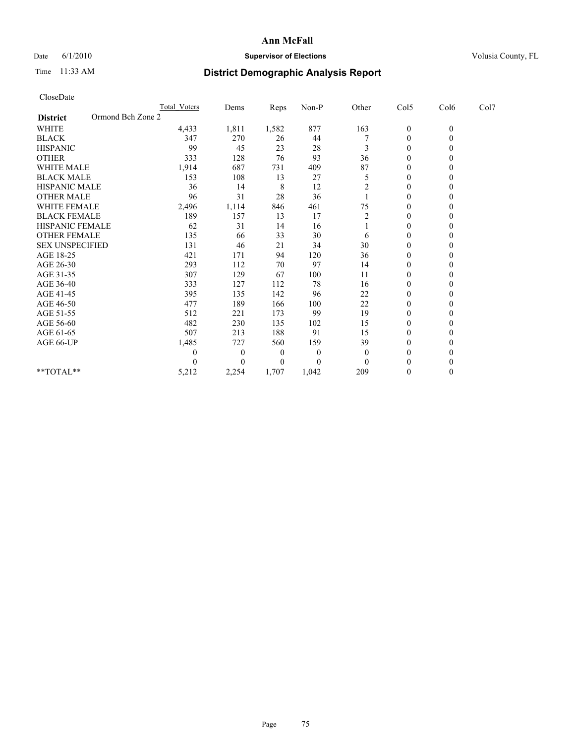## Date 6/1/2010 **Supervisor of Elections Supervisor of Elections** Volusia County, FL

## Time 11:33 AM **District Demographic Analysis Report**

| CloseDate              |                   |                     |                |       |          |                |                  |              |      |
|------------------------|-------------------|---------------------|----------------|-------|----------|----------------|------------------|--------------|------|
|                        |                   | <b>Total Voters</b> | Dems           | Reps  | Non-P    | Other          | Col5             | Col6         | Col7 |
| <b>District</b>        | Ormond Bch Zone 2 |                     |                |       |          |                |                  |              |      |
| WHITE                  |                   | 4,433               | 1,811          | 1,582 | 877      | 163            | $\boldsymbol{0}$ | $\mathbf{0}$ |      |
| <b>BLACK</b>           |                   | 347                 | 270            | 26    | 44       |                | $\boldsymbol{0}$ | $\mathbf{0}$ |      |
| <b>HISPANIC</b>        |                   | 99                  | 45             | 23    | 28       | 3              | $\overline{0}$   | $\Omega$     |      |
| <b>OTHER</b>           |                   | 333                 | 128            | 76    | 93       | 36             | $\boldsymbol{0}$ | $\theta$     |      |
| <b>WHITE MALE</b>      |                   | 1,914               | 687            | 731   | 409      | 87             | $\boldsymbol{0}$ | $\Omega$     |      |
| <b>BLACK MALE</b>      |                   | 153                 | 108            | 13    | 27       | 5              | $\mathbf{0}$     | $\theta$     |      |
| HISPANIC MALE          |                   | 36                  | 14             | 8     | 12       | $\overline{c}$ | $\boldsymbol{0}$ | $\theta$     |      |
| <b>OTHER MALE</b>      |                   | 96                  | 31             | 28    | 36       |                | $\mathbf{0}$     | $\mathbf{0}$ |      |
| WHITE FEMALE           |                   | 2,496               | 1,114          | 846   | 461      | 75             | 0                | $\theta$     |      |
| <b>BLACK FEMALE</b>    |                   | 189                 | 157            | 13    | 17       | 2              | $\mathbf{0}$     | $\theta$     |      |
| HISPANIC FEMALE        |                   | 62                  | 31             | 14    | 16       |                | 0                | $\Omega$     |      |
| <b>OTHER FEMALE</b>    |                   | 135                 | 66             | 33    | 30       | 6              | 0                | $\theta$     |      |
| <b>SEX UNSPECIFIED</b> |                   | 131                 | 46             | 21    | 34       | 30             | $\boldsymbol{0}$ | $\Omega$     |      |
| AGE 18-25              |                   | 421                 | 171            | 94    | 120      | 36             | 0                | $\theta$     |      |
| AGE 26-30              |                   | 293                 | 112            | 70    | 97       | 14             | $\boldsymbol{0}$ | $\Omega$     |      |
| AGE 31-35              |                   | 307                 | 129            | 67    | 100      | 11             | $\boldsymbol{0}$ | $\mathbf{0}$ |      |
| AGE 36-40              |                   | 333                 | 127            | 112   | 78       | 16             | $\boldsymbol{0}$ | $\Omega$     |      |
| AGE 41-45              |                   | 395                 | 135            | 142   | 96       | 22             | $\overline{0}$   | $\Omega$     |      |
| AGE 46-50              |                   | 477                 | 189            | 166   | 100      | 22             | $\overline{0}$   | $\Omega$     |      |
| AGE 51-55              |                   | 512                 | 221            | 173   | 99       | 19             | $\boldsymbol{0}$ | $\Omega$     |      |
| AGE 56-60              |                   | 482                 | 230            | 135   | 102      | 15             | $\boldsymbol{0}$ | $\Omega$     |      |
| AGE 61-65              |                   | 507                 | 213            | 188   | 91       | 15             | $\mathbf{0}$     | $\theta$     |      |
| AGE 66-UP              |                   | 1,485               | 727            | 560   | 159      | 39             | $\boldsymbol{0}$ | $\Omega$     |      |
|                        |                   | 0                   | $\overline{0}$ | 0     | $\theta$ | $\theta$       | $\mathbf{0}$     | 0            |      |
|                        |                   | 0                   | $\Omega$       | 0     | 0        | $\Omega$       | $\theta$         | $\theta$     |      |
| $*$ $TOTAI.**$         |                   | 5,212               | 2,254          | 1,707 | 1,042    | 209            | $\mathbf{0}$     | $\Omega$     |      |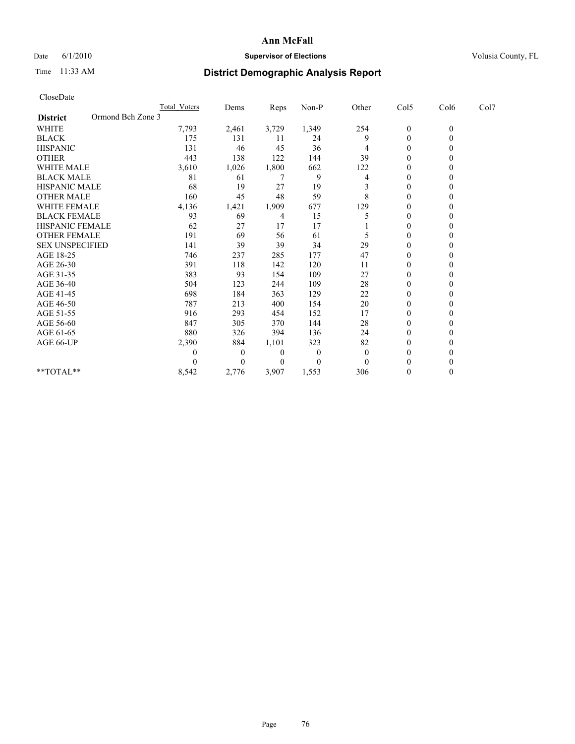## Date 6/1/2010 **Supervisor of Elections Supervisor of Elections** Volusia County, FL

## Time 11:33 AM **District Demographic Analysis Report**

| CloseDate              |                   |                     |                |       |          |                |                  |              |      |
|------------------------|-------------------|---------------------|----------------|-------|----------|----------------|------------------|--------------|------|
|                        |                   | <b>Total Voters</b> | Dems           | Reps  | Non-P    | Other          | Col5             | Col6         | Col7 |
| <b>District</b>        | Ormond Bch Zone 3 |                     |                |       |          |                |                  |              |      |
| <b>WHITE</b>           |                   | 7,793               | 2,461          | 3,729 | 1,349    | 254            | $\boldsymbol{0}$ | $\mathbf{0}$ |      |
| <b>BLACK</b>           |                   | 175                 | 131            | 11    | 24       | 9              | $\boldsymbol{0}$ | $\mathbf{0}$ |      |
| <b>HISPANIC</b>        |                   | 131                 | 46             | 45    | 36       | 4              | $\boldsymbol{0}$ | $\theta$     |      |
| <b>OTHER</b>           |                   | 443                 | 138            | 122   | 144      | 39             | $\mathbf{0}$     | $\Omega$     |      |
| <b>WHITE MALE</b>      |                   | 3,610               | 1,026          | 1,800 | 662      | 122            | $\mathbf{0}$     | $\theta$     |      |
| <b>BLACK MALE</b>      |                   | 81                  | 61             | 7     | 9        | 4              | $\mathbf{0}$     | $\Omega$     |      |
| <b>HISPANIC MALE</b>   |                   | 68                  | 19             | 27    | 19       | 3              | 0                | $\theta$     |      |
| <b>OTHER MALE</b>      |                   | 160                 | 45             | 48    | 59       | 8              | $\boldsymbol{0}$ | $\Omega$     |      |
| WHITE FEMALE           |                   | 4,136               | 1,421          | 1,909 | 677      | 129            | $\mathbf{0}$     | $\Omega$     |      |
| <b>BLACK FEMALE</b>    |                   | 93                  | 69             | 4     | 15       | 5              | $\mathbf{0}$     | $\theta$     |      |
| <b>HISPANIC FEMALE</b> |                   | 62                  | 27             | 17    | 17       |                | $\mathbf{0}$     | $\Omega$     |      |
| <b>OTHER FEMALE</b>    |                   | 191                 | 69             | 56    | 61       | 5              | $\boldsymbol{0}$ | $\Omega$     |      |
| <b>SEX UNSPECIFIED</b> |                   | 141                 | 39             | 39    | 34       | 29             | $\mathbf{0}$     | $\theta$     |      |
| AGE 18-25              |                   | 746                 | 237            | 285   | 177      | 47             | $\mathbf{0}$     | 0            |      |
| AGE 26-30              |                   | 391                 | 118            | 142   | 120      | 11             | $\boldsymbol{0}$ | $\Omega$     |      |
| AGE 31-35              |                   | 383                 | 93             | 154   | 109      | 27             | $\boldsymbol{0}$ | $\Omega$     |      |
| AGE 36-40              |                   | 504                 | 123            | 244   | 109      | 28             | $\mathbf{0}$     | $\Omega$     |      |
| AGE 41-45              |                   | 698                 | 184            | 363   | 129      | 22             | $\mathbf{0}$     | $\Omega$     |      |
| AGE 46-50              |                   | 787                 | 213            | 400   | 154      | 20             | $\boldsymbol{0}$ | $\Omega$     |      |
| AGE 51-55              |                   | 916                 | 293            | 454   | 152      | 17             | $\boldsymbol{0}$ | $\theta$     |      |
| AGE 56-60              |                   | 847                 | 305            | 370   | 144      | 28             | $\mathbf{0}$     | $\theta$     |      |
| AGE 61-65              |                   | 880                 | 326            | 394   | 136      | 24             | $\boldsymbol{0}$ | $\Omega$     |      |
| AGE 66-UP              |                   | 2,390               | 884            | 1,101 | 323      | 82             | 0                | $\Omega$     |      |
|                        |                   | 0                   | $\overline{0}$ | 0     | $\theta$ | $\overline{0}$ | $\mathbf{0}$     | $\Omega$     |      |
|                        |                   | 0                   | $\theta$       | 0     | 0        | $\theta$       | $\theta$         | 0            |      |
| **TOTAL**              |                   | 8,542               | 2,776          | 3,907 | 1,553    | 306            | $\mathbf{0}$     | $\mathbf{0}$ |      |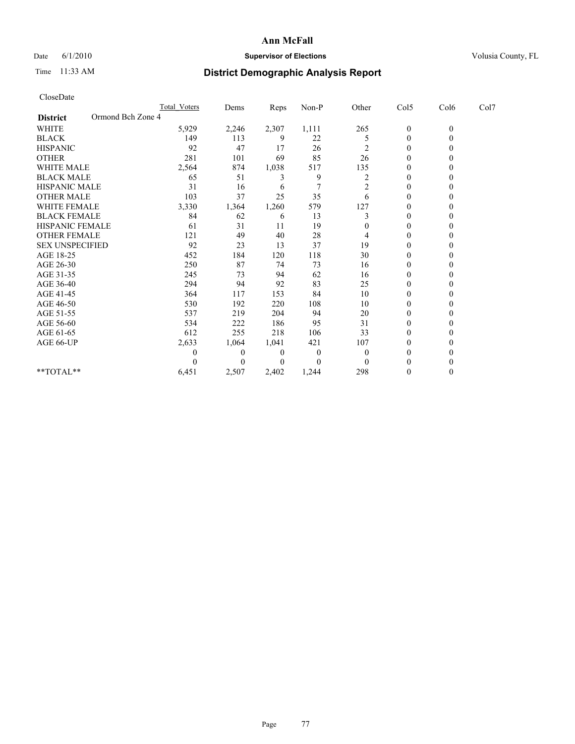## Date 6/1/2010 **Supervisor of Elections Supervisor of Elections** Volusia County, FL

## Time 11:33 AM **District Demographic Analysis Report**

| CloseDate                            |                     |          |       |          |                |                  |                |      |
|--------------------------------------|---------------------|----------|-------|----------|----------------|------------------|----------------|------|
|                                      | <b>Total Voters</b> | Dems     | Reps  | Non-P    | Other          | Col5             | Col6           | Col7 |
| Ormond Bch Zone 4<br><b>District</b> |                     |          |       |          |                |                  |                |      |
| WHITE                                | 5,929               | 2,246    | 2,307 | 1,111    | 265            | $\boldsymbol{0}$ | $\overline{0}$ |      |
| <b>BLACK</b>                         | 149                 | 113      | 9     | 22       | 5              | $\boldsymbol{0}$ | $\Omega$       |      |
| <b>HISPANIC</b>                      | 92                  | 47       | 17    | 26       | $\overline{c}$ | $\theta$         | $\theta$       |      |
| <b>OTHER</b>                         | 281                 | 101      | 69    | 85       | 26             | $\mathbf{0}$     | 0              |      |
| <b>WHITE MALE</b>                    | 2,564               | 874      | 1,038 | 517      | 135            | $\mathbf{0}$     | $\theta$       |      |
| <b>BLACK MALE</b>                    | 65                  | 51       | 3     | 9        | $\overline{c}$ | $\mathbf{0}$     | 0              |      |
| <b>HISPANIC MALE</b>                 | 31                  | 16       | 6     | 7        | $\overline{c}$ | 0                | 0              |      |
| <b>OTHER MALE</b>                    | 103                 | 37       | 25    | 35       | 6              | $\overline{0}$   | $\theta$       |      |
| WHITE FEMALE                         | 3,330               | 1,364    | 1,260 | 579      | 127            | $\mathbf{0}$     | $\theta$       |      |
| <b>BLACK FEMALE</b>                  | 84                  | 62       | 6     | 13       | 3              | $\theta$         | 0              |      |
| <b>HISPANIC FEMALE</b>               | 61                  | 31       | 11    | 19       | 0              | $\mathbf{0}$     | 0              |      |
| <b>OTHER FEMALE</b>                  | 121                 | 49       | 40    | 28       | 4              | 0                | $\theta$       |      |
| <b>SEX UNSPECIFIED</b>               | 92                  | 23       | 13    | 37       | 19             | 0                | 0              |      |
| AGE 18-25                            | 452                 | 184      | 120   | 118      | 30             | 0                | 0              |      |
| AGE 26-30                            | 250                 | 87       | 74    | 73       | 16             | $\overline{0}$   | $\theta$       |      |
| AGE 31-35                            | 245                 | 73       | 94    | 62       | 16             | $\mathbf{0}$     | $\theta$       |      |
| AGE 36-40                            | 294                 | 94       | 92    | 83       | 25             | $\theta$         | 0              |      |
| AGE 41-45                            | 364                 | 117      | 153   | 84       | 10             | $\mathbf{0}$     | 0              |      |
| AGE 46-50                            | 530                 | 192      | 220   | 108      | 10             | 0                | $\theta$       |      |
| AGE 51-55                            | 537                 | 219      | 204   | 94       | 20             | 0                | 0              |      |
| AGE 56-60                            | 534                 | 222      | 186   | 95       | 31             | 0                | 0              |      |
| AGE 61-65                            | 612                 | 255      | 218   | 106      | 33             | $\overline{0}$   | $\theta$       |      |
| AGE 66-UP                            | 2,633               | 1,064    | 1,041 | 421      | 107            | $\mathbf{0}$     | $\theta$       |      |
|                                      | 0                   | $\theta$ | 0     | $\theta$ | $\theta$       | 0                | 0              |      |
|                                      |                     | $\theta$ | 0     | 0        | $\theta$       |                  | 0              |      |
| $**TOTAL**$                          | 6,451               | 2,507    | 2,402 | 1,244    | 298            | 0                | $\theta$       |      |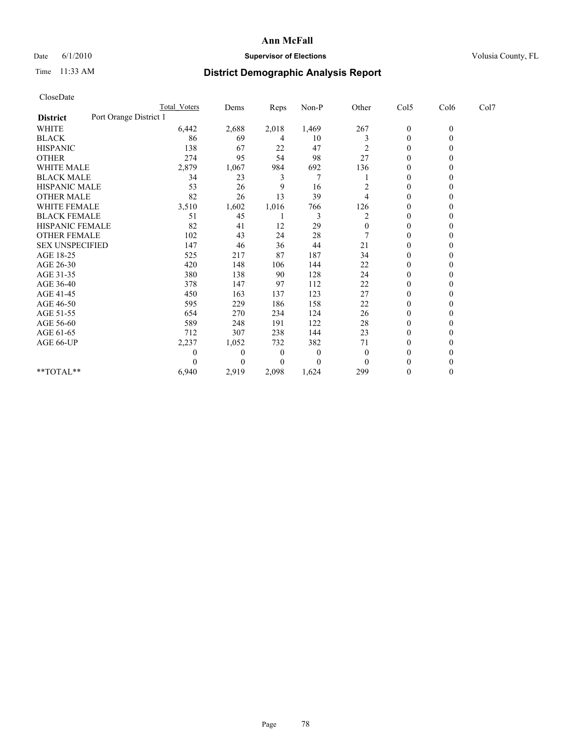## Date 6/1/2010 **Supervisor of Elections Supervisor of Elections** Volusia County, FL

## Time 11:33 AM **District Demographic Analysis Report**

| CloseDate              |                        |                |          |          |                |                  |                  |      |
|------------------------|------------------------|----------------|----------|----------|----------------|------------------|------------------|------|
|                        | <b>Total Voters</b>    | Dems           | Reps     | Non-P    | Other          | Col5             | Col6             | Col7 |
| <b>District</b>        | Port Orange District 1 |                |          |          |                |                  |                  |      |
| <b>WHITE</b>           | 6,442                  | 2,688          | 2,018    | 1,469    | 267            | $\boldsymbol{0}$ | $\boldsymbol{0}$ |      |
| <b>BLACK</b>           | 86                     | 69             | 4        | 10       | 3              | $\boldsymbol{0}$ | $\mathbf{0}$     |      |
| <b>HISPANIC</b>        | 138                    | 67             | 22       | 47       | 2              | $\boldsymbol{0}$ | $\Omega$         |      |
| <b>OTHER</b>           | 274                    | 95             | 54       | 98       | 27             | $\boldsymbol{0}$ | $\Omega$         |      |
| <b>WHITE MALE</b>      | 2,879                  | 1,067          | 984      | 692      | 136            | 0                | $\theta$         |      |
| <b>BLACK MALE</b>      | 34                     | 23             | 3        | 7        |                | $\overline{0}$   | $\Omega$         |      |
| HISPANIC MALE          | 53                     | 26             | 9        | 16       | 2              | 0                | $\Omega$         |      |
| <b>OTHER MALE</b>      | 82                     | 26             | 13       | 39       | 4              | $\boldsymbol{0}$ | $\theta$         |      |
| <b>WHITE FEMALE</b>    | 3,510                  | 1,602          | 1,016    | 766      | 126            | $\boldsymbol{0}$ | $\mathbf{0}$     |      |
| <b>BLACK FEMALE</b>    | 51                     | 45             |          | 3        | $\overline{2}$ | $\boldsymbol{0}$ | 0                |      |
| HISPANIC FEMALE        | 82                     | 41             | 12       | 29       | $\mathbf{0}$   | $\boldsymbol{0}$ | $\Omega$         |      |
| <b>OTHER FEMALE</b>    | 102                    | 43             | 24       | 28       |                | $\boldsymbol{0}$ | $\theta$         |      |
| <b>SEX UNSPECIFIED</b> | 147                    | 46             | 36       | 44       | 21             | $\boldsymbol{0}$ | $\Omega$         |      |
| AGE 18-25              | 525                    | 217            | 87       | 187      | 34             | 0                | $\Omega$         |      |
| AGE 26-30              | 420                    | 148            | 106      | 144      | 22             | $\boldsymbol{0}$ | $\Omega$         |      |
| AGE 31-35              | 380                    | 138            | 90       | 128      | 24             | $\mathbf{0}$     | $\mathbf{0}$     |      |
| AGE 36-40              | 378                    | 147            | 97       | 112      | 22             | $\boldsymbol{0}$ | 0                |      |
| AGE 41-45              | 450                    | 163            | 137      | 123      | 27             | 0                | $\theta$         |      |
| AGE 46-50              | 595                    | 229            | 186      | 158      | 22             | 0                | $\Omega$         |      |
| AGE 51-55              | 654                    | 270            | 234      | 124      | 26             | $\overline{0}$   | $\Omega$         |      |
| AGE 56-60              | 589                    | 248            | 191      | 122      | 28             | $\boldsymbol{0}$ | $\Omega$         |      |
| AGE 61-65              | 712                    | 307            | 238      | 144      | 23             | $\boldsymbol{0}$ | $\mathbf{0}$     |      |
| AGE 66-UP              | 2,237                  | 1,052          | 732      | 382      | 71             | $\boldsymbol{0}$ | $\theta$         |      |
|                        | 0                      | $\overline{0}$ | $\theta$ | $\theta$ | $\theta$       | $\boldsymbol{0}$ | $\theta$         |      |
|                        | 0                      | $\Omega$       | 0        | $\theta$ | $\Omega$       | $\boldsymbol{0}$ | $\theta$         |      |
| **TOTAL**              | 6,940                  | 2,919          | 2,098    | 1,624    | 299            | $\boldsymbol{0}$ | $\theta$         |      |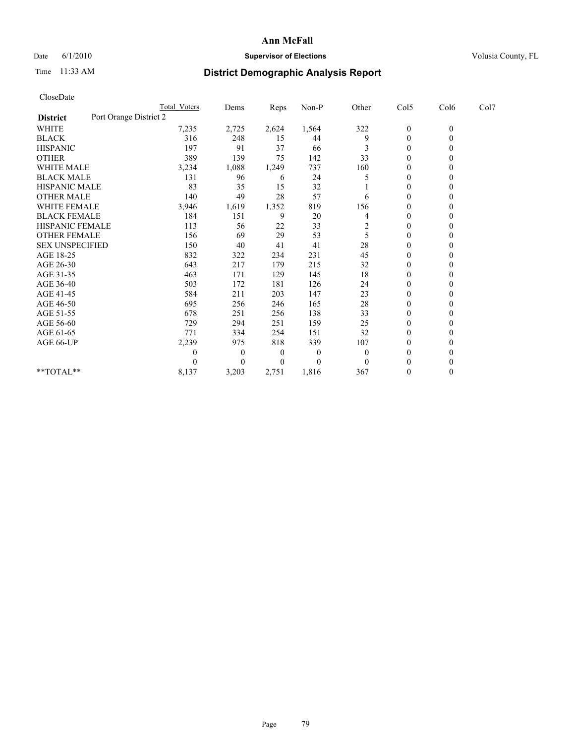## Date 6/1/2010 **Supervisor of Elections Supervisor of Elections** Volusia County, FL

## Time 11:33 AM **District Demographic Analysis Report**

| CloseDate              |                        |                  |       |          |                         |                  |                  |      |
|------------------------|------------------------|------------------|-------|----------|-------------------------|------------------|------------------|------|
|                        | Total Voters           | Dems             | Reps  | Non-P    | Other                   | Col5             | Col6             | Col7 |
| <b>District</b>        | Port Orange District 2 |                  |       |          |                         |                  |                  |      |
| <b>WHITE</b>           | 7,235                  | 2,725            | 2,624 | 1,564    | 322                     | $\boldsymbol{0}$ | $\boldsymbol{0}$ |      |
| <b>BLACK</b>           | 316                    | 248              | 15    | 44       | 9                       | $\boldsymbol{0}$ | $\mathbf{0}$     |      |
| <b>HISPANIC</b>        | 197                    | 91               | 37    | 66       | 3                       | $\boldsymbol{0}$ | $\mathbf{0}$     |      |
| <b>OTHER</b>           | 389                    | 139              | 75    | 142      | 33                      | 0                | $\Omega$         |      |
| <b>WHITE MALE</b>      | 3,234                  | 1,088            | 1,249 | 737      | 160                     | 0                | $\theta$         |      |
| <b>BLACK MALE</b>      | 131                    | 96               | 6     | 24       | 5                       | $\overline{0}$   | $\Omega$         |      |
| <b>HISPANIC MALE</b>   | 83                     | 35               | 15    | 32       |                         | 0                | $\Omega$         |      |
| <b>OTHER MALE</b>      | 140                    | 49               | 28    | 57       | 6                       | $\boldsymbol{0}$ | $\theta$         |      |
| <b>WHITE FEMALE</b>    | 3,946                  | 1,619            | 1,352 | 819      | 156                     | $\boldsymbol{0}$ | $\mathbf{0}$     |      |
| <b>BLACK FEMALE</b>    | 184                    | 151              | 9     | 20       | 4                       | $\boldsymbol{0}$ | $\Omega$         |      |
| HISPANIC FEMALE        | 113                    | 56               | 22    | 33       | $\overline{\mathbf{c}}$ | $\overline{0}$   | $\theta$         |      |
| <b>OTHER FEMALE</b>    | 156                    | 69               | 29    | 53       | 5                       | 0                | $\mathbf{0}$     |      |
| <b>SEX UNSPECIFIED</b> | 150                    | 40               | 41    | 41       | 28                      | $\boldsymbol{0}$ | $\Omega$         |      |
| AGE 18-25              | 832                    | 322              | 234   | 231      | 45                      | 0                | $\Omega$         |      |
| AGE 26-30              | 643                    | 217              | 179   | 215      | 32                      | $\boldsymbol{0}$ | $\mathbf{0}$     |      |
| AGE 31-35              | 463                    | 171              | 129   | 145      | 18                      | $\mathbf{0}$     | $\mathbf{0}$     |      |
| AGE 36-40              | 503                    | 172              | 181   | 126      | 24                      | $\overline{0}$   | $\Omega$         |      |
| AGE 41-45              | 584                    | 211              | 203   | 147      | 23                      | 0                | $\theta$         |      |
| AGE 46-50              | 695                    | 256              | 246   | 165      | 28                      | $\boldsymbol{0}$ | $\mathbf{0}$     |      |
| AGE 51-55              | 678                    | 251              | 256   | 138      | 33                      | $\overline{0}$   | $\Omega$         |      |
| AGE 56-60              | 729                    | 294              | 251   | 159      | 25                      | $\boldsymbol{0}$ | $\Omega$         |      |
| AGE 61-65              | 771                    | 334              | 254   | 151      | 32                      | $\boldsymbol{0}$ | $\mathbf{0}$     |      |
| AGE 66-UP              | 2,239                  | 975              | 818   | 339      | 107                     | $\overline{0}$   | $\Omega$         |      |
|                        | 0                      | $\boldsymbol{0}$ | 0     | $\theta$ | $\theta$                | $\boldsymbol{0}$ | $\theta$         |      |
|                        | 0                      | $\Omega$         | 0     | $\theta$ | $\Omega$                | $\mathbf{0}$     | $\Omega$         |      |
| **TOTAL**              | 8,137                  | 3,203            | 2,751 | 1,816    | 367                     | $\mathbf{0}$     | $\boldsymbol{0}$ |      |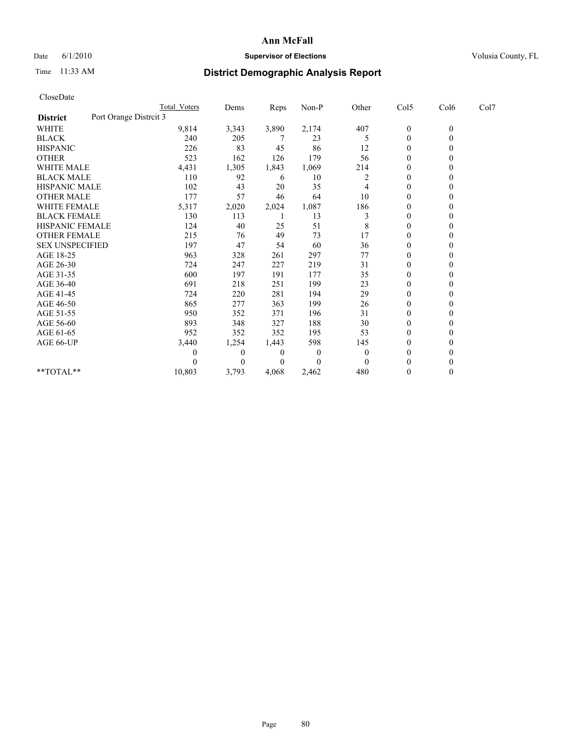## Date 6/1/2010 **Supervisor of Elections Supervisor of Elections** Volusia County, FL

## Time 11:33 AM **District Demographic Analysis Report**

|                                           | Total Voters | Dems         | <b>Reps</b>    | $Non-P$      | Other    | Col5           | Col6         | Col7 |  |
|-------------------------------------------|--------------|--------------|----------------|--------------|----------|----------------|--------------|------|--|
| Port Orange Distrcit 3<br><b>District</b> |              |              |                |              |          |                |              |      |  |
| <b>WHITE</b>                              | 9,814        | 3,343        | 3,890          | 2,174        | 407      | $\bf{0}$       | $\mathbf{0}$ |      |  |
| <b>BLACK</b>                              | 240          | 205          |                | 23           | 5        | $\mathbf{0}$   |              |      |  |
| <b>HISPANIC</b>                           | 226          | 83           | 45             | 86           | 12       | $\Omega$       |              |      |  |
| <b>OTHER</b>                              | 523          | 162          | 126            | 179          | 56       | $\theta$       |              |      |  |
| WHITE MALE                                | 4,431        | 1,305        | 1,843          | 1,069        | 214      | 0              |              |      |  |
| <b>BLACK MALE</b>                         | 110          | 92           | 6              | 10           | 2        | $\theta$       |              |      |  |
| HISPANIC MALE                             | 102          | 43           | 20             | 35           | 4        | $\Omega$       |              |      |  |
| <b>OTHER MALE</b>                         | 177          | 57           | 46             | 64           | 10       | $\Omega$       |              |      |  |
| <b>WHITE FEMALE</b>                       | 5,317        | 2,020        | 2,024          | 1,087        | 186      | $\theta$       |              |      |  |
| <b>BLACK FEMALE</b>                       | 130          | 113          |                | 13           | 3        | $\theta$       |              |      |  |
| HISPANIC FEMALE                           | 124          | 40           | 25             | 51           | 8        | 0              |              |      |  |
| <b>OTHER FEMALE</b>                       | 215          | 76           | 49             | 73           | 17       | $\theta$       |              |      |  |
| <b>SEX UNSPECIFIED</b>                    | 197          | 47           | 54             | 60           | 36       | $\overline{0}$ |              |      |  |
| AGE 18-25                                 | 963          | 328          | 261            | 297          | 77       | 0              |              |      |  |
| AGE 26-30                                 | 724          | 247          | 227            | 219          | 31       | $\theta$       |              |      |  |
| AGE 31-35                                 | 600          | 197          | 191            | 177          | 35       | $\Omega$       |              |      |  |
| AGE 36-40                                 | 691          | 218          | 251            | 199          | 23       | 0              |              |      |  |
| AGE 41-45                                 | 724          | 220          | 281            | 194          | 29       | $\theta$       |              |      |  |
| AGE 46-50                                 | 865          | 277          | 363            | 199          | 26       | $\theta$       |              |      |  |
| AGE 51-55                                 | 950          | 352          | 371            | 196          | 31       | $\theta$       |              |      |  |
| AGE 56-60                                 | 893          | 348          | 327            | 188          | 30       | $\theta$       |              |      |  |
| AGE 61-65                                 | 952          | 352          | 352            | 195          | 53       | $\Omega$       |              |      |  |
| AGE 66-UP                                 | 3,440        | 1,254        | 1,443          | 598          | 145      | 0              |              |      |  |
|                                           | 0            | $\mathbf{0}$ | $\overline{0}$ | $\mathbf{0}$ | $\Omega$ | $\theta$       |              |      |  |
|                                           |              | $\Omega$     | $\Omega$       | $\theta$     | $\Omega$ | $\theta$       |              |      |  |
| $**TOTAL**$                               | 10,803       | 3,793        | 4,068          | 2,462        | 480      | $\mathbf{0}$   |              |      |  |